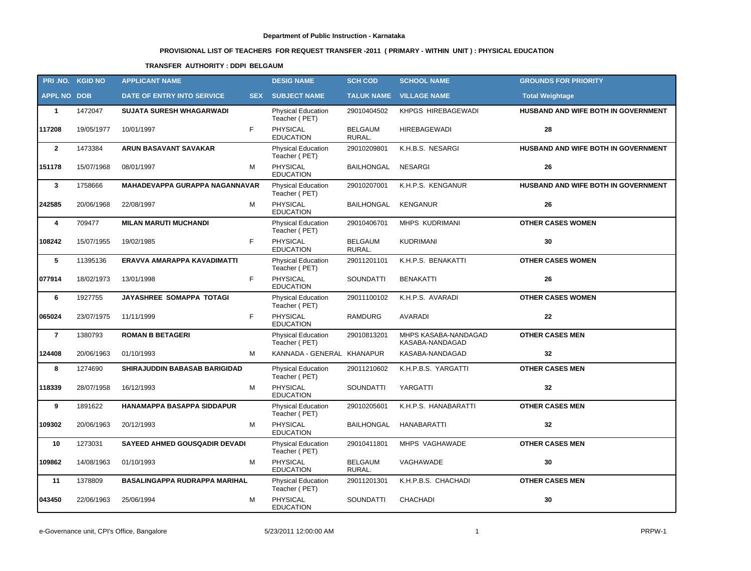# **PROVISIONAL LIST OF TEACHERS FOR REQUEST TRANSFER -2011 ( PRIMARY - WITHIN UNIT ) : PHYSICAL EDUCATION**

### **TRANSFER AUTHORITY : DDPI BELGAUM**

| PRI.NO. KGID NO    |            | <b>APPLICANT NAME</b>                |            | <b>DESIG NAME</b>                          | <b>SCH COD</b>           | <b>SCHOOL NAME</b>                      | <b>GROUNDS FOR PRIORITY</b>         |
|--------------------|------------|--------------------------------------|------------|--------------------------------------------|--------------------------|-----------------------------------------|-------------------------------------|
| <b>APPL NO DOB</b> |            | DATE OF ENTRY INTO SERVICE           | <b>SEX</b> | <b>SUBJECT NAME</b>                        |                          | <b>TALUK NAME VILLAGE NAME</b>          | <b>Total Weightage</b>              |
| $\mathbf{1}$       | 1472047    | <b>SUJATA SURESH WHAGARWADI</b>      |            | <b>Physical Education</b><br>Teacher (PET) | 29010404502              | KHPGS HIREBAGEWADI                      | HUSBAND AND WIFE BOTH IN GOVERNMENT |
| 117208             | 19/05/1977 | 10/01/1997                           | F.         | PHYSICAL<br><b>EDUCATION</b>               | BELGAUM<br>RURAL.        | <b>HIREBAGEWADI</b>                     | 28                                  |
| $\overline{2}$     | 1473384    | ARUN BASAVANT SAVAKAR                |            | Physical Education<br>Teacher (PET)        | 29010209801              | K.H.B.S. NESARGI                        | HUSBAND AND WIFE BOTH IN GOVERNMENT |
| 151178             | 15/07/1968 | 08/01/1997                           | М          | PHYSICAL<br><b>EDUCATION</b>               | <b>BAILHONGAL</b>        | <b>NESARGI</b>                          | 26                                  |
| $\mathbf{3}$       | 1758666    | MAHADEVAPPA GURAPPA NAGANNAVAR       |            | Physical Education<br>Teacher (PET)        | 29010207001              | K.H.P.S. KENGANUR                       | HUSBAND AND WIFE BOTH IN GOVERNMENT |
| 242585             | 20/06/1968 | 22/08/1997                           | М          | PHYSICAL<br><b>EDUCATION</b>               | <b>BAILHONGAL</b>        | <b>KENGANUR</b>                         | 26                                  |
| 4                  | 709477     | <b>MILAN MARUTI MUCHANDI</b>         |            | Physical Education<br>Teacher (PET)        | 29010406701              | MHPS KUDRIMANI                          | <b>OTHER CASES WOMEN</b>            |
| 108242             | 15/07/1955 | 19/02/1985                           | F.         | <b>PHYSICAL</b><br><b>EDUCATION</b>        | <b>BELGAUM</b><br>RURAL. | <b>KUDRIMANI</b>                        | 30                                  |
| 5                  | 11395136   | ERAVVA AMARAPPA KAVADIMATTI          |            | Physical Education<br>Teacher (PET)        | 29011201101              | K.H.P.S. BENAKATTI                      | <b>OTHER CASES WOMEN</b>            |
| 077914             | 18/02/1973 | 13/01/1998                           | F.         | PHYSICAL<br><b>EDUCATION</b>               | <b>SOUNDATTI</b>         | <b>BENAKATTI</b>                        | 26                                  |
| 6                  | 1927755    | <b>JAYASHREE SOMAPPA TOTAGI</b>      |            | Physical Education<br>Teacher (PET)        | 29011100102              | K.H.P.S. AVARADI                        | <b>OTHER CASES WOMEN</b>            |
| 065024             | 23/07/1975 | 11/11/1999                           | F          | PHYSICAL<br><b>EDUCATION</b>               | <b>RAMDURG</b>           | <b>AVARADI</b>                          | $22 \,$                             |
| $\overline{7}$     | 1380793    | <b>ROMAN B BETAGERI</b>              |            | Physical Education<br>Teacher (PET)        | 29010813201              | MHPS KASABA-NANDAGAD<br>KASABA-NANDAGAD | <b>OTHER CASES MEN</b>              |
| 124408             | 20/06/1963 | 01/10/1993                           | м          | KANNADA - GENERAL KHANAPUR                 |                          | KASABA-NANDAGAD                         | 32                                  |
| 8                  | 1274690    | SHIRAJUDDIN BABASAB BARIGIDAD        |            | Physical Education<br>Teacher (PET)        | 29011210602              | K.H.P.B.S. YARGATTI                     | <b>OTHER CASES MEN</b>              |
| 118339             | 28/07/1958 | 16/12/1993                           | M          | PHYSICAL<br><b>EDUCATION</b>               | <b>SOUNDATTI</b>         | YARGATTI                                | 32                                  |
| 9                  | 1891622    | HANAMAPPA BASAPPA SIDDAPUR           |            | Physical Education<br>Teacher (PET)        | 29010205601              | K.H.P.S. HANABARATTI                    | <b>OTHER CASES MEN</b>              |
| 109302             | 20/06/1963 | 20/12/1993                           | М          | PHYSICAL<br><b>EDUCATION</b>               | BAILHONGAL               | <b>HANABARATTI</b>                      | 32                                  |
| 10                 | 1273031    | <b>SAYEED AHMED GOUSQADIR DEVADI</b> |            | <b>Physical Education</b><br>Teacher (PET) | 29010411801              | MHPS VAGHAWADE                          | <b>OTHER CASES MEN</b>              |
| 109862             | 14/08/1963 | 01/10/1993                           | М          | PHYSICAL<br><b>EDUCATION</b>               | <b>BELGAUM</b><br>RURAL. | VAGHAWADE                               | 30                                  |
| 11                 | 1378809    | <b>BASALINGAPPA RUDRAPPA MARIHAL</b> |            | <b>Physical Education</b><br>Teacher (PET) | 29011201301              | K.H.P.B.S. CHACHADI                     | <b>OTHER CASES MEN</b>              |
| 043450             | 22/06/1963 | 25/06/1994                           | М          | PHYSICAL<br><b>EDUCATION</b>               | <b>SOUNDATTI</b>         | CHACHADI                                | 30                                  |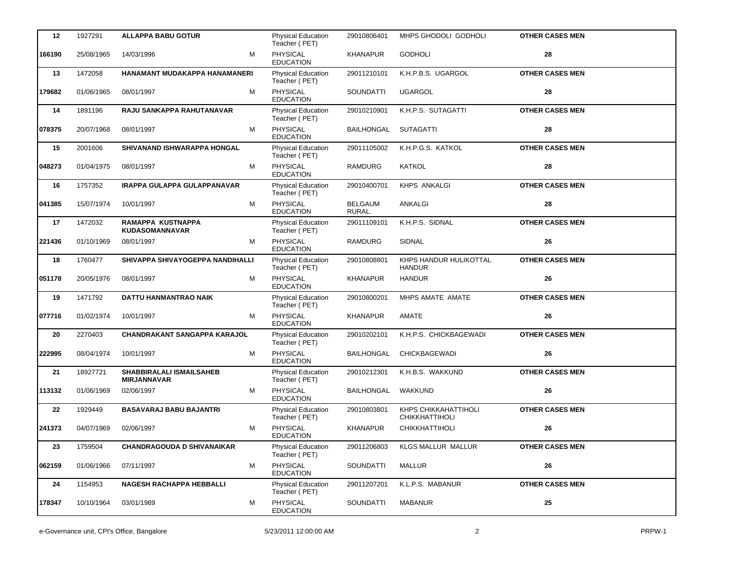| 12     | 1927291    | <b>ALLAPPA BABU GOTUR</b>                      |   | Physical Education<br>Teacher (PET)        | 29010806401              | MHPS GHODOLI GODHOLI                          | <b>OTHER CASES MEN</b> |
|--------|------------|------------------------------------------------|---|--------------------------------------------|--------------------------|-----------------------------------------------|------------------------|
| 166190 | 25/08/1965 | 14/03/1996                                     | м | <b>PHYSICAL</b><br><b>EDUCATION</b>        | KHANAPUR                 | <b>GODHOLI</b>                                | 28                     |
| 13     | 1472058    | HANAMANT MUDAKAPPA HANAMANERI                  |   | <b>Physical Education</b><br>Teacher (PET) | 29011210101              | K.H.P.B.S. UGARGOL                            | <b>OTHER CASES MEN</b> |
| 179682 | 01/06/1965 | 08/01/1997                                     | м | PHYSICAL<br><b>EDUCATION</b>               | <b>SOUNDATTI</b>         | <b>UGARGOL</b>                                | 28                     |
| 14     | 1891196    | RAJU SANKAPPA RAHUTANAVAR                      |   | Physical Education<br>Teacher (PET)        | 29010210901              | K.H.P.S. SUTAGATTI                            | <b>OTHER CASES MEN</b> |
| 078375 | 20/07/1968 | 08/01/1997                                     | м | <b>PHYSICAL</b><br><b>EDUCATION</b>        | BAILHONGAL               | <b>SUTAGATTI</b>                              | 28                     |
| 15     | 2001606    | <b>SHIVANAND ISHWARAPPA HONGAL</b>             |   | <b>Physical Education</b><br>Teacher (PET) | 29011105002              | K.H.P.G.S. KATKOL                             | <b>OTHER CASES MEN</b> |
| 048273 | 01/04/1975 | 08/01/1997                                     | М | <b>PHYSICAL</b><br><b>EDUCATION</b>        | <b>RAMDURG</b>           | <b>KATKOL</b>                                 | 28                     |
| 16     | 1757352    | <b>IRAPPA GULAPPA GULAPPANAVAR</b>             |   | <b>Physical Education</b><br>Teacher (PET) | 29010400701              | <b>KHPS ANKALGI</b>                           | <b>OTHER CASES MEN</b> |
| 041385 | 15/07/1974 | 10/01/1997                                     | M | <b>PHYSICAL</b><br><b>EDUCATION</b>        | <b>BELGAUM</b><br>RURAL. | ANKALGI                                       | 28                     |
| 17     | 1472032    | RAMAPPA KUSTNAPPA<br><b>KUDASOMANNAVAR</b>     |   | <b>Physical Education</b><br>Teacher (PET) | 29011109101              | K.H.P.S. SIDNAL                               | <b>OTHER CASES MEN</b> |
| 221436 | 01/10/1969 | 08/01/1997                                     | м | PHYSICAL<br><b>EDUCATION</b>               | <b>RAMDURG</b>           | SIDNAL                                        | 26                     |
| 18     | 1760477    | SHIVAPPA SHIVAYOGEPPA NANDIHALLI               |   | <b>Physical Education</b><br>Teacher (PET) | 29010808801              | KHPS HANDUR HULIKOTTAL<br><b>HANDUR</b>       | <b>OTHER CASES MEN</b> |
| 051178 | 20/05/1976 | 08/01/1997                                     | M | PHYSICAL<br><b>EDUCATION</b>               | <b>KHANAPUR</b>          | <b>HANDUR</b>                                 | 26                     |
| 19     | 1471792    | DATTU HANMANTRAO NAIK                          |   | Physical Education<br>Teacher (PET)        | 29010800201              | MHPS AMATE AMATE                              | <b>OTHER CASES MEN</b> |
| 077716 | 01/02/1974 | 10/01/1997                                     | M | PHYSICAL<br><b>EDUCATION</b>               | <b>KHANAPUR</b>          | AMATE                                         | 26                     |
| 20     | 2270403    | <b>CHANDRAKANT SANGAPPA KARAJOL</b>            |   | Physical Education<br>Teacher (PET)        | 29010202101              | K.H.P.S. CHICKBAGEWADI                        | <b>OTHER CASES MEN</b> |
| 222995 | 08/04/1974 | 10/01/1997                                     | M | PHYSICAL<br><b>EDUCATION</b>               | BAILHONGAL               | <b>CHICKBAGEWADI</b>                          | 26                     |
| 21     | 18927721   | SHABBIRALALI ISMAILSAHEB<br><b>MIRJANNAVAR</b> |   | Physical Education<br>Teacher (PET)        | 29010212301              | K.H.B.S. WAKKUND                              | <b>OTHER CASES MEN</b> |
| 113132 | 01/06/1969 | 02/06/1997                                     | м | PHYSICAL<br><b>EDUCATION</b>               | BAILHONGAL               | <b>WAKKUND</b>                                | 26                     |
| 22     | 1929449    | <b>BASAVARAJ BABU BAJANTRI</b>                 |   | <b>Physical Education</b><br>Teacher (PET) | 29010803801              | KHPS CHIKKAHATTIHOLI<br><b>CHIKKHATTIHOLI</b> | <b>OTHER CASES MEN</b> |
| 241373 | 04/07/1969 | 02/06/1997                                     | м | PHYSICAL<br><b>EDUCATION</b>               | <b>KHANAPUR</b>          | <b>CHIKKHATTIHOLI</b>                         | ${\bf 26}$             |
| 23     | 1759504    | <b>CHANDRAGOUDA D SHIVANAIKAR</b>              |   | Physical Education<br>Teacher (PET)        | 29011206803              | KLGS MALLUR MALLUR                            | <b>OTHER CASES MEN</b> |
| 062159 | 01/06/1966 | 07/11/1997                                     | м | <b>PHYSICAL</b><br><b>EDUCATION</b>        | SOUNDATTI                | MALLUR                                        | 26                     |
| 24     | 1154953    | <b>NAGESH RACHAPPA HEBBALLI</b>                |   | <b>Physical Education</b><br>Teacher (PET) | 29011207201              | K.L.P.S. MABANUR                              | <b>OTHER CASES MEN</b> |
| 178347 | 10/10/1964 | 03/01/1989                                     | м | <b>PHYSICAL</b><br><b>EDUCATION</b>        | SOUNDATTI                | <b>MABANUR</b>                                | 25                     |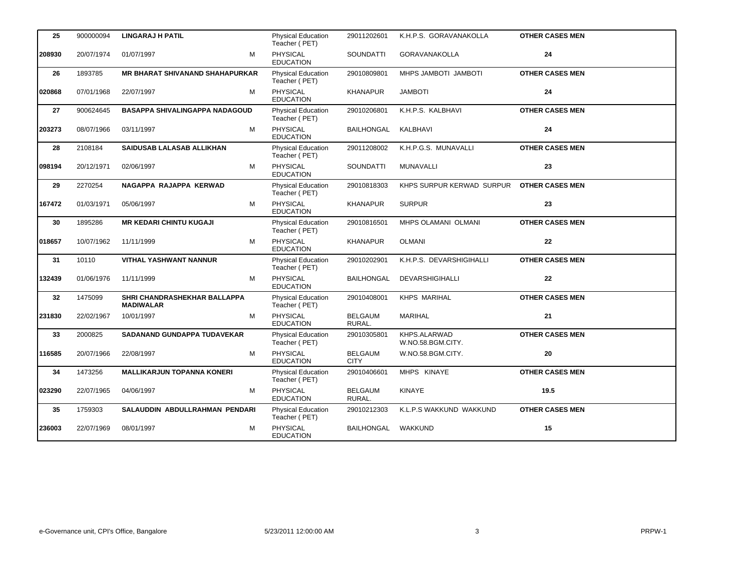| 25     | 900000094  | <b>LINGARAJ H PATIL</b>                          | <b>Physical Education</b>                  | 29011202601                   | K.H.P.S. GORAVANAKOLLA                    | <b>OTHER CASES MEN</b> |
|--------|------------|--------------------------------------------------|--------------------------------------------|-------------------------------|-------------------------------------------|------------------------|
|        |            |                                                  | Teacher (PET)                              |                               |                                           |                        |
| 208930 | 20/07/1974 | M<br>01/07/1997                                  | PHYSICAL<br><b>EDUCATION</b>               | <b>SOUNDATTI</b>              | GORAVANAKOLLA                             | 24                     |
| 26     | 1893785    | <b>MR BHARAT SHIVANAND SHAHAPURKAR</b>           | <b>Physical Education</b><br>Teacher (PET) | 29010809801                   | MHPS JAMBOTI JAMBOTI                      | <b>OTHER CASES MEN</b> |
| 020868 | 07/01/1968 | м<br>22/07/1997                                  | <b>PHYSICAL</b><br><b>EDUCATION</b>        | <b>KHANAPUR</b>               | <b>JAMBOTI</b>                            | 24                     |
| 27     | 900624645  | <b>BASAPPA SHIVALINGAPPA NADAGOUD</b>            | Physical Education<br>Teacher (PET)        | 29010206801                   | K.H.P.S. KALBHAVI                         | <b>OTHER CASES MEN</b> |
| 203273 | 08/07/1966 | 03/11/1997<br>м                                  | <b>PHYSICAL</b><br><b>EDUCATION</b>        | <b>BAILHONGAL</b>             | KALBHAVI                                  | 24                     |
| 28     | 2108184    | SAIDUSAB LALASAB ALLIKHAN                        | <b>Physical Education</b><br>Teacher (PET) | 29011208002                   | K.H.P.G.S. MUNAVALLI                      | <b>OTHER CASES MEN</b> |
| 098194 | 20/12/1971 | м<br>02/06/1997                                  | <b>PHYSICAL</b><br><b>EDUCATION</b>        | <b>SOUNDATTI</b>              | MUNAVALLI                                 | 23                     |
| 29     | 2270254    | NAGAPPA RAJAPPA KERWAD                           | <b>Physical Education</b><br>Teacher (PET) | 29010818303                   | KHPS SURPUR KERWAD SURPUR OTHER CASES MEN |                        |
| 167472 | 01/03/1971 | 05/06/1997<br>м                                  | <b>PHYSICAL</b><br><b>EDUCATION</b>        | <b>KHANAPUR</b>               | <b>SURPUR</b>                             | 23                     |
| 30     | 1895286    | <b>MR KEDARI CHINTU KUGAJI</b>                   | Physical Education<br>Teacher (PET)        | 29010816501                   | MHPS OLAMANI OLMANI                       | <b>OTHER CASES MEN</b> |
| 018657 | 10/07/1962 | 11/11/1999<br>м                                  | <b>PHYSICAL</b><br><b>EDUCATION</b>        | <b>KHANAPUR</b>               | <b>OLMANI</b>                             | 22                     |
| 31     | 10110      | <b>VITHAL YASHWANT NANNUR</b>                    | <b>Physical Education</b><br>Teacher (PET) | 29010202901                   | K.H.P.S. DEVARSHIGIHALLI                  | <b>OTHER CASES MEN</b> |
| 132439 | 01/06/1976 | 11/11/1999<br>м                                  | <b>PHYSICAL</b><br><b>EDUCATION</b>        | BAILHONGAL                    | <b>DEVARSHIGIHALLI</b>                    | 22                     |
| 32     | 1475099    | SHRI CHANDRASHEKHAR BALLAPPA<br><b>MADIWALAR</b> | <b>Physical Education</b><br>Teacher (PET) | 29010408001                   | <b>KHPS MARIHAL</b>                       | <b>OTHER CASES MEN</b> |
| 231830 | 22/02/1967 | 10/01/1997<br>M                                  | <b>PHYSICAL</b><br><b>EDUCATION</b>        | <b>BELGAUM</b><br>RURAL.      | <b>MARIHAL</b>                            | 21                     |
| 33     | 2000825    | SADANAND GUNDAPPA TUDAVEKAR                      | Physical Education<br>Teacher (PET)        | 29010305801                   | KHPS.ALARWAD<br>W.NO.58.BGM.CITY.         | <b>OTHER CASES MEN</b> |
| 116585 | 20/07/1966 | M<br>22/08/1997                                  | <b>PHYSICAL</b><br><b>EDUCATION</b>        | <b>BELGAUM</b><br><b>CITY</b> | W.NO.58.BGM.CITY.                         | 20                     |
| 34     | 1473256    | <b>MALLIKARJUN TOPANNA KONERI</b>                | <b>Physical Education</b><br>Teacher (PET) | 29010406601                   | MHPS KINAYE                               | <b>OTHER CASES MEN</b> |
| 023290 | 22/07/1965 | м<br>04/06/1997                                  | <b>PHYSICAL</b><br><b>EDUCATION</b>        | <b>BELGAUM</b><br>RURAL.      | <b>KINAYE</b>                             | 19.5                   |
| 35     | 1759303    | SALAUDDIN ABDULLRAHMAN PENDARI                   | <b>Physical Education</b><br>Teacher (PET) | 29010212303                   | K.L.P.S WAKKUND WAKKUND                   | <b>OTHER CASES MEN</b> |
| 236003 | 22/07/1969 | 08/01/1997<br>м                                  | PHYSICAL<br><b>EDUCATION</b>               | BAILHONGAL                    | WAKKUND                                   | 15                     |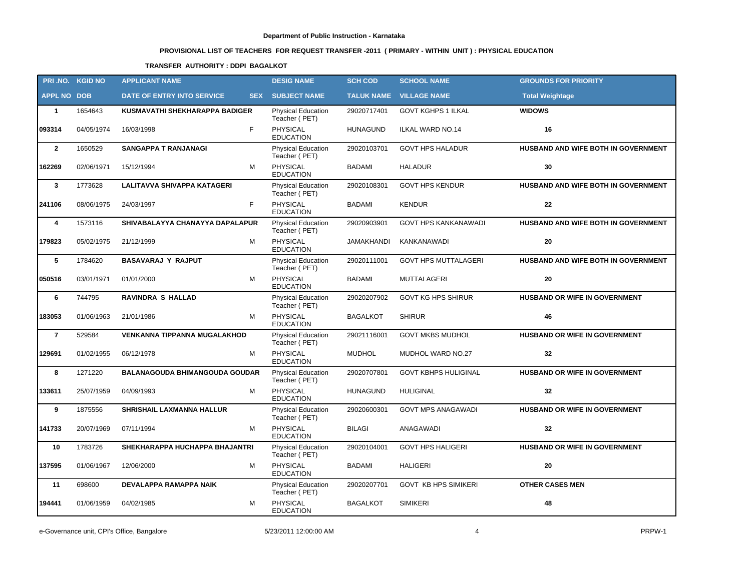# **PROVISIONAL LIST OF TEACHERS FOR REQUEST TRANSFER -2011 ( PRIMARY - WITHIN UNIT ) : PHYSICAL EDUCATION**

### **TRANSFER AUTHORITY : DDPI BAGALKOT**

| PRI.NO. KGID NO    |            | <b>APPLICANT NAME</b>                    | <b>DESIG NAME</b>                          | <b>SCH COD</b>    | <b>SCHOOL NAME</b>          | <b>GROUNDS FOR PRIORITY</b>          |
|--------------------|------------|------------------------------------------|--------------------------------------------|-------------------|-----------------------------|--------------------------------------|
| <b>APPL NO DOB</b> |            | DATE OF ENTRY INTO SERVICE<br><b>SEX</b> | <b>SUBJECT NAME</b>                        | <b>TALUK NAME</b> | <b>VILLAGE NAME</b>         | <b>Total Weightage</b>               |
| $\mathbf{1}$       | 1654643    | KUSMAVATHI SHEKHARAPPA BADIGER           | <b>Physical Education</b><br>Teacher (PET) | 29020717401       | <b>GOVT KGHPS 1 ILKAL</b>   | <b>WIDOWS</b>                        |
| 093314             | 04/05/1974 | F<br>16/03/1998                          | <b>PHYSICAL</b><br><b>EDUCATION</b>        | <b>HUNAGUND</b>   | ILKAL WARD NO.14            | 16                                   |
| $\overline{2}$     | 1650529    | <b>SANGAPPA T RANJANAGI</b>              | <b>Physical Education</b><br>Teacher (PET) | 29020103701       | <b>GOVT HPS HALADUR</b>     | HUSBAND AND WIFE BOTH IN GOVERNMENT  |
| 162269             | 02/06/1971 | M<br>15/12/1994                          | PHYSICAL<br><b>EDUCATION</b>               | <b>BADAMI</b>     | <b>HALADUR</b>              | 30                                   |
| $\mathbf{3}$       | 1773628    | <b>LALITAVVA SHIVAPPA KATAGERI</b>       | Physical Education<br>Teacher (PET)        | 29020108301       | <b>GOVT HPS KENDUR</b>      | HUSBAND AND WIFE BOTH IN GOVERNMENT  |
| 241106             | 08/06/1975 | F.<br>24/03/1997                         | <b>PHYSICAL</b><br><b>EDUCATION</b>        | <b>BADAMI</b>     | <b>KENDUR</b>               | 22                                   |
| 4                  | 1573116    | SHIVABALAYYA CHANAYYA DAPALAPUR          | Physical Education<br>Teacher (PET)        | 29020903901       | <b>GOVT HPS KANKANAWADI</b> | HUSBAND AND WIFE BOTH IN GOVERNMENT  |
| 179823             | 05/02/1975 | М<br>21/12/1999                          | <b>PHYSICAL</b><br><b>EDUCATION</b>        | <b>JAMAKHANDI</b> | KANKANAWADI                 | 20                                   |
| 5                  | 1784620    | <b>BASAVARAJ Y RAJPUT</b>                | Physical Education<br>Teacher (PET)        | 29020111001       | <b>GOVT HPS MUTTALAGERI</b> | HUSBAND AND WIFE BOTH IN GOVERNMENT  |
| 050516             | 03/01/1971 | M<br>01/01/2000                          | <b>PHYSICAL</b><br><b>EDUCATION</b>        | <b>BADAMI</b>     | <b>MUTTALAGERI</b>          | 20                                   |
| 6                  | 744795     | <b>RAVINDRA S HALLAD</b>                 | <b>Physical Education</b><br>Teacher (PET) | 29020207902       | <b>GOVT KG HPS SHIRUR</b>   | HUSBAND OR WIFE IN GOVERNMENT        |
| 183053             | 01/06/1963 | 21/01/1986<br>М                          | PHYSICAL<br><b>EDUCATION</b>               | <b>BAGALKOT</b>   | <b>SHIRUR</b>               | 46                                   |
| $\overline{7}$     | 529584     | <b>VENKANNA TIPPANNA MUGALAKHOD</b>      | Physical Education<br>Teacher (PET)        | 29021116001       | <b>GOVT MKBS MUDHOL</b>     | HUSBAND OR WIFE IN GOVERNMENT        |
| 129691             | 01/02/1955 | 06/12/1978<br>м                          | <b>PHYSICAL</b><br><b>EDUCATION</b>        | <b>MUDHOL</b>     | MUDHOL WARD NO.27           | 32                                   |
| 8                  | 1271220    | <b>BALANAGOUDA BHIMANGOUDA GOUDAR</b>    | <b>Physical Education</b><br>Teacher (PET) | 29020707801       | <b>GOVT KBHPS HULIGINAL</b> | <b>HUSBAND OR WIFE IN GOVERNMENT</b> |
| 133611             | 25/07/1959 | 04/09/1993<br>м                          | <b>PHYSICAL</b><br><b>EDUCATION</b>        | <b>HUNAGUND</b>   | <b>HULIGINAL</b>            | 32                                   |
| 9                  | 1875556    | <b>SHRISHAIL LAXMANNA HALLUR</b>         | Physical Education<br>Teacher (PET)        | 29020600301       | <b>GOVT MPS ANAGAWADI</b>   | HUSBAND OR WIFE IN GOVERNMENT        |
| 141733             | 20/07/1969 | 07/11/1994<br>м                          | <b>PHYSICAL</b><br><b>EDUCATION</b>        | <b>BILAGI</b>     | ANAGAWADI                   | 32                                   |
| 10                 | 1783726    | SHEKHARAPPA HUCHAPPA BHAJANTRI           | Physical Education<br>Teacher (PET)        | 29020104001       | <b>GOVT HPS HALIGERI</b>    | HUSBAND OR WIFE IN GOVERNMENT        |
| 137595             | 01/06/1967 | 12/06/2000<br>M                          | PHYSICAL<br><b>EDUCATION</b>               | BADAMI            | <b>HALIGERI</b>             | 20                                   |
| 11                 | 698600     | DEVALAPPA RAMAPPA NAIK                   | <b>Physical Education</b><br>Teacher (PET) | 29020207701       | <b>GOVT KB HPS SIMIKERI</b> | <b>OTHER CASES MEN</b>               |
| 194441             | 01/06/1959 | 04/02/1985<br>М                          | <b>PHYSICAL</b><br><b>EDUCATION</b>        | <b>BAGALKOT</b>   | <b>SIMIKERI</b>             | 48                                   |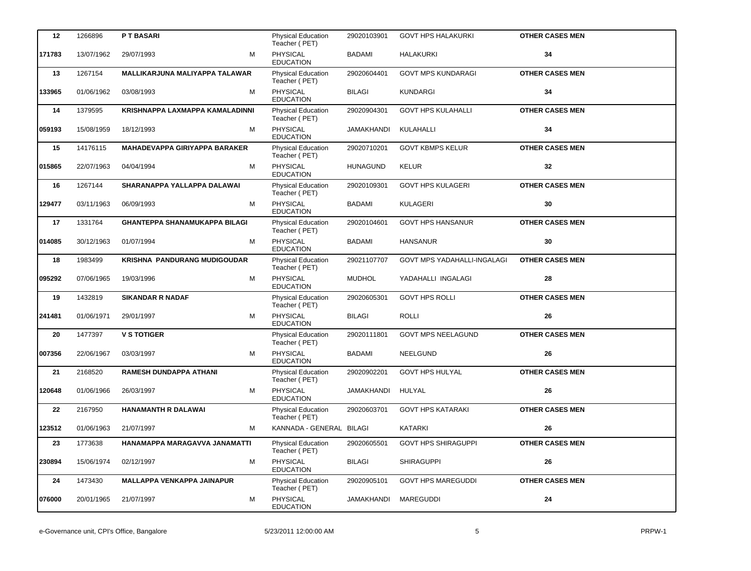| 12     | 1266896    | <b>PT BASARI</b>                     | Physical Education<br>Teacher (PET)        | 29020103901       | <b>GOVT HPS HALAKURKI</b>          | <b>OTHER CASES MEN</b> |
|--------|------------|--------------------------------------|--------------------------------------------|-------------------|------------------------------------|------------------------|
| 171783 | 13/07/1962 | 29/07/1993<br>м                      | <b>PHYSICAL</b><br><b>EDUCATION</b>        | <b>BADAMI</b>     | HALAKURKI                          | 34                     |
| 13     | 1267154    | MALLIKARJUNA MALIYAPPA TALAWAR       | <b>Physical Education</b><br>Teacher (PET) | 29020604401       | <b>GOVT MPS KUNDARAGI</b>          | <b>OTHER CASES MEN</b> |
| 133965 | 01/06/1962 | 03/08/1993<br>м                      | PHYSICAL<br><b>EDUCATION</b>               | <b>BILAGI</b>     | <b>KUNDARGI</b>                    | 34                     |
| 14     | 1379595    | KRISHNAPPA LAXMAPPA KAMALADINNI      | <b>Physical Education</b><br>Teacher (PET) | 29020904301       | <b>GOVT HPS KULAHALLI</b>          | <b>OTHER CASES MEN</b> |
| 059193 | 15/08/1959 | 18/12/1993<br>м                      | <b>PHYSICAL</b><br><b>EDUCATION</b>        | <b>JAMAKHANDI</b> | KULAHALLI                          | 34                     |
| 15     | 14176115   | <b>MAHADEVAPPA GIRIYAPPA BARAKER</b> | <b>Physical Education</b><br>Teacher (PET) | 29020710201       | <b>GOVT KBMPS KELUR</b>            | <b>OTHER CASES MEN</b> |
| 015865 | 22/07/1963 | M<br>04/04/1994                      | PHYSICAL<br><b>EDUCATION</b>               | <b>HUNAGUND</b>   | <b>KELUR</b>                       | 32                     |
| 16     | 1267144    | SHARANAPPA YALLAPPA DALAWAI          | Physical Education<br>Teacher (PET)        | 29020109301       | <b>GOVT HPS KULAGERI</b>           | <b>OTHER CASES MEN</b> |
| 129477 | 03/11/1963 | M<br>06/09/1993                      | <b>PHYSICAL</b><br><b>EDUCATION</b>        | <b>BADAMI</b>     | <b>KULAGERI</b>                    | 30                     |
| 17     | 1331764    | <b>GHANTEPPA SHANAMUKAPPA BILAGI</b> | <b>Physical Education</b><br>Teacher (PET) | 29020104601       | <b>GOVT HPS HANSANUR</b>           | <b>OTHER CASES MEN</b> |
| 014085 | 30/12/1963 | М<br>01/07/1994                      | PHYSICAL<br><b>EDUCATION</b>               | <b>BADAMI</b>     | <b>HANSANUR</b>                    | 30                     |
| 18     | 1983499    | <b>KRISHNA PANDURANG MUDIGOUDAR</b>  | <b>Physical Education</b><br>Teacher (PET) | 29021107707       | <b>GOVT MPS YADAHALLI-INGALAGI</b> | <b>OTHER CASES MEN</b> |
| 095292 | 07/06/1965 | M<br>19/03/1996                      | <b>PHYSICAL</b><br><b>EDUCATION</b>        | <b>MUDHOL</b>     | YADAHALLI INGALAGI                 | 28                     |
| 19     | 1432819    | <b>SIKANDAR R NADAF</b>              | Physical Education<br>Teacher (PET)        | 29020605301       | <b>GOVT HPS ROLLI</b>              | <b>OTHER CASES MEN</b> |
| 241481 | 01/06/1971 | М<br>29/01/1997                      | PHYSICAL<br><b>EDUCATION</b>               | <b>BILAGI</b>     | <b>ROLLI</b>                       | 26                     |
| 20     | 1477397    | <b>V S TOTIGER</b>                   | Physical Education<br>Teacher (PET)        | 29020111801       | <b>GOVT MPS NEELAGUND</b>          | <b>OTHER CASES MEN</b> |
| 007356 | 22/06/1967 | М<br>03/03/1997                      | PHYSICAL<br><b>EDUCATION</b>               | <b>BADAMI</b>     | <b>NEELGUND</b>                    | 26                     |
| 21     | 2168520    | <b>RAMESH DUNDAPPA ATHANI</b>        | Physical Education<br>Teacher (PET)        | 29020902201       | <b>GOVT HPS HULYAL</b>             | <b>OTHER CASES MEN</b> |
| 120648 | 01/06/1966 | 26/03/1997<br>М                      | PHYSICAL<br><b>EDUCATION</b>               | JAMAKHANDI HULYAL |                                    | 26                     |
| 22     | 2167950    | HANAMANTH R DALAWAI                  | <b>Physical Education</b><br>Teacher (PET) | 29020603701       | <b>GOVT HPS KATARAKI</b>           | <b>OTHER CASES MEN</b> |
| 123512 | 01/06/1963 | 21/07/1997<br>М                      | KANNADA - GENERAL BILAGI                   |                   | <b>KATARKI</b>                     | 26                     |
| 23     | 1773638    | HANAMAPPA MARAGAVVA JANAMATTI        | Physical Education<br>Teacher (PET)        | 29020605501       | <b>GOVT HPS SHIRAGUPPI</b>         | <b>OTHER CASES MEN</b> |
| 230894 | 15/06/1974 | 02/12/1997<br>М                      | PHYSICAL<br><b>EDUCATION</b>               | <b>BILAGI</b>     | <b>SHIRAGUPPI</b>                  | 26                     |
| 24     | 1473430    | <b>MALLAPPA VENKAPPA JAINAPUR</b>    | <b>Physical Education</b><br>Teacher (PET) | 29020905101       | <b>GOVT HPS MAREGUDDI</b>          | <b>OTHER CASES MEN</b> |
| 076000 | 20/01/1965 | 21/07/1997<br>м                      | PHYSICAL<br><b>EDUCATION</b>               | JAMAKHANDI        | MAREGUDDI                          | 24                     |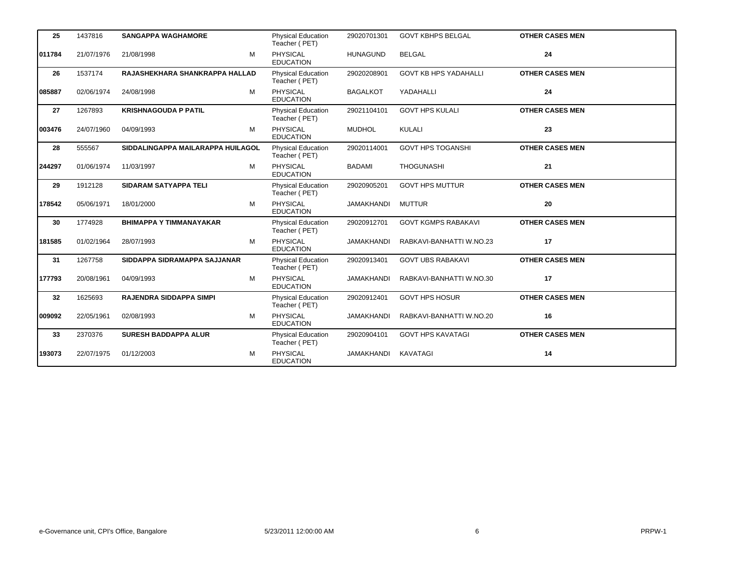| 25     | 1437816    | <b>SANGAPPA WAGHAMORE</b>         | <b>Physical Education</b><br>Teacher (PET) | 29020701301     | <b>GOVT KBHPS BELGAL</b>     | <b>OTHER CASES MEN</b> |
|--------|------------|-----------------------------------|--------------------------------------------|-----------------|------------------------------|------------------------|
| 011784 | 21/07/1976 | M<br>21/08/1998                   | PHYSICAL<br><b>EDUCATION</b>               | <b>HUNAGUND</b> | <b>BELGAL</b>                | 24                     |
| 26     | 1537174    | RAJASHEKHARA SHANKRAPPA HALLAD    | <b>Physical Education</b><br>Teacher (PET) | 29020208901     | <b>GOVT KB HPS YADAHALLI</b> | <b>OTHER CASES MEN</b> |
| 085887 | 02/06/1974 | M<br>24/08/1998                   | <b>PHYSICAL</b><br><b>EDUCATION</b>        | <b>BAGALKOT</b> | YADAHALLI                    | 24                     |
| 27     | 1267893    | <b>KRISHNAGOUDA P PATIL</b>       | <b>Physical Education</b><br>Teacher (PET) | 29021104101     | <b>GOVT HPS KULALI</b>       | <b>OTHER CASES MEN</b> |
| 003476 | 24/07/1960 | 04/09/1993<br>М                   | <b>PHYSICAL</b><br><b>EDUCATION</b>        | <b>MUDHOL</b>   | KULALI                       | 23                     |
| 28     | 555567     | SIDDALINGAPPA MAILARAPPA HUILAGOL | <b>Physical Education</b><br>Teacher (PET) | 29020114001     | <b>GOVT HPS TOGANSHI</b>     | <b>OTHER CASES MEN</b> |
| 244297 | 01/06/1974 | 11/03/1997<br>M                   | <b>PHYSICAL</b><br><b>EDUCATION</b>        | <b>BADAMI</b>   | <b>THOGUNASHI</b>            | 21                     |
| 29     | 1912128    | <b>SIDARAM SATYAPPA TELI</b>      | Physical Education<br>Teacher (PET)        | 29020905201     | <b>GOVT HPS MUTTUR</b>       | <b>OTHER CASES MEN</b> |
| 178542 | 05/06/1971 | м<br>18/01/2000                   | <b>PHYSICAL</b><br><b>EDUCATION</b>        | JAMAKHANDI      | <b>MUTTUR</b>                | 20                     |
| 30     | 1774928    | <b>BHIMAPPA Y TIMMANAYAKAR</b>    | <b>Physical Education</b><br>Teacher (PET) | 29020912701     | <b>GOVT KGMPS RABAKAVI</b>   | <b>OTHER CASES MEN</b> |
| 181585 | 01/02/1964 | M<br>28/07/1993                   | <b>PHYSICAL</b><br><b>EDUCATION</b>        | JAMAKHANDI      | RABKAVI-BANHATTI W.NO.23     | 17                     |
| 31     | 1267758    | SIDDAPPA SIDRAMAPPA SAJJANAR      | Physical Education<br>Teacher (PET)        | 29020913401     | <b>GOVT UBS RABAKAVI</b>     | <b>OTHER CASES MEN</b> |
| 177793 | 20/08/1961 | 04/09/1993<br>M                   | <b>PHYSICAL</b><br><b>EDUCATION</b>        | JAMAKHANDI      | RABKAVI-BANHATTI W.NO.30     | 17                     |
| 32     | 1625693    | <b>RAJENDRA SIDDAPPA SIMPI</b>    | <b>Physical Education</b><br>Teacher (PET) | 29020912401     | <b>GOVT HPS HOSUR</b>        | <b>OTHER CASES MEN</b> |
| 009092 | 22/05/1961 | M<br>02/08/1993                   | PHYSICAL<br><b>EDUCATION</b>               | JAMAKHANDI      | RABKAVI-BANHATTI W.NO.20     | 16                     |
| 33     | 2370376    | <b>SURESH BADDAPPA ALUR</b>       | <b>Physical Education</b><br>Teacher (PET) | 29020904101     | <b>GOVT HPS KAVATAGI</b>     | <b>OTHER CASES MEN</b> |
| 193073 | 22/07/1975 | 01/12/2003<br>М                   | PHYSICAL<br><b>EDUCATION</b>               | JAMAKHANDI      | KAVATAGI                     | 14                     |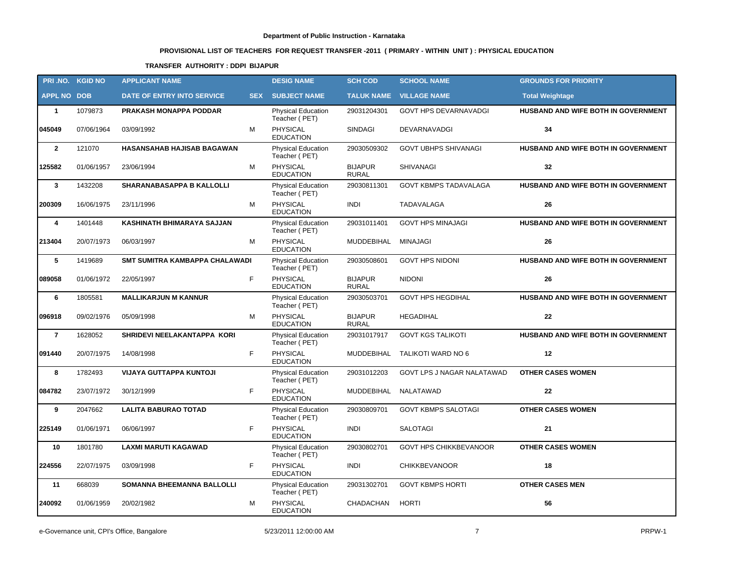# **PROVISIONAL LIST OF TEACHERS FOR REQUEST TRANSFER -2011 ( PRIMARY - WITHIN UNIT ) : PHYSICAL EDUCATION**

### **TRANSFER AUTHORITY : DDPI BIJAPUR**

|                    | PRI.NO. KGID NO | <b>APPLICANT NAME</b>             |            | <b>DESIG NAME</b>                          | <b>SCH COD</b>                 | <b>SCHOOL NAME</b>                | <b>GROUNDS FOR PRIORITY</b>         |
|--------------------|-----------------|-----------------------------------|------------|--------------------------------------------|--------------------------------|-----------------------------------|-------------------------------------|
| <b>APPL NO DOB</b> |                 | <b>DATE OF ENTRY INTO SERVICE</b> | <b>SEX</b> | <b>SUBJECT NAME</b>                        | <b>TALUK NAME</b>              | <b>VILLAGE NAME</b>               | <b>Total Weightage</b>              |
| $\mathbf{1}$       | 1079873         | <b>PRAKASH MONAPPA PODDAR</b>     |            | <b>Physical Education</b><br>Teacher (PET) | 29031204301                    | <b>GOVT HPS DEVARNAVADGI</b>      | HUSBAND AND WIFE BOTH IN GOVERNMENT |
| 045049             | 07/06/1964      | 03/09/1992                        | M          | PHYSICAL<br><b>EDUCATION</b>               | <b>SINDAGI</b>                 | <b>DEVARNAVADGI</b>               | 34                                  |
| $\overline{2}$     | 121070          | HASANSAHAB HAJISAB BAGAWAN        |            | <b>Physical Education</b><br>Teacher (PET) | 29030509302                    | <b>GOVT UBHPS SHIVANAGI</b>       | HUSBAND AND WIFE BOTH IN GOVERNMENT |
| 125582             | 01/06/1957      | 23/06/1994                        | М          | <b>PHYSICAL</b><br><b>EDUCATION</b>        | <b>BIJAPUR</b><br><b>RURAL</b> | <b>SHIVANAGI</b>                  | 32                                  |
| $\mathbf{3}$       | 1432208         | <b>SHARANABASAPPA B KALLOLLI</b>  |            | <b>Physical Education</b><br>Teacher (PET) | 29030811301                    | <b>GOVT KBMPS TADAVALAGA</b>      | HUSBAND AND WIFE BOTH IN GOVERNMENT |
| 200309             | 16/06/1975      | 23/11/1996                        | M          | <b>PHYSICAL</b><br><b>EDUCATION</b>        | <b>INDI</b>                    | TADAVALAGA                        | 26                                  |
| 4                  | 1401448         | <b>KASHINATH BHIMARAYA SAJJAN</b> |            | <b>Physical Education</b><br>Teacher (PET) | 29031011401                    | <b>GOVT HPS MINAJAGI</b>          | HUSBAND AND WIFE BOTH IN GOVERNMENT |
| 213404             | 20/07/1973      | 06/03/1997                        | M          | <b>PHYSICAL</b><br><b>EDUCATION</b>        | MUDDEBIHAL                     | <b>MINAJAGI</b>                   | 26                                  |
| 5                  | 1419689         | SMT SUMITRA KAMBAPPA CHALAWADI    |            | <b>Physical Education</b><br>Teacher (PET) | 29030508601                    | <b>GOVT HPS NIDONI</b>            | HUSBAND AND WIFE BOTH IN GOVERNMENT |
| 089058             | 01/06/1972      | 22/05/1997                        | F.         | <b>PHYSICAL</b><br><b>EDUCATION</b>        | <b>BIJAPUR</b><br><b>RURAL</b> | <b>NIDONI</b>                     | 26                                  |
| 6                  | 1805581         | <b>MALLIKARJUN M KANNUR</b>       |            | <b>Physical Education</b><br>Teacher (PET) | 29030503701                    | <b>GOVT HPS HEGDIHAL</b>          | HUSBAND AND WIFE BOTH IN GOVERNMENT |
| 096918             | 09/02/1976      | 05/09/1998                        | м          | <b>PHYSICAL</b><br><b>EDUCATION</b>        | <b>BIJAPUR</b><br><b>RURAL</b> | <b>HEGADIHAL</b>                  | $22 \,$                             |
| $\overline{7}$     | 1628052         | SHRIDEVI NEELAKANTAPPA KORI       |            | <b>Physical Education</b><br>Teacher (PET) | 29031017917                    | <b>GOVT KGS TALIKOTI</b>          | HUSBAND AND WIFE BOTH IN GOVERNMENT |
| 091440             | 20/07/1975      | 14/08/1998                        | F          | <b>PHYSICAL</b><br><b>EDUCATION</b>        | MUDDEBIHAL                     | TALIKOTI WARD NO 6                | 12                                  |
| 8                  | 1782493         | <b>VIJAYA GUTTAPPA KUNTOJI</b>    |            | <b>Physical Education</b><br>Teacher (PET) | 29031012203                    | <b>GOVT LPS J NAGAR NALATAWAD</b> | <b>OTHER CASES WOMEN</b>            |
| 084782             | 23/07/1972      | 30/12/1999                        | F          | PHYSICAL<br><b>EDUCATION</b>               | MUDDEBIHAL                     | NALATAWAD                         | 22                                  |
| 9                  | 2047662         | <b>LALITA BABURAO TOTAD</b>       |            | <b>Physical Education</b><br>Teacher (PET) | 29030809701                    | <b>GOVT KBMPS SALOTAGI</b>        | <b>OTHER CASES WOMEN</b>            |
| 225149             | 01/06/1971      | 06/06/1997                        | F.         | PHYSICAL<br><b>EDUCATION</b>               | <b>INDI</b>                    | <b>SALOTAGI</b>                   | 21                                  |
| 10                 | 1801780         | <b>LAXMI MARUTI KAGAWAD</b>       |            | <b>Physical Education</b><br>Teacher (PET) | 29030802701                    | GOVT HPS CHIKKBEVANOOR            | <b>OTHER CASES WOMEN</b>            |
| 224556             | 22/07/1975      | 03/09/1998                        | F.         | PHYSICAL<br><b>EDUCATION</b>               | <b>INDI</b>                    | <b>CHIKKBEVANOOR</b>              | 18                                  |
| 11                 | 668039          | <b>SOMANNA BHEEMANNA BALLOLLI</b> |            | Physical Education<br>Teacher (PET)        | 29031302701                    | <b>GOVT KBMPS HORTI</b>           | <b>OTHER CASES MEN</b>              |
| 240092             | 01/06/1959      | 20/02/1982                        | м          | PHYSICAL<br><b>EDUCATION</b>               | CHADACHAN                      | HORTI                             | 56                                  |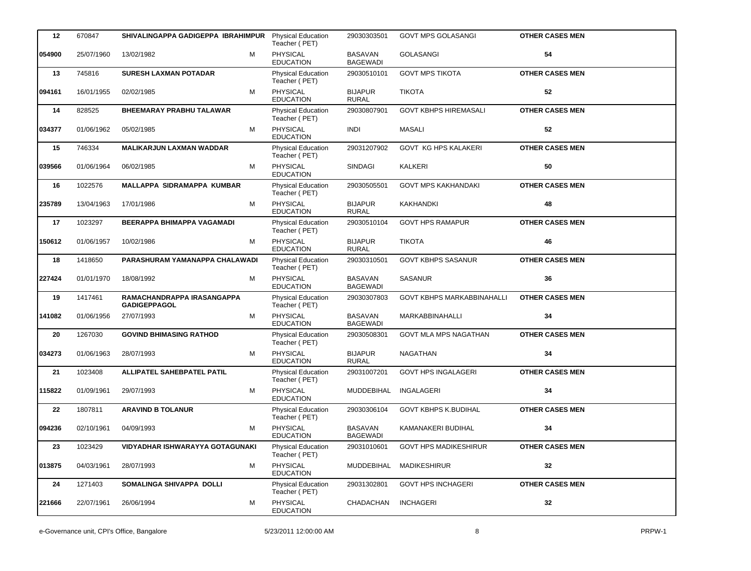| 12     | 670847     | SHIVALINGAPPA GADIGEPPA IBRAHIMPUR                | <b>Physical Education</b><br>Teacher (PET) | 29030303501                       | <b>GOVT MPS GOLASANGI</b>         | <b>OTHER CASES MEN</b> |
|--------|------------|---------------------------------------------------|--------------------------------------------|-----------------------------------|-----------------------------------|------------------------|
| 054900 | 25/07/1960 | M<br>13/02/1982                                   | PHYSICAL<br><b>EDUCATION</b>               | <b>BASAVAN</b><br><b>BAGEWADI</b> | GOLASANGI                         | 54                     |
| 13     | 745816     | <b>SURESH LAXMAN POTADAR</b>                      | <b>Physical Education</b><br>Teacher (PET) | 29030510101                       | <b>GOVT MPS TIKOTA</b>            | <b>OTHER CASES MEN</b> |
| 094161 | 16/01/1955 | M<br>02/02/1985                                   | PHYSICAL<br><b>EDUCATION</b>               | <b>BIJAPUR</b><br><b>RURAL</b>    | <b>TIKOTA</b>                     | 52                     |
| 14     | 828525     | <b>BHEEMARAY PRABHU TALAWAR</b>                   | Physical Education<br>Teacher (PET)        | 29030807901                       | <b>GOVT KBHPS HIREMASALI</b>      | <b>OTHER CASES MEN</b> |
| 034377 | 01/06/1962 | 05/02/1985<br>м                                   | <b>PHYSICAL</b><br><b>EDUCATION</b>        | INDI                              | MASALI                            | 52                     |
| 15     | 746334     | <b>MALIKARJUN LAXMAN WADDAR</b>                   | Physical Education<br>Teacher (PET)        | 29031207902                       | <b>GOVT KG HPS KALAKERI</b>       | <b>OTHER CASES MEN</b> |
| 039566 | 01/06/1964 | 06/02/1985<br>м                                   | PHYSICAL<br><b>EDUCATION</b>               | <b>SINDAGI</b>                    | <b>KALKERI</b>                    | 50                     |
| 16     | 1022576    | MALLAPPA SIDRAMAPPA KUMBAR                        | Physical Education<br>Teacher (PET)        | 29030505501                       | <b>GOVT MPS KAKHANDAKI</b>        | <b>OTHER CASES MEN</b> |
| 235789 | 13/04/1963 | M<br>17/01/1986                                   | <b>PHYSICAL</b><br><b>EDUCATION</b>        | <b>BIJAPUR</b><br><b>RURAL</b>    | <b>KAKHANDKI</b>                  | 48                     |
| 17     | 1023297    | <b>BEERAPPA BHIMAPPA VAGAMADI</b>                 | Physical Education<br>Teacher (PET)        | 29030510104                       | <b>GOVT HPS RAMAPUR</b>           | <b>OTHER CASES MEN</b> |
| 150612 | 01/06/1957 | 10/02/1986<br>м                                   | <b>PHYSICAL</b><br><b>EDUCATION</b>        | <b>BIJAPUR</b><br><b>RURAL</b>    | <b>TIKOTA</b>                     | 46                     |
| 18     | 1418650    | PARASHURAM YAMANAPPA CHALAWADI                    | Physical Education<br>Teacher (PET)        | 29030310501                       | <b>GOVT KBHPS SASANUR</b>         | <b>OTHER CASES MEN</b> |
| 227424 | 01/01/1970 | 18/08/1992<br>м                                   | <b>PHYSICAL</b><br><b>EDUCATION</b>        | <b>BASAVAN</b><br><b>BAGEWADI</b> | <b>SASANUR</b>                    | 36                     |
| 19     | 1417461    | RAMACHANDRAPPA IRASANGAPPA<br><b>GADIGEPPAGOL</b> | Physical Education<br>Teacher (PET)        | 29030307803                       | <b>GOVT KBHPS MARKABBINAHALLI</b> | <b>OTHER CASES MEN</b> |
| 141082 | 01/06/1956 | 27/07/1993<br>м                                   | PHYSICAL<br><b>EDUCATION</b>               | <b>BASAVAN</b><br><b>BAGEWADI</b> | MARKABBINAHALLI                   | 34                     |
| 20     | 1267030    | <b>GOVIND BHIMASING RATHOD</b>                    | Physical Education<br>Teacher (PET)        | 29030508301                       | <b>GOVT MLA MPS NAGATHAN</b>      | <b>OTHER CASES MEN</b> |
| 034273 | 01/06/1963 | 28/07/1993<br>м                                   | <b>PHYSICAL</b><br><b>EDUCATION</b>        | <b>BIJAPUR</b><br><b>RURAL</b>    | <b>NAGATHAN</b>                   | 34                     |
| 21     | 1023408    | ALLIPATEL SAHEBPATEL PATIL                        | Physical Education<br>Teacher (PET)        | 29031007201                       | <b>GOVT HPS INGALAGERI</b>        | <b>OTHER CASES MEN</b> |
| 115822 | 01/09/1961 | 29/07/1993<br>м                                   | PHYSICAL<br><b>EDUCATION</b>               | MUDDEBIHAL                        | INGALAGERI                        | 34                     |
| 22     | 1807811    | <b>ARAVIND B TOLANUR</b>                          | <b>Physical Education</b><br>Teacher (PET) | 29030306104                       | <b>GOVT KBHPS K.BUDIHAL</b>       | <b>OTHER CASES MEN</b> |
| 094236 | 02/10/1961 | 04/09/1993<br>м                                   | <b>PHYSICAL</b><br><b>EDUCATION</b>        | <b>BASAVAN</b><br><b>BAGEWADI</b> | KAMANAKERI BUDIHAL                | 34                     |
| 23     | 1023429    | VIDYADHAR ISHWARAYYA GOTAGUNAKI                   | <b>Physical Education</b><br>Teacher (PET) | 29031010601                       | <b>GOVT HPS MADIKESHIRUR</b>      | <b>OTHER CASES MEN</b> |
| 013875 | 04/03/1961 | 28/07/1993<br>м                                   | PHYSICAL<br><b>EDUCATION</b>               | MUDDEBIHAL                        | <b>MADIKESHIRUR</b>               | 32                     |
| 24     | 1271403    | SOMALINGA SHIVAPPA DOLLI                          | <b>Physical Education</b><br>Teacher (PET) | 29031302801                       | <b>GOVT HPS INCHAGERI</b>         | <b>OTHER CASES MEN</b> |
| 221666 | 22/07/1961 | 26/06/1994<br>м                                   | PHYSICAL<br><b>EDUCATION</b>               | CHADACHAN                         | <b>INCHAGERI</b>                  | 32                     |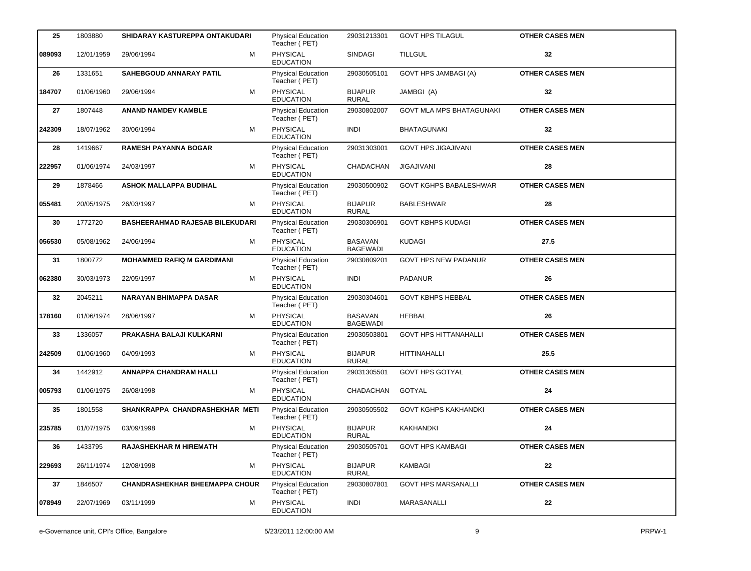| 25     | 1803880    | SHIDARAY KASTUREPPA ONTAKUDARI         | <b>Physical Education</b><br>Teacher (PET) | 29031213301                       | <b>GOVT HPS TILAGUL</b>         | <b>OTHER CASES MEN</b> |
|--------|------------|----------------------------------------|--------------------------------------------|-----------------------------------|---------------------------------|------------------------|
| 089093 | 12/01/1959 | M<br>29/06/1994                        | PHYSICAL<br><b>EDUCATION</b>               | SINDAGI                           | <b>TILLGUL</b>                  | 32                     |
| 26     | 1331651    | <b>SAHEBGOUD ANNARAY PATIL</b>         | <b>Physical Education</b><br>Teacher (PET) | 29030505101                       | <b>GOVT HPS JAMBAGI (A)</b>     | <b>OTHER CASES MEN</b> |
| 184707 | 01/06/1960 | М<br>29/06/1994                        | PHYSICAL<br><b>EDUCATION</b>               | <b>BIJAPUR</b><br><b>RURAL</b>    | JAMBGI (A)                      | 32                     |
| 27     | 1807448    | <b>ANAND NAMDEV KAMBLE</b>             | Physical Education<br>Teacher (PET)        | 29030802007                       | <b>GOVT MLA MPS BHATAGUNAKI</b> | <b>OTHER CASES MEN</b> |
| 242309 | 18/07/1962 | M<br>30/06/1994                        | <b>PHYSICAL</b><br><b>EDUCATION</b>        | <b>INDI</b>                       | <b>BHATAGUNAKI</b>              | 32                     |
| 28     | 1419667    | <b>RAMESH PAYANNA BOGAR</b>            | <b>Physical Education</b><br>Teacher (PET) | 29031303001                       | <b>GOVT HPS JIGAJIVANI</b>      | <b>OTHER CASES MEN</b> |
| 222957 | 01/06/1974 | м<br>24/03/1997                        | PHYSICAL<br><b>EDUCATION</b>               | CHADACHAN                         | <b>JIGAJIVANI</b>               | 28                     |
| 29     | 1878466    | <b>ASHOK MALLAPPA BUDIHAL</b>          | Physical Education<br>Teacher (PET)        | 29030500902                       | <b>GOVT KGHPS BABALESHWAR</b>   | <b>OTHER CASES MEN</b> |
| 055481 | 20/05/1975 | 26/03/1997<br>М                        | <b>PHYSICAL</b><br><b>EDUCATION</b>        | <b>BIJAPUR</b><br><b>RURAL</b>    | <b>BABLESHWAR</b>               | 28                     |
| 30     | 1772720    | <b>BASHEERAHMAD RAJESAB BILEKUDARI</b> | <b>Physical Education</b><br>Teacher (PET) | 29030306901                       | <b>GOVT KBHPS KUDAGI</b>        | <b>OTHER CASES MEN</b> |
| 056530 | 05/08/1962 | 24/06/1994<br>м                        | <b>PHYSICAL</b><br><b>EDUCATION</b>        | <b>BASAVAN</b><br><b>BAGEWADI</b> | <b>KUDAGI</b>                   | 27.5                   |
| 31     | 1800772    | MOHAMMED RAFIQ M GARDIMANI             | <b>Physical Education</b><br>Teacher (PET) | 29030809201                       | <b>GOVT HPS NEW PADANUR</b>     | <b>OTHER CASES MEN</b> |
| 062380 | 30/03/1973 | 22/05/1997<br>м                        | <b>PHYSICAL</b><br><b>EDUCATION</b>        | <b>INDI</b>                       | <b>PADANUR</b>                  | 26                     |
| 32     | 2045211    | <b>NARAYAN BHIMAPPA DASAR</b>          | <b>Physical Education</b><br>Teacher (PET) | 29030304601                       | <b>GOVT KBHPS HEBBAL</b>        | <b>OTHER CASES MEN</b> |
| 178160 | 01/06/1974 | 28/06/1997<br>м                        | PHYSICAL<br><b>EDUCATION</b>               | <b>BASAVAN</b><br><b>BAGEWADI</b> | <b>HEBBAL</b>                   | 26                     |
| 33     | 1336057    | PRAKASHA BALAJI KULKARNI               | <b>Physical Education</b><br>Teacher (PET) | 29030503801                       | <b>GOVT HPS HITTANAHALLI</b>    | <b>OTHER CASES MEN</b> |
| 242509 | 01/06/1960 | м<br>04/09/1993                        | <b>PHYSICAL</b><br><b>EDUCATION</b>        | <b>BIJAPUR</b><br><b>RURAL</b>    | <b>HITTINAHALLI</b>             | 25.5                   |
| 34     | 1442912    | <b>ANNAPPA CHANDRAM HALLI</b>          | Physical Education<br>Teacher (PET)        | 29031305501                       | <b>GOVT HPS GOTYAL</b>          | <b>OTHER CASES MEN</b> |
| 005793 | 01/06/1975 | 26/08/1998<br>М                        | PHYSICAL<br><b>EDUCATION</b>               | CHADACHAN                         | GOTYAL                          | 24                     |
| 35     | 1801558    | SHANKRAPPA CHANDRASHEKHAR METI         | <b>Physical Education</b><br>Teacher (PET) | 29030505502                       | <b>GOVT KGHPS KAKHANDKI</b>     | <b>OTHER CASES MEN</b> |
| 235785 | 01/07/1975 | 03/09/1998<br>М                        | PHYSICAL<br><b>EDUCATION</b>               | <b>BIJAPUR</b><br><b>RURAL</b>    | KAKHANDKI                       | 24                     |
| 36     | 1433795    | <b>RAJASHEKHAR M HIREMATH</b>          | <b>Physical Education</b><br>Teacher (PET) | 29030505701                       | <b>GOVT HPS KAMBAGI</b>         | <b>OTHER CASES MEN</b> |
| 229693 | 26/11/1974 | 12/08/1998<br>M                        | PHYSICAL<br><b>EDUCATION</b>               | <b>BIJAPUR</b><br><b>RURAL</b>    | <b>KAMBAGI</b>                  | 22                     |
| 37     | 1846507    | <b>CHANDRASHEKHAR BHEEMAPPA CHOUR</b>  | <b>Physical Education</b><br>Teacher (PET) | 29030807801                       | <b>GOVT HPS MARSANALLI</b>      | <b>OTHER CASES MEN</b> |
| 078949 | 22/07/1969 | 03/11/1999<br>м                        | <b>PHYSICAL</b><br><b>EDUCATION</b>        | <b>INDI</b>                       | MARASANALLI                     | 22                     |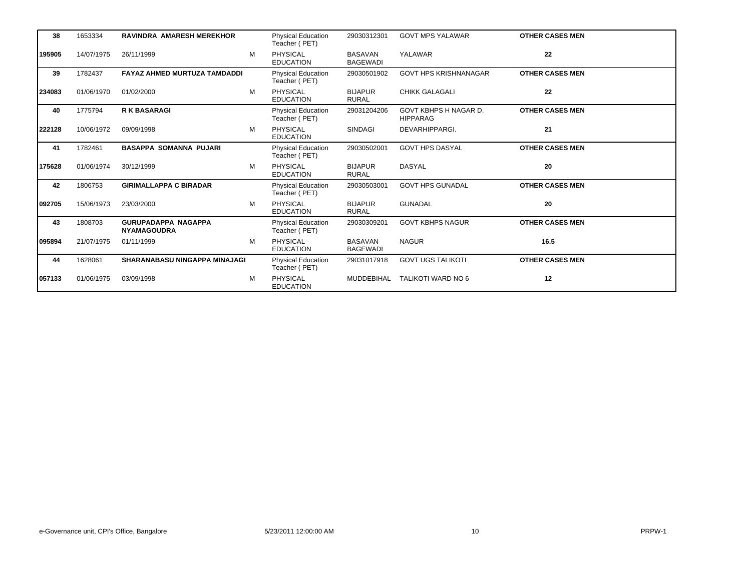| 38      | 1653334    | <b>RAVINDRA AMARESH MEREKHOR</b>                 |   | <b>Physical Education</b><br>Teacher (PET) | 29030312301                       | <b>GOVT MPS YALAWAR</b>                  | <b>OTHER CASES MEN</b> |
|---------|------------|--------------------------------------------------|---|--------------------------------------------|-----------------------------------|------------------------------------------|------------------------|
| 195905  | 14/07/1975 | 26/11/1999                                       | M | <b>PHYSICAL</b><br><b>EDUCATION</b>        | <b>BASAVAN</b><br><b>BAGEWADI</b> | YALAWAR                                  | 22                     |
| 39      | 1782437    | <b>FAYAZ AHMED MURTUZA TAMDADDI</b>              |   | <b>Physical Education</b><br>Teacher (PET) | 29030501902                       | <b>GOVT HPS KRISHNANAGAR</b>             | <b>OTHER CASES MEN</b> |
| 234083  | 01/06/1970 | 01/02/2000                                       | M | <b>PHYSICAL</b><br><b>EDUCATION</b>        | <b>BIJAPUR</b><br><b>RURAL</b>    | <b>CHIKK GALAGALI</b>                    | 22                     |
| 40      | 1775794    | <b>R K BASARAGI</b>                              |   | <b>Physical Education</b><br>Teacher (PET) | 29031204206                       | GOVT KBHPS H NAGAR D.<br><b>HIPPARAG</b> | <b>OTHER CASES MEN</b> |
| 222128  | 10/06/1972 | 09/09/1998                                       | M | <b>PHYSICAL</b><br><b>EDUCATION</b>        | <b>SINDAGI</b>                    | DEVARHIPPARGI.                           | 21                     |
| 41      | 1782461    | <b>BASAPPA SOMANNA PUJARI</b>                    |   | <b>Physical Education</b><br>Teacher (PET) | 29030502001                       | <b>GOVT HPS DASYAL</b>                   | <b>OTHER CASES MEN</b> |
| 175628  | 01/06/1974 | 30/12/1999                                       | M | <b>PHYSICAL</b><br><b>EDUCATION</b>        | <b>BIJAPUR</b><br><b>RURAL</b>    | <b>DASYAL</b>                            | 20                     |
| 42      | 1806753    | <b>GIRIMALLAPPA C BIRADAR</b>                    |   | <b>Physical Education</b><br>Teacher (PET) | 29030503001                       | <b>GOVT HPS GUNADAL</b>                  | <b>OTHER CASES MEN</b> |
| 1092705 | 15/06/1973 | 23/03/2000                                       | м | <b>PHYSICAL</b><br><b>EDUCATION</b>        | <b>BIJAPUR</b><br><b>RURAL</b>    | <b>GUNADAL</b>                           | 20                     |
| 43      | 1808703    | <b>GURUPADAPPA NAGAPPA</b><br><b>NYAMAGOUDRA</b> |   | <b>Physical Education</b><br>Teacher (PET) | 29030309201                       | <b>GOVT KBHPS NAGUR</b>                  | <b>OTHER CASES MEN</b> |
| 095894  | 21/07/1975 | 01/11/1999                                       | M | <b>PHYSICAL</b><br><b>EDUCATION</b>        | <b>BASAVAN</b><br><b>BAGEWADI</b> | <b>NAGUR</b>                             | 16.5                   |
| 44      | 1628061    | <b>SHARANABASU NINGAPPA MINAJAGI</b>             |   | <b>Physical Education</b><br>Teacher (PET) | 29031017918                       | <b>GOVT UGS TALIKOTI</b>                 | <b>OTHER CASES MEN</b> |
| 057133  | 01/06/1975 | 03/09/1998                                       | M | <b>PHYSICAL</b><br><b>EDUCATION</b>        | MUDDEBIHAL                        | TALIKOTI WARD NO 6                       | 12                     |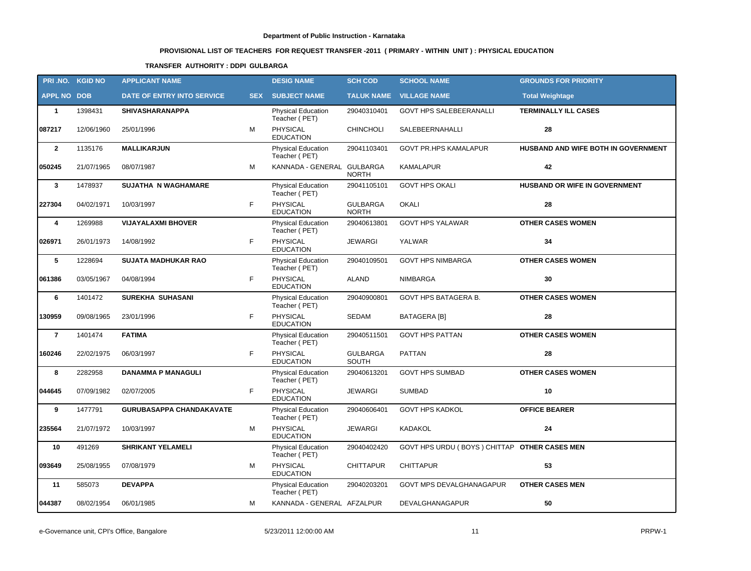# **PROVISIONAL LIST OF TEACHERS FOR REQUEST TRANSFER -2011 ( PRIMARY - WITHIN UNIT ) : PHYSICAL EDUCATION**

### **TRANSFER AUTHORITY : DDPI GULBARGA**

|                    | PRI.NO. KGID NO | <b>APPLICANT NAME</b>           |            | <b>DESIG NAME</b>                          | <b>SCH COD</b>                  | <b>SCHOOL NAME</b>                           | <b>GROUNDS FOR PRIORITY</b>         |
|--------------------|-----------------|---------------------------------|------------|--------------------------------------------|---------------------------------|----------------------------------------------|-------------------------------------|
| <b>APPL NO DOB</b> |                 | DATE OF ENTRY INTO SERVICE      | <b>SEX</b> | <b>SUBJECT NAME</b>                        | <b>TALUK NAME</b>               | <b>VILLAGE NAME</b>                          | <b>Total Weightage</b>              |
| $\mathbf{1}$       | 1398431         | <b>SHIVASHARANAPPA</b>          |            | <b>Physical Education</b><br>Teacher (PET) | 29040310401                     | <b>GOVT HPS SALEBEERANALLI</b>               | <b>TERMINALLY ILL CASES</b>         |
| 087217             | 12/06/1960      | 25/01/1996                      | M          | PHYSICAL<br><b>EDUCATION</b>               | <b>CHINCHOLI</b>                | SALEBEERNAHALLI                              | 28                                  |
| $\overline{2}$     | 1135176         | <b>MALLIKARJUN</b>              |            | <b>Physical Education</b><br>Teacher (PET) | 29041103401                     | <b>GOVT PR.HPS KAMALAPUR</b>                 | HUSBAND AND WIFE BOTH IN GOVERNMENT |
| 050245             | 21/07/1965      | 08/07/1987                      | M          | KANNADA - GENERAL GULBARGA                 | <b>NORTH</b>                    | <b>KAMALAPUR</b>                             | 42                                  |
| 3                  | 1478937         | <b>SUJATHA N WAGHAMARE</b>      |            | <b>Physical Education</b><br>Teacher (PET) | 29041105101                     | <b>GOVT HPS OKALI</b>                        | HUSBAND OR WIFE IN GOVERNMENT       |
| 227304             | 04/02/1971      | 10/03/1997                      | F          | PHYSICAL<br><b>EDUCATION</b>               | <b>GULBARGA</b><br><b>NORTH</b> | OKALI                                        | 28                                  |
| 4                  | 1269988         | <b>VIJAYALAXMI BHOVER</b>       |            | <b>Physical Education</b><br>Teacher (PET) | 29040613801                     | <b>GOVT HPS YALAWAR</b>                      | <b>OTHER CASES WOMEN</b>            |
| 026971             | 26/01/1973      | 14/08/1992                      | F.         | PHYSICAL<br><b>EDUCATION</b>               | <b>JEWARGI</b>                  | YALWAR                                       | 34                                  |
| 5                  | 1228694         | <b>SUJATA MADHUKAR RAO</b>      |            | <b>Physical Education</b><br>Teacher (PET) | 29040109501                     | <b>GOVT HPS NIMBARGA</b>                     | <b>OTHER CASES WOMEN</b>            |
| 061386             | 03/05/1967      | 04/08/1994                      | F.         | PHYSICAL<br><b>EDUCATION</b>               | <b>ALAND</b>                    | NIMBARGA                                     | 30                                  |
| 6                  | 1401472         | <b>SUREKHA SUHASANI</b>         |            | Physical Education<br>Teacher (PET)        | 29040900801                     | GOVT HPS BATAGERA B.                         | <b>OTHER CASES WOMEN</b>            |
| 130959             | 09/08/1965      | 23/01/1996                      | F          | <b>PHYSICAL</b><br><b>EDUCATION</b>        | <b>SEDAM</b>                    | <b>BATAGERA [B]</b>                          | 28                                  |
| $\overline{7}$     | 1401474         | <b>FATIMA</b>                   |            | Physical Education<br>Teacher (PET)        | 29040511501                     | <b>GOVT HPS PATTAN</b>                       | <b>OTHER CASES WOMEN</b>            |
| 160246             | 22/02/1975      | 06/03/1997                      | F          | <b>PHYSICAL</b><br><b>EDUCATION</b>        | <b>GULBARGA</b><br>SOUTH        | <b>PATTAN</b>                                | 28                                  |
| 8                  | 2282958         | <b>DANAMMA P MANAGULI</b>       |            | Physical Education<br>Teacher (PET)        | 29040613201                     | <b>GOVT HPS SUMBAD</b>                       | <b>OTHER CASES WOMEN</b>            |
| 044645             | 07/09/1982      | 02/07/2005                      | F.         | <b>PHYSICAL</b><br><b>EDUCATION</b>        | <b>JEWARGI</b>                  | <b>SUMBAD</b>                                | 10                                  |
| 9                  | 1477791         | <b>GURUBASAPPA CHANDAKAVATE</b> |            | <b>Physical Education</b><br>Teacher (PET) | 29040606401                     | <b>GOVT HPS KADKOL</b>                       | <b>OFFICE BEARER</b>                |
| 235564             | 21/07/1972      | 10/03/1997                      | м          | <b>PHYSICAL</b><br><b>EDUCATION</b>        | JEWARGI                         | KADAKOL                                      | 24                                  |
| 10                 | 491269          | <b>SHRIKANT YELAMELI</b>        |            | <b>Physical Education</b><br>Teacher (PET) | 29040402420                     | GOVT HPS URDU (BOYS) CHITTAP OTHER CASES MEN |                                     |
| 093649             | 25/08/1955      | 07/08/1979                      | М          | PHYSICAL<br><b>EDUCATION</b>               | <b>CHITTAPUR</b>                | <b>CHITTAPUR</b>                             | 53                                  |
| 11                 | 585073          | <b>DEVAPPA</b>                  |            | <b>Physical Education</b><br>Teacher (PET) | 29040203201                     | GOVT MPS DEVALGHANAGAPUR                     | <b>OTHER CASES MEN</b>              |
| 044387             | 08/02/1954      | 06/01/1985                      | М          | KANNADA - GENERAL AFZALPUR                 |                                 | DEVALGHANAGAPUR                              | 50                                  |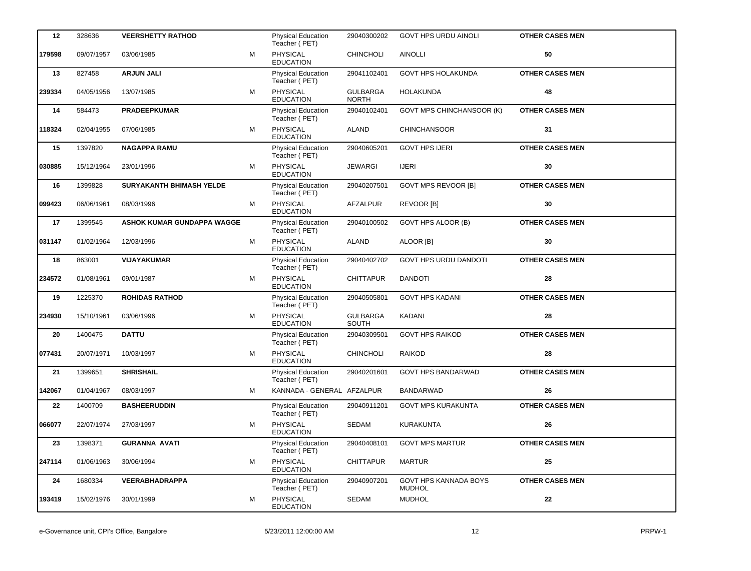| 12     | 328636     | <b>VEERSHETTY RATHOD</b>          |   | <b>Physical Education</b><br>Teacher (PET) | 29040300202                     | <b>GOVT HPS URDU AINOLI</b>            | <b>OTHER CASES MEN</b> |
|--------|------------|-----------------------------------|---|--------------------------------------------|---------------------------------|----------------------------------------|------------------------|
| 179598 | 09/07/1957 | 03/06/1985                        | M | PHYSICAL<br><b>EDUCATION</b>               | <b>CHINCHOLI</b>                | <b>AINOLLI</b>                         | 50                     |
| 13     | 827458     | <b>ARJUN JALI</b>                 |   | <b>Physical Education</b><br>Teacher (PET) | 29041102401                     | GOVT HPS HOLAKUNDA                     | <b>OTHER CASES MEN</b> |
| 239334 | 04/05/1956 | 13/07/1985                        | М | PHYSICAL<br><b>EDUCATION</b>               | <b>GULBARGA</b><br><b>NORTH</b> | HOLAKUNDA                              | 48                     |
| 14     | 584473     | <b>PRADEEPKUMAR</b>               |   | Physical Education<br>Teacher (PET)        | 29040102401                     | <b>GOVT MPS CHINCHANSOOR (K)</b>       | <b>OTHER CASES MEN</b> |
| 118324 | 02/04/1955 | 07/06/1985                        | M | <b>PHYSICAL</b><br><b>EDUCATION</b>        | <b>ALAND</b>                    | <b>CHINCHANSOOR</b>                    | 31                     |
| 15     | 1397820    | <b>NAGAPPA RAMU</b>               |   | Physical Education<br>Teacher (PET)        | 29040605201                     | <b>GOVT HPS IJERI</b>                  | <b>OTHER CASES MEN</b> |
| 030885 | 15/12/1964 | 23/01/1996                        | м | PHYSICAL<br><b>EDUCATION</b>               | <b>JEWARGI</b>                  | <b>IJERI</b>                           | 30                     |
| 16     | 1399828    | <b>SURYAKANTH BHIMASH YELDE</b>   |   | Physical Education<br>Teacher (PET)        | 29040207501                     | <b>GOVT MPS REVOOR [B]</b>             | <b>OTHER CASES MEN</b> |
| 099423 | 06/06/1961 | 08/03/1996                        | M | <b>PHYSICAL</b><br><b>EDUCATION</b>        | <b>AFZALPUR</b>                 | <b>REVOOR [B]</b>                      | 30                     |
| 17     | 1399545    | <b>ASHOK KUMAR GUNDAPPA WAGGE</b> |   | <b>Physical Education</b><br>Teacher (PET) | 29040100502                     | GOVT HPS ALOOR (B)                     | <b>OTHER CASES MEN</b> |
| 031147 | 01/02/1964 | 12/03/1996                        | м | <b>PHYSICAL</b><br><b>EDUCATION</b>        | ALAND                           | ALOOR [B]                              | 30                     |
| 18     | 863001     | <b>VIJAYAKUMAR</b>                |   | <b>Physical Education</b><br>Teacher (PET) | 29040402702                     | <b>GOVT HPS URDU DANDOTI</b>           | <b>OTHER CASES MEN</b> |
| 234572 | 01/08/1961 | 09/01/1987                        | м | <b>PHYSICAL</b><br><b>EDUCATION</b>        | <b>CHITTAPUR</b>                | <b>DANDOTI</b>                         | 28                     |
| 19     | 1225370    | <b>ROHIDAS RATHOD</b>             |   | <b>Physical Education</b><br>Teacher (PET) | 29040505801                     | <b>GOVT HPS KADANI</b>                 | <b>OTHER CASES MEN</b> |
| 234930 | 15/10/1961 | 03/06/1996                        | м | PHYSICAL<br><b>EDUCATION</b>               | <b>GULBARGA</b><br>SOUTH        | KADANI                                 | 28                     |
| 20     | 1400475    | <b>DATTU</b>                      |   | <b>Physical Education</b><br>Teacher (PET) | 29040309501                     | <b>GOVT HPS RAIKOD</b>                 | <b>OTHER CASES MEN</b> |
| 077431 | 20/07/1971 | 10/03/1997                        | M | PHYSICAL<br><b>EDUCATION</b>               | <b>CHINCHOLI</b>                | <b>RAIKOD</b>                          | 28                     |
| 21     | 1399651    | <b>SHRISHAIL</b>                  |   | Physical Education<br>Teacher (PET)        | 29040201601                     | <b>GOVT HPS BANDARWAD</b>              | <b>OTHER CASES MEN</b> |
| 142067 | 01/04/1967 | 08/03/1997                        | м | KANNADA - GENERAL AFZALPUR                 |                                 | <b>BANDARWAD</b>                       | 26                     |
| 22     | 1400709    | <b>BASHEERUDDIN</b>               |   | Physical Education<br>Teacher (PET)        | 29040911201                     | <b>GOVT MPS KURAKUNTA</b>              | <b>OTHER CASES MEN</b> |
| 066077 | 22/07/1974 | 27/03/1997                        | М | <b>PHYSICAL</b><br><b>EDUCATION</b>        | SEDAM                           | <b>KURAKUNTA</b>                       | 26                     |
| 23     | 1398371    | <b>GURANNA AVATI</b>              |   | <b>Physical Education</b><br>Teacher (PET) | 29040408101                     | <b>GOVT MPS MARTUR</b>                 | <b>OTHER CASES MEN</b> |
| 247114 | 01/06/1963 | 30/06/1994                        | M | PHYSICAL<br><b>EDUCATION</b>               | <b>CHITTAPUR</b>                | <b>MARTUR</b>                          | 25                     |
| 24     | 1680334    | <b>VEERABHADRAPPA</b>             |   | Physical Education<br>Teacher (PET)        | 29040907201                     | GOVT HPS KANNADA BOYS<br><b>MUDHOL</b> | <b>OTHER CASES MEN</b> |
| 193419 | 15/02/1976 | 30/01/1999                        | М | <b>PHYSICAL</b><br><b>EDUCATION</b>        | SEDAM                           | <b>MUDHOL</b>                          | ${\bf 22}$             |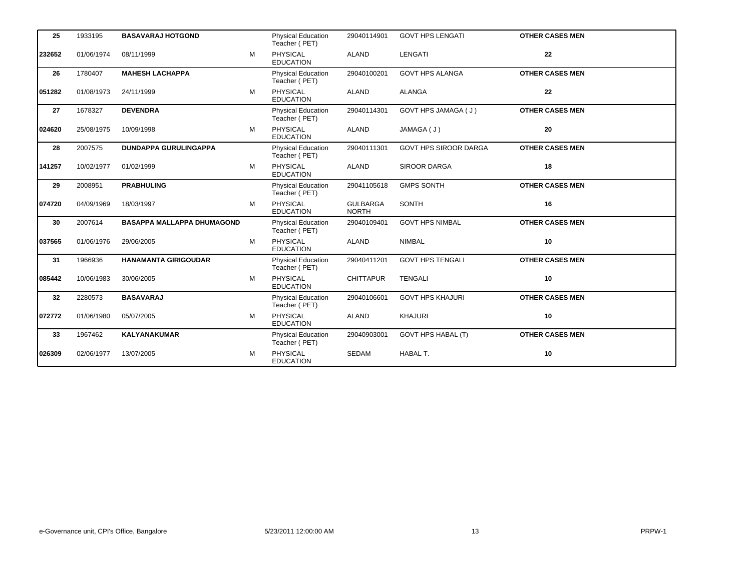| 25     | 1933195    | <b>BASAVARAJ HOTGOND</b>          |   | Physical Education<br>Teacher (PET)        | 29040114901                     | <b>GOVT HPS LENGATI</b>      | <b>OTHER CASES MEN</b> |
|--------|------------|-----------------------------------|---|--------------------------------------------|---------------------------------|------------------------------|------------------------|
| 232652 | 01/06/1974 | 08/11/1999                        | M | <b>PHYSICAL</b><br><b>EDUCATION</b>        | <b>ALAND</b>                    | <b>LENGATI</b>               | 22                     |
| 26     | 1780407    | <b>MAHESH LACHAPPA</b>            |   | Physical Education<br>Teacher (PET)        | 29040100201                     | <b>GOVT HPS ALANGA</b>       | <b>OTHER CASES MEN</b> |
| 051282 | 01/08/1973 | 24/11/1999                        | M | <b>PHYSICAL</b><br><b>EDUCATION</b>        | <b>ALAND</b>                    | <b>ALANGA</b>                | 22                     |
| 27     | 1678327    | <b>DEVENDRA</b>                   |   | <b>Physical Education</b><br>Teacher (PET) | 29040114301                     | GOVT HPS JAMAGA (J)          | <b>OTHER CASES MEN</b> |
| 024620 | 25/08/1975 | 10/09/1998                        | м | PHYSICAL<br><b>EDUCATION</b>               | <b>ALAND</b>                    | JAMAGA (J)                   | 20                     |
| 28     | 2007575    | <b>DUNDAPPA GURULINGAPPA</b>      |   | <b>Physical Education</b><br>Teacher (PET) | 29040111301                     | <b>GOVT HPS SIROOR DARGA</b> | <b>OTHER CASES MEN</b> |
| 141257 | 10/02/1977 | 01/02/1999                        | M | PHYSICAL<br><b>EDUCATION</b>               | <b>ALAND</b>                    | SIROOR DARGA                 | 18                     |
| 29     | 2008951    | <b>PRABHULING</b>                 |   | <b>Physical Education</b><br>Teacher (PET) | 29041105618                     | <b>GMPS SONTH</b>            | <b>OTHER CASES MEN</b> |
| 074720 | 04/09/1969 | 18/03/1997                        | M | <b>PHYSICAL</b><br><b>EDUCATION</b>        | <b>GULBARGA</b><br><b>NORTH</b> | SONTH                        | 16                     |
| 30     | 2007614    | <b>BASAPPA MALLAPPA DHUMAGOND</b> |   | <b>Physical Education</b><br>Teacher (PET) | 29040109401                     | <b>GOVT HPS NIMBAL</b>       | <b>OTHER CASES MEN</b> |
| 037565 | 01/06/1976 | 29/06/2005                        | M | <b>PHYSICAL</b><br><b>EDUCATION</b>        | <b>ALAND</b>                    | <b>NIMBAL</b>                | 10                     |
| 31     | 1966936    | <b>HANAMANTA GIRIGOUDAR</b>       |   | Physical Education<br>Teacher (PET)        | 29040411201                     | <b>GOVT HPS TENGALI</b>      | <b>OTHER CASES MEN</b> |
| 085442 | 10/06/1983 | 30/06/2005                        | M | <b>PHYSICAL</b><br><b>EDUCATION</b>        | <b>CHITTAPUR</b>                | <b>TENGALI</b>               | 10                     |
| 32     | 2280573    | <b>BASAVARAJ</b>                  |   | Physical Education<br>Teacher (PET)        | 29040106601                     | <b>GOVT HPS KHAJURI</b>      | <b>OTHER CASES MEN</b> |
| 072772 | 01/06/1980 | 05/07/2005                        | M | <b>PHYSICAL</b><br><b>EDUCATION</b>        | <b>ALAND</b>                    | <b>KHAJURI</b>               | 10                     |
| 33     | 1967462    | <b>KALYANAKUMAR</b>               |   | <b>Physical Education</b><br>Teacher (PET) | 29040903001                     | <b>GOVT HPS HABAL (T)</b>    | <b>OTHER CASES MEN</b> |
| 026309 | 02/06/1977 | 13/07/2005                        | м | PHYSICAL<br><b>EDUCATION</b>               | <b>SEDAM</b>                    | HABAL T.                     | 10                     |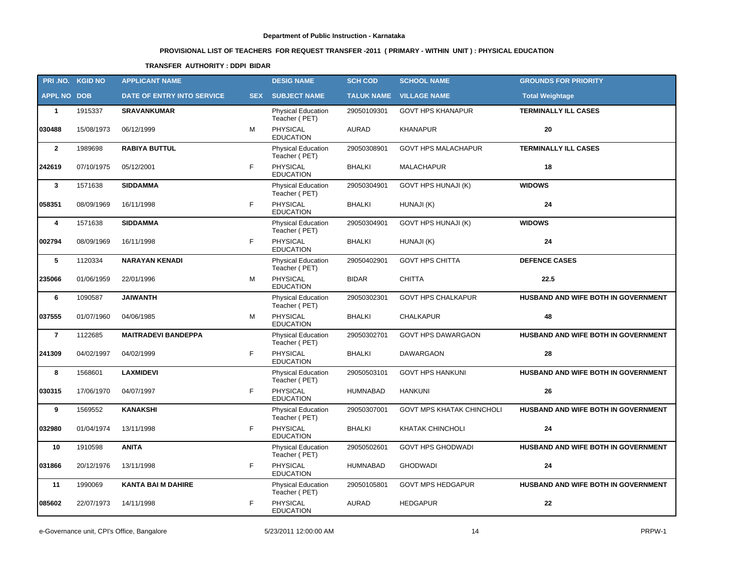# **PROVISIONAL LIST OF TEACHERS FOR REQUEST TRANSFER -2011 ( PRIMARY - WITHIN UNIT ) : PHYSICAL EDUCATION**

### **TRANSFER AUTHORITY : DDPI BIDAR**

|                    | PRI.NO. KGID NO | <b>APPLICANT NAME</b>      |            | <b>DESIG NAME</b>                          | <b>SCH COD</b>    | <b>SCHOOL NAME</b>               | <b>GROUNDS FOR PRIORITY</b>         |
|--------------------|-----------------|----------------------------|------------|--------------------------------------------|-------------------|----------------------------------|-------------------------------------|
| <b>APPL NO DOB</b> |                 | DATE OF ENTRY INTO SERVICE | <b>SEX</b> | <b>SUBJECT NAME</b>                        | <b>TALUK NAME</b> | <b>VILLAGE NAME</b>              | <b>Total Weightage</b>              |
| $\mathbf{1}$       | 1915337         | <b>SRAVANKUMAR</b>         |            | <b>Physical Education</b><br>Teacher (PET) | 29050109301       | <b>GOVT HPS KHANAPUR</b>         | <b>TERMINALLY ILL CASES</b>         |
| 030488             | 15/08/1973      | 06/12/1999                 | M          | <b>PHYSICAL</b><br><b>EDUCATION</b>        | <b>AURAD</b>      | <b>KHANAPUR</b>                  | 20                                  |
| $\mathbf{2}$       | 1989698         | <b>RABIYA BUTTUL</b>       |            | Physical Education<br>Teacher (PET)        | 29050308901       | <b>GOVT HPS MALACHAPUR</b>       | <b>TERMINALLY ILL CASES</b>         |
| 242619             | 07/10/1975      | 05/12/2001                 | F          | PHYSICAL<br><b>EDUCATION</b>               | <b>BHALKI</b>     | <b>MALACHAPUR</b>                | 18                                  |
| $\mathbf{3}$       | 1571638         | <b>SIDDAMMA</b>            |            | <b>Physical Education</b><br>Teacher (PET) | 29050304901       | <b>GOVT HPS HUNAJI (K)</b>       | <b>WIDOWS</b>                       |
| 058351             | 08/09/1969      | 16/11/1998                 | F          | PHYSICAL<br><b>EDUCATION</b>               | <b>BHALKI</b>     | HUNAJI (K)                       | 24                                  |
| 4                  | 1571638         | <b>SIDDAMMA</b>            |            | Physical Education<br>Teacher (PET)        | 29050304901       | <b>GOVT HPS HUNAJI (K)</b>       | <b>WIDOWS</b>                       |
| 002794             | 08/09/1969      | 16/11/1998                 | F          | PHYSICAL<br><b>EDUCATION</b>               | <b>BHALKI</b>     | HUNAJI (K)                       | 24                                  |
| 5                  | 1120334         | <b>NARAYAN KENADI</b>      |            | <b>Physical Education</b><br>Teacher (PET) | 29050402901       | <b>GOVT HPS CHITTA</b>           | <b>DEFENCE CASES</b>                |
| 235066             | 01/06/1959      | 22/01/1996                 | M          | PHYSICAL<br><b>EDUCATION</b>               | BIDAR             | <b>CHITTA</b>                    | 22.5                                |
| 6                  | 1090587         | <b>JAIWANTH</b>            |            | Physical Education<br>Teacher (PET)        | 29050302301       | <b>GOVT HPS CHALKAPUR</b>        | HUSBAND AND WIFE BOTH IN GOVERNMENT |
| 037555             | 01/07/1960      | 04/06/1985                 | м          | PHYSICAL<br><b>EDUCATION</b>               | <b>BHALKI</b>     | <b>CHALKAPUR</b>                 | 48                                  |
| $\overline{7}$     | 1122685         | <b>MAITRADEVI BANDEPPA</b> |            | Physical Education<br>Teacher (PET)        | 29050302701       | <b>GOVT HPS DAWARGAON</b>        | HUSBAND AND WIFE BOTH IN GOVERNMENT |
| 241309             | 04/02/1997      | 04/02/1999                 | F          | <b>PHYSICAL</b><br><b>EDUCATION</b>        | <b>BHALKI</b>     | <b>DAWARGAON</b>                 | 28                                  |
| 8                  | 1568601         | <b>LAXMIDEVI</b>           |            | Physical Education<br>Teacher (PET)        | 29050503101       | <b>GOVT HPS HANKUNI</b>          | HUSBAND AND WIFE BOTH IN GOVERNMENT |
| 030315             | 17/06/1970      | 04/07/1997                 | F          | PHYSICAL<br><b>EDUCATION</b>               | <b>HUMNABAD</b>   | <b>HANKUNI</b>                   | 26                                  |
| 9                  | 1569552         | <b>KANAKSHI</b>            |            | <b>Physical Education</b><br>Teacher (PET) | 29050307001       | <b>GOVT MPS KHATAK CHINCHOLI</b> | HUSBAND AND WIFE BOTH IN GOVERNMENT |
| 032980             | 01/04/1974      | 13/11/1998                 | F          | <b>PHYSICAL</b><br><b>EDUCATION</b>        | BHALKI            | <b>KHATAK CHINCHOLI</b>          | 24                                  |
| 10                 | 1910598         | <b>ANITA</b>               |            | Physical Education<br>Teacher (PET)        | 29050502601       | <b>GOVT HPS GHODWADI</b>         | HUSBAND AND WIFE BOTH IN GOVERNMENT |
| 031866             | 20/12/1976      | 13/11/1998                 | F          | PHYSICAL<br><b>EDUCATION</b>               | HUMNABAD          | <b>GHODWADI</b>                  | 24                                  |
| 11                 | 1990069         | <b>KANTA BAI M DAHIRE</b>  |            | Physical Education<br>Teacher (PET)        | 29050105801       | <b>GOVT MPS HEDGAPUR</b>         | HUSBAND AND WIFE BOTH IN GOVERNMENT |
| 085602             | 22/07/1973      | 14/11/1998                 | F          | PHYSICAL<br><b>EDUCATION</b>               | AURAD             | <b>HEDGAPUR</b>                  | 22                                  |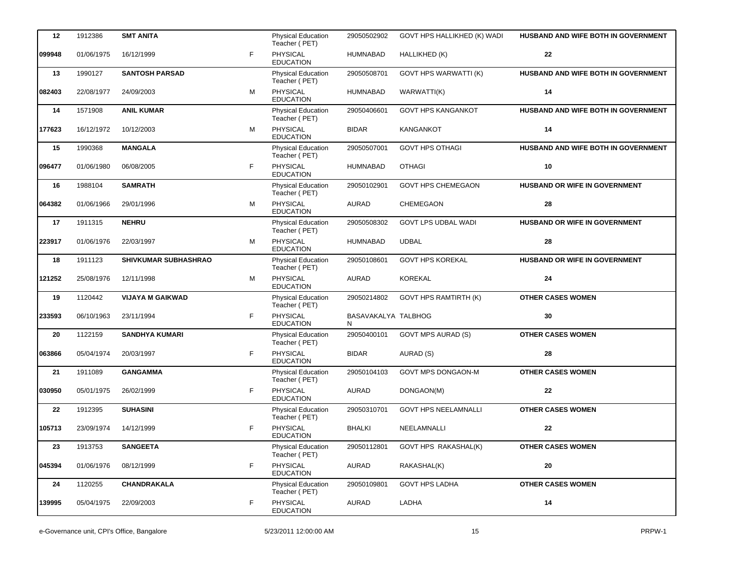| 12     | 1912386    | <b>SMT ANITA</b>            |   | <b>Physical Education</b><br>Teacher (PET) | 29050502902               | GOVT HPS HALLIKHED (K) WADI  | HUSBAND AND WIFE BOTH IN GOVERNMENT |
|--------|------------|-----------------------------|---|--------------------------------------------|---------------------------|------------------------------|-------------------------------------|
| 099948 | 01/06/1975 | 16/12/1999                  | F | <b>PHYSICAL</b><br><b>EDUCATION</b>        | <b>HUMNABAD</b>           | HALLIKHED (K)                | 22                                  |
| 13     | 1990127    | <b>SANTOSH PARSAD</b>       |   | <b>Physical Education</b><br>Teacher (PET) | 29050508701               | <b>GOVT HPS WARWATTI (K)</b> | HUSBAND AND WIFE BOTH IN GOVERNMENT |
| 082403 | 22/08/1977 | 24/09/2003                  | м | PHYSICAL<br><b>EDUCATION</b>               | <b>HUMNABAD</b>           | WARWATTI(K)                  | 14                                  |
| 14     | 1571908    | <b>ANIL KUMAR</b>           |   | Physical Education<br>Teacher (PET)        | 29050406601               | <b>GOVT HPS KANGANKOT</b>    | HUSBAND AND WIFE BOTH IN GOVERNMENT |
| 177623 | 16/12/1972 | 10/12/2003                  | M | <b>PHYSICAL</b><br><b>EDUCATION</b>        | <b>BIDAR</b>              | <b>KANGANKOT</b>             | 14                                  |
| 15     | 1990368    | <b>MANGALA</b>              |   | <b>Physical Education</b><br>Teacher (PET) | 29050507001               | <b>GOVT HPS OTHAGI</b>       | HUSBAND AND WIFE BOTH IN GOVERNMENT |
| 096477 | 01/06/1980 | 06/08/2005                  | F | <b>PHYSICAL</b><br><b>EDUCATION</b>        | <b>HUMNABAD</b>           | <b>OTHAGI</b>                | 10                                  |
| 16     | 1988104    | <b>SAMRATH</b>              |   | <b>Physical Education</b><br>Teacher (PET) | 29050102901               | <b>GOVT HPS CHEMEGAON</b>    | HUSBAND OR WIFE IN GOVERNMENT       |
| 064382 | 01/06/1966 | 29/01/1996                  | М | <b>PHYSICAL</b><br><b>EDUCATION</b>        | <b>AURAD</b>              | <b>CHEMEGAON</b>             | 28                                  |
| 17     | 1911315    | <b>NEHRU</b>                |   | <b>Physical Education</b><br>Teacher (PET) | 29050508302               | <b>GOVT LPS UDBAL WADI</b>   | HUSBAND OR WIFE IN GOVERNMENT       |
| 223917 | 01/06/1976 | 22/03/1997                  | м | PHYSICAL<br><b>EDUCATION</b>               | <b>HUMNABAD</b>           | <b>UDBAL</b>                 | 28                                  |
| 18     | 1911123    | <b>SHIVKUMAR SUBHASHRAO</b> |   | <b>Physical Education</b><br>Teacher (PET) | 29050108601               | <b>GOVT HPS KOREKAL</b>      | HUSBAND OR WIFE IN GOVERNMENT       |
| 121252 | 25/08/1976 | 12/11/1998                  | M | <b>PHYSICAL</b><br><b>EDUCATION</b>        | <b>AURAD</b>              | <b>KOREKAL</b>               | 24                                  |
| 19     | 1120442    | <b>VIJAYA M GAIKWAD</b>     |   | Physical Education<br>Teacher (PET)        | 29050214802               | <b>GOVT HPS RAMTIRTH (K)</b> | <b>OTHER CASES WOMEN</b>            |
| 233593 | 06/10/1963 | 23/11/1994                  | F | <b>PHYSICAL</b><br><b>EDUCATION</b>        | BASAVAKALYA TALBHOG<br>N. |                              | 30                                  |
| 20     | 1122159    | <b>SANDHYA KUMARI</b>       |   | Physical Education<br>Teacher (PET)        | 29050400101               | <b>GOVT MPS AURAD (S)</b>    | <b>OTHER CASES WOMEN</b>            |
| 063866 | 05/04/1974 | 20/03/1997                  | F | PHYSICAL<br><b>EDUCATION</b>               | <b>BIDAR</b>              | AURAD (S)                    | 28                                  |
| 21     | 1911089    | <b>GANGAMMA</b>             |   | Physical Education<br>Teacher (PET)        | 29050104103               | <b>GOVT MPS DONGAON-M</b>    | <b>OTHER CASES WOMEN</b>            |
| 030950 | 05/01/1975 | 26/02/1999                  | F | PHYSICAL<br><b>EDUCATION</b>               | <b>AURAD</b>              | DONGAON(M)                   | 22                                  |
| 22     | 1912395    | <b>SUHASINI</b>             |   | <b>Physical Education</b><br>Teacher (PET) | 29050310701               | <b>GOVT HPS NEELAMNALLI</b>  | <b>OTHER CASES WOMEN</b>            |
| 105713 | 23/09/1974 | 14/12/1999                  | F | PHYSICAL<br><b>EDUCATION</b>               | <b>BHALKI</b>             | NEELAMNALLI                  | ${\bf 22}$                          |
| 23     | 1913753    | <b>SANGEETA</b>             |   | Physical Education<br>Teacher (PET)        | 29050112801               | <b>GOVT HPS RAKASHAL(K)</b>  | <b>OTHER CASES WOMEN</b>            |
| 045394 | 01/06/1976 | 08/12/1999                  | F | <b>PHYSICAL</b><br><b>EDUCATION</b>        | AURAD                     | RAKASHAL(K)                  | 20                                  |
| 24     | 1120255    | <b>CHANDRAKALA</b>          |   | <b>Physical Education</b><br>Teacher (PET) | 29050109801               | <b>GOVT HPS LADHA</b>        | <b>OTHER CASES WOMEN</b>            |
| 139995 | 05/04/1975 | 22/09/2003                  | F | PHYSICAL<br><b>EDUCATION</b>               | AURAD                     | LADHA                        | $14$                                |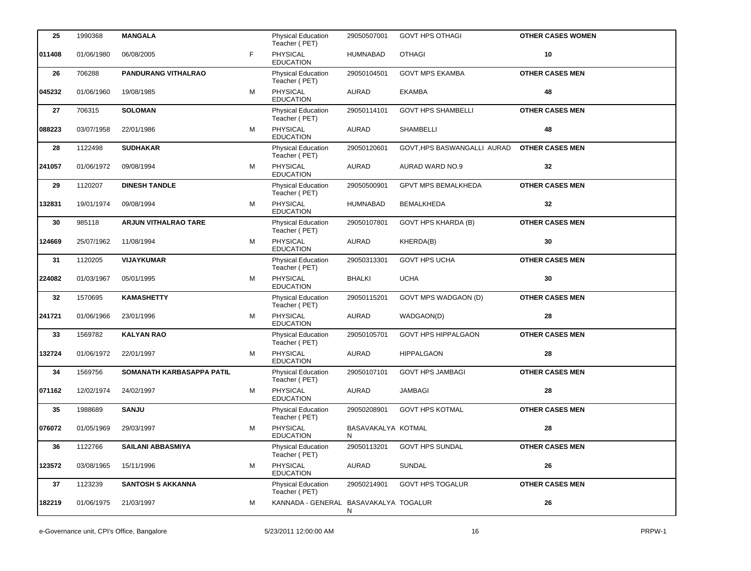| 25     | 1990368    | <b>MANGALA</b>              |    | <b>Physical Education</b><br>Teacher (PET) | 29050507001             | <b>GOVT HPS OTHAGI</b>      | <b>OTHER CASES WOMEN</b> |
|--------|------------|-----------------------------|----|--------------------------------------------|-------------------------|-----------------------------|--------------------------|
| 011408 | 01/06/1980 | 06/08/2005                  | F. | PHYSICAL<br><b>EDUCATION</b>               | HUMNABAD                | <b>OTHAGI</b>               | 10                       |
| 26     | 706288     | <b>PANDURANG VITHALRAO</b>  |    | Physical Education<br>Teacher (PET)        | 29050104501             | <b>GOVT MPS EKAMBA</b>      | <b>OTHER CASES MEN</b>   |
| 045232 | 01/06/1960 | 19/08/1985                  | M  | PHYSICAL<br><b>EDUCATION</b>               | <b>AURAD</b>            | <b>EKAMBA</b>               | 48                       |
| 27     | 706315     | <b>SOLOMAN</b>              |    | Physical Education<br>Teacher (PET)        | 29050114101             | <b>GOVT HPS SHAMBELLI</b>   | <b>OTHER CASES MEN</b>   |
| 088223 | 03/07/1958 | 22/01/1986                  | M  | PHYSICAL<br><b>EDUCATION</b>               | <b>AURAD</b>            | <b>SHAMBELLI</b>            | 48                       |
| 28     | 1122498    | <b>SUDHAKAR</b>             |    | Physical Education<br>Teacher (PET)        | 29050120601             | GOVT, HPS BASWANGALLI AURAD | <b>OTHER CASES MEN</b>   |
| 241057 | 01/06/1972 | 09/08/1994                  | M  | PHYSICAL<br><b>EDUCATION</b>               | <b>AURAD</b>            | <b>AURAD WARD NO.9</b>      | 32                       |
| 29     | 1120207    | <b>DINESH TANDLE</b>        |    | Physical Education<br>Teacher (PET)        | 29050500901             | <b>GPVT MPS BEMALKHEDA</b>  | <b>OTHER CASES MEN</b>   |
| 132831 | 19/01/1974 | 09/08/1994                  | м  | PHYSICAL<br><b>EDUCATION</b>               | <b>HUMNABAD</b>         | <b>BEMALKHEDA</b>           | 32                       |
| 30     | 985118     | <b>ARJUN VITHALRAO TARE</b> |    | Physical Education<br>Teacher (PET)        | 29050107801             | <b>GOVT HPS KHARDA (B)</b>  | <b>OTHER CASES MEN</b>   |
| 124669 | 25/07/1962 | 11/08/1994                  | м  | PHYSICAL<br><b>EDUCATION</b>               | <b>AURAD</b>            | KHERDA(B)                   | 30                       |
| 31     | 1120205    | VIJAYKUMAR                  |    | Physical Education<br>Teacher (PET)        | 29050313301             | <b>GOVT HPS UCHA</b>        | <b>OTHER CASES MEN</b>   |
| 224082 | 01/03/1967 | 05/01/1995                  | м  | <b>PHYSICAL</b><br><b>EDUCATION</b>        | <b>BHALKI</b>           | <b>UCHA</b>                 | 30                       |
| 32     | 1570695    | <b>KAMASHETTY</b>           |    | Physical Education<br>Teacher (PET)        | 29050115201             | GOVT MPS WADGAON (D)        | <b>OTHER CASES MEN</b>   |
| 241721 | 01/06/1966 | 23/01/1996                  | м  | PHYSICAL<br><b>EDUCATION</b>               | <b>AURAD</b>            | WADGAON(D)                  | 28                       |
| 33     | 1569782    | <b>KALYAN RAO</b>           |    | Physical Education<br>Teacher (PET)        | 29050105701             | <b>GOVT HPS HIPPALGAON</b>  | <b>OTHER CASES MEN</b>   |
| 132724 | 01/06/1972 | 22/01/1997                  | м  | <b>PHYSICAL</b><br><b>EDUCATION</b>        | <b>AURAD</b>            | <b>HIPPALGAON</b>           | 28                       |
| 34     | 1569756    | SOMANATH KARBASAPPA PATIL   |    | Physical Education<br>Teacher (PET)        | 29050107101             | <b>GOVT HPS JAMBAGI</b>     | <b>OTHER CASES MEN</b>   |
| 071162 | 12/02/1974 | 24/02/1997                  | м  | PHYSICAL<br><b>EDUCATION</b>               | <b>AURAD</b>            | <b>JAMBAGI</b>              | 28                       |
| 35     | 1988689    | <b>SANJU</b>                |    | <b>Physical Education</b><br>Teacher (PET) | 29050208901             | <b>GOVT HPS KOTMAL</b>      | <b>OTHER CASES MEN</b>   |
| 076072 | 01/05/1969 | 29/03/1997                  | м  | <b>PHYSICAL</b><br><b>EDUCATION</b>        | BASAVAKALYA KOTMAL<br>N |                             | 28                       |
| 36     | 1122766    | <b>SAILANI ABBASMIYA</b>    |    | Physical Education<br>Teacher (PET)        | 29050113201             | <b>GOVT HPS SUNDAL</b>      | <b>OTHER CASES MEN</b>   |
| 123572 | 03/08/1965 | 15/11/1996                  | м  | PHYSICAL<br><b>EDUCATION</b>               | AURAD                   | SUNDAL                      | 26                       |
| 37     | 1123239    | <b>SANTOSH S AKKANNA</b>    |    | Physical Education<br>Teacher (PET)        | 29050214901             | <b>GOVT HPS TOGALUR</b>     | <b>OTHER CASES MEN</b>   |
| 182219 | 01/06/1975 | 21/03/1997                  | м  | KANNADA - GENERAL BASAVAKALYA TOGALUR      | N                       |                             | 26                       |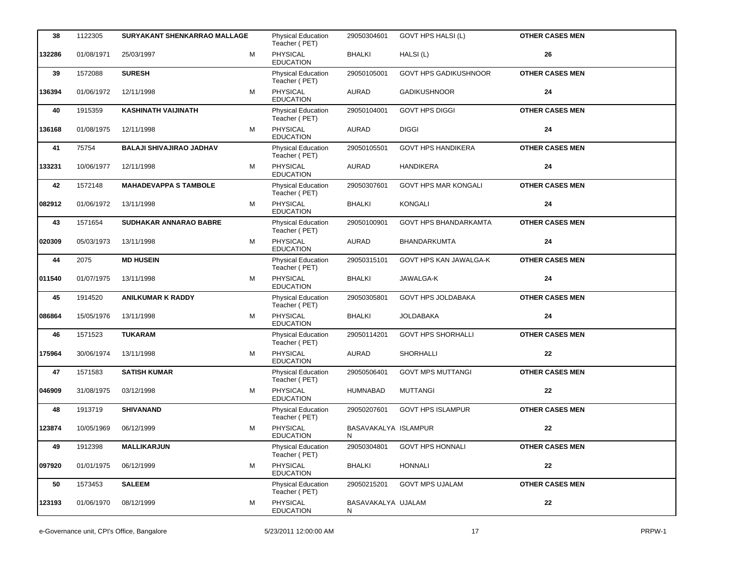| 38     | 1122305    | SURYAKANT SHENKARRAO MALLAGE    |   | <b>Physical Education</b><br>Teacher (PET) | 29050304601                | <b>GOVT HPS HALSI (L)</b>    | <b>OTHER CASES MEN</b> |
|--------|------------|---------------------------------|---|--------------------------------------------|----------------------------|------------------------------|------------------------|
| 132286 | 01/08/1971 | 25/03/1997                      | М | PHYSICAL<br><b>EDUCATION</b>               | <b>BHALKI</b>              | HALSI (L)                    | 26                     |
| 39     | 1572088    | <b>SURESH</b>                   |   | <b>Physical Education</b><br>Teacher (PET) | 29050105001                | <b>GOVT HPS GADIKUSHNOOR</b> | <b>OTHER CASES MEN</b> |
| 136394 | 01/06/1972 | 12/11/1998                      | М | PHYSICAL<br><b>EDUCATION</b>               | <b>AURAD</b>               | <b>GADIKUSHNOOR</b>          | 24                     |
| 40     | 1915359    | <b>KASHINATH VAIJINATH</b>      |   | Physical Education<br>Teacher (PET)        | 29050104001                | <b>GOVT HPS DIGGI</b>        | <b>OTHER CASES MEN</b> |
| 136168 | 01/08/1975 | 12/11/1998                      | M | <b>PHYSICAL</b><br><b>EDUCATION</b>        | <b>AURAD</b>               | <b>DIGGI</b>                 | 24                     |
| 41     | 75754      | <b>BALAJI SHIVAJIRAO JADHAV</b> |   | Physical Education<br>Teacher (PET)        | 29050105501                | <b>GOVT HPS HANDIKERA</b>    | <b>OTHER CASES MEN</b> |
| 133231 | 10/06/1977 | 12/11/1998                      | м | <b>PHYSICAL</b><br><b>EDUCATION</b>        | <b>AURAD</b>               | <b>HANDIKERA</b>             | 24                     |
| 42     | 1572148    | <b>MAHADEVAPPA S TAMBOLE</b>    |   | Physical Education<br>Teacher (PET)        | 29050307601                | <b>GOVT HPS MAR KONGALI</b>  | <b>OTHER CASES MEN</b> |
| 082912 | 01/06/1972 | 13/11/1998                      | М | PHYSICAL<br><b>EDUCATION</b>               | <b>BHALKI</b>              | <b>KONGALI</b>               | 24                     |
| 43     | 1571654    | SUDHAKAR ANNARAO BABRE          |   | <b>Physical Education</b><br>Teacher (PET) | 29050100901                | <b>GOVT HPS BHANDARKAMTA</b> | <b>OTHER CASES MEN</b> |
| 020309 | 05/03/1973 | 13/11/1998                      | м | <b>PHYSICAL</b><br><b>EDUCATION</b>        | <b>AURAD</b>               | <b>BHANDARKUMTA</b>          | 24                     |
| 44     | 2075       | <b>MD HUSEIN</b>                |   | <b>Physical Education</b><br>Teacher (PET) | 29050315101                | GOVT HPS KAN JAWALGA-K       | <b>OTHER CASES MEN</b> |
| 011540 | 01/07/1975 | 13/11/1998                      | м | <b>PHYSICAL</b><br><b>EDUCATION</b>        | <b>BHALKI</b>              | JAWALGA-K                    | 24                     |
| 45     | 1914520    | <b>ANILKUMAR K RADDY</b>        |   | <b>Physical Education</b><br>Teacher (PET) | 29050305801                | <b>GOVT HPS JOLDABAKA</b>    | <b>OTHER CASES MEN</b> |
| 086864 | 15/05/1976 | 13/11/1998                      | м | PHYSICAL<br><b>EDUCATION</b>               | <b>BHALKI</b>              | <b>JOLDABAKA</b>             | 24                     |
| 46     | 1571523    | <b>TUKARAM</b>                  |   | <b>Physical Education</b><br>Teacher (PET) | 29050114201                | <b>GOVT HPS SHORHALLI</b>    | <b>OTHER CASES MEN</b> |
| 175964 | 30/06/1974 | 13/11/1998                      | M | <b>PHYSICAL</b><br><b>EDUCATION</b>        | AURAD                      | <b>SHORHALLI</b>             | 22                     |
| 47     | 1571583    | <b>SATISH KUMAR</b>             |   | <b>Physical Education</b><br>Teacher (PET) | 29050506401                | <b>GOVT MPS MUTTANGI</b>     | <b>OTHER CASES MEN</b> |
| 046909 | 31/08/1975 | 03/12/1998                      | М | PHYSICAL<br><b>EDUCATION</b>               | <b>HUMNABAD</b>            | <b>MUTTANGI</b>              | 22                     |
| 48     | 1913719    | <b>SHIVANAND</b>                |   | <b>Physical Education</b><br>Teacher (PET) | 29050207601                | <b>GOVT HPS ISLAMPUR</b>     | <b>OTHER CASES MEN</b> |
| 123874 | 10/05/1969 | 06/12/1999                      | М | PHYSICAL<br><b>EDUCATION</b>               | BASAVAKALYA ISLAMPUR<br>N. |                              | 22                     |
| 49     | 1912398    | <b>MALLIKARJUN</b>              |   | Physical Education<br>Teacher (PET)        | 29050304801                | <b>GOVT HPS HONNALI</b>      | <b>OTHER CASES MEN</b> |
| 097920 | 01/01/1975 | 06/12/1999                      | м | PHYSICAL<br><b>EDUCATION</b>               | <b>BHALKI</b>              | <b>HONNALI</b>               | ${\bf 22}$             |
| 50     | 1573453    | <b>SALEEM</b>                   |   | Physical Education<br>Teacher (PET)        | 29050215201                | <b>GOVT MPS UJALAM</b>       | <b>OTHER CASES MEN</b> |
| 123193 | 01/06/1970 | 08/12/1999                      | М | PHYSICAL<br><b>EDUCATION</b>               | BASAVAKALYA UJALAM<br>N    |                              | 22                     |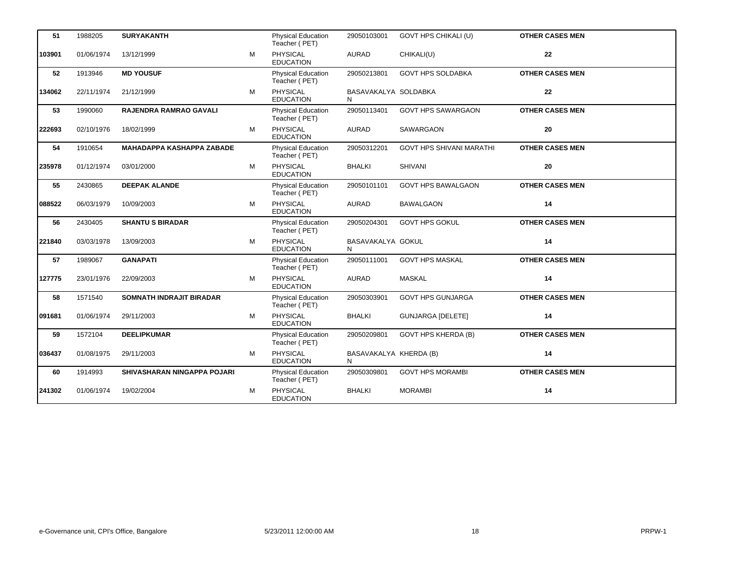| 51     | 1988205    | <b>SURYAKANTH</b>                |   | <b>Physical Education</b><br>Teacher (PET) | 29050103001                 | GOVT HPS CHIKALI (U)            | <b>OTHER CASES MEN</b> |
|--------|------------|----------------------------------|---|--------------------------------------------|-----------------------------|---------------------------------|------------------------|
| 103901 | 01/06/1974 | 13/12/1999                       | M | PHYSICAL<br><b>EDUCATION</b>               | <b>AURAD</b>                | CHIKALI(U)                      | 22                     |
| 52     | 1913946    | <b>MD YOUSUF</b>                 |   | <b>Physical Education</b><br>Teacher (PET) | 29050213801                 | <b>GOVT HPS SOLDABKA</b>        | <b>OTHER CASES MEN</b> |
| 134062 | 22/11/1974 | 21/12/1999                       | м | PHYSICAL<br><b>EDUCATION</b>               | BASAVAKALYA SOLDABKA<br>N   |                                 | 22                     |
| 53     | 1990060    | <b>RAJENDRA RAMRAO GAVALI</b>    |   | <b>Physical Education</b><br>Teacher (PET) | 29050113401                 | <b>GOVT HPS SAWARGAON</b>       | <b>OTHER CASES MEN</b> |
| 222693 | 02/10/1976 | 18/02/1999                       | м | <b>PHYSICAL</b><br><b>EDUCATION</b>        | <b>AURAD</b>                | <b>SAWARGAON</b>                | 20                     |
| 54     | 1910654    | <b>MAHADAPPA KASHAPPA ZABADE</b> |   | <b>Physical Education</b><br>Teacher (PET) | 29050312201                 | <b>GOVT HPS SHIVANI MARATHI</b> | <b>OTHER CASES MEN</b> |
| 235978 | 01/12/1974 | 03/01/2000                       | м | PHYSICAL<br><b>EDUCATION</b>               | <b>BHALKI</b>               | <b>SHIVANI</b>                  | 20                     |
| 55     | 2430865    | <b>DEEPAK ALANDE</b>             |   | Physical Education<br>Teacher (PET)        | 29050101101                 | <b>GOVT HPS BAWALGAON</b>       | <b>OTHER CASES MEN</b> |
| 088522 | 06/03/1979 | 10/09/2003                       | M | PHYSICAL<br><b>EDUCATION</b>               | <b>AURAD</b>                | <b>BAWALGAON</b>                | 14                     |
| 56     | 2430405    | <b>SHANTU S BIRADAR</b>          |   | Physical Education<br>Teacher (PET)        | 29050204301                 | <b>GOVT HPS GOKUL</b>           | <b>OTHER CASES MEN</b> |
| 221840 | 03/03/1978 | 13/09/2003                       | М | PHYSICAL<br><b>EDUCATION</b>               | BASAVAKALYA GOKUL<br>N      |                                 | 14                     |
| 57     | 1989067    | <b>GANAPATI</b>                  |   | Physical Education<br>Teacher (PET)        | 29050111001                 | <b>GOVT HPS MASKAL</b>          | <b>OTHER CASES MEN</b> |
| 127775 | 23/01/1976 | 22/09/2003                       | M | PHYSICAL<br><b>EDUCATION</b>               | <b>AURAD</b>                | <b>MASKAL</b>                   | 14                     |
| 58     | 1571540    | SOMNATH INDRAJIT BIRADAR         |   | <b>Physical Education</b><br>Teacher (PET) | 29050303901                 | <b>GOVT HPS GUNJARGA</b>        | <b>OTHER CASES MEN</b> |
| 091681 | 01/06/1974 | 29/11/2003                       | M | PHYSICAL<br><b>EDUCATION</b>               | <b>BHALKI</b>               | <b>GUNJARGA [DELETE]</b>        | 14                     |
| 59     | 1572104    | <b>DEELIPKUMAR</b>               |   | <b>Physical Education</b><br>Teacher (PET) | 29050209801                 | <b>GOVT HPS KHERDA (B)</b>      | <b>OTHER CASES MEN</b> |
| 036437 | 01/08/1975 | 29/11/2003                       | м | PHYSICAL<br><b>EDUCATION</b>               | BASAVAKALYA KHERDA (B)<br>N |                                 | 14                     |
| 60     | 1914993    | SHIVASHARAN NINGAPPA POJARI      |   | <b>Physical Education</b><br>Teacher (PET) | 29050309801                 | <b>GOVT HPS MORAMBI</b>         | <b>OTHER CASES MEN</b> |
| 241302 | 01/06/1974 | 19/02/2004                       | M | <b>PHYSICAL</b><br><b>EDUCATION</b>        | <b>BHALKI</b>               | <b>MORAMBI</b>                  | 14                     |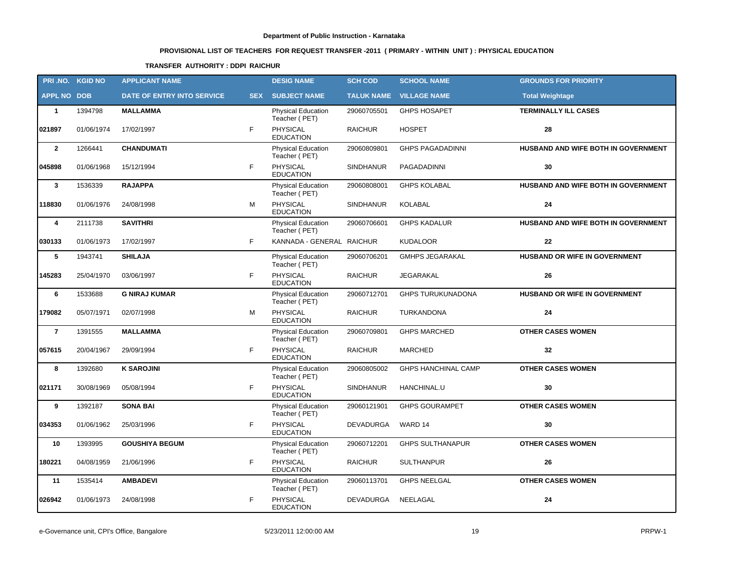# **PROVISIONAL LIST OF TEACHERS FOR REQUEST TRANSFER -2011 ( PRIMARY - WITHIN UNIT ) : PHYSICAL EDUCATION**

### **TRANSFER AUTHORITY : DDPI RAICHUR**

|                    | PRI.NO. KGID NO | <b>APPLICANT NAME</b>      |            | <b>DESIG NAME</b>                          | <b>SCH COD</b>    | <b>SCHOOL NAME</b>         | <b>GROUNDS FOR PRIORITY</b>         |
|--------------------|-----------------|----------------------------|------------|--------------------------------------------|-------------------|----------------------------|-------------------------------------|
| <b>APPL NO DOB</b> |                 | DATE OF ENTRY INTO SERVICE | <b>SEX</b> | <b>SUBJECT NAME</b>                        | <b>TALUK NAME</b> | <b>VILLAGE NAME</b>        | <b>Total Weightage</b>              |
| $\mathbf{1}$       | 1394798         | <b>MALLAMMA</b>            |            | <b>Physical Education</b><br>Teacher (PET) | 29060705501       | <b>GHPS HOSAPET</b>        | <b>TERMINALLY ILL CASES</b>         |
| 021897             | 01/06/1974      | 17/02/1997                 | F.         | PHYSICAL<br><b>EDUCATION</b>               | <b>RAICHUR</b>    | <b>HOSPET</b>              | 28                                  |
| $\mathbf{2}$       | 1266441         | <b>CHANDUMATI</b>          |            | Physical Education<br>Teacher (PET)        | 29060809801       | <b>GHPS PAGADADINNI</b>    | HUSBAND AND WIFE BOTH IN GOVERNMENT |
| 045898             | 01/06/1968      | 15/12/1994                 | F          | PHYSICAL<br><b>EDUCATION</b>               | <b>SINDHANUR</b>  | PAGADADINNI                | 30                                  |
| $\mathbf{3}$       | 1536339         | <b>RAJAPPA</b>             |            | Physical Education<br>Teacher (PET)        | 29060808001       | <b>GHPS KOLABAL</b>        | HUSBAND AND WIFE BOTH IN GOVERNMENT |
| 118830             | 01/06/1976      | 24/08/1998                 | M          | <b>PHYSICAL</b><br><b>EDUCATION</b>        | <b>SINDHANUR</b>  | <b>KOLABAL</b>             | 24                                  |
| 4                  | 2111738         | <b>SAVITHRI</b>            |            | Physical Education<br>Teacher (PET)        | 29060706601       | <b>GHPS KADALUR</b>        | HUSBAND AND WIFE BOTH IN GOVERNMENT |
| 030133             | 01/06/1973      | 17/02/1997                 | F          | KANNADA - GENERAL RAICHUR                  |                   | <b>KUDALOOR</b>            | 22                                  |
| 5                  | 1943741         | <b>SHILAJA</b>             |            | Physical Education<br>Teacher (PET)        | 29060706201       | <b>GMHPS JEGARAKAL</b>     | HUSBAND OR WIFE IN GOVERNMENT       |
| 145283             | 25/04/1970      | 03/06/1997                 | F          | PHYSICAL<br><b>EDUCATION</b>               | <b>RAICHUR</b>    | JEGARAKAL                  | 26                                  |
| 6                  | 1533688         | <b>G NIRAJ KUMAR</b>       |            | Physical Education<br>Teacher (PET)        | 29060712701       | <b>GHPS TURUKUNADONA</b>   | HUSBAND OR WIFE IN GOVERNMENT       |
| 179082             | 05/07/1971      | 02/07/1998                 | M          | <b>PHYSICAL</b><br><b>EDUCATION</b>        | <b>RAICHUR</b>    | TURKANDONA                 | 24                                  |
| $\overline{7}$     | 1391555         | <b>MALLAMMA</b>            |            | Physical Education<br>Teacher (PET)        | 29060709801       | <b>GHPS MARCHED</b>        | <b>OTHER CASES WOMEN</b>            |
| 057615             | 20/04/1967      | 29/09/1994                 | F          | PHYSICAL<br><b>EDUCATION</b>               | <b>RAICHUR</b>    | <b>MARCHED</b>             | 32                                  |
| 8                  | 1392680         | <b>K SAROJINI</b>          |            | Physical Education<br>Teacher (PET)        | 29060805002       | <b>GHPS HANCHINAL CAMP</b> | <b>OTHER CASES WOMEN</b>            |
| 021171             | 30/08/1969      | 05/08/1994                 | F.         | PHYSICAL<br><b>EDUCATION</b>               | <b>SINDHANUR</b>  | HANCHINAL.U                | 30                                  |
| 9                  | 1392187         | <b>SONA BAI</b>            |            | Physical Education<br>Teacher (PET)        | 29060121901       | <b>GHPS GOURAMPET</b>      | <b>OTHER CASES WOMEN</b>            |
| 034353             | 01/06/1962      | 25/03/1996                 | F.         | PHYSICAL<br><b>EDUCATION</b>               | <b>DEVADURGA</b>  | WARD 14                    | 30                                  |
| 10                 | 1393995         | <b>GOUSHIYA BEGUM</b>      |            | <b>Physical Education</b><br>Teacher (PET) | 29060712201       | <b>GHPS SULTHANAPUR</b>    | <b>OTHER CASES WOMEN</b>            |
| 180221             | 04/08/1959      | 21/06/1996                 | F.         | PHYSICAL<br><b>EDUCATION</b>               | <b>RAICHUR</b>    | <b>SULTHANPUR</b>          | 26                                  |
| 11                 | 1535414         | <b>AMBADEVI</b>            |            | Physical Education<br>Teacher (PET)        | 29060113701       | <b>GHPS NEELGAL</b>        | <b>OTHER CASES WOMEN</b>            |
| 026942             | 01/06/1973      | 24/08/1998                 | F          | PHYSICAL<br><b>EDUCATION</b>               | DEVADURGA         | NEELAGAL                   | 24                                  |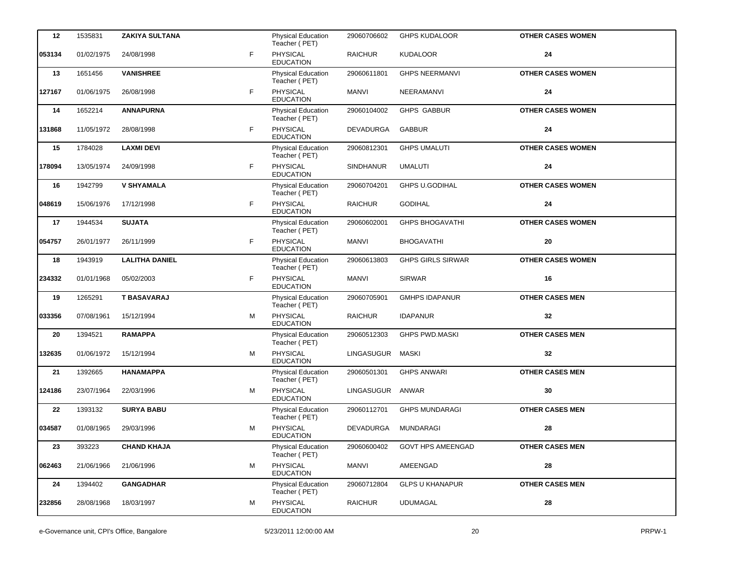| 12     | 1535831    | <b>ZAKIYA SULTANA</b> |   | <b>Physical Education</b><br>Teacher (PET) | 29060706602      | <b>GHPS KUDALOOR</b>     | <b>OTHER CASES WOMEN</b> |
|--------|------------|-----------------------|---|--------------------------------------------|------------------|--------------------------|--------------------------|
| 053134 | 01/02/1975 | 24/08/1998            | F | PHYSICAL<br><b>EDUCATION</b>               | <b>RAICHUR</b>   | <b>KUDALOOR</b>          | 24                       |
| 13     | 1651456    | <b>VANISHREE</b>      |   | <b>Physical Education</b><br>Teacher (PET) | 29060611801      | <b>GHPS NEERMANVI</b>    | <b>OTHER CASES WOMEN</b> |
| 127167 | 01/06/1975 | 26/08/1998            | F | PHYSICAL<br><b>EDUCATION</b>               | <b>MANVI</b>     | NEERAMANVI               | 24                       |
| 14     | 1652214    | <b>ANNAPURNA</b>      |   | Physical Education<br>Teacher (PET)        | 29060104002      | <b>GHPS GABBUR</b>       | <b>OTHER CASES WOMEN</b> |
| 131868 | 11/05/1972 | 28/08/1998            | F | <b>PHYSICAL</b><br><b>EDUCATION</b>        | DEVADURGA        | <b>GABBUR</b>            | 24                       |
| 15     | 1784028    | <b>LAXMI DEVI</b>     |   | <b>Physical Education</b><br>Teacher (PET) | 29060812301      | <b>GHPS UMALUTI</b>      | <b>OTHER CASES WOMEN</b> |
| 178094 | 13/05/1974 | 24/09/1998            | F | PHYSICAL<br><b>EDUCATION</b>               | <b>SINDHANUR</b> | <b>UMALUTI</b>           | 24                       |
| 16     | 1942799    | <b>V SHYAMALA</b>     |   | Physical Education<br>Teacher (PET)        | 29060704201      | GHPS U.GODIHAL           | <b>OTHER CASES WOMEN</b> |
| 048619 | 15/06/1976 | 17/12/1998            | F | PHYSICAL<br><b>EDUCATION</b>               | <b>RAICHUR</b>   | <b>GODIHAL</b>           | 24                       |
| 17     | 1944534    | <b>SUJATA</b>         |   | <b>Physical Education</b><br>Teacher (PET) | 29060602001      | <b>GHPS BHOGAVATHI</b>   | <b>OTHER CASES WOMEN</b> |
| 054757 | 26/01/1977 | 26/11/1999            | F | PHYSICAL<br><b>EDUCATION</b>               | <b>MANVI</b>     | <b>BHOGAVATHI</b>        | 20                       |
| 18     | 1943919    | <b>LALITHA DANIEL</b> |   | <b>Physical Education</b><br>Teacher (PET) | 29060613803      | <b>GHPS GIRLS SIRWAR</b> | <b>OTHER CASES WOMEN</b> |
| 234332 | 01/01/1968 | 05/02/2003            | F | PHYSICAL<br><b>EDUCATION</b>               | <b>MANVI</b>     | <b>SIRWAR</b>            | 16                       |
| 19     | 1265291    | <b>T BASAVARAJ</b>    |   | <b>Physical Education</b><br>Teacher (PET) | 29060705901      | <b>GMHPS IDAPANUR</b>    | <b>OTHER CASES MEN</b>   |
| 033356 | 07/08/1961 | 15/12/1994            | м | PHYSICAL<br><b>EDUCATION</b>               | <b>RAICHUR</b>   | <b>IDAPANUR</b>          | 32                       |
| 20     | 1394521    | <b>RAMAPPA</b>        |   | <b>Physical Education</b><br>Teacher (PET) | 29060512303      | <b>GHPS PWD.MASKI</b>    | <b>OTHER CASES MEN</b>   |
| 132635 | 01/06/1972 | 15/12/1994            | м | PHYSICAL<br><b>EDUCATION</b>               | LINGASUGUR MASKI |                          | 32                       |
| 21     | 1392665    | <b>HANAMAPPA</b>      |   | <b>Physical Education</b><br>Teacher (PET) | 29060501301      | <b>GHPS ANWARI</b>       | <b>OTHER CASES MEN</b>   |
| 124186 | 23/07/1964 | 22/03/1996            | м | PHYSICAL<br><b>EDUCATION</b>               | LINGASUGUR ANWAR |                          | 30                       |
| 22     | 1393132    | <b>SURYA BABU</b>     |   | <b>Physical Education</b><br>Teacher (PET) | 29060112701      | <b>GHPS MUNDARAGI</b>    | <b>OTHER CASES MEN</b>   |
| 034587 | 01/08/1965 | 29/03/1996            | м | PHYSICAL<br><b>EDUCATION</b>               | DEVADURGA        | <b>MUNDARAGI</b>         | 28                       |
| 23     | 393223     | <b>CHAND KHAJA</b>    |   | <b>Physical Education</b><br>Teacher (PET) | 29060600402      | <b>GOVT HPS AMEENGAD</b> | <b>OTHER CASES MEN</b>   |
| 062463 | 21/06/1966 | 21/06/1996            | м | <b>PHYSICAL</b><br><b>EDUCATION</b>        | MANVI            | AMEENGAD                 | 28                       |
| 24     | 1394402    | <b>GANGADHAR</b>      |   | <b>Physical Education</b><br>Teacher (PET) | 29060712804      | <b>GLPS U KHANAPUR</b>   | <b>OTHER CASES MEN</b>   |
| 232856 | 28/08/1968 | 18/03/1997            | М | PHYSICAL<br><b>EDUCATION</b>               | <b>RAICHUR</b>   | <b>UDUMAGAL</b>          | 28                       |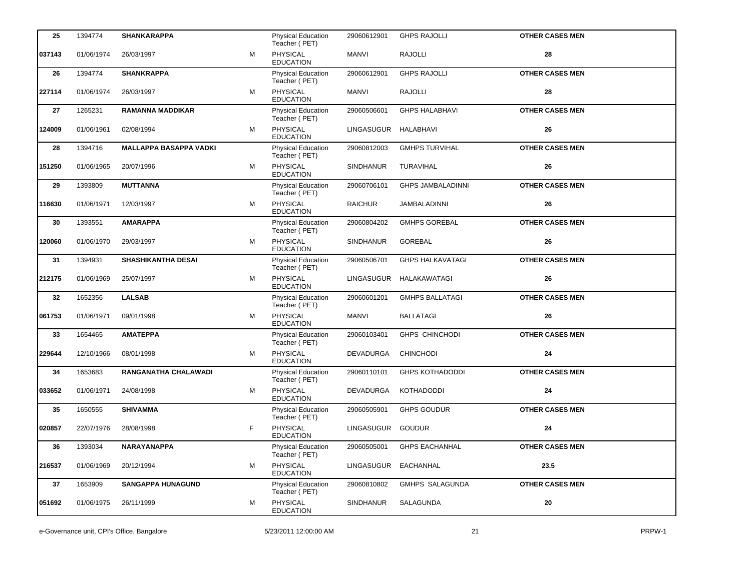| 25     | 1394774    | <b>SHANKARAPPA</b>            |   | <b>Physical Education</b><br>Teacher (PET) | 29060612901       | <b>GHPS RAJOLLI</b>      | <b>OTHER CASES MEN</b> |
|--------|------------|-------------------------------|---|--------------------------------------------|-------------------|--------------------------|------------------------|
| 037143 | 01/06/1974 | 26/03/1997                    | M | PHYSICAL<br><b>EDUCATION</b>               | MANVI             | <b>RAJOLLI</b>           | 28                     |
| 26     | 1394774    | <b>SHANKRAPPA</b>             |   | Physical Education<br>Teacher (PET)        | 29060612901       | <b>GHPS RAJOLLI</b>      | <b>OTHER CASES MEN</b> |
| 227114 | 01/06/1974 | 26/03/1997                    | M | PHYSICAL<br><b>EDUCATION</b>               | <b>MANVI</b>      | <b>RAJOLLI</b>           | 28                     |
| 27     | 1265231    | <b>RAMANNA MADDIKAR</b>       |   | Physical Education<br>Teacher (PET)        | 29060506601       | <b>GHPS HALABHAVI</b>    | <b>OTHER CASES MEN</b> |
| 124009 | 01/06/1961 | 02/08/1994                    | M | PHYSICAL<br><b>EDUCATION</b>               | LINGASUGUR        | HALABHAVI                | 26                     |
| 28     | 1394716    | <b>MALLAPPA BASAPPA VADKI</b> |   | Physical Education<br>Teacher (PET)        | 29060812003       | <b>GMHPS TURVIHAL</b>    | <b>OTHER CASES MEN</b> |
| 151250 | 01/06/1965 | 20/07/1996                    | M | PHYSICAL<br><b>EDUCATION</b>               | <b>SINDHANUR</b>  | TURAVIHAL                | 26                     |
| 29     | 1393809    | <b>MUTTANNA</b>               |   | Physical Education<br>Teacher (PET)        | 29060706101       | <b>GHPS JAMBALADINNI</b> | <b>OTHER CASES MEN</b> |
| 116630 | 01/06/1971 | 12/03/1997                    | м | <b>PHYSICAL</b><br><b>EDUCATION</b>        | <b>RAICHUR</b>    | JAMBALADINNI             | 26                     |
| 30     | 1393551    | <b>AMARAPPA</b>               |   | Physical Education<br>Teacher (PET)        | 29060804202       | <b>GMHPS GOREBAL</b>     | <b>OTHER CASES MEN</b> |
| 120060 | 01/06/1970 | 29/03/1997                    | м | PHYSICAL<br><b>EDUCATION</b>               | <b>SINDHANUR</b>  | <b>GOREBAL</b>           | 26                     |
| 31     | 1394931    | <b>SHASHIKANTHA DESAI</b>     |   | Physical Education<br>Teacher (PET)        | 29060506701       | <b>GHPS HALKAVATAGI</b>  | <b>OTHER CASES MEN</b> |
| 212175 | 01/06/1969 | 25/07/1997                    | м | <b>PHYSICAL</b><br><b>EDUCATION</b>        | LINGASUGUR        | HALAKAWATAGI             | 26                     |
| 32     | 1652356    | <b>LALSAB</b>                 |   | Physical Education<br>Teacher (PET)        | 29060601201       | <b>GMHPS BALLATAGI</b>   | <b>OTHER CASES MEN</b> |
| 061753 | 01/06/1971 | 09/01/1998                    | м | PHYSICAL<br><b>EDUCATION</b>               | MANVI             | <b>BALLATAGI</b>         | 26                     |
| 33     | 1654465    | <b>AMATEPPA</b>               |   | Physical Education<br>Teacher (PET)        | 29060103401       | <b>GHPS CHINCHODI</b>    | <b>OTHER CASES MEN</b> |
| 229644 | 12/10/1966 | 08/01/1998                    | м | <b>PHYSICAL</b><br><b>EDUCATION</b>        | DEVADURGA         | <b>CHINCHODI</b>         | 24                     |
| 34     | 1653683    | RANGANATHA CHALAWADI          |   | Physical Education<br>Teacher (PET)        | 29060110101       | <b>GHPS KOTHADODDI</b>   | <b>OTHER CASES MEN</b> |
| 033652 | 01/06/1971 | 24/08/1998                    | м | PHYSICAL<br><b>EDUCATION</b>               | DEVADURGA         | KOTHADODDI               | 24                     |
| 35     | 1650555    | <b>SHIVAMMA</b>               |   | <b>Physical Education</b><br>Teacher (PET) | 29060505901       | <b>GHPS GOUDUR</b>       | <b>OTHER CASES MEN</b> |
| 020857 | 22/07/1976 | 28/08/1998                    | F | <b>PHYSICAL</b><br><b>EDUCATION</b>        | LINGASUGUR GOUDUR |                          | 24                     |
| 36     | 1393034    | NARAYANAPPA                   |   | Physical Education<br>Teacher (PET)        | 29060505001       | <b>GHPS EACHANHAL</b>    | <b>OTHER CASES MEN</b> |
| 216537 | 01/06/1969 | 20/12/1994                    | м | PHYSICAL<br><b>EDUCATION</b>               | LINGASUGUR        | EACHANHAL                | 23.5                   |
| 37     | 1653909    | <b>SANGAPPA HUNAGUND</b>      |   | Physical Education<br>Teacher (PET)        | 29060810802       | <b>GMHPS SALAGUNDA</b>   | <b>OTHER CASES MEN</b> |
| 051692 | 01/06/1975 | 26/11/1999                    | м | PHYSICAL<br><b>EDUCATION</b>               | <b>SINDHANUR</b>  | SALAGUNDA                | 20                     |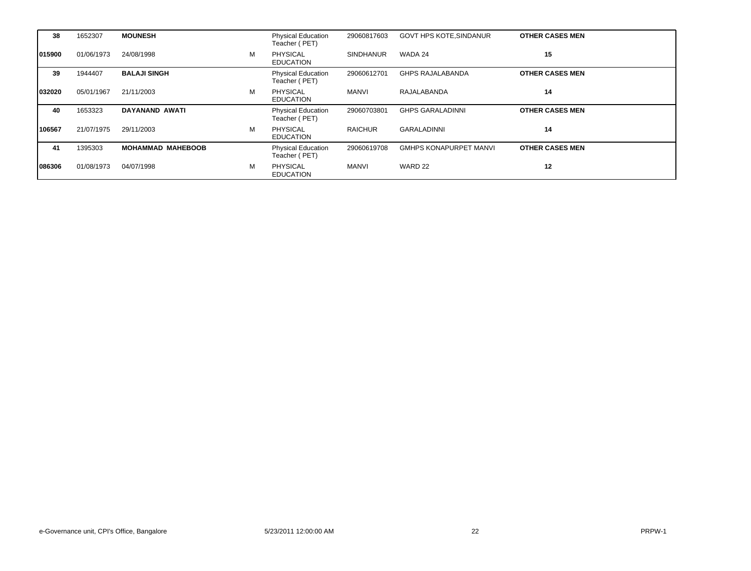| 38     | 1652307    | <b>MOUNESH</b>           |   | <b>Physical Education</b><br>Teacher (PET) | 29060817603      | <b>GOVT HPS KOTE, SINDANUR</b> | <b>OTHER CASES MEN</b> |
|--------|------------|--------------------------|---|--------------------------------------------|------------------|--------------------------------|------------------------|
| 015900 | 01/06/1973 | 24/08/1998               | М | <b>PHYSICAL</b><br><b>EDUCATION</b>        | <b>SINDHANUR</b> | WADA 24                        | 15                     |
| 39     | 1944407    | <b>BALAJI SINGH</b>      |   | <b>Physical Education</b><br>Teacher (PET) | 29060612701      | <b>GHPS RAJALABANDA</b>        | <b>OTHER CASES MEN</b> |
| 032020 | 05/01/1967 | 21/11/2003               | М | <b>PHYSICAL</b><br><b>EDUCATION</b>        | MANVI            | RAJALABANDA                    | 14                     |
| 40     | 1653323    | DAYANAND AWATI           |   | <b>Physical Education</b><br>Teacher (PET) | 29060703801      | <b>GHPS GARALADINNI</b>        | <b>OTHER CASES MEN</b> |
|        |            |                          |   |                                            |                  |                                |                        |
| 106567 | 21/07/1975 | 29/11/2003               | м | <b>PHYSICAL</b><br><b>EDUCATION</b>        | <b>RAICHUR</b>   | <b>GARALADINNI</b>             | 14                     |
| 41     | 1395303    | <b>MOHAMMAD MAHEBOOB</b> |   | <b>Physical Education</b><br>Teacher (PET) | 29060619708      | <b>GMHPS KONAPURPET MANVI</b>  | <b>OTHER CASES MEN</b> |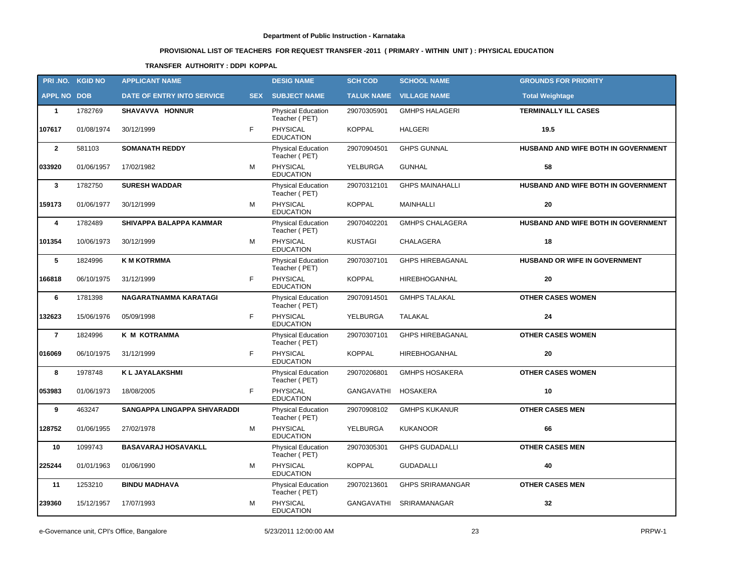# **PROVISIONAL LIST OF TEACHERS FOR REQUEST TRANSFER -2011 ( PRIMARY - WITHIN UNIT ) : PHYSICAL EDUCATION**

### **TRANSFER AUTHORITY : DDPI KOPPAL**

|                    | PRI.NO. KGID NO | <b>APPLICANT NAME</b>               |            | <b>DESIG NAME</b>                          | <b>SCH COD</b>    | <b>SCHOOL NAME</b>      | <b>GROUNDS FOR PRIORITY</b>         |
|--------------------|-----------------|-------------------------------------|------------|--------------------------------------------|-------------------|-------------------------|-------------------------------------|
| <b>APPL NO DOB</b> |                 | DATE OF ENTRY INTO SERVICE          | <b>SEX</b> | <b>SUBJECT NAME</b>                        | <b>TALUK NAME</b> | <b>VILLAGE NAME</b>     | <b>Total Weightage</b>              |
| 1                  | 1782769         | SHAVAVVA HONNUR                     |            | <b>Physical Education</b><br>Teacher (PET) | 29070305901       | <b>GMHPS HALAGERI</b>   | <b>TERMINALLY ILL CASES</b>         |
| 107617             | 01/08/1974      | 30/12/1999                          | F          | <b>PHYSICAL</b><br><b>EDUCATION</b>        | <b>KOPPAL</b>     | <b>HALGERI</b>          | 19.5                                |
| $\overline{2}$     | 581103          | <b>SOMANATH REDDY</b>               |            | Physical Education<br>Teacher (PET)        | 29070904501       | <b>GHPS GUNNAL</b>      | HUSBAND AND WIFE BOTH IN GOVERNMENT |
| 033920             | 01/06/1957      | 17/02/1982                          | м          | PHYSICAL<br><b>EDUCATION</b>               | YELBURGA          | <b>GUNHAL</b>           | 58                                  |
| $\mathbf{3}$       | 1782750         | <b>SURESH WADDAR</b>                |            | Physical Education<br>Teacher (PET)        | 29070312101       | <b>GHPS MAINAHALLI</b>  | HUSBAND AND WIFE BOTH IN GOVERNMENT |
| 159173             | 01/06/1977      | 30/12/1999                          | M          | PHYSICAL<br><b>EDUCATION</b>               | <b>KOPPAL</b>     | MAINHALLI               | 20                                  |
| 4                  | 1782489         | SHIVAPPA BALAPPA KAMMAR             |            | Physical Education<br>Teacher (PET)        | 29070402201       | <b>GMHPS CHALAGERA</b>  | HUSBAND AND WIFE BOTH IN GOVERNMENT |
| 101354             | 10/06/1973      | 30/12/1999                          | M          | PHYSICAL<br><b>EDUCATION</b>               | <b>KUSTAGI</b>    | CHALAGERA               | 18                                  |
| 5                  | 1824996         | <b>K M KOTRMMA</b>                  |            | Physical Education<br>Teacher (PET)        | 29070307101       | <b>GHPS HIREBAGANAL</b> | HUSBAND OR WIFE IN GOVERNMENT       |
| 166818             | 06/10/1975      | 31/12/1999                          | F          | PHYSICAL<br><b>EDUCATION</b>               | <b>KOPPAL</b>     | HIREBHOGANHAL           | 20                                  |
| 6                  | 1781398         | NAGARATNAMMA KARATAGI               |            | Physical Education<br>Teacher (PET)        | 29070914501       | <b>GMHPS TALAKAL</b>    | <b>OTHER CASES WOMEN</b>            |
| 132623             | 15/06/1976      | 05/09/1998                          | F.         | PHYSICAL<br><b>EDUCATION</b>               | YELBURGA          | <b>TALAKAL</b>          | 24                                  |
| $\overline{7}$     | 1824996         | K M KOTRAMMA                        |            | Physical Education<br>Teacher (PET)        | 29070307101       | <b>GHPS HIREBAGANAL</b> | <b>OTHER CASES WOMEN</b>            |
| 016069             | 06/10/1975      | 31/12/1999                          | F          | <b>PHYSICAL</b><br><b>EDUCATION</b>        | <b>KOPPAL</b>     | <b>HIREBHOGANHAL</b>    | 20                                  |
| 8                  | 1978748         | <b>KL JAYALAKSHMI</b>               |            | Physical Education<br>Teacher (PET)        | 29070206801       | <b>GMHPS HOSAKERA</b>   | <b>OTHER CASES WOMEN</b>            |
| 053983             | 01/06/1973      | 18/08/2005                          | F          | <b>PHYSICAL</b><br><b>EDUCATION</b>        | GANGAVATHI        | HOSAKERA                | 10                                  |
| 9                  | 463247          | <b>SANGAPPA LINGAPPA SHIVARADDI</b> |            | Physical Education<br>Teacher (PET)        | 29070908102       | <b>GMHPS KUKANUR</b>    | <b>OTHER CASES MEN</b>              |
| 128752             | 01/06/1955      | 27/02/1978                          | M          | PHYSICAL<br><b>EDUCATION</b>               | YELBURGA          | <b>KUKANOOR</b>         | 66                                  |
| 10                 | 1099743         | <b>BASAVARAJ HOSAVAKLL</b>          |            | <b>Physical Education</b><br>Teacher (PET) | 29070305301       | <b>GHPS GUDADALLI</b>   | <b>OTHER CASES MEN</b>              |
| 225244             | 01/01/1963      | 01/06/1990                          | M          | PHYSICAL<br><b>EDUCATION</b>               | <b>KOPPAL</b>     | <b>GUDADALLI</b>        | 40                                  |
| 11                 | 1253210         | <b>BINDU MADHAVA</b>                |            | <b>Physical Education</b><br>Teacher (PET) | 29070213601       | <b>GHPS SRIRAMANGAR</b> | <b>OTHER CASES MEN</b>              |
| 239360             | 15/12/1957      | 17/07/1993                          | M          | PHYSICAL<br><b>EDUCATION</b>               | GANGAVATHI        | SRIRAMANAGAR            | 32                                  |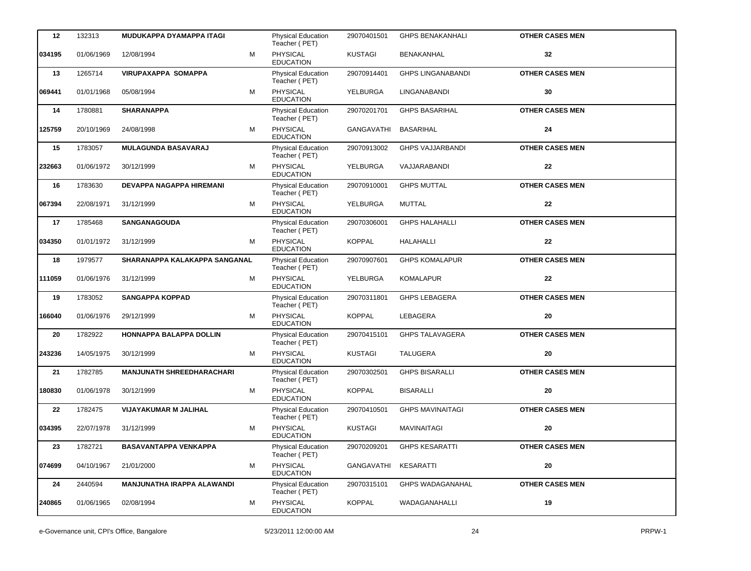| 12     | 132313     | <b>MUDUKAPPA DYAMAPPA ITAGI</b>   |   | Physical Education<br>Teacher (PET)        | 29070401501       | <b>GHPS BENAKANHALI</b>  | <b>OTHER CASES MEN</b> |
|--------|------------|-----------------------------------|---|--------------------------------------------|-------------------|--------------------------|------------------------|
| 034195 | 01/06/1969 | 12/08/1994                        | M | <b>PHYSICAL</b><br><b>EDUCATION</b>        | <b>KUSTAGI</b>    | BENAKANHAL               | 32                     |
| 13     | 1265714    | <b>VIRUPAXAPPA SOMAPPA</b>        |   | <b>Physical Education</b><br>Teacher (PET) | 29070914401       | <b>GHPS LINGANABANDI</b> | <b>OTHER CASES MEN</b> |
| 069441 | 01/01/1968 | 05/08/1994                        | м | PHYSICAL<br><b>EDUCATION</b>               | YELBURGA          | LINGANABANDI             | 30                     |
| 14     | 1780881    | <b>SHARANAPPA</b>                 |   | Physical Education<br>Teacher (PET)        | 29070201701       | <b>GHPS BASARIHAL</b>    | <b>OTHER CASES MEN</b> |
| 125759 | 20/10/1969 | 24/08/1998                        | м | <b>PHYSICAL</b><br><b>EDUCATION</b>        | <b>GANGAVATHI</b> | <b>BASARIHAL</b>         | 24                     |
| 15     | 1783057    | <b>MULAGUNDA BASAVARAJ</b>        |   | Physical Education<br>Teacher (PET)        | 29070913002       | <b>GHPS VAJJARBANDI</b>  | <b>OTHER CASES MEN</b> |
| 232663 | 01/06/1972 | 30/12/1999                        | M | <b>PHYSICAL</b><br><b>EDUCATION</b>        | YELBURGA          | VAJJARABANDI             | 22                     |
| 16     | 1783630    | DEVAPPA NAGAPPA HIREMANI          |   | Physical Education<br>Teacher (PET)        | 29070910001       | <b>GHPS MUTTAL</b>       | <b>OTHER CASES MEN</b> |
| 067394 | 22/08/1971 | 31/12/1999                        | M | <b>PHYSICAL</b><br><b>EDUCATION</b>        | YELBURGA          | MUTTAL                   | 22                     |
| 17     | 1785468    | <b>SANGANAGOUDA</b>               |   | <b>Physical Education</b><br>Teacher (PET) | 29070306001       | <b>GHPS HALAHALLI</b>    | <b>OTHER CASES MEN</b> |
| 034350 | 01/01/1972 | 31/12/1999                        | м | PHYSICAL<br><b>EDUCATION</b>               | <b>KOPPAL</b>     | <b>HALAHALLI</b>         | 22                     |
| 18     | 1979577    | SHARANAPPA KALAKAPPA SANGANAL     |   | <b>Physical Education</b><br>Teacher (PET) | 29070907601       | <b>GHPS KOMALAPUR</b>    | <b>OTHER CASES MEN</b> |
| 111059 | 01/06/1976 | 31/12/1999                        | М | PHYSICAL<br><b>EDUCATION</b>               | YELBURGA          | <b>KOMALAPUR</b>         | 22                     |
| 19     | 1783052    | <b>SANGAPPA KOPPAD</b>            |   | Physical Education<br>Teacher (PET)        | 29070311801       | <b>GHPS LEBAGERA</b>     | <b>OTHER CASES MEN</b> |
| 166040 | 01/06/1976 | 29/12/1999                        | М | PHYSICAL<br><b>EDUCATION</b>               | <b>KOPPAL</b>     | LEBAGERA                 | 20                     |
| 20     | 1782922    | HONNAPPA BALAPPA DOLLIN           |   | Physical Education<br>Teacher (PET)        | 29070415101       | <b>GHPS TALAVAGERA</b>   | <b>OTHER CASES MEN</b> |
| 243236 | 14/05/1975 | 30/12/1999                        | M | PHYSICAL<br><b>EDUCATION</b>               | <b>KUSTAGI</b>    | <b>TALUGERA</b>          | 20                     |
| 21     | 1782785    | <b>MANJUNATH SHREEDHARACHARI</b>  |   | Physical Education<br>Teacher (PET)        | 29070302501       | <b>GHPS BISARALLI</b>    | <b>OTHER CASES MEN</b> |
| 180830 | 01/06/1978 | 30/12/1999                        | м | PHYSICAL<br><b>EDUCATION</b>               | <b>KOPPAL</b>     | <b>BISARALLI</b>         | 20                     |
| 22     | 1782475    | VIJAYAKUMAR M JALIHAL             |   | Physical Education<br>Teacher (PET)        | 29070410501       | <b>GHPS MAVINAITAGI</b>  | <b>OTHER CASES MEN</b> |
| 034395 | 22/07/1978 | 31/12/1999                        | М | PHYSICAL<br><b>EDUCATION</b>               | <b>KUSTAGI</b>    | <b>MAVINAITAGI</b>       | ${\bf 20}$             |
| 23     | 1782721    | <b>BASAVANTAPPA VENKAPPA</b>      |   | Physical Education<br>Teacher (PET)        | 29070209201       | <b>GHPS KESARATTI</b>    | <b>OTHER CASES MEN</b> |
| 074699 | 04/10/1967 | 21/01/2000                        | м | <b>PHYSICAL</b><br><b>EDUCATION</b>        | GANGAVATHI        | <b>KESARATTI</b>         | 20                     |
| 24     | 2440594    | <b>MANJUNATHA IRAPPA ALAWANDI</b> |   | <b>Physical Education</b><br>Teacher (PET) | 29070315101       | <b>GHPS WADAGANAHAL</b>  | <b>OTHER CASES MEN</b> |
| 240865 | 01/06/1965 | 02/08/1994                        | М | <b>PHYSICAL</b><br><b>EDUCATION</b>        | <b>KOPPAL</b>     | WADAGANAHALLI            | 19                     |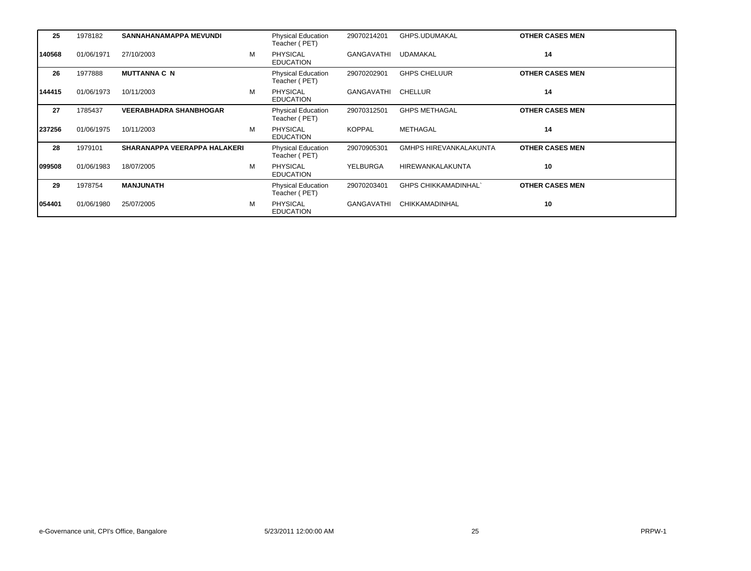| 25     | 1978182    | SANNAHANAMAPPA MEVUNDI              |   | <b>Physical Education</b><br>Teacher (PET) | 29070214201     | GHPS.UDUMAKAL                 | <b>OTHER CASES MEN</b> |
|--------|------------|-------------------------------------|---|--------------------------------------------|-----------------|-------------------------------|------------------------|
| 140568 | 01/06/1971 | 27/10/2003                          | M | <b>PHYSICAL</b><br><b>EDUCATION</b>        | GANGAVATHI      | <b>UDAMAKAL</b>               | 14                     |
| 26     | 1977888    | <b>MUTTANNA C N</b>                 |   | <b>Physical Education</b><br>Teacher (PET) | 29070202901     | <b>GHPS CHELUUR</b>           | <b>OTHER CASES MEN</b> |
| 144415 | 01/06/1973 | 10/11/2003                          | M | <b>PHYSICAL</b><br><b>EDUCATION</b>        | GANGAVATHI      | CHELLUR                       | 14                     |
| 27     | 1785437    | <b>VEERABHADRA SHANBHOGAR</b>       |   | <b>Physical Education</b><br>Teacher (PET) | 29070312501     | <b>GHPS METHAGAL</b>          | <b>OTHER CASES MEN</b> |
| 237256 | 01/06/1975 | 10/11/2003                          | M | <b>PHYSICAL</b><br><b>EDUCATION</b>        | <b>KOPPAL</b>   | <b>METHAGAL</b>               | 14                     |
| 28     | 1979101    | <b>SHARANAPPA VEERAPPA HALAKERI</b> |   | Physical Education<br>Teacher (PET)        | 29070905301     | <b>GMHPS HIREVANKALAKUNTA</b> | <b>OTHER CASES MEN</b> |
| 099508 | 01/06/1983 | 18/07/2005                          | M | <b>PHYSICAL</b><br><b>EDUCATION</b>        | <b>YELBURGA</b> | HIREWANKALAKUNTA              | 10                     |
| 29     | 1978754    | <b>MANJUNATH</b>                    |   | <b>Physical Education</b><br>Teacher (PET) | 29070203401     | <b>GHPS CHIKKAMADINHAL</b>    | <b>OTHER CASES MEN</b> |
| 054401 | 01/06/1980 | 25/07/2005                          | M | <b>PHYSICAL</b><br><b>EDUCATION</b>        | GANGAVATHI      | CHIKKAMADINHAL                | 10                     |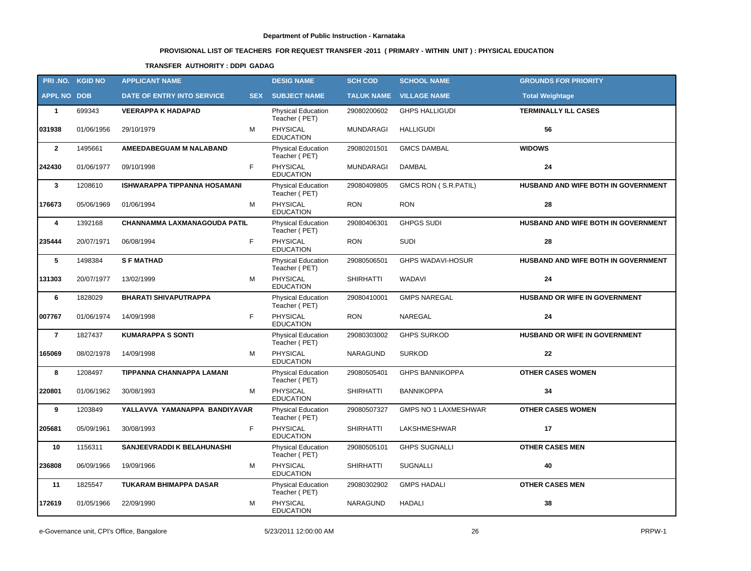# **PROVISIONAL LIST OF TEACHERS FOR REQUEST TRANSFER -2011 ( PRIMARY - WITHIN UNIT ) : PHYSICAL EDUCATION**

### **TRANSFER AUTHORITY : DDPI GADAG**

|                    | PRI.NO. KGID NO | <b>APPLICANT NAME</b>               |            | <b>DESIG NAME</b>                          | <b>SCH COD</b>    | <b>SCHOOL NAME</b>          | <b>GROUNDS FOR PRIORITY</b>         |
|--------------------|-----------------|-------------------------------------|------------|--------------------------------------------|-------------------|-----------------------------|-------------------------------------|
| <b>APPL NO DOB</b> |                 | DATE OF ENTRY INTO SERVICE          | <b>SEX</b> | <b>SUBJECT NAME</b>                        | <b>TALUK NAME</b> | <b>VILLAGE NAME</b>         | <b>Total Weightage</b>              |
| $\mathbf{1}$       | 699343          | <b>VEERAPPA K HADAPAD</b>           |            | <b>Physical Education</b><br>Teacher (PET) | 29080200602       | <b>GHPS HALLIGUDI</b>       | <b>TERMINALLY ILL CASES</b>         |
| 031938             | 01/06/1956      | 29/10/1979                          | M          | PHYSICAL<br><b>EDUCATION</b>               | <b>MUNDARAGI</b>  | <b>HALLIGUDI</b>            | 56                                  |
| $\overline{2}$     | 1495661         | AMEEDABEGUAM M NALABAND             |            | <b>Physical Education</b><br>Teacher (PET) | 29080201501       | <b>GMCS DAMBAL</b>          | <b>WIDOWS</b>                       |
| 242430             | 01/06/1977      | F.<br>09/10/1998                    |            | PHYSICAL<br><b>EDUCATION</b>               | <b>MUNDARAGI</b>  | <b>DAMBAL</b>               | 24                                  |
| 3                  | 1208610         | <b>ISHWARAPPA TIPPANNA HOSAMANI</b> |            | Physical Education<br>Teacher (PET)        | 29080409805       | GMCS RON (S.R.PATIL)        | HUSBAND AND WIFE BOTH IN GOVERNMENT |
| 176673             | 05/06/1969      | 01/06/1994                          | м          | <b>PHYSICAL</b><br><b>EDUCATION</b>        | <b>RON</b>        | <b>RON</b>                  | 28                                  |
| 4                  | 1392168         | <b>CHANNAMMA LAXMANAGOUDA PATIL</b> |            | <b>Physical Education</b><br>Teacher (PET) | 29080406301       | <b>GHPGS SUDI</b>           | HUSBAND AND WIFE BOTH IN GOVERNMENT |
| 235444             | 20/07/1971      | F<br>06/08/1994                     |            | <b>PHYSICAL</b><br><b>EDUCATION</b>        | <b>RON</b>        | <b>SUDI</b>                 | 28                                  |
| 5                  | 1498384         | <b>SFMATHAD</b>                     |            | <b>Physical Education</b><br>Teacher (PET) | 29080506501       | <b>GHPS WADAVI-HOSUR</b>    | HUSBAND AND WIFE BOTH IN GOVERNMENT |
| 131303             | 20/07/1977      | 13/02/1999                          | м          | <b>PHYSICAL</b><br><b>EDUCATION</b>        | <b>SHIRHATTI</b>  | WADAVI                      | 24                                  |
| 6                  | 1828029         | <b>BHARATI SHIVAPUTRAPPA</b>        |            | <b>Physical Education</b><br>Teacher (PET) | 29080410001       | <b>GMPS NAREGAL</b>         | HUSBAND OR WIFE IN GOVERNMENT       |
| 007767             | 01/06/1974      | F<br>14/09/1998                     |            | PHYSICAL<br><b>EDUCATION</b>               | <b>RON</b>        | NAREGAL                     | 24                                  |
| $\overline{7}$     | 1827437         | <b>KUMARAPPA S SONTI</b>            |            | <b>Physical Education</b><br>Teacher (PET) | 29080303002       | <b>GHPS SURKOD</b>          | HUSBAND OR WIFE IN GOVERNMENT       |
| 165069             | 08/02/1978      | 14/09/1998                          | м          | <b>PHYSICAL</b><br><b>EDUCATION</b>        | NARAGUND          | <b>SURKOD</b>               | 22                                  |
| 8                  | 1208497         | <b>TIPPANNA CHANNAPPA LAMANI</b>    |            | <b>Physical Education</b><br>Teacher (PET) | 29080505401       | <b>GHPS BANNIKOPPA</b>      | <b>OTHER CASES WOMEN</b>            |
| 220801             | 01/06/1962      | 30/08/1993                          | М          | PHYSICAL<br><b>EDUCATION</b>               | <b>SHIRHATTI</b>  | <b>BANNIKOPPA</b>           | 34                                  |
| 9                  | 1203849         | YALLAVVA YAMANAPPA BANDIYAVAR       |            | Physical Education<br>Teacher (PET)        | 29080507327       | <b>GMPS NO 1 LAXMESHWAR</b> | <b>OTHER CASES WOMEN</b>            |
| 205681             | 05/09/1961      | F<br>30/08/1993                     |            | PHYSICAL<br><b>EDUCATION</b>               | <b>SHIRHATTI</b>  | LAKSHMESHWAR                | 17                                  |
| 10                 | 1156311         | SANJEEVRADDI K BELAHUNASHI          |            | Physical Education<br>Teacher (PET)        | 29080505101       | <b>GHPS SUGNALLI</b>        | <b>OTHER CASES MEN</b>              |
| 236808             | 06/09/1966      | 19/09/1966                          | M          | PHYSICAL<br><b>EDUCATION</b>               | <b>SHIRHATTI</b>  | <b>SUGNALLI</b>             | 40                                  |
| 11                 | 1825547         | TUKARAM BHIMAPPA DASAR              |            | <b>Physical Education</b><br>Teacher (PET) | 29080302902       | <b>GMPS HADALI</b>          | <b>OTHER CASES MEN</b>              |
| 172619             | 01/05/1966      | 22/09/1990                          | М          | PHYSICAL<br><b>EDUCATION</b>               | NARAGUND          | HADALI                      | 38                                  |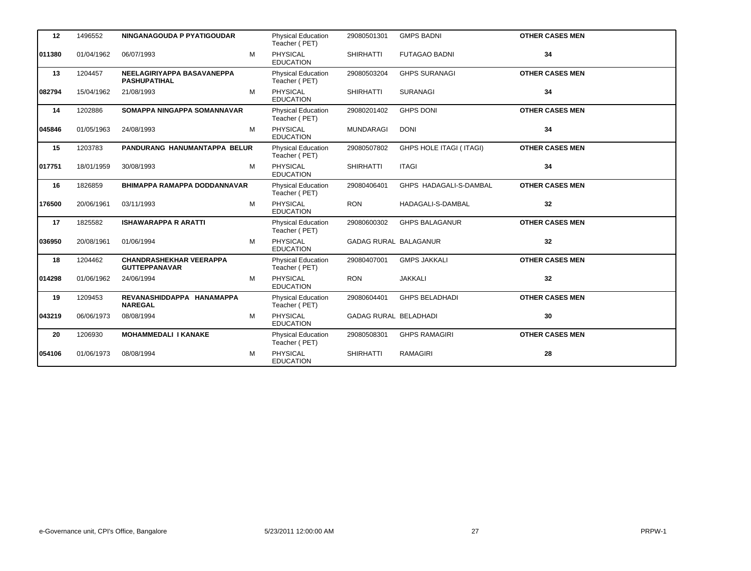| 12     | 1496552    | NINGANAGOUDA P PYATIGOUDAR                             |   | <b>Physical Education</b><br>Teacher (PET) | 29080501301                  | <b>GMPS BADNI</b>              | <b>OTHER CASES MEN</b> |
|--------|------------|--------------------------------------------------------|---|--------------------------------------------|------------------------------|--------------------------------|------------------------|
| 011380 | 01/04/1962 | 06/07/1993                                             | M | <b>PHYSICAL</b><br><b>EDUCATION</b>        | <b>SHIRHATTI</b>             | <b>FUTAGAO BADNI</b>           | 34                     |
| 13     | 1204457    | NEELAGIRIYAPPA BASAVANEPPA<br><b>PASHUPATIHAL</b>      |   | <b>Physical Education</b><br>Teacher (PET) | 29080503204                  | <b>GHPS SURANAGI</b>           | <b>OTHER CASES MEN</b> |
| 082794 | 15/04/1962 | 21/08/1993                                             | м | <b>PHYSICAL</b><br><b>EDUCATION</b>        | <b>SHIRHATTI</b>             | <b>SURANAGI</b>                | 34                     |
| 14     | 1202886    | SOMAPPA NINGAPPA SOMANNAVAR                            |   | <b>Physical Education</b><br>Teacher (PET) | 29080201402                  | <b>GHPS DONI</b>               | <b>OTHER CASES MEN</b> |
| 045846 | 01/05/1963 | 24/08/1993                                             | M | <b>PHYSICAL</b><br><b>EDUCATION</b>        | <b>MUNDARAGI</b>             | <b>DONI</b>                    | 34                     |
| 15     | 1203783    | PANDURANG HANUMANTAPPA BELUR                           |   | <b>Physical Education</b><br>Teacher (PET) | 29080507802                  | <b>GHPS HOLE ITAGI (ITAGI)</b> | <b>OTHER CASES MEN</b> |
| 017751 | 18/01/1959 | 30/08/1993                                             | M | <b>PHYSICAL</b><br><b>EDUCATION</b>        | <b>SHIRHATTI</b>             | <b>ITAGI</b>                   | 34                     |
| 16     | 1826859    | <b>BHIMAPPA RAMAPPA DODDANNAVAR</b>                    |   | <b>Physical Education</b><br>Teacher (PET) | 29080406401                  | GHPS HADAGALI-S-DAMBAL         | <b>OTHER CASES MEN</b> |
| 176500 | 20/06/1961 | 03/11/1993                                             | M | <b>PHYSICAL</b><br><b>EDUCATION</b>        | <b>RON</b>                   | HADAGALI-S-DAMBAL              | 32                     |
| 17     | 1825582    | <b>ISHAWARAPPA R ARATTI</b>                            |   | <b>Physical Education</b><br>Teacher (PET) | 29080600302                  | <b>GHPS BALAGANUR</b>          | <b>OTHER CASES MEN</b> |
| 036950 | 20/08/1961 | 01/06/1994                                             | м | <b>PHYSICAL</b><br><b>EDUCATION</b>        | <b>GADAG RURAL BALAGANUR</b> |                                | 32                     |
| 18     | 1204462    | <b>CHANDRASHEKHAR VEERAPPA</b><br><b>GUTTEPPANAVAR</b> |   | Physical Education<br>Teacher (PET)        | 29080407001                  | <b>GMPS JAKKALI</b>            | <b>OTHER CASES MEN</b> |
| 014298 | 01/06/1962 | 24/06/1994                                             | м | PHYSICAL<br><b>EDUCATION</b>               | <b>RON</b>                   | <b>JAKKALI</b>                 | 32                     |
| 19     | 1209453    | REVANASHIDDAPPA HANAMAPPA<br><b>NAREGAL</b>            |   | <b>Physical Education</b><br>Teacher (PET) | 29080604401                  | <b>GHPS BELADHADI</b>          | <b>OTHER CASES MEN</b> |
| 043219 | 06/06/1973 | 08/08/1994                                             | M | <b>PHYSICAL</b><br><b>EDUCATION</b>        | <b>GADAG RURAL BELADHADI</b> |                                | 30                     |
| 20     | 1206930    | <b>MOHAMMEDALI I KANAKE</b>                            |   | <b>Physical Education</b><br>Teacher (PET) | 29080508301                  | <b>GHPS RAMAGIRI</b>           | <b>OTHER CASES MEN</b> |
| 054106 | 01/06/1973 | 08/08/1994                                             | M | <b>PHYSICAL</b><br><b>EDUCATION</b>        | <b>SHIRHATTI</b>             | <b>RAMAGIRI</b>                | 28                     |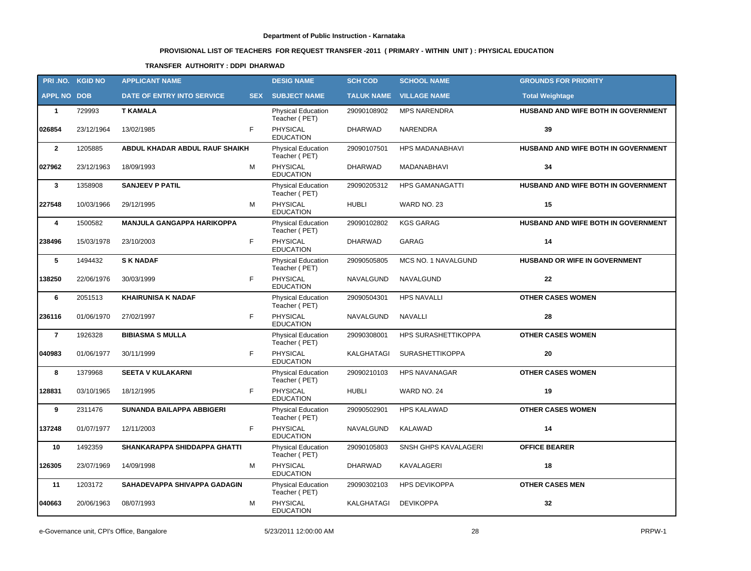# **PROVISIONAL LIST OF TEACHERS FOR REQUEST TRANSFER -2011 ( PRIMARY - WITHIN UNIT ) : PHYSICAL EDUCATION**

### **TRANSFER AUTHORITY : DDPI DHARWAD**

| PRI.NO. KGID NO    |            | <b>APPLICANT NAME</b>             |            | <b>DESIG NAME</b>                          | <b>SCH COD</b>    | <b>SCHOOL NAME</b>     | <b>GROUNDS FOR PRIORITY</b>         |
|--------------------|------------|-----------------------------------|------------|--------------------------------------------|-------------------|------------------------|-------------------------------------|
| <b>APPL NO DOB</b> |            | DATE OF ENTRY INTO SERVICE        | <b>SEX</b> | <b>SUBJECT NAME</b>                        | <b>TALUK NAME</b> | <b>VILLAGE NAME</b>    | <b>Total Weightage</b>              |
| $\mathbf{1}$       | 729993     | <b>T KAMALA</b>                   |            | <b>Physical Education</b><br>Teacher (PET) | 29090108902       | <b>MPS NARENDRA</b>    | HUSBAND AND WIFE BOTH IN GOVERNMENT |
| 026854             | 23/12/1964 | 13/02/1985                        | F          | PHYSICAL<br><b>EDUCATION</b>               | <b>DHARWAD</b>    | <b>NARENDRA</b>        | 39                                  |
| $\overline{2}$     | 1205885    | ABDUL KHADAR ABDUL RAUF SHAIKH    |            | Physical Education<br>Teacher (PET)        | 29090107501       | HPS MADANABHAVI        | HUSBAND AND WIFE BOTH IN GOVERNMENT |
| 027962             | 23/12/1963 | 18/09/1993                        | М          | PHYSICAL<br><b>EDUCATION</b>               | <b>DHARWAD</b>    | MADANABHAVI            | 34                                  |
| $\mathbf{3}$       | 1358908    | <b>SANJEEV P PATIL</b>            |            | Physical Education<br>Teacher (PET)        | 29090205312       | <b>HPS GAMANAGATTI</b> | HUSBAND AND WIFE BOTH IN GOVERNMENT |
| 227548             | 10/03/1966 | 29/12/1995                        | м          | PHYSICAL<br><b>EDUCATION</b>               | <b>HUBLI</b>      | WARD NO. 23            | 15                                  |
| 4                  | 1500582    | <b>MANJULA GANGAPPA HARIKOPPA</b> |            | Physical Education<br>Teacher (PET)        | 29090102802       | <b>KGS GARAG</b>       | HUSBAND AND WIFE BOTH IN GOVERNMENT |
| 238496             | 15/03/1978 | 23/10/2003                        | F.         | <b>PHYSICAL</b><br><b>EDUCATION</b>        | <b>DHARWAD</b>    | <b>GARAG</b>           | 14                                  |
| 5                  | 1494432    | <b>SK NADAF</b>                   |            | Physical Education<br>Teacher (PET)        | 29090505805       | MCS NO. 1 NAVALGUND    | HUSBAND OR WIFE IN GOVERNMENT       |
| 138250             | 22/06/1976 | 30/03/1999                        | F.         | <b>PHYSICAL</b><br><b>EDUCATION</b>        | NAVALGUND         | NAVALGUND              | $22 \,$                             |
| 6                  | 2051513    | <b>KHAIRUNISA K NADAF</b>         |            | Physical Education<br>Teacher (PET)        | 29090504301       | <b>HPS NAVALLI</b>     | <b>OTHER CASES WOMEN</b>            |
| 236116             | 01/06/1970 | 27/02/1997                        | F          | <b>PHYSICAL</b><br><b>EDUCATION</b>        | NAVALGUND         | <b>NAVALLI</b>         | 28                                  |
| $\overline{7}$     | 1926328    | <b>BIBIASMA S MULLA</b>           |            | <b>Physical Education</b><br>Teacher (PET) | 29090308001       | HPS SURASHETTIKOPPA    | <b>OTHER CASES WOMEN</b>            |
| 040983             | 01/06/1977 | 30/11/1999                        | F          | <b>PHYSICAL</b><br><b>EDUCATION</b>        | KALGHATAGI        | <b>SURASHETTIKOPPA</b> | 20                                  |
| 8                  | 1379968    | <b>SEETA V KULAKARNI</b>          |            | <b>Physical Education</b><br>Teacher (PET) | 29090210103       | <b>HPS NAVANAGAR</b>   | <b>OTHER CASES WOMEN</b>            |
| 128831             | 03/10/1965 | 18/12/1995                        | F          | PHYSICAL<br><b>EDUCATION</b>               | <b>HUBLI</b>      | WARD NO. 24            | 19                                  |
| 9                  | 2311476    | <b>SUNANDA BAILAPPA ABBIGERI</b>  |            | <b>Physical Education</b><br>Teacher (PET) | 29090502901       | <b>HPS KALAWAD</b>     | <b>OTHER CASES WOMEN</b>            |
| 137248             | 01/07/1977 | 12/11/2003                        | F          | <b>PHYSICAL</b><br><b>EDUCATION</b>        | <b>NAVALGUND</b>  | KALAWAD                | 14                                  |
| 10                 | 1492359    | SHANKARAPPA SHIDDAPPA GHATTI      |            | <b>Physical Education</b><br>Teacher (PET) | 29090105803       | SNSH GHPS KAVALAGERI   | <b>OFFICE BEARER</b>                |
| 126305             | 23/07/1969 | 14/09/1998                        | M          | PHYSICAL<br><b>EDUCATION</b>               | <b>DHARWAD</b>    | KAVALAGERI             | 18                                  |
| 11                 | 1203172    | SAHADEVAPPA SHIVAPPA GADAGIN      |            | <b>Physical Education</b><br>Teacher (PET) | 29090302103       | <b>HPS DEVIKOPPA</b>   | <b>OTHER CASES MEN</b>              |
| 040663             | 20/06/1963 | 08/07/1993                        | М          | PHYSICAL<br><b>EDUCATION</b>               | KALGHATAGI        | <b>DEVIKOPPA</b>       | 32                                  |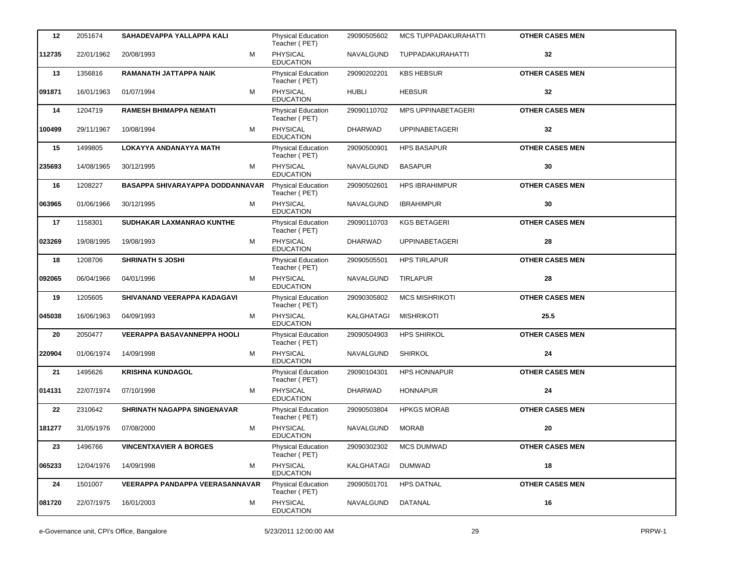| 12     | 2051674    | SAHADEVAPPA YALLAPPA KALI          | <b>Physical Education</b><br>Teacher (PET) | 29090505602       | <b>MCS TUPPADAKURAHATTI</b> | <b>OTHER CASES MEN</b> |
|--------|------------|------------------------------------|--------------------------------------------|-------------------|-----------------------------|------------------------|
| 112735 | 22/01/1962 | M<br>20/08/1993                    | PHYSICAL<br><b>EDUCATION</b>               | NAVALGUND         | TUPPADAKURAHATTI            | 32                     |
| 13     | 1356816    | RAMANATH JATTAPPA NAIK             | Physical Education<br>Teacher (PET)        | 29090202201       | <b>KBS HEBSUR</b>           | <b>OTHER CASES MEN</b> |
| 091871 | 16/01/1963 | M<br>01/07/1994                    | PHYSICAL<br><b>EDUCATION</b>               | <b>HUBLI</b>      | <b>HEBSUR</b>               | 32                     |
| 14     | 1204719    | <b>RAMESH BHIMAPPA NEMATI</b>      | Physical Education<br>Teacher (PET)        | 29090110702       | MPS UPPINABETAGERI          | <b>OTHER CASES MEN</b> |
| 100499 | 29/11/1967 | 10/08/1994<br>м                    | <b>PHYSICAL</b><br><b>EDUCATION</b>        | <b>DHARWAD</b>    | <b>UPPINABETAGERI</b>       | 32                     |
| 15     | 1499805    | LOKAYYA ANDANAYYA MATH             | Physical Education<br>Teacher (PET)        | 29090500901       | <b>HPS BASAPUR</b>          | <b>OTHER CASES MEN</b> |
| 235693 | 14/08/1965 | M<br>30/12/1995                    | PHYSICAL<br><b>EDUCATION</b>               | NAVALGUND         | <b>BASAPUR</b>              | 30                     |
| 16     | 1208227    | BASAPPA SHIVARAYAPPA DODDANNAVAR   | <b>Physical Education</b><br>Teacher (PET) | 29090502601       | <b>HPS IBRAHIMPUR</b>       | <b>OTHER CASES MEN</b> |
| 063965 | 01/06/1966 | M<br>30/12/1995                    | <b>PHYSICAL</b><br><b>EDUCATION</b>        | NAVALGUND         | <b>IBRAHIMPUR</b>           | 30                     |
| 17     | 1158301    | SUDHAKAR LAXMANRAO KUNTHE          | Physical Education<br>Teacher (PET)        | 29090110703       | <b>KGS BETAGERI</b>         | <b>OTHER CASES MEN</b> |
| 023269 | 19/08/1995 | 19/08/1993<br>м                    | PHYSICAL<br><b>EDUCATION</b>               | DHARWAD           | <b>UPPINABETAGERI</b>       | 28                     |
| 18     | 1208706    | <b>SHRINATH S JOSHI</b>            | Physical Education<br>Teacher (PET)        | 29090505501       | <b>HPS TIRLAPUR</b>         | <b>OTHER CASES MEN</b> |
| 092065 | 06/04/1966 | 04/01/1996<br>м                    | <b>PHYSICAL</b><br><b>EDUCATION</b>        | NAVALGUND         | <b>TIRLAPUR</b>             | 28                     |
| 19     | 1205605    | SHIVANAND VEERAPPA KADAGAVI        | Physical Education<br>Teacher (PET)        | 29090305802       | <b>MCS MISHRIKOTI</b>       | <b>OTHER CASES MEN</b> |
| 045038 | 16/06/1963 | 04/09/1993<br>м                    | PHYSICAL<br><b>EDUCATION</b>               | KALGHATAGI        | <b>MISHRIKOTI</b>           | 25.5                   |
| 20     | 2050477    | <b>VEERAPPA BASAVANNEPPA HOOLI</b> | Physical Education<br>Teacher (PET)        | 29090504903       | <b>HPS SHIRKOL</b>          | <b>OTHER CASES MEN</b> |
| 220904 | 01/06/1974 | M<br>14/09/1998                    | <b>PHYSICAL</b><br><b>EDUCATION</b>        | NAVALGUND         | <b>SHIRKOL</b>              | 24                     |
| 21     | 1495626    | <b>KRISHNA KUNDAGOL</b>            | Physical Education<br>Teacher (PET)        | 29090104301       | <b>HPS HONNAPUR</b>         | <b>OTHER CASES MEN</b> |
| 014131 | 22/07/1974 | 07/10/1998<br>м                    | PHYSICAL<br><b>EDUCATION</b>               | <b>DHARWAD</b>    | <b>HONNAPUR</b>             | 24                     |
| 22     | 2310642    | SHRINATH NAGAPPA SINGENAVAR        | <b>Physical Education</b><br>Teacher (PET) | 29090503804       | <b>HPKGS MORAB</b>          | <b>OTHER CASES MEN</b> |
| 181277 | 31/05/1976 | 07/08/2000<br>м                    | <b>PHYSICAL</b><br><b>EDUCATION</b>        | NAVALGUND         | <b>MORAB</b>                | 20                     |
| 23     | 1496766    | <b>VINCENTXAVIER A BORGES</b>      | Physical Education<br>Teacher (PET)        | 29090302302       | <b>MCS DUMWAD</b>           | <b>OTHER CASES MEN</b> |
| 065233 | 12/04/1976 | 14/09/1998<br>м                    | PHYSICAL<br><b>EDUCATION</b>               | <b>KALGHATAGI</b> | <b>DUMWAD</b>               | 18                     |
| 24     | 1501007    | VEERAPPA PANDAPPA VEERASANNAVAR    | Physical Education<br>Teacher (PET)        | 29090501701       | <b>HPS DATNAL</b>           | <b>OTHER CASES MEN</b> |
| 081720 | 22/07/1975 | 16/01/2003<br>м                    | PHYSICAL<br><b>EDUCATION</b>               | NAVALGUND         | DATANAL                     | 16                     |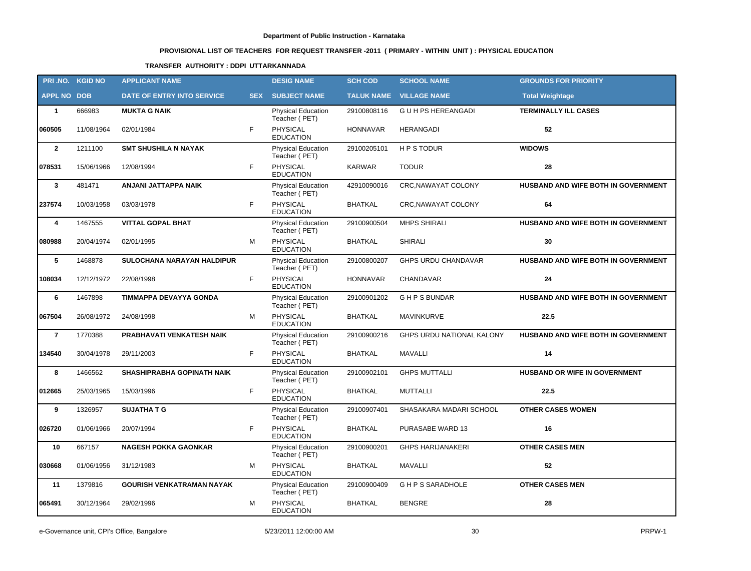# **PROVISIONAL LIST OF TEACHERS FOR REQUEST TRANSFER -2011 ( PRIMARY - WITHIN UNIT ) : PHYSICAL EDUCATION**

### **TRANSFER AUTHORITY : DDPI UTTARKANNADA**

|                    | PRI.NO. KGID NO | <b>APPLICANT NAME</b>             |            | <b>DESIG NAME</b>                          | <b>SCH COD</b>    | <b>SCHOOL NAME</b>         | <b>GROUNDS FOR PRIORITY</b>         |
|--------------------|-----------------|-----------------------------------|------------|--------------------------------------------|-------------------|----------------------------|-------------------------------------|
| <b>APPL NO DOB</b> |                 | DATE OF ENTRY INTO SERVICE        | <b>SEX</b> | <b>SUBJECT NAME</b>                        | <b>TALUK NAME</b> | <b>VILLAGE NAME</b>        | <b>Total Weightage</b>              |
| $\mathbf{1}$       | 666983          | <b>MUKTA G NAIK</b>               |            | <b>Physical Education</b><br>Teacher (PET) | 29100808116       | G U H PS HEREANGADI        | <b>TERMINALLY ILL CASES</b>         |
| 060505             | 11/08/1964      | 02/01/1984                        | F          | <b>PHYSICAL</b><br><b>EDUCATION</b>        | <b>HONNAVAR</b>   | <b>HERANGADI</b>           | 52                                  |
| $\overline{2}$     | 1211100         | <b>SMT SHUSHILA N NAYAK</b>       |            | Physical Education<br>Teacher (PET)        | 29100205101       | <b>HPS TODUR</b>           | <b>WIDOWS</b>                       |
| 078531             | 15/06/1966      | 12/08/1994                        | F          | <b>PHYSICAL</b><br><b>EDUCATION</b>        | <b>KARWAR</b>     | <b>TODUR</b>               | 28                                  |
| $\mathbf{3}$       | 481471          | ANJANI JATTAPPA NAIK              |            | Physical Education<br>Teacher (PET)        | 42910090016       | <b>CRC, NAWAYAT COLONY</b> | HUSBAND AND WIFE BOTH IN GOVERNMENT |
| 237574             | 10/03/1958      | 03/03/1978                        | F          | PHYSICAL<br><b>EDUCATION</b>               | <b>BHATKAL</b>    | CRC, NAWAYAT COLONY        | 64                                  |
| 4                  | 1467555         | <b>VITTAL GOPAL BHAT</b>          |            | Physical Education<br>Teacher (PET)        | 29100900504       | <b>MHPS SHIRALI</b>        | HUSBAND AND WIFE BOTH IN GOVERNMENT |
| 080988             | 20/04/1974      | 02/01/1995                        | M          | PHYSICAL<br><b>EDUCATION</b>               | <b>BHATKAL</b>    | <b>SHIRALI</b>             | 30                                  |
| 5                  | 1468878         | SULOCHANA NARAYAN HALDIPUR        |            | Physical Education<br>Teacher (PET)        | 29100800207       | GHPS URDU CHANDAVAR        | HUSBAND AND WIFE BOTH IN GOVERNMENT |
| 108034             | 12/12/1972      | 22/08/1998                        | F.         | PHYSICAL<br><b>EDUCATION</b>               | HONNAVAR          | <b>CHANDAVAR</b>           | 24                                  |
| 6                  | 1467898         | TIMMAPPA DEVAYYA GONDA            |            | <b>Physical Education</b><br>Teacher (PET) | 29100901202       | <b>GHPSBUNDAR</b>          | HUSBAND AND WIFE BOTH IN GOVERNMENT |
| 067504             | 26/08/1972      | 24/08/1998                        | M          | PHYSICAL<br><b>EDUCATION</b>               | <b>BHATKAL</b>    | <b>MAVINKURVE</b>          | 22.5                                |
| $\overline{7}$     | 1770388         | PRABHAVATI VENKATESH NAIK         |            | Physical Education<br>Teacher (PET)        | 29100900216       | GHPS URDU NATIONAL KALONY  | HUSBAND AND WIFE BOTH IN GOVERNMENT |
| 134540             | 30/04/1978      | 29/11/2003                        | F.         | <b>PHYSICAL</b><br><b>EDUCATION</b>        | <b>BHATKAL</b>    | <b>MAVALLI</b>             | 14                                  |
| 8                  | 1466562         | <b>SHASHIPRABHA GOPINATH NAIK</b> |            | Physical Education<br>Teacher (PET)        | 29100902101       | <b>GHPS MUTTALLI</b>       | HUSBAND OR WIFE IN GOVERNMENT       |
| 012665             | 25/03/1965      | 15/03/1996                        | F          | <b>PHYSICAL</b><br><b>EDUCATION</b>        | <b>BHATKAL</b>    | <b>MUTTALLI</b>            | 22.5                                |
| 9                  | 1326957         | <b>SUJATHA T G</b>                |            | <b>Physical Education</b><br>Teacher (PET) | 29100907401       | SHASAKARA MADARI SCHOOL    | <b>OTHER CASES WOMEN</b>            |
| 026720             | 01/06/1966      | 20/07/1994                        | F          | <b>PHYSICAL</b><br><b>EDUCATION</b>        | BHATKAL           | PURASABE WARD 13           | 16                                  |
| 10                 | 667157          | <b>NAGESH POKKA GAONKAR</b>       |            | <b>Physical Education</b><br>Teacher (PET) | 29100900201       | <b>GHPS HARIJANAKERI</b>   | <b>OTHER CASES MEN</b>              |
| 030668             | 01/06/1956      | 31/12/1983                        | м          | PHYSICAL<br><b>EDUCATION</b>               | BHATKAL           | MAVALLI                    | 52                                  |
| 11                 | 1379816         | <b>GOURISH VENKATRAMAN NAYAK</b>  |            | <b>Physical Education</b><br>Teacher (PET) | 29100900409       | <b>GHPS SARADHOLE</b>      | <b>OTHER CASES MEN</b>              |
| 065491             | 30/12/1964      | 29/02/1996                        | м          | <b>PHYSICAL</b><br><b>EDUCATION</b>        | <b>BHATKAL</b>    | <b>BENGRE</b>              | 28                                  |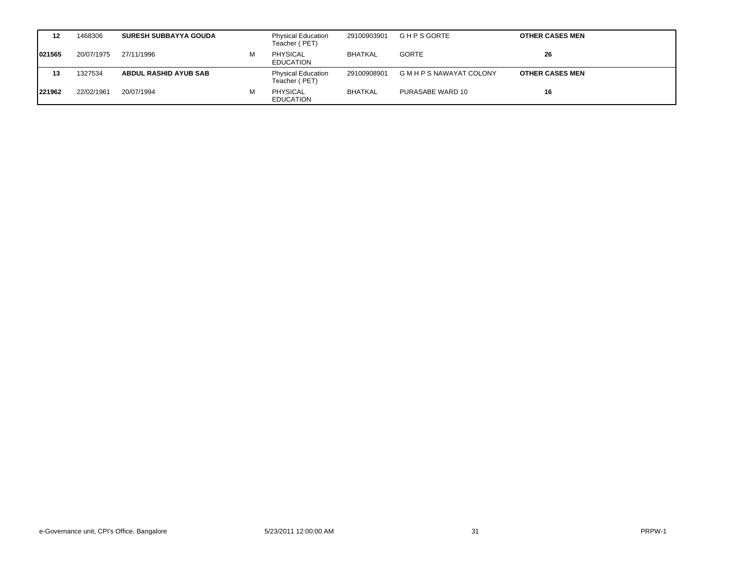| 12     | 1468306    | <b>SURESH SUBBAYYA GOUDA</b> |   | <b>Physical Education</b><br>Teacher (PET) | 29100903901    | <b>GHPS GORTE</b>           | <b>OTHER CASES MEN</b> |
|--------|------------|------------------------------|---|--------------------------------------------|----------------|-----------------------------|------------------------|
| 021565 | 20/07/1975 | 27/11/1996                   | м | <b>PHYSICAL</b><br><b>EDUCATION</b>        | <b>BHATKAL</b> | <b>GORTE</b>                | 26                     |
| 13     | 1327534    | <b>ABDUL RASHID AYUB SAB</b> |   | <b>Physical Education</b><br>Teacher (PET) | 29100908901    | <b>GMHPS NAWAYAT COLONY</b> | <b>OTHER CASES MEN</b> |
| 221962 | 22/02/1961 | 20/07/1994                   | м | <b>PHYSICAL</b><br><b>EDUCATION</b>        | <b>BHATKAL</b> | PURASABE WARD 10            | 16                     |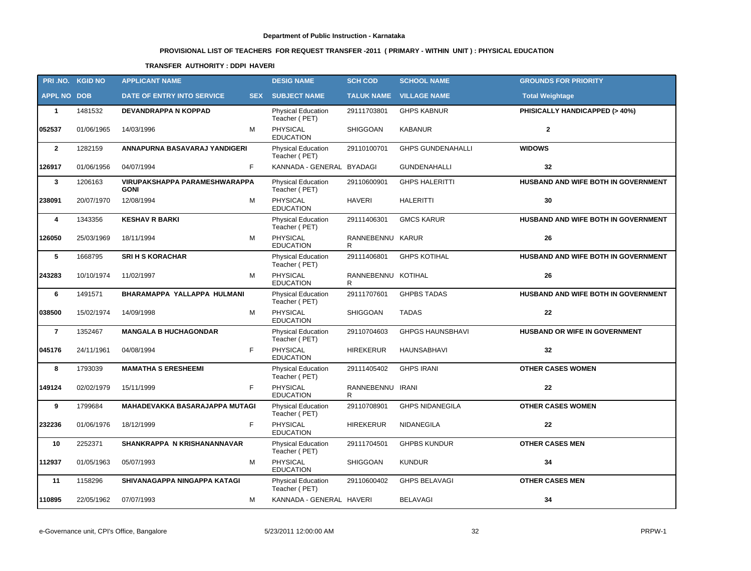# **PROVISIONAL LIST OF TEACHERS FOR REQUEST TRANSFER -2011 ( PRIMARY - WITHIN UNIT ) : PHYSICAL EDUCATION**

### **TRANSFER AUTHORITY : DDPI HAVERI**

|                    | PRI.NO. KGID NO | <b>APPLICANT NAME</b>                        |   | <b>DESIG NAME</b>                          | <b>SCH COD</b>          | <b>SCHOOL NAME</b>             | <b>GROUNDS FOR PRIORITY</b>          |
|--------------------|-----------------|----------------------------------------------|---|--------------------------------------------|-------------------------|--------------------------------|--------------------------------------|
| <b>APPL NO DOB</b> |                 | DATE OF ENTRY INTO SERVICE                   |   | <b>SEX SUBJECT NAME</b>                    |                         | <b>TALUK NAME VILLAGE NAME</b> | <b>Total Weightage</b>               |
| $\mathbf{1}$       | 1481532         | <b>DEVANDRAPPA N KOPPAD</b>                  |   | <b>Physical Education</b><br>Teacher (PET) | 29111703801             | <b>GHPS KABNUR</b>             | PHISICALLY HANDICAPPED (> 40%)       |
| 052537             | 01/06/1965      | 14/03/1996                                   | M | <b>PHYSICAL</b><br><b>EDUCATION</b>        | <b>SHIGGOAN</b>         | <b>KABANUR</b>                 | $\overline{2}$                       |
| $\overline{2}$     | 1282159         | ANNAPURNA BASAVARAJ YANDIGERI                |   | <b>Physical Education</b><br>Teacher (PET) | 29110100701             | <b>GHPS GUNDENAHALLI</b>       | <b>WIDOWS</b>                        |
| 126917             | 01/06/1956      | F<br>04/07/1994                              |   | KANNADA - GENERAL BYADAGI                  |                         | <b>GUNDENAHALLI</b>            | 32                                   |
| $\mathbf{3}$       | 1206163         | VIRUPAKSHAPPA PARAMESHWARAPPA<br><b>GONI</b> |   | Physical Education<br>Teacher (PET)        | 29110600901             | <b>GHPS HALERITTI</b>          | HUSBAND AND WIFE BOTH IN GOVERNMENT  |
| 238091             | 20/07/1970      | 12/08/1994<br>м                              |   | <b>PHYSICAL</b><br><b>EDUCATION</b>        | <b>HAVERI</b>           | <b>HALERITTI</b>               | 30                                   |
| 4                  | 1343356         | <b>KESHAV R BARKI</b>                        |   | Physical Education<br>Teacher (PET)        | 29111406301             | <b>GMCS KARUR</b>              | HUSBAND AND WIFE BOTH IN GOVERNMENT  |
| 126050             | 25/03/1969      | 18/11/1994                                   | M | <b>PHYSICAL</b><br><b>EDUCATION</b>        | RANNEBENNU KARUR<br>R.  |                                | 26                                   |
| 5                  | 1668795         | <b>SRI H S KORACHAR</b>                      |   | <b>Physical Education</b><br>Teacher (PET) | 29111406801             | <b>GHPS KOTIHAL</b>            | HUSBAND AND WIFE BOTH IN GOVERNMENT  |
| 243283             | 10/10/1974      | 11/02/1997                                   | м | PHYSICAL<br><b>EDUCATION</b>               | RANNEBENNU KOTIHAL<br>R |                                | 26                                   |
| 6                  | 1491571         | BHARAMAPPA YALLAPPA HULMANI                  |   | <b>Physical Education</b><br>Teacher (PET) | 29111707601             | <b>GHPBS TADAS</b>             | HUSBAND AND WIFE BOTH IN GOVERNMENT  |
| 038500             | 15/02/1974      | 14/09/1998                                   | М | PHYSICAL<br><b>EDUCATION</b>               | <b>SHIGGOAN</b>         | <b>TADAS</b>                   | 22                                   |
| $\bf 7$            | 1352467         | <b>MANGALA B HUCHAGONDAR</b>                 |   | Physical Education<br>Teacher (PET)        | 29110704603             | <b>GHPGS HAUNSBHAVI</b>        | <b>HUSBAND OR WIFE IN GOVERNMENT</b> |
| 045176             | 24/11/1961      | F<br>04/08/1994                              |   | <b>PHYSICAL</b><br><b>EDUCATION</b>        | <b>HIREKERUR</b>        | <b>HAUNSABHAVI</b>             | 32                                   |
| 8                  | 1793039         | <b>MAMATHA S ERESHEEMI</b>                   |   | <b>Physical Education</b><br>Teacher (PET) | 29111405402             | <b>GHPS IRANI</b>              | <b>OTHER CASES WOMEN</b>             |
| 149124             | 02/02/1979      | F<br>15/11/1999                              |   | <b>PHYSICAL</b><br><b>EDUCATION</b>        | RANNEBENNU IRANI<br>R   |                                | 22                                   |
| 9                  | 1799684         | MAHADEVAKKA BASARAJAPPA MUTAGI               |   | <b>Physical Education</b><br>Teacher (PET) | 29110708901             | <b>GHPS NIDANEGILA</b>         | <b>OTHER CASES WOMEN</b>             |
| 232236             | 01/06/1976      | F.<br>18/12/1999                             |   | PHYSICAL<br><b>EDUCATION</b>               | <b>HIREKERUR</b>        | <b>NIDANEGILA</b>              | 22                                   |
| 10                 | 2252371         | SHANKRAPPA N KRISHANANNAVAR                  |   | <b>Physical Education</b><br>Teacher (PET) | 29111704501             | <b>GHPBS KUNDUR</b>            | <b>OTHER CASES MEN</b>               |
| 112937             | 01/05/1963      | 05/07/1993                                   | M | <b>PHYSICAL</b><br><b>EDUCATION</b>        | SHIGGOAN                | <b>KUNDUR</b>                  | 34                                   |
| 11                 | 1158296         | SHIVANAGAPPA NINGAPPA KATAGI                 |   | Physical Education<br>Teacher (PET)        | 29110600402             | <b>GHPS BELAVAGI</b>           | <b>OTHER CASES MEN</b>               |
| 110895             | 22/05/1962      | 07/07/1993                                   | М | KANNADA - GENERAL HAVERI                   |                         | <b>BELAVAGI</b>                | 34                                   |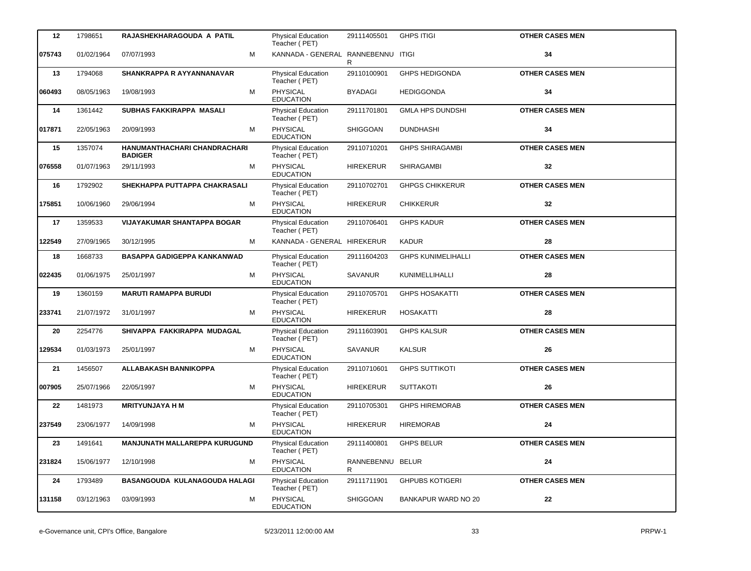| 12     | 1798651    | RAJASHEKHARAGOUDA A PATIL                      |   | <b>Physical Education</b><br>Teacher (PET) | 29111405501           | <b>GHPS ITIGI</b>          | <b>OTHER CASES MEN</b> |
|--------|------------|------------------------------------------------|---|--------------------------------------------|-----------------------|----------------------------|------------------------|
| 075743 | 01/02/1964 | 07/07/1993                                     | M | KANNADA - GENERAL RANNEBENNU ITIGI         | R                     |                            | 34                     |
| 13     | 1794068    | SHANKRAPPA R AYYANNANAVAR                      |   | Physical Education<br>Teacher (PET)        | 29110100901           | <b>GHPS HEDIGONDA</b>      | <b>OTHER CASES MEN</b> |
| 060493 | 08/05/1963 | 19/08/1993                                     | м | PHYSICAL<br><b>EDUCATION</b>               | <b>BYADAGI</b>        | <b>HEDIGGONDA</b>          | 34                     |
| 14     | 1361442    | SUBHAS FAKKIRAPPA MASALI                       |   | Physical Education<br>Teacher (PET)        | 29111701801           | <b>GMLA HPS DUNDSHI</b>    | <b>OTHER CASES MEN</b> |
| 017871 | 22/05/1963 | 20/09/1993                                     | м | <b>PHYSICAL</b><br><b>EDUCATION</b>        | SHIGGOAN              | <b>DUNDHASHI</b>           | 34                     |
| 15     | 1357074    | HANUMANTHACHARI CHANDRACHARI<br><b>BADIGER</b> |   | Physical Education<br>Teacher (PET)        | 29110710201           | <b>GHPS SHIRAGAMBI</b>     | <b>OTHER CASES MEN</b> |
| 076558 | 01/07/1963 | 29/11/1993                                     | м | <b>PHYSICAL</b><br><b>EDUCATION</b>        | <b>HIREKERUR</b>      | <b>SHIRAGAMBI</b>          | 32                     |
| 16     | 1792902    | SHEKHAPPA PUTTAPPA CHAKRASALI                  |   | Physical Education<br>Teacher (PET)        | 29110702701           | <b>GHPGS CHIKKERUR</b>     | <b>OTHER CASES MEN</b> |
| 175851 | 10/06/1960 | 29/06/1994                                     | M | <b>PHYSICAL</b><br><b>EDUCATION</b>        | <b>HIREKERUR</b>      | <b>CHIKKERUR</b>           | 32                     |
| 17     | 1359533    | <b>VIJAYAKUMAR SHANTAPPA BOGAR</b>             |   | Physical Education<br>Teacher (PET)        | 29110706401           | <b>GHPS KADUR</b>          | <b>OTHER CASES MEN</b> |
| 122549 | 27/09/1965 | 30/12/1995                                     | М | KANNADA - GENERAL HIREKERUR                |                       | <b>KADUR</b>               | 28                     |
| 18     | 1668733    | <b>BASAPPA GADIGEPPA KANKANWAD</b>             |   | <b>Physical Education</b><br>Teacher (PET) | 29111604203           | <b>GHPS KUNIMELIHALLI</b>  | <b>OTHER CASES MEN</b> |
| 022435 | 01/06/1975 | 25/01/1997                                     | M | PHYSICAL<br><b>EDUCATION</b>               | <b>SAVANUR</b>        | KUNIMELLIHALLI             | 28                     |
| 19     | 1360159    | <b>MARUTI RAMAPPA BURUDI</b>                   |   | Physical Education<br>Teacher (PET)        | 29110705701           | <b>GHPS HOSAKATTI</b>      | <b>OTHER CASES MEN</b> |
| 233741 | 21/07/1972 | 31/01/1997                                     | M | PHYSICAL<br><b>EDUCATION</b>               | <b>HIREKERUR</b>      | <b>HOSAKATTI</b>           | 28                     |
| 20     | 2254776    | SHIVAPPA FAKKIRAPPA MUDAGAL                    |   | Physical Education<br>Teacher (PET)        | 29111603901           | <b>GHPS KALSUR</b>         | <b>OTHER CASES MEN</b> |
| 129534 | 01/03/1973 | 25/01/1997                                     | м | PHYSICAL<br><b>EDUCATION</b>               | SAVANUR               | <b>KALSUR</b>              | 26                     |
| 21     | 1456507    | ALLABAKASH BANNIKOPPA                          |   | Physical Education<br>Teacher (PET)        | 29110710601           | <b>GHPS SUTTIKOTI</b>      | <b>OTHER CASES MEN</b> |
| 007905 | 25/07/1966 | 22/05/1997                                     | M | PHYSICAL<br><b>EDUCATION</b>               | <b>HIREKERUR</b>      | <b>SUTTAKOTI</b>           | 26                     |
| 22     | 1481973    | <b>MRITYUNJAYA H M</b>                         |   | Physical Education<br>Teacher (PET)        | 29110705301           | <b>GHPS HIREMORAB</b>      | <b>OTHER CASES MEN</b> |
| 237549 | 23/06/1977 | 14/09/1998                                     | M | <b>PHYSICAL</b><br><b>EDUCATION</b>        | <b>HIREKERUR</b>      | <b>HIREMORAB</b>           | 24                     |
| 23     | 1491641    | <b>MANJUNATH MALLAREPPA KURUGUND</b>           |   | <b>Physical Education</b><br>Teacher (PET) | 29111400801           | <b>GHPS BELUR</b>          | <b>OTHER CASES MEN</b> |
| 231824 | 15/06/1977 | 12/10/1998                                     | м | PHYSICAL<br><b>EDUCATION</b>               | RANNEBENNU BELUR<br>R |                            | 24                     |
| 24     | 1793489    | BASANGOUDA KULANAGOUDA HALAGI                  |   | <b>Physical Education</b><br>Teacher (PET) | 29111711901           | <b>GHPUBS KOTIGERI</b>     | <b>OTHER CASES MEN</b> |
| 131158 | 03/12/1963 | 03/09/1993                                     | м | <b>PHYSICAL</b><br><b>EDUCATION</b>        | SHIGGOAN              | <b>BANKAPUR WARD NO 20</b> | 22                     |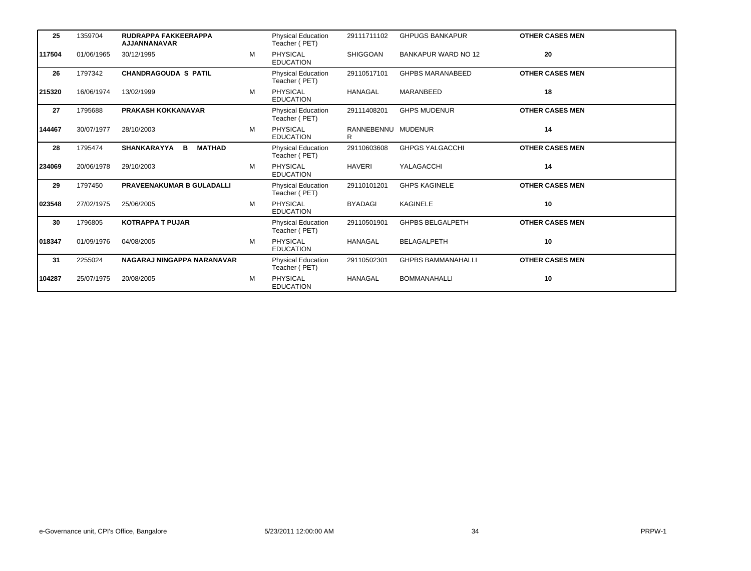| 25     | 1359704    | <b>RUDRAPPA FAKKEERAPPA</b><br><b>AJJANNANAVAR</b> |   | <b>Physical Education</b><br>Teacher (PET) | 29111711102             | <b>GHPUGS BANKAPUR</b>     | <b>OTHER CASES MEN</b> |
|--------|------------|----------------------------------------------------|---|--------------------------------------------|-------------------------|----------------------------|------------------------|
| 117504 | 01/06/1965 | 30/12/1995                                         | M | PHYSICAL<br><b>EDUCATION</b>               | <b>SHIGGOAN</b>         | <b>BANKAPUR WARD NO 12</b> | 20                     |
| 26     | 1797342    | <b>CHANDRAGOUDA S PATIL</b>                        |   | <b>Physical Education</b><br>Teacher (PET) | 29110517101             | <b>GHPBS MARANABEED</b>    | <b>OTHER CASES MEN</b> |
| 215320 | 16/06/1974 | 13/02/1999                                         | M | <b>PHYSICAL</b><br><b>EDUCATION</b>        | <b>HANAGAL</b>          | MARANBEED                  | 18                     |
| 27     | 1795688    | <b>PRAKASH KOKKANAVAR</b>                          |   | <b>Physical Education</b><br>Teacher (PET) | 29111408201             | <b>GHPS MUDENUR</b>        | <b>OTHER CASES MEN</b> |
| 144467 | 30/07/1977 | 28/10/2003                                         | M | <b>PHYSICAL</b><br><b>EDUCATION</b>        | RANNEBENNU MUDENUR<br>R |                            | 14                     |
| 28     | 1795474    | <b>MATHAD</b><br><b>SHANKARAYYA</b><br>в           |   | <b>Physical Education</b><br>Teacher (PET) | 29110603608             | <b>GHPGS YALGACCHI</b>     | <b>OTHER CASES MEN</b> |
| 234069 | 20/06/1978 | 29/10/2003                                         | M | <b>PHYSICAL</b><br><b>EDUCATION</b>        | <b>HAVERI</b>           | YALAGACCHI                 | 14                     |
| 29     | 1797450    | <b>PRAVEENAKUMAR B GULADALLI</b>                   |   | <b>Physical Education</b><br>Teacher (PET) | 29110101201             | <b>GHPS KAGINELE</b>       | <b>OTHER CASES MEN</b> |
| 023548 | 27/02/1975 | 25/06/2005                                         | M | PHYSICAL<br><b>EDUCATION</b>               | <b>BYADAGI</b>          | <b>KAGINELE</b>            | 10                     |
| 30     | 1796805    | <b>KOTRAPPA T PUJAR</b>                            |   | <b>Physical Education</b><br>Teacher (PET) | 29110501901             | <b>GHPBS BELGALPETH</b>    | <b>OTHER CASES MEN</b> |
| 018347 | 01/09/1976 | 04/08/2005                                         | M | <b>PHYSICAL</b><br><b>EDUCATION</b>        | <b>HANAGAL</b>          | <b>BELAGALPETH</b>         | 10                     |
| 31     | 2255024    | NAGARAJ NINGAPPA NARANAVAR                         |   | <b>Physical Education</b><br>Teacher (PET) | 29110502301             | <b>GHPBS BAMMANAHALLI</b>  | <b>OTHER CASES MEN</b> |
| 104287 | 25/07/1975 | 20/08/2005                                         | M | PHYSICAL<br><b>EDUCATION</b>               | <b>HANAGAL</b>          | <b>BOMMANAHALLI</b>        | 10                     |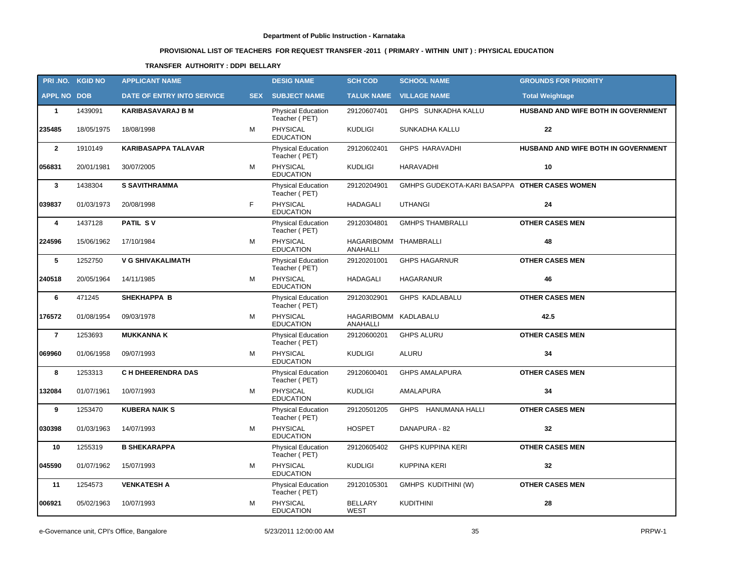# **PROVISIONAL LIST OF TEACHERS FOR REQUEST TRANSFER -2011 ( PRIMARY - WITHIN UNIT ) : PHYSICAL EDUCATION**

### **TRANSFER AUTHORITY : DDPI BELLARY**

| PRI.NO. KGID NO    |            | <b>APPLICANT NAME</b>             |            | <b>DESIG NAME</b>                          | <b>SCH COD</b>                    | <b>SCHOOL NAME</b>                            | <b>GROUNDS FOR PRIORITY</b>         |
|--------------------|------------|-----------------------------------|------------|--------------------------------------------|-----------------------------------|-----------------------------------------------|-------------------------------------|
| <b>APPL NO DOB</b> |            | <b>DATE OF ENTRY INTO SERVICE</b> | <b>SEX</b> | <b>SUBJECT NAME</b>                        |                                   | <b>TALUK NAME VILLAGE NAME</b>                | <b>Total Weightage</b>              |
| $\mathbf{1}$       | 1439091    | <b>KARIBASAVARAJ B M</b>          |            | <b>Physical Education</b><br>Teacher (PET) | 29120607401                       | GHPS SUNKADHA KALLU                           | HUSBAND AND WIFE BOTH IN GOVERNMENT |
| 235485             | 18/05/1975 | 18/08/1998                        | M          | PHYSICAL<br><b>EDUCATION</b>               | <b>KUDLIGI</b>                    | SUNKADHA KALLU                                | 22                                  |
| $\overline{2}$     | 1910149    | <b>KARIBASAPPA TALAVAR</b>        |            | Physical Education<br>Teacher (PET)        | 29120602401                       | <b>GHPS HARAVADHI</b>                         | HUSBAND AND WIFE BOTH IN GOVERNMENT |
| 056831             | 20/01/1981 | 30/07/2005                        | М          | PHYSICAL<br><b>EDUCATION</b>               | <b>KUDLIGI</b>                    | <b>HARAVADHI</b>                              | 10                                  |
| $\mathbf{3}$       | 1438304    | <b>S SAVITHRAMMA</b>              |            | Physical Education<br>Teacher (PET)        | 29120204901                       | GMHPS GUDEKOTA-KARI BASAPPA OTHER CASES WOMEN |                                     |
| 039837             | 01/03/1973 | 20/08/1998                        | F.         | PHYSICAL<br><b>EDUCATION</b>               | <b>HADAGALI</b>                   | <b>UTHANGI</b>                                | 24                                  |
| 4                  | 1437128    | <b>PATIL SV</b>                   |            | Physical Education<br>Teacher (PET)        | 29120304801                       | <b>GMHPS THAMBRALLI</b>                       | <b>OTHER CASES MEN</b>              |
| 224596             | 15/06/1962 | 17/10/1984                        | М          | <b>PHYSICAL</b><br><b>EDUCATION</b>        | HAGARIBOMM THAMBRALLI<br>ANAHALLI |                                               | 48                                  |
| 5                  | 1252750    | <b>V G SHIVAKALIMATH</b>          |            | Physical Education<br>Teacher (PET)        | 29120201001                       | <b>GHPS HAGARNUR</b>                          | <b>OTHER CASES MEN</b>              |
| 240518             | 20/05/1964 | 14/11/1985                        | м          | <b>PHYSICAL</b><br><b>EDUCATION</b>        | <b>HADAGALI</b>                   | <b>HAGARANUR</b>                              | 46                                  |
| 6                  | 471245     | <b>SHEKHAPPA B</b>                |            | Physical Education<br>Teacher (PET)        | 29120302901                       | <b>GHPS KADLABALU</b>                         | <b>OTHER CASES MEN</b>              |
| 176572             | 01/08/1954 | 09/03/1978                        | М          | <b>PHYSICAL</b><br><b>EDUCATION</b>        | HAGARIBOMM KADLABALU<br>ANAHALLI  |                                               | 42.5                                |
| $\overline{7}$     | 1253693    | <b>MUKKANNA K</b>                 |            | Physical Education<br>Teacher (PET)        | 29120600201                       | <b>GHPS ALURU</b>                             | <b>OTHER CASES MEN</b>              |
| 069960             | 01/06/1958 | 09/07/1993                        | м          | <b>PHYSICAL</b><br><b>EDUCATION</b>        | <b>KUDLIGI</b>                    | <b>ALURU</b>                                  | 34                                  |
| 8                  | 1253313    | <b>C H DHEERENDRA DAS</b>         |            | <b>Physical Education</b><br>Teacher (PET) | 29120600401                       | <b>GHPS AMALAPURA</b>                         | <b>OTHER CASES MEN</b>              |
| 132084             | 01/07/1961 | 10/07/1993                        | М          | PHYSICAL<br><b>EDUCATION</b>               | <b>KUDLIGI</b>                    | AMALAPURA                                     | 34                                  |
| 9                  | 1253470    | <b>KUBERA NAIK S</b>              |            | <b>Physical Education</b><br>Teacher (PET) | 29120501205                       | GHPS HANUMANA HALLI                           | <b>OTHER CASES MEN</b>              |
| 030398             | 01/03/1963 | 14/07/1993                        | м          | PHYSICAL<br><b>EDUCATION</b>               | <b>HOSPET</b>                     | DANAPURA - 82                                 | 32                                  |
| 10                 | 1255319    | <b>B SHEKARAPPA</b>               |            | Physical Education<br>Teacher (PET)        | 29120605402                       | <b>GHPS KUPPINA KERI</b>                      | <b>OTHER CASES MEN</b>              |
| 045590             | 01/07/1962 | 15/07/1993                        | М          | PHYSICAL<br><b>EDUCATION</b>               | <b>KUDLIGI</b>                    | <b>KUPPINA KERI</b>                           | 32                                  |
| 11                 | 1254573    | <b>VENKATESH A</b>                |            | Physical Education<br>Teacher (PET)        | 29120105301                       | <b>GMHPS KUDITHINI (W)</b>                    | <b>OTHER CASES MEN</b>              |
| 006921             | 05/02/1963 | 10/07/1993                        | М          | PHYSICAL<br><b>EDUCATION</b>               | <b>BELLARY</b><br><b>WEST</b>     | KUDITHINI                                     | 28                                  |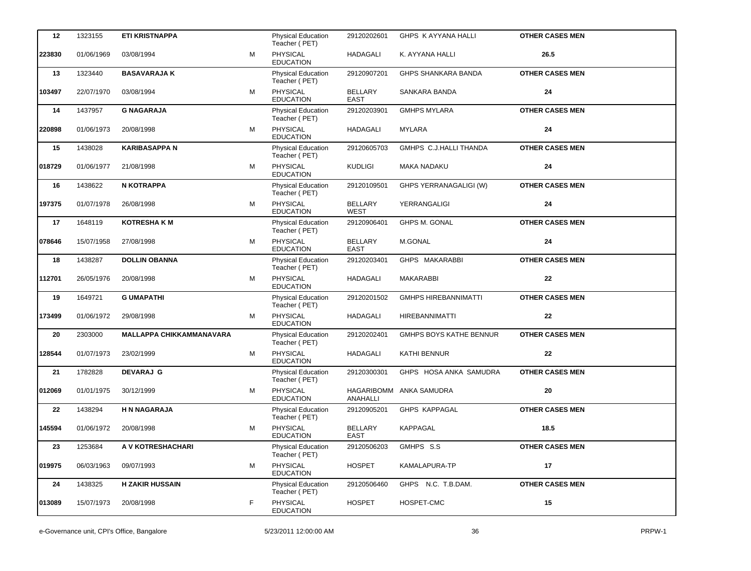| 12     | 1323155    | <b>ETI KRISTNAPPA</b>           |   | <b>Physical Education</b><br>Teacher (PET) | 29120202601                   | GHPS K AYYANA HALLI            | <b>OTHER CASES MEN</b> |
|--------|------------|---------------------------------|---|--------------------------------------------|-------------------------------|--------------------------------|------------------------|
| 223830 | 01/06/1969 | 03/08/1994                      | M | PHYSICAL<br><b>EDUCATION</b>               | <b>HADAGALI</b>               | K. AYYANA HALLI                | 26.5                   |
| 13     | 1323440    | <b>BASAVARAJA K</b>             |   | <b>Physical Education</b><br>Teacher (PET) | 29120907201                   | <b>GHPS SHANKARA BANDA</b>     | <b>OTHER CASES MEN</b> |
| 103497 | 22/07/1970 | 03/08/1994                      | М | PHYSICAL<br><b>EDUCATION</b>               | <b>BELLARY</b><br><b>EAST</b> | SANKARA BANDA                  | 24                     |
| 14     | 1437957    | <b>G NAGARAJA</b>               |   | Physical Education<br>Teacher (PET)        | 29120203901                   | <b>GMHPS MYLARA</b>            | <b>OTHER CASES MEN</b> |
| 220898 | 01/06/1973 | 20/08/1998                      | М | PHYSICAL<br><b>EDUCATION</b>               | <b>HADAGALI</b>               | MYLARA                         | 24                     |
| 15     | 1438028    | <b>KARIBASAPPA N</b>            |   | <b>Physical Education</b><br>Teacher (PET) | 29120605703                   | GMHPS C.J.HALLI THANDA         | <b>OTHER CASES MEN</b> |
| 018729 | 01/06/1977 | 21/08/1998                      | М | <b>PHYSICAL</b><br><b>EDUCATION</b>        | <b>KUDLIGI</b>                | MAKA NADAKU                    | 24                     |
| 16     | 1438622    | <b>N KOTRAPPA</b>               |   | Physical Education<br>Teacher (PET)        | 29120109501                   | GHPS YERRANAGALIGI (W)         | <b>OTHER CASES MEN</b> |
| 197375 | 01/07/1978 | 26/08/1998                      | м | PHYSICAL<br><b>EDUCATION</b>               | <b>BELLARY</b><br><b>WEST</b> | YERRANGALIGI                   | 24                     |
| 17     | 1648119    | <b>KOTRESHAKM</b>               |   | Physical Education<br>Teacher (PET)        | 29120906401                   | <b>GHPS M. GONAL</b>           | <b>OTHER CASES MEN</b> |
| 078646 | 15/07/1958 | 27/08/1998                      | м | <b>PHYSICAL</b><br><b>EDUCATION</b>        | <b>BELLARY</b><br><b>EAST</b> | <b>M.GONAL</b>                 | 24                     |
| 18     | 1438287    | <b>DOLLIN OBANNA</b>            |   | <b>Physical Education</b><br>Teacher (PET) | 29120203401                   | GHPS MAKARABBI                 | <b>OTHER CASES MEN</b> |
| 112701 | 26/05/1976 | 20/08/1998                      | м | <b>PHYSICAL</b><br><b>EDUCATION</b>        | <b>HADAGALI</b>               | MAKARABBI                      | 22                     |
| 19     | 1649721    | <b>G UMAPATHI</b>               |   | <b>Physical Education</b><br>Teacher (PET) | 29120201502                   | <b>GMHPS HIREBANNIMATTI</b>    | <b>OTHER CASES MEN</b> |
| 173499 | 01/06/1972 | 29/08/1998                      | М | PHYSICAL<br><b>EDUCATION</b>               | <b>HADAGALI</b>               | <b>HIREBANNIMATTI</b>          | 22                     |
| 20     | 2303000    | <b>MALLAPPA CHIKKAMMANAVARA</b> |   | <b>Physical Education</b><br>Teacher (PET) | 29120202401                   | <b>GMHPS BOYS KATHE BENNUR</b> | <b>OTHER CASES MEN</b> |
| 128544 | 01/07/1973 | 23/02/1999                      | M | PHYSICAL<br><b>EDUCATION</b>               | <b>HADAGALI</b>               | KATHI BENNUR                   | 22                     |
| 21     | 1782828    | <b>DEVARAJ G</b>                |   | Physical Education<br>Teacher (PET)        | 29120300301                   | GHPS HOSA ANKA SAMUDRA         | <b>OTHER CASES MEN</b> |
| 012069 | 01/01/1975 | 30/12/1999                      | М | PHYSICAL<br><b>EDUCATION</b>               | ANAHALLI                      | HAGARIBOMM ANKA SAMUDRA        | 20                     |
| 22     | 1438294    | <b>H N NAGARAJA</b>             |   | <b>Physical Education</b><br>Teacher (PET) | 29120905201                   | GHPS KAPPAGAL                  | <b>OTHER CASES MEN</b> |
| 145594 | 01/06/1972 | 20/08/1998                      | м | PHYSICAL<br><b>EDUCATION</b>               | <b>BELLARY</b><br><b>EAST</b> | KAPPAGAL                       | 18.5                   |
| 23     | 1253684    | A V KOTRESHACHARI               |   | Physical Education<br>Teacher (PET)        | 29120506203                   | GMHPS S.S                      | <b>OTHER CASES MEN</b> |
| 019975 | 06/03/1963 | 09/07/1993                      | М | PHYSICAL<br><b>EDUCATION</b>               | <b>HOSPET</b>                 | KAMALAPURA-TP                  | 17                     |
| 24     | 1438325    | <b>H ZAKIR HUSSAIN</b>          |   | Physical Education<br>Teacher (PET)        | 29120506460                   | GHPS N.C. T.B.DAM.             | <b>OTHER CASES MEN</b> |
| 013089 | 15/07/1973 | 20/08/1998                      | F | PHYSICAL<br><b>EDUCATION</b>               | <b>HOSPET</b>                 | HOSPET-CMC                     | 15                     |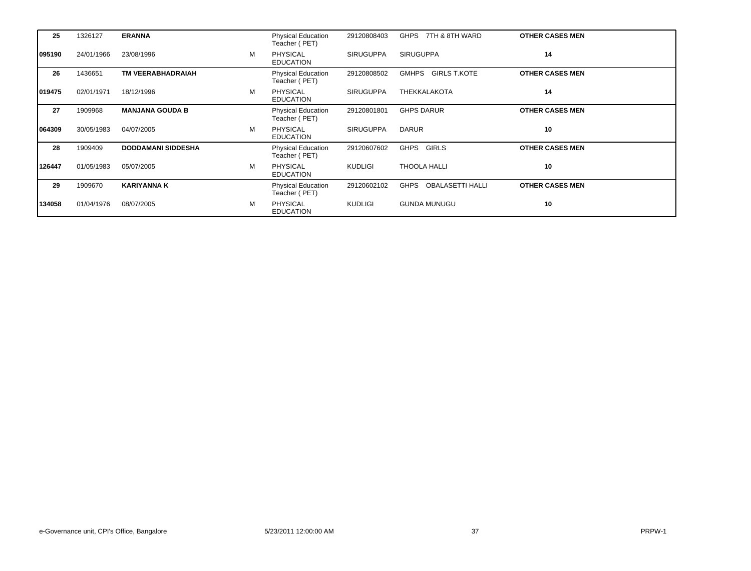| 25     | 1326127    | <b>ERANNA</b>             |   | <b>Physical Education</b><br>Teacher (PET) | 29120808403      | GHPS 7TH & 8TH WARD                    | <b>OTHER CASES MEN</b> |
|--------|------------|---------------------------|---|--------------------------------------------|------------------|----------------------------------------|------------------------|
| 095190 | 24/01/1966 | 23/08/1996                | м | <b>PHYSICAL</b><br><b>EDUCATION</b>        | <b>SIRUGUPPA</b> | <b>SIRUGUPPA</b>                       | 14                     |
| 26     | 1436651    | <b>TM VEERABHADRAIAH</b>  |   | Physical Education<br>Teacher (PET)        | 29120808502      | <b>GIRLS T.KOTE</b><br><b>GMHPS</b>    | <b>OTHER CASES MEN</b> |
| 019475 | 02/01/1971 | 18/12/1996                | м | <b>PHYSICAL</b><br><b>EDUCATION</b>        | <b>SIRUGUPPA</b> | <b>THEKKALAKOTA</b>                    | 14                     |
| 27     | 1909968    | <b>MANJANA GOUDA B</b>    |   | <b>Physical Education</b><br>Teacher (PET) | 29120801801      | <b>GHPS DARUR</b>                      | <b>OTHER CASES MEN</b> |
| 064309 | 30/05/1983 | 04/07/2005                | M | <b>PHYSICAL</b><br><b>EDUCATION</b>        | <b>SIRUGUPPA</b> | <b>DARUR</b>                           | 10                     |
| 28     | 1909409    | <b>DODDAMANI SIDDESHA</b> |   | Physical Education<br>Teacher (PET)        | 29120607602      | GHPS GIRLS                             | <b>OTHER CASES MEN</b> |
| 126447 | 01/05/1983 | 05/07/2005                | м | <b>PHYSICAL</b><br><b>EDUCATION</b>        | KUDLIGI          | <b>THOOLA HALLI</b>                    | 10                     |
| 29     | 1909670    | <b>KARIYANNA K</b>        |   | Physical Education<br>Teacher (PET)        | 29120602102      | <b>OBALASETTI HALLI</b><br><b>GHPS</b> | <b>OTHER CASES MEN</b> |
| 134058 | 01/04/1976 | 08/07/2005                | M | <b>PHYSICAL</b><br><b>EDUCATION</b>        | KUDLIGI          | <b>GUNDA MUNUGU</b>                    | 10                     |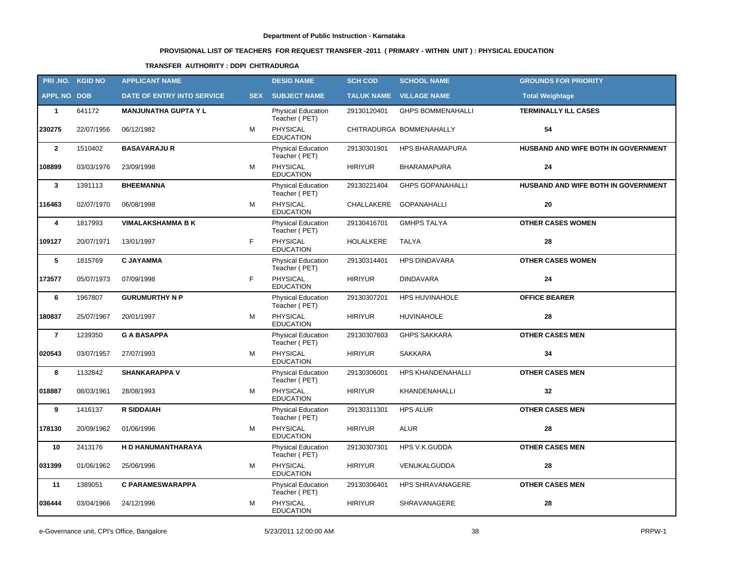# **PROVISIONAL LIST OF TEACHERS FOR REQUEST TRANSFER -2011 ( PRIMARY - WITHIN UNIT ) : PHYSICAL EDUCATION**

### **TRANSFER AUTHORITY : DDPI CHITRADURGA**

| PRI.NO. KGID NO    |            | <b>APPLICANT NAME</b>       |            | <b>DESIG NAME</b>                          | <b>SCH COD</b>    | <b>SCHOOL NAME</b>       | <b>GROUNDS FOR PRIORITY</b>         |
|--------------------|------------|-----------------------------|------------|--------------------------------------------|-------------------|--------------------------|-------------------------------------|
| <b>APPL NO DOB</b> |            | DATE OF ENTRY INTO SERVICE  | <b>SEX</b> | <b>SUBJECT NAME</b>                        | <b>TALUK NAME</b> | <b>VILLAGE NAME</b>      | <b>Total Weightage</b>              |
| $\mathbf{1}$       | 641172     | <b>MANJUNATHA GUPTA Y L</b> |            | <b>Physical Education</b><br>Teacher (PET) | 29130120401       | <b>GHPS BOMMENAHALLI</b> | <b>TERMINALLY ILL CASES</b>         |
| 230275             | 22/07/1956 | 06/12/1982                  | M          | PHYSICAL<br><b>EDUCATION</b>               |                   | CHITRADURGA BOMMENAHALLY | 54                                  |
| $\overline{2}$     | 1510402    | <b>BASAVARAJUR</b>          |            | <b>Physical Education</b><br>Teacher (PET) | 29130301901       | <b>HPS BHARAMAPURA</b>   | HUSBAND AND WIFE BOTH IN GOVERNMENT |
| 108899             | 03/03/1976 | 23/09/1998                  | М          | PHYSICAL<br><b>EDUCATION</b>               | <b>HIRIYUR</b>    | <b>BHARAMAPURA</b>       | 24                                  |
| $\mathbf{3}$       | 1391113    | <b>BHEEMANNA</b>            |            | Physical Education<br>Teacher (PET)        | 29130221404       | <b>GHPS GOPANAHALLI</b>  | HUSBAND AND WIFE BOTH IN GOVERNMENT |
| 116463             | 02/07/1970 | 06/08/1998                  | М          | PHYSICAL<br><b>EDUCATION</b>               | CHALLAKERE        | <b>GOPANAHALLI</b>       | 20                                  |
| 4                  | 1817993    | <b>VIMALAKSHAMMA B K</b>    |            | Physical Education<br>Teacher (PET)        | 29130416701       | <b>GMHPS TALYA</b>       | <b>OTHER CASES WOMEN</b>            |
| 109127             | 20/07/1971 | 13/01/1997                  | F.         | PHYSICAL<br><b>EDUCATION</b>               | <b>HOLALKERE</b>  | <b>TALYA</b>             | 28                                  |
| 5                  | 1815769    | <b>C JAYAMMA</b>            |            | Physical Education<br>Teacher (PET)        | 29130314401       | <b>HPS DINDAVARA</b>     | <b>OTHER CASES WOMEN</b>            |
| 173577             | 05/07/1973 | 07/09/1998                  | F          | PHYSICAL<br><b>EDUCATION</b>               | <b>HIRIYUR</b>    | <b>DINDAVARA</b>         | 24                                  |
| 6                  | 1967807    | <b>GURUMURTHY N P</b>       |            | Physical Education<br>Teacher (PET)        | 29130307201       | <b>HPS HUVINAHOLE</b>    | <b>OFFICE BEARER</b>                |
| 180837             | 25/07/1967 | 20/01/1997                  | М          | PHYSICAL<br><b>EDUCATION</b>               | <b>HIRIYUR</b>    | <b>HUVINAHOLE</b>        | 28                                  |
| $\overline{7}$     | 1239350    | <b>G A BASAPPA</b>          |            | Physical Education<br>Teacher (PET)        | 29130307603       | <b>GHPS SAKKARA</b>      | <b>OTHER CASES MEN</b>              |
| 020543             | 03/07/1957 | 27/07/1993                  | м          | <b>PHYSICAL</b><br><b>EDUCATION</b>        | <b>HIRIYUR</b>    | <b>SAKKARA</b>           | 34                                  |
| 8                  | 1132842    | <b>SHANKARAPPA V</b>        |            | Physical Education<br>Teacher (PET)        | 29130306001       | HPS KHANDENAHALLI        | <b>OTHER CASES MEN</b>              |
| 018887             | 08/03/1961 | 28/08/1993                  | М          | <b>PHYSICAL</b><br><b>EDUCATION</b>        | <b>HIRIYUR</b>    | KHANDENAHALLI            | 32                                  |
| 9                  | 1416137    | <b>R SIDDAIAH</b>           |            | <b>Physical Education</b><br>Teacher (PET) | 29130311301       | <b>HPS ALUR</b>          | <b>OTHER CASES MEN</b>              |
| 178130             | 20/09/1962 | 01/06/1996                  | м          | PHYSICAL<br><b>EDUCATION</b>               | <b>HIRIYUR</b>    | <b>ALUR</b>              | 28                                  |
| 10                 | 2413176    | H D HANUMANTHARAYA          |            | <b>Physical Education</b><br>Teacher (PET) | 29130307301       | HPS V.K.GUDDA            | <b>OTHER CASES MEN</b>              |
| 031399             | 01/06/1962 | 25/06/1996                  | M          | PHYSICAL<br><b>EDUCATION</b>               | <b>HIRIYUR</b>    | VENUKALGUDDA             | 28                                  |
| 11                 | 1389051    | <b>C PARAMESWARAPPA</b>     |            | <b>Physical Education</b><br>Teacher (PET) | 29130306401       | HPS SHRAVANAGERE         | <b>OTHER CASES MEN</b>              |
| 036444             | 03/04/1966 | 24/12/1996                  | М          | PHYSICAL<br><b>EDUCATION</b>               | <b>HIRIYUR</b>    | SHRAVANAGERE             | 28                                  |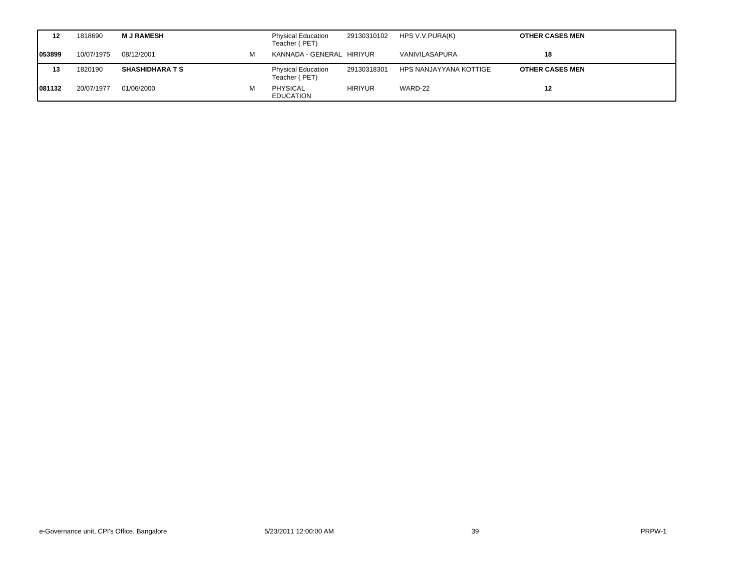| 12     | 1818690    | <b>MJRAMESH</b>        |   | <b>Physical Education</b><br>Teacher (PET) | 29130310102    | HPS V.V.PURA(K)        | <b>OTHER CASES MEN</b> |
|--------|------------|------------------------|---|--------------------------------------------|----------------|------------------------|------------------------|
| 053899 | 10/07/1975 | 08/12/2001             | м | KANNADA - GENERAL HIRIYUR                  |                | VANIVILASAPURA         | 18                     |
| 13     | 1820190    | <b>SHASHIDHARA T S</b> |   | <b>Physical Education</b><br>Teacher (PET) | 29130318301    | HPS NANJAYYANA KOTTIGE | <b>OTHER CASES MEN</b> |
| 081132 | 20/07/1977 | 01/06/2000             |   | <b>PHYSICAL</b><br><b>EDUCATION</b>        | <b>HIRIYUR</b> | WARD-22                | 12                     |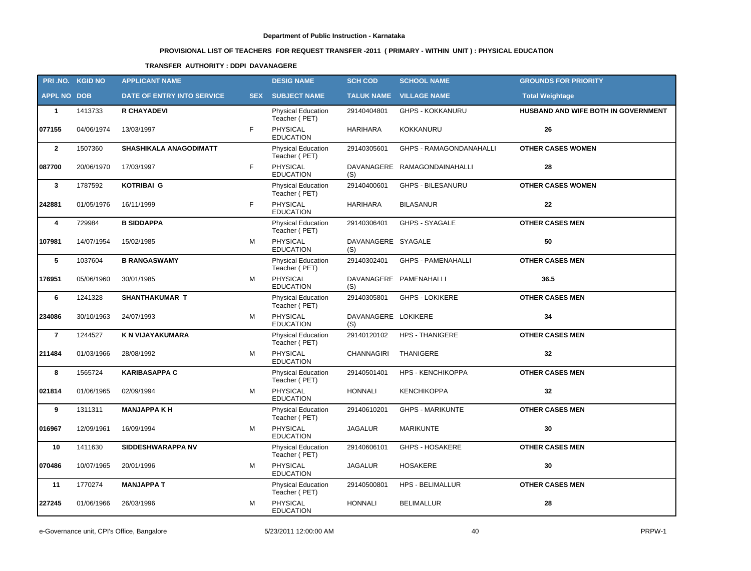# **PROVISIONAL LIST OF TEACHERS FOR REQUEST TRANSFER -2011 ( PRIMARY - WITHIN UNIT ) : PHYSICAL EDUCATION**

### **TRANSFER AUTHORITY : DDPI DAVANAGERE**

|                    | PRI.NO. KGID NO | <b>APPLICANT NAME</b>      |            | <b>DESIG NAME</b>                          | <b>SCH COD</b>             | <b>SCHOOL NAME</b>             | <b>GROUNDS FOR PRIORITY</b>         |
|--------------------|-----------------|----------------------------|------------|--------------------------------------------|----------------------------|--------------------------------|-------------------------------------|
| <b>APPL NO DOB</b> |                 | DATE OF ENTRY INTO SERVICE | <b>SEX</b> | <b>SUBJECT NAME</b>                        |                            | <b>TALUK NAME VILLAGE NAME</b> | <b>Total Weightage</b>              |
| $\mathbf{1}$       | 1413733         | <b>R CHAYADEVI</b>         |            | <b>Physical Education</b><br>Teacher (PET) | 29140404801                | <b>GHPS - KOKKANURU</b>        | HUSBAND AND WIFE BOTH IN GOVERNMENT |
| 077155             | 04/06/1974      | 13/03/1997                 | F          | PHYSICAL<br><b>EDUCATION</b>               | <b>HARIHARA</b>            | KOKKANURU                      | 26                                  |
| $\overline{2}$     | 1507360         | SHASHIKALA ANAGODIMATT     |            | Physical Education<br>Teacher (PET)        | 29140305601                | GHPS - RAMAGONDANAHALLI        | <b>OTHER CASES WOMEN</b>            |
| 087700             | 20/06/1970      | 17/03/1997                 | F.         | PHYSICAL<br><b>EDUCATION</b>               | (S)                        | DAVANAGERE RAMAGONDAINAHALLI   | 28                                  |
| $\mathbf{3}$       | 1787592         | <b>KOTRIBAI G</b>          |            | Physical Education<br>Teacher (PET)        | 29140400601                | <b>GHPS - BILESANURU</b>       | <b>OTHER CASES WOMEN</b>            |
| 242881             | 01/05/1976      | 16/11/1999                 | F          | <b>PHYSICAL</b><br><b>EDUCATION</b>        | <b>HARIHARA</b>            | <b>BILASANUR</b>               | 22                                  |
| 4                  | 729984          | <b>B SIDDAPPA</b>          |            | Physical Education<br>Teacher (PET)        | 29140306401                | <b>GHPS - SYAGALE</b>          | <b>OTHER CASES MEN</b>              |
| 107981             | 14/07/1954      | 15/02/1985                 | М          | <b>PHYSICAL</b><br><b>EDUCATION</b>        | DAVANAGERE SYAGALE<br>(S)  |                                | 50                                  |
| 5                  | 1037604         | <b>B RANGASWAMY</b>        |            | <b>Physical Education</b><br>Teacher (PET) | 29140302401                | <b>GHPS - PAMENAHALLI</b>      | <b>OTHER CASES MEN</b>              |
| 176951             | 05/06/1960      | 30/01/1985                 | м          | PHYSICAL<br><b>EDUCATION</b>               | (S)                        | DAVANAGERE PAMENAHALLI         | 36.5                                |
| 6                  | 1241328         | <b>SHANTHAKUMAR T</b>      |            | Physical Education<br>Teacher (PET)        | 29140305801                | <b>GHPS - LOKIKERE</b>         | <b>OTHER CASES MEN</b>              |
| 234086             | 30/10/1963      | 24/07/1993                 | М          | PHYSICAL<br><b>EDUCATION</b>               | DAVANAGERE LOKIKERE<br>(S) |                                | 34                                  |
| $\overline{7}$     | 1244527         | K N VIJAYAKUMARA           |            | <b>Physical Education</b><br>Teacher (PET) | 29140120102                | <b>HPS - THANIGERE</b>         | <b>OTHER CASES MEN</b>              |
| 211484             | 01/03/1966      | 28/08/1992                 | М          | PHYSICAL<br><b>EDUCATION</b>               | CHANNAGIRI                 | <b>THANIGERE</b>               | 32                                  |
| 8                  | 1565724         | <b>KARIBASAPPA C</b>       |            | <b>Physical Education</b><br>Teacher (PET) | 29140501401                | <b>HPS - KENCHIKOPPA</b>       | <b>OTHER CASES MEN</b>              |
| 021814             | 01/06/1965      | 02/09/1994                 | М          | PHYSICAL<br><b>EDUCATION</b>               | <b>HONNALI</b>             | <b>KENCHIKOPPA</b>             | 32                                  |
| 9                  | 1311311         | <b>MANJAPPA KH</b>         |            | <b>Physical Education</b><br>Teacher (PET) | 29140610201                | <b>GHPS - MARIKUNTE</b>        | <b>OTHER CASES MEN</b>              |
| 016967             | 12/09/1961      | 16/09/1994                 | м          | PHYSICAL<br><b>EDUCATION</b>               | <b>JAGALUR</b>             | <b>MARIKUNTE</b>               | 30                                  |
| 10                 | 1411630         | SIDDESHWARAPPA NV          |            | Physical Education<br>Teacher (PET)        | 29140606101                | GHPS - HOSAKERE                | <b>OTHER CASES MEN</b>              |
| 070486             | 10/07/1965      | 20/01/1996                 | М          | PHYSICAL<br><b>EDUCATION</b>               | JAGALUR                    | <b>HOSAKERE</b>                | 30                                  |
| 11                 | 1770274         | <b>MANJAPPA T</b>          |            | <b>Physical Education</b><br>Teacher (PET) | 29140500801                | HPS - BELIMALLUR               | <b>OTHER CASES MEN</b>              |
| 227245             | 01/06/1966      | 26/03/1996                 | М          | PHYSICAL<br><b>EDUCATION</b>               | <b>HONNALI</b>             | <b>BELIMALLUR</b>              | 28                                  |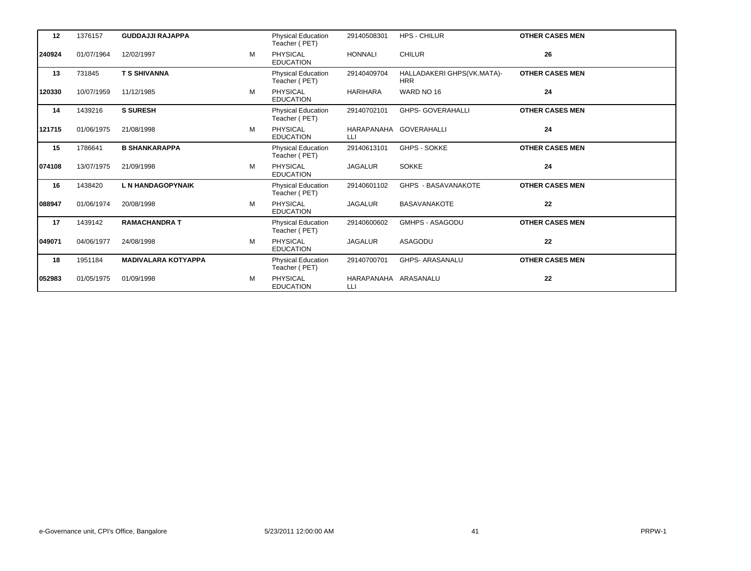| 12     | 1376157    | <b>GUDDAJJI RAJAPPA</b>    |   | <b>Physical Education</b><br>Teacher (PET) | 29140508301                | <b>HPS - CHILUR</b>                      | <b>OTHER CASES MEN</b> |
|--------|------------|----------------------------|---|--------------------------------------------|----------------------------|------------------------------------------|------------------------|
| 240924 | 01/07/1964 | 12/02/1997                 | M | <b>PHYSICAL</b><br><b>EDUCATION</b>        | <b>HONNALI</b>             | <b>CHILUR</b>                            | 26                     |
| 13     | 731845     | <b>T S SHIVANNA</b>        |   | Physical Education<br>Teacher (PET)        | 29140409704                | HALLADAKERI GHPS(VK.MATA)-<br><b>HRR</b> | <b>OTHER CASES MEN</b> |
| 120330 | 10/07/1959 | 11/12/1985                 | M | <b>PHYSICAL</b><br><b>EDUCATION</b>        | <b>HARIHARA</b>            | WARD NO 16                               | 24                     |
| 14     | 1439216    | <b>S SURESH</b>            |   | <b>Physical Education</b><br>Teacher (PET) | 29140702101                | <b>GHPS- GOVERAHALLI</b>                 | <b>OTHER CASES MEN</b> |
| 121715 | 01/06/1975 | 21/08/1998                 | M | <b>PHYSICAL</b><br><b>EDUCATION</b>        | LLI                        | HARAPANAHA GOVERAHALLI                   | 24                     |
| 15     | 1786641    | <b>B SHANKARAPPA</b>       |   | <b>Physical Education</b><br>Teacher (PET) | 29140613101                | <b>GHPS - SOKKE</b>                      | <b>OTHER CASES MEN</b> |
| 074108 | 13/07/1975 | 21/09/1998                 | M | <b>PHYSICAL</b><br><b>EDUCATION</b>        | <b>JAGALUR</b>             | <b>SOKKE</b>                             | 24                     |
| 16     | 1438420    | <b>L N HANDAGOPYNAIK</b>   |   | <b>Physical Education</b><br>Teacher (PET) | 29140601102                | <b>GHPS - BASAVANAKOTE</b>               | <b>OTHER CASES MEN</b> |
| 088947 | 01/06/1974 | 20/08/1998                 | М | <b>PHYSICAL</b><br><b>EDUCATION</b>        | <b>JAGALUR</b>             | <b>BASAVANAKOTE</b>                      | 22                     |
| 17     | 1439142    | <b>RAMACHANDRA T</b>       |   | <b>Physical Education</b><br>Teacher (PET) | 29140600602                | <b>GMHPS - ASAGODU</b>                   | <b>OTHER CASES MEN</b> |
| 049071 | 04/06/1977 | 24/08/1998                 | М | PHYSICAL<br><b>EDUCATION</b>               | <b>JAGALUR</b>             | ASAGODU                                  | 22                     |
| 18     | 1951184    | <b>MADIVALARA KOTYAPPA</b> |   | <b>Physical Education</b><br>Teacher (PET) | 29140700701                | <b>GHPS- ARASANALU</b>                   | <b>OTHER CASES MEN</b> |
| 052983 | 01/05/1975 | 01/09/1998                 | М | <b>PHYSICAL</b><br><b>EDUCATION</b>        | HARAPANAHA ARASANALU<br>LЦ |                                          | 22                     |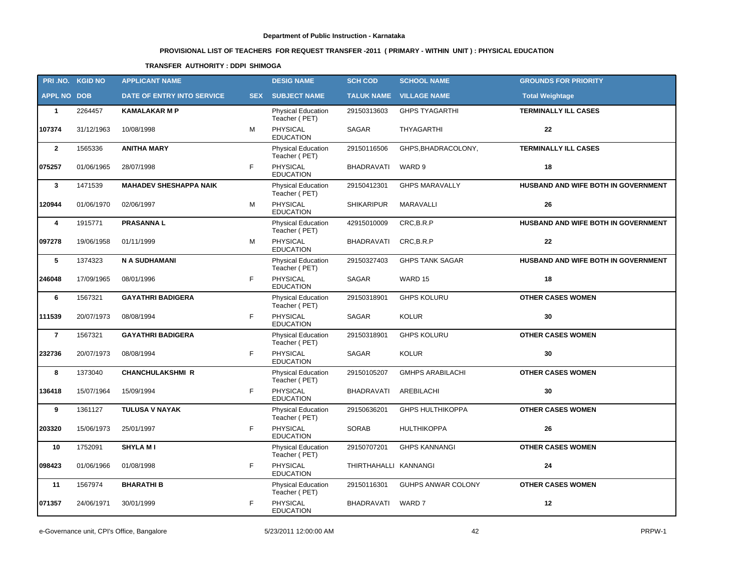# **PROVISIONAL LIST OF TEACHERS FOR REQUEST TRANSFER -2011 ( PRIMARY - WITHIN UNIT ) : PHYSICAL EDUCATION**

### **TRANSFER AUTHORITY : DDPI SHIMOGA**

|                    | PRI.NO. KGID NO | <b>APPLICANT NAME</b>         |            | <b>DESIG NAME</b>                          | <b>SCH COD</b>        | <b>SCHOOL NAME</b>             | <b>GROUNDS FOR PRIORITY</b>         |
|--------------------|-----------------|-------------------------------|------------|--------------------------------------------|-----------------------|--------------------------------|-------------------------------------|
| <b>APPL NO DOB</b> |                 | DATE OF ENTRY INTO SERVICE    | <b>SEX</b> | <b>SUBJECT NAME</b>                        |                       | <b>TALUK NAME VILLAGE NAME</b> | <b>Total Weightage</b>              |
| $\mathbf{1}$       | 2264457         | <b>KAMALAKAR M P</b>          |            | <b>Physical Education</b><br>Teacher (PET) | 29150313603           | <b>GHPS TYAGARTHI</b>          | <b>TERMINALLY ILL CASES</b>         |
| 107374             | 31/12/1963      | 10/08/1998                    | М          | PHYSICAL<br><b>EDUCATION</b>               | SAGAR                 | THYAGARTHI                     | 22                                  |
| $\mathbf{2}$       | 1565336         | <b>ANITHA MARY</b>            |            | Physical Education<br>Teacher (PET)        | 29150116506           | GHPS, BHADRACOLONY,            | <b>TERMINALLY ILL CASES</b>         |
| 075257             | 01/06/1965      | 28/07/1998                    | F.         | PHYSICAL<br><b>EDUCATION</b>               | <b>BHADRAVATI</b>     | WARD 9                         | 18                                  |
| $\mathbf{3}$       | 1471539         | <b>MAHADEV SHESHAPPA NAIK</b> |            | Physical Education<br>Teacher (PET)        | 29150412301           | <b>GHPS MARAVALLY</b>          | HUSBAND AND WIFE BOTH IN GOVERNMENT |
| 120944             | 01/06/1970      | 02/06/1997                    | м          | PHYSICAL<br><b>EDUCATION</b>               | <b>SHIKARIPUR</b>     | <b>MARAVALLI</b>               | 26                                  |
| 4                  | 1915771         | <b>PRASANNAL</b>              |            | Physical Education<br>Teacher (PET)        | 42915010009           | CRC, B.R.P                     | HUSBAND AND WIFE BOTH IN GOVERNMENT |
| 097278             | 19/06/1958      | 01/11/1999                    | М          | <b>PHYSICAL</b><br><b>EDUCATION</b>        | BHADRAVATI            | CRC, B.R.P                     | 22                                  |
| 5                  | 1374323         | N A SUDHAMANI                 |            | Physical Education<br>Teacher (PET)        | 29150327403           | <b>GHPS TANK SAGAR</b>         | HUSBAND AND WIFE BOTH IN GOVERNMENT |
| 246048             | 17/09/1965      | 08/01/1996                    | F          | <b>PHYSICAL</b><br><b>EDUCATION</b>        | SAGAR                 | WARD 15                        | 18                                  |
| 6                  | 1567321         | <b>GAYATHRI BADIGERA</b>      |            | Physical Education<br>Teacher (PET)        | 29150318901           | <b>GHPS KOLURU</b>             | <b>OTHER CASES WOMEN</b>            |
| 111539             | 20/07/1973      | 08/08/1994                    | F          | PHYSICAL<br><b>EDUCATION</b>               | <b>SAGAR</b>          | <b>KOLUR</b>                   | 30                                  |
| $\overline{7}$     | 1567321         | <b>GAYATHRI BADIGERA</b>      |            | Physical Education<br>Teacher (PET)        | 29150318901           | <b>GHPS KOLURU</b>             | <b>OTHER CASES WOMEN</b>            |
| 232736             | 20/07/1973      | 08/08/1994                    | F          | <b>PHYSICAL</b><br><b>EDUCATION</b>        | <b>SAGAR</b>          | <b>KOLUR</b>                   | 30                                  |
| 8                  | 1373040         | <b>CHANCHULAKSHMI R</b>       |            | <b>Physical Education</b><br>Teacher (PET) | 29150105207           | <b>GMHPS ARABILACHI</b>        | <b>OTHER CASES WOMEN</b>            |
| 136418             | 15/07/1964      | 15/09/1994                    | F          | PHYSICAL<br><b>EDUCATION</b>               | <b>BHADRAVATI</b>     | AREBILACHI                     | 30                                  |
| 9                  | 1361127         | <b>TULUSA V NAYAK</b>         |            | <b>Physical Education</b><br>Teacher (PET) | 29150636201           | <b>GHPS HULTHIKOPPA</b>        | <b>OTHER CASES WOMEN</b>            |
| 203320             | 15/06/1973      | 25/01/1997                    | F          | PHYSICAL<br><b>EDUCATION</b>               | <b>SORAB</b>          | <b>HULTHIKOPPA</b>             | 26                                  |
| 10                 | 1752091         | <b>SHYLA MI</b>               |            | Physical Education<br>Teacher (PET)        | 29150707201           | <b>GHPS KANNANGI</b>           | <b>OTHER CASES WOMEN</b>            |
| 098423             | 01/06/1966      | 01/08/1998                    | F          | <b>PHYSICAL</b><br><b>EDUCATION</b>        | THIRTHAHALLI KANNANGI |                                | ${\bf 24}$                          |
| 11                 | 1567974         | <b>BHARATHI B</b>             |            | Physical Education<br>Teacher (PET)        | 29150116301           | GUHPS ANWAR COLONY             | <b>OTHER CASES WOMEN</b>            |
| 071357             | 24/06/1971      | 30/01/1999                    | F          | PHYSICAL<br><b>EDUCATION</b>               | BHADRAVATI            | WARD 7                         | 12                                  |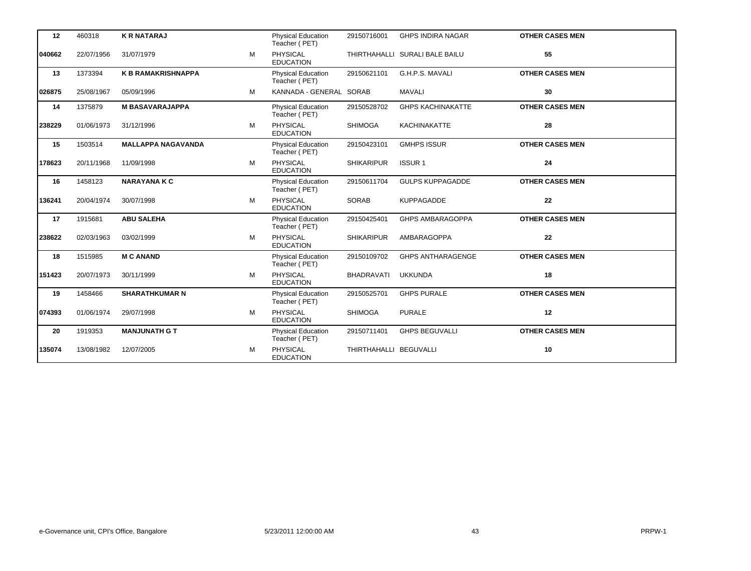| 12     | 460318     | <b>K R NATARAJ</b>        |   | <b>Physical Education</b><br>Teacher (PET) | 29150716001            | <b>GHPS INDIRA NAGAR</b>       | <b>OTHER CASES MEN</b> |
|--------|------------|---------------------------|---|--------------------------------------------|------------------------|--------------------------------|------------------------|
| 040662 | 22/07/1956 | 31/07/1979                | м | <b>PHYSICAL</b><br><b>EDUCATION</b>        |                        | THIRTHAHALLI SURALI BALE BAILU | 55                     |
| 13     | 1373394    | <b>K B RAMAKRISHNAPPA</b> |   | Physical Education<br>Teacher (PET)        | 29150621101            | G.H.P.S. MAVALI                | <b>OTHER CASES MEN</b> |
| 026875 | 25/08/1967 | 05/09/1996                | м | KANNADA - GENERAL SORAB                    |                        | MAVALI                         | 30                     |
| 14     | 1375879    | <b>M BASAVARAJAPPA</b>    |   | Physical Education<br>Teacher (PET)        | 29150528702            | <b>GHPS KACHINAKATTE</b>       | <b>OTHER CASES MEN</b> |
| 238229 | 01/06/1973 | 31/12/1996                | м | PHYSICAL<br><b>EDUCATION</b>               | <b>SHIMOGA</b>         | <b>KACHINAKATTE</b>            | 28                     |
| 15     | 1503514    | <b>MALLAPPA NAGAVANDA</b> |   | Physical Education<br>Teacher (PET)        | 29150423101            | <b>GMHPS ISSUR</b>             | <b>OTHER CASES MEN</b> |
| 178623 | 20/11/1968 | 11/09/1998                | M | <b>PHYSICAL</b><br><b>EDUCATION</b>        | <b>SHIKARIPUR</b>      | <b>ISSUR1</b>                  | 24                     |
| 16     | 1458123    | <b>NARAYANA K C</b>       |   | <b>Physical Education</b><br>Teacher (PET) | 29150611704            | <b>GULPS KUPPAGADDE</b>        | <b>OTHER CASES MEN</b> |
| 136241 | 20/04/1974 | 30/07/1998                | M | <b>PHYSICAL</b><br><b>EDUCATION</b>        | <b>SORAB</b>           | <b>KUPPAGADDE</b>              | 22                     |
| 17     | 1915681    | <b>ABU SALEHA</b>         |   | Physical Education<br>Teacher (PET)        | 29150425401            | GHPS AMBARAGOPPA               | <b>OTHER CASES MEN</b> |
| 238622 | 02/03/1963 | 03/02/1999                | м | PHYSICAL<br><b>EDUCATION</b>               | <b>SHIKARIPUR</b>      | AMBARAGOPPA                    | 22                     |
| 18     | 1515985    | <b>MC ANAND</b>           |   | <b>Physical Education</b><br>Teacher (PET) | 29150109702            | <b>GHPS ANTHARAGENGE</b>       | <b>OTHER CASES MEN</b> |
| 151423 | 20/07/1973 | 30/11/1999                | M | <b>PHYSICAL</b><br><b>EDUCATION</b>        | <b>BHADRAVATI</b>      | <b>UKKUNDA</b>                 | 18                     |
| 19     | 1458466    | <b>SHARATHKUMAR N</b>     |   | <b>Physical Education</b><br>Teacher (PET) | 29150525701            | <b>GHPS PURALE</b>             | <b>OTHER CASES MEN</b> |
| 074393 | 01/06/1974 | 29/07/1998                | м | PHYSICAL<br><b>EDUCATION</b>               | <b>SHIMOGA</b>         | <b>PURALE</b>                  | 12                     |
| 20     | 1919353    | <b>MANJUNATH G T</b>      |   | Physical Education<br>Teacher (PET)        | 29150711401            | <b>GHPS BEGUVALLI</b>          | <b>OTHER CASES MEN</b> |
| 135074 | 13/08/1982 | 12/07/2005                | М | PHYSICAL<br><b>EDUCATION</b>               | THIRTHAHALLI BEGUVALLI |                                | 10                     |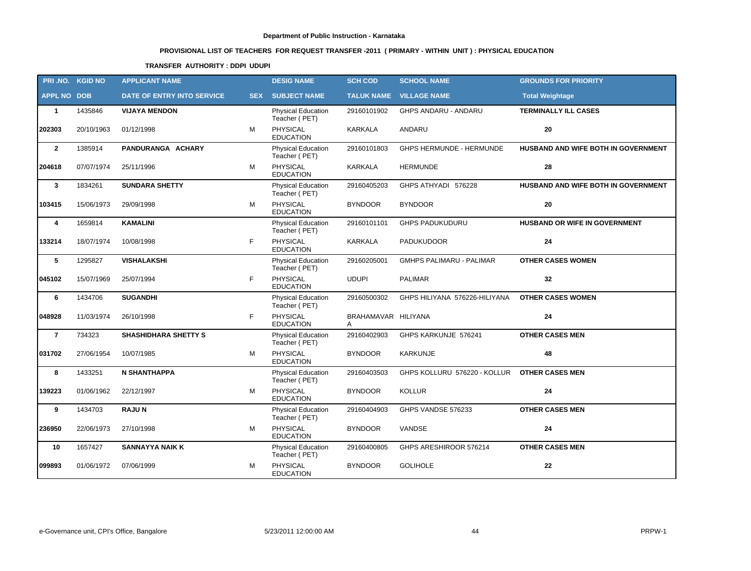# **PROVISIONAL LIST OF TEACHERS FOR REQUEST TRANSFER -2011 ( PRIMARY - WITHIN UNIT ) : PHYSICAL EDUCATION**

### **TRANSFER AUTHORITY : DDPI UDUPI**

| PRI.NO. KGID NO    |            | <b>APPLICANT NAME</b>             |            | <b>DESIG NAME</b>                          | <b>SCH COD</b>           | <b>SCHOOL NAME</b>              | <b>GROUNDS FOR PRIORITY</b>         |
|--------------------|------------|-----------------------------------|------------|--------------------------------------------|--------------------------|---------------------------------|-------------------------------------|
| <b>APPL NO DOB</b> |            | <b>DATE OF ENTRY INTO SERVICE</b> | <b>SEX</b> | <b>SUBJECT NAME</b>                        | <b>TALUK NAME</b>        | <b>VILLAGE NAME</b>             | <b>Total Weightage</b>              |
| $\mathbf{1}$       | 1435846    | <b>VIJAYA MENDON</b>              |            | Physical Education<br>Teacher (PET)        | 29160101902              | GHPS ANDARU - ANDARU            | <b>TERMINALLY ILL CASES</b>         |
| 202303             | 20/10/1963 | 01/12/1998                        | M          | <b>PHYSICAL</b><br><b>EDUCATION</b>        | <b>KARKALA</b>           | ANDARU                          | 20                                  |
| $\mathbf{2}$       | 1385914    | PANDURANGA ACHARY                 |            | <b>Physical Education</b><br>Teacher (PET) | 29160101803              | GHPS HERMUNDE - HERMUNDE        | HUSBAND AND WIFE BOTH IN GOVERNMENT |
| 204618             | 07/07/1974 | 25/11/1996                        | M          | PHYSICAL<br><b>EDUCATION</b>               | <b>KARKALA</b>           | <b>HERMUNDE</b>                 | 28                                  |
| $\mathbf{3}$       | 1834261    | <b>SUNDARA SHETTY</b>             |            | Physical Education<br>Teacher (PET)        | 29160405203              | GHPS ATHYADI 576228             | HUSBAND AND WIFE BOTH IN GOVERNMENT |
| 103415             | 15/06/1973 | 29/09/1998                        | M          | <b>PHYSICAL</b><br><b>EDUCATION</b>        | <b>BYNDOOR</b>           | <b>BYNDOOR</b>                  | 20                                  |
| 4                  | 1659814    | <b>KAMALINI</b>                   |            | <b>Physical Education</b><br>Teacher (PET) | 29160101101              | <b>GHPS PADUKUDURU</b>          | HUSBAND OR WIFE IN GOVERNMENT       |
| 133214             | 18/07/1974 | 10/08/1998                        | F          | PHYSICAL<br><b>EDUCATION</b>               | KARKALA                  | <b>PADUKUDOOR</b>               | ${\bf 24}$                          |
| 5                  | 1295827    | <b>VISHALAKSHI</b>                |            | <b>Physical Education</b><br>Teacher (PET) | 29160205001              | <b>GMHPS PALIMARU - PALIMAR</b> | <b>OTHER CASES WOMEN</b>            |
| 045102             | 15/07/1969 | 25/07/1994                        | F          | PHYSICAL<br><b>EDUCATION</b>               | <b>UDUPI</b>             | <b>PALIMAR</b>                  | 32                                  |
| 6                  | 1434706    | <b>SUGANDHI</b>                   |            | <b>Physical Education</b><br>Teacher (PET) | 29160500302              | GHPS HILIYANA 576226-HILIYANA   | <b>OTHER CASES WOMEN</b>            |
| 048928             | 11/03/1974 | 26/10/1998                        | F          | <b>PHYSICAL</b><br><b>EDUCATION</b>        | BRAHAMAVAR HILIYANA<br>A |                                 | 24                                  |
| $\overline{7}$     | 734323     | <b>SHASHIDHARA SHETTY S</b>       |            | <b>Physical Education</b><br>Teacher (PET) | 29160402903              | GHPS KARKUNJE 576241            | <b>OTHER CASES MEN</b>              |
| 031702             | 27/06/1954 | 10/07/1985                        | M          | <b>PHYSICAL</b><br><b>EDUCATION</b>        | <b>BYNDOOR</b>           | KARKUNJE                        | 48                                  |
| 8                  | 1433251    | <b>N SHANTHAPPA</b>               |            | <b>Physical Education</b><br>Teacher (PET) | 29160403503              | GHPS KOLLURU 576220 - KOLLUR    | <b>OTHER CASES MEN</b>              |
| 139223             | 01/06/1962 | 22/12/1997                        | M          | <b>PHYSICAL</b><br><b>EDUCATION</b>        | <b>BYNDOOR</b>           | <b>KOLLUR</b>                   | ${\bf 24}$                          |
| 9                  | 1434703    | <b>RAJUN</b>                      |            | <b>Physical Education</b><br>Teacher (PET) | 29160404903              | GHPS VANDSE 576233              | <b>OTHER CASES MEN</b>              |
| 236950             | 22/06/1973 | 27/10/1998                        | М          | PHYSICAL<br><b>EDUCATION</b>               | <b>BYNDOOR</b>           | VANDSE                          | ${\bf 24}$                          |
| 10                 | 1657427    | <b>SANNAYYA NAIK K</b>            |            | Physical Education<br>Teacher (PET)        | 29160400805              | GHPS ARESHIROOR 576214          | <b>OTHER CASES MEN</b>              |
| 099893             | 01/06/1972 | 07/06/1999                        | м          | PHYSICAL<br><b>EDUCATION</b>               | <b>BYNDOOR</b>           | <b>GOLIHOLE</b>                 | 22                                  |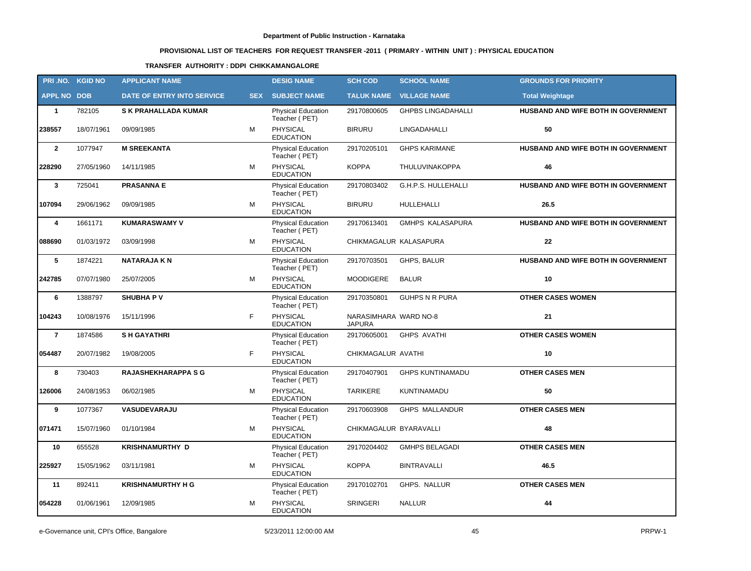# **PROVISIONAL LIST OF TEACHERS FOR REQUEST TRANSFER -2011 ( PRIMARY - WITHIN UNIT ) : PHYSICAL EDUCATION**

### **TRANSFER AUTHORITY : DDPI CHIKKAMANGALORE**

| PRI.NO. KGID NO    |            | <b>APPLICANT NAME</b>             |            | <b>DESIG NAME</b>                          | <b>SCH COD</b>                         | <b>SCHOOL NAME</b>         | <b>GROUNDS FOR PRIORITY</b>         |
|--------------------|------------|-----------------------------------|------------|--------------------------------------------|----------------------------------------|----------------------------|-------------------------------------|
| <b>APPL NO DOB</b> |            | <b>DATE OF ENTRY INTO SERVICE</b> | <b>SEX</b> | <b>SUBJECT NAME</b>                        | <b>TALUK NAME</b>                      | <b>VILLAGE NAME</b>        | <b>Total Weightage</b>              |
| $\mathbf{1}$       | 782105     | <b>SK PRAHALLADA KUMAR</b>        |            | <b>Physical Education</b><br>Teacher (PET) | 29170800605                            | <b>GHPBS LINGADAHALLI</b>  | HUSBAND AND WIFE BOTH IN GOVERNMENT |
| 238557             | 18/07/1961 | 09/09/1985                        | M          | <b>PHYSICAL</b><br><b>EDUCATION</b>        | <b>BIRURU</b>                          | LINGADAHALLI               | 50                                  |
| $\overline{2}$     | 1077947    | <b>M SREEKANTA</b>                |            | <b>Physical Education</b><br>Teacher (PET) | 29170205101                            | <b>GHPS KARIMANE</b>       | HUSBAND AND WIFE BOTH IN GOVERNMENT |
| 228290             | 27/05/1960 | 14/11/1985                        | M          | <b>PHYSICAL</b><br><b>EDUCATION</b>        | <b>KOPPA</b>                           | THULUVINAKOPPA             | 46                                  |
| 3                  | 725041     | <b>PRASANNA E</b>                 |            | <b>Physical Education</b><br>Teacher (PET) | 29170803402                            | G.H.P.S. HULLEHALLI        | HUSBAND AND WIFE BOTH IN GOVERNMENT |
| 107094             | 29/06/1962 | 09/09/1985                        | M          | PHYSICAL<br><b>EDUCATION</b>               | <b>BIRURU</b>                          | HULLEHALLI                 | 26.5                                |
| 4                  | 1661171    | <b>KUMARASWAMY V</b>              |            | Physical Education<br>Teacher (PET)        | 29170613401                            | <b>GMHPS KALASAPURA</b>    | HUSBAND AND WIFE BOTH IN GOVERNMENT |
| 088690             | 01/03/1972 | 03/09/1998                        | M          | PHYSICAL<br><b>EDUCATION</b>               | CHIKMAGALUR KALASAPURA                 |                            | 22                                  |
| 5                  | 1874221    | <b>NATARAJA KN</b>                |            | <b>Physical Education</b><br>Teacher (PET) | 29170703501                            | GHPS, BALUR                | HUSBAND AND WIFE BOTH IN GOVERNMENT |
| 242785             | 07/07/1980 | 25/07/2005                        | M          | PHYSICAL<br><b>EDUCATION</b>               | MOODIGERE                              | <b>BALUR</b>               | 10                                  |
| 6                  | 1388797    | <b>SHUBHAPV</b>                   |            | Physical Education<br>Teacher (PET)        | 29170350801                            | <b>GUHPS N R PURA</b>      | <b>OTHER CASES WOMEN</b>            |
| 104243             | 10/08/1976 | 15/11/1996                        | F          | <b>PHYSICAL</b><br><b>EDUCATION</b>        | NARASIMHARA WARD NO-8<br><b>JAPURA</b> |                            | 21                                  |
| $\overline{7}$     | 1874586    | <b>SH GAYATHRI</b>                |            | <b>Physical Education</b><br>Teacher (PET) | 29170605001                            | <b>GHPS AVATHI</b>         | <b>OTHER CASES WOMEN</b>            |
| 054487             | 20/07/1982 | 19/08/2005                        | F          | <b>PHYSICAL</b><br><b>EDUCATION</b>        | CHIKMAGALUR AVATHI                     |                            | 10                                  |
| 8                  | 730403     | <b>RAJASHEKHARAPPA S G</b>        |            | Physical Education<br>Teacher (PET)        | 29170407901                            | <b>GHPS KUNTINAMADU</b>    | <b>OTHER CASES MEN</b>              |
| 126006             | 24/08/1953 | 06/02/1985                        | М          | <b>PHYSICAL</b><br><b>EDUCATION</b>        | <b>TARIKERE</b>                        | KUNTINAMADU                | 50                                  |
| 9                  | 1077367    | VASUDEVARAJU                      |            | <b>Physical Education</b><br>Teacher (PET) | 29170603908                            | <b>GHPS MALLANDUR</b>      | <b>OTHER CASES MEN</b>              |
| 071471             | 15/07/1960 | 01/10/1984                        | м          | <b>PHYSICAL</b><br><b>EDUCATION</b>        | CHIKMAGALUR BYARAVALLI                 |                            | 48                                  |
| 10                 | 655528     | <b>KRISHNAMURTHY D</b>            |            | Physical Education<br>Teacher (PET)        |                                        | 29170204402 GMHPS BELAGADI | <b>OTHER CASES MEN</b>              |
| 225927             | 15/05/1962 | 03/11/1981                        | М          | PHYSICAL<br><b>EDUCATION</b>               | <b>KOPPA</b>                           | <b>BINTRAVALLI</b>         | 46.5                                |
| 11                 | 892411     | <b>KRISHNAMURTHY H G</b>          |            | <b>Physical Education</b><br>Teacher (PET) | 29170102701                            | GHPS. NALLUR               | <b>OTHER CASES MEN</b>              |
| 054228             | 01/06/1961 | 12/09/1985                        | М          | <b>PHYSICAL</b><br><b>EDUCATION</b>        | <b>SRINGERI</b>                        | <b>NALLUR</b>              | 44                                  |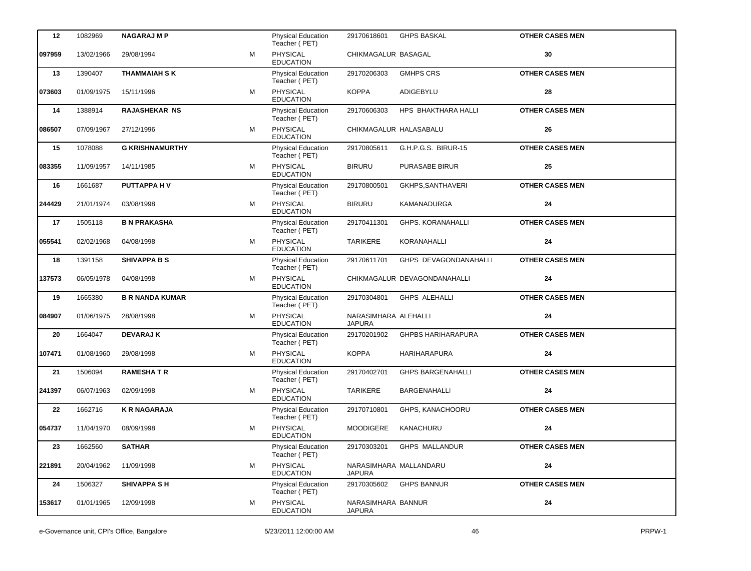| 12     | 1082969    | <b>NAGARAJ M P</b>     |   | <b>Physical Education</b><br>Teacher (PET) | 29170618601                             | <b>GHPS BASKAL</b>           | <b>OTHER CASES MEN</b> |
|--------|------------|------------------------|---|--------------------------------------------|-----------------------------------------|------------------------------|------------------------|
| 097959 | 13/02/1966 | 29/08/1994             | м | PHYSICAL<br><b>EDUCATION</b>               | CHIKMAGALUR BASAGAL                     |                              | 30                     |
| 13     | 1390407    | <b>THAMMAIAH S K</b>   |   | <b>Physical Education</b><br>Teacher (PET) | 29170206303                             | <b>GMHPS CRS</b>             | <b>OTHER CASES MEN</b> |
| 073603 | 01/09/1975 | 15/11/1996             | м | PHYSICAL<br><b>EDUCATION</b>               | <b>KOPPA</b>                            | ADIGEBYLU                    | 28                     |
| 14     | 1388914    | RAJASHEKAR NS          |   | Physical Education<br>Teacher (PET)        | 29170606303                             | HPS BHAKTHARA HALLI          | <b>OTHER CASES MEN</b> |
| 086507 | 07/09/1967 | 27/12/1996             | м | <b>PHYSICAL</b><br><b>EDUCATION</b>        | CHIKMAGALUR HALASABALU                  |                              | 26                     |
| 15     | 1078088    | <b>G KRISHNAMURTHY</b> |   | Physical Education<br>Teacher (PET)        | 29170805611                             | G.H.P.G.S. BIRUR-15          | <b>OTHER CASES MEN</b> |
| 083355 | 11/09/1957 | 14/11/1985             | м | PHYSICAL<br><b>EDUCATION</b>               | <b>BIRURU</b>                           | PURASABE BIRUR               | 25                     |
| 16     | 1661687    | PUTTAPPA HV            |   | Physical Education<br>Teacher (PET)        | 29170800501                             | GKHPS, SANTHAVERI            | <b>OTHER CASES MEN</b> |
| 244429 | 21/01/1974 | 03/08/1998             | м | PHYSICAL<br><b>EDUCATION</b>               | <b>BIRURU</b>                           | KAMANADURGA                  | 24                     |
| 17     | 1505118    | <b>B N PRAKASHA</b>    |   | <b>Physical Education</b><br>Teacher (PET) | 29170411301                             | <b>GHPS. KORANAHALLI</b>     | <b>OTHER CASES MEN</b> |
| 055541 | 02/02/1968 | 04/08/1998             | м | PHYSICAL<br><b>EDUCATION</b>               | <b>TARIKERE</b>                         | <b>KORANAHALLI</b>           | 24                     |
| 18     | 1391158    | <b>SHIVAPPA B S</b>    |   | <b>Physical Education</b><br>Teacher (PET) | 29170611701                             | GHPS DEVAGONDANAHALLI        | <b>OTHER CASES MEN</b> |
| 137573 | 06/05/1978 | 04/08/1998             | м | PHYSICAL<br><b>EDUCATION</b>               |                                         | CHIKMAGALUR DEVAGONDANAHALLI | 24                     |
| 19     | 1665380    | <b>B R NANDA KUMAR</b> |   | Physical Education<br>Teacher (PET)        | 29170304801                             | <b>GHPS ALEHALLI</b>         | <b>OTHER CASES MEN</b> |
| 084907 | 01/06/1975 | 28/08/1998             | м | PHYSICAL<br><b>EDUCATION</b>               | NARASIMHARA ALEHALLI<br><b>JAPURA</b>   |                              | 24                     |
| 20     | 1664047    | <b>DEVARAJ K</b>       |   | <b>Physical Education</b><br>Teacher (PET) | 29170201902                             | <b>GHPBS HARIHARAPURA</b>    | <b>OTHER CASES MEN</b> |
| 107471 | 01/08/1960 | 29/08/1998             | м | PHYSICAL<br><b>EDUCATION</b>               | <b>KOPPA</b>                            | HARIHARAPURA                 | 24                     |
| 21     | 1506094    | <b>RAMESHATR</b>       |   | <b>Physical Education</b><br>Teacher (PET) | 29170402701                             | <b>GHPS BARGENAHALLI</b>     | <b>OTHER CASES MEN</b> |
| 241397 | 06/07/1963 | 02/09/1998             | м | PHYSICAL<br><b>EDUCATION</b>               | <b>TARIKERE</b>                         | <b>BARGENAHALLI</b>          | 24                     |
| 22     | 1662716    | <b>K R NAGARAJA</b>    |   | <b>Physical Education</b><br>Teacher (PET) | 29170710801                             | GHPS, KANACHOORU             | <b>OTHER CASES MEN</b> |
| 054737 | 11/04/1970 | 08/09/1998             | м | PHYSICAL<br><b>EDUCATION</b>               | <b>MOODIGERE</b>                        | KANACHURU                    | 24                     |
| 23     | 1662560    | <b>SATHAR</b>          |   | <b>Physical Education</b><br>Teacher (PET) | 29170303201                             | GHPS MALLANDUR               | <b>OTHER CASES MEN</b> |
| 221891 | 20/04/1962 | 11/09/1998             | м | <b>PHYSICAL</b><br><b>EDUCATION</b>        | NARASIMHARA MALLANDARU<br><b>JAPURA</b> |                              | 24                     |
| 24     | 1506327    | <b>SHIVAPPA SH</b>     |   | <b>Physical Education</b><br>Teacher (PET) | 29170305602                             | <b>GHPS BANNUR</b>           | <b>OTHER CASES MEN</b> |
| 153617 | 01/01/1965 | 12/09/1998             | м | PHYSICAL<br><b>EDUCATION</b>               | NARASIMHARA BANNUR<br><b>JAPURA</b>     |                              | 24                     |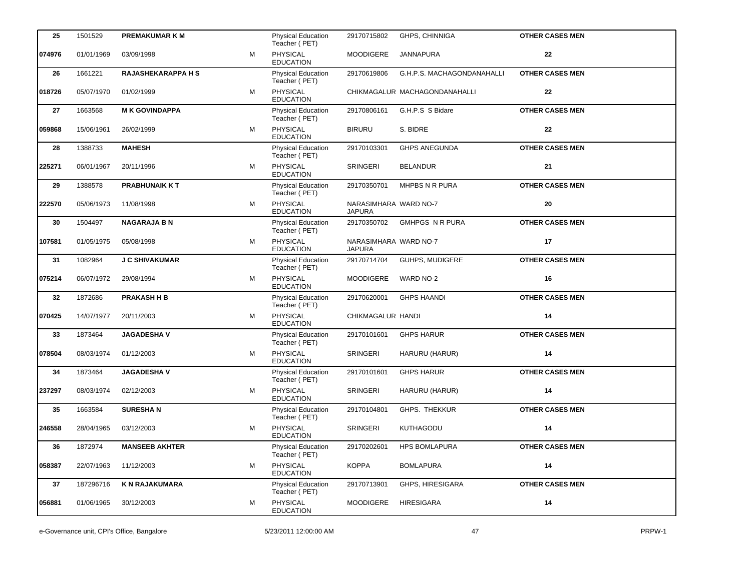| 25     | 1501529    | <b>PREMAKUMAR K M</b>     |   | <b>Physical Education</b><br>Teacher (PET) | 29170715802                            | GHPS, CHINNIGA                | <b>OTHER CASES MEN</b> |
|--------|------------|---------------------------|---|--------------------------------------------|----------------------------------------|-------------------------------|------------------------|
| 074976 | 01/01/1969 | 03/09/1998                | м | PHYSICAL<br><b>EDUCATION</b>               | <b>MOODIGERE</b>                       | JANNAPURA                     | 22                     |
| 26     | 1661221    | <b>RAJASHEKARAPPA H S</b> |   | <b>Physical Education</b><br>Teacher (PET) | 29170619806                            | G.H.P.S. MACHAGONDANAHALLI    | <b>OTHER CASES MEN</b> |
| 018726 | 05/07/1970 | 01/02/1999                | м | PHYSICAL<br><b>EDUCATION</b>               |                                        | CHIKMAGALUR MACHAGONDANAHALLI | 22                     |
| 27     | 1663568    | <b>MK GOVINDAPPA</b>      |   | <b>Physical Education</b><br>Teacher (PET) | 29170806161                            | G.H.P.S S Bidare              | <b>OTHER CASES MEN</b> |
| 059868 | 15/06/1961 | 26/02/1999                | м | <b>PHYSICAL</b><br><b>EDUCATION</b>        | <b>BIRURU</b>                          | S. BIDRE                      | 22                     |
| 28     | 1388733    | <b>MAHESH</b>             |   | <b>Physical Education</b><br>Teacher (PET) | 29170103301                            | <b>GHPS ANEGUNDA</b>          | <b>OTHER CASES MEN</b> |
| 225271 | 06/01/1967 | 20/11/1996                | м | PHYSICAL<br><b>EDUCATION</b>               | <b>SRINGERI</b>                        | <b>BELANDUR</b>               | 21                     |
| 29     | 1388578    | <b>PRABHUNAIK KT</b>      |   | <b>Physical Education</b><br>Teacher (PET) | 29170350701                            | MHPBS N R PURA                | <b>OTHER CASES MEN</b> |
| 222570 | 05/06/1973 | 11/08/1998                | м | <b>PHYSICAL</b><br><b>EDUCATION</b>        | NARASIMHARA WARD NO-7<br><b>JAPURA</b> |                               | 20                     |
| 30     | 1504497    | <b>NAGARAJA B N</b>       |   | <b>Physical Education</b><br>Teacher (PET) | 29170350702                            | <b>GMHPGS N R PURA</b>        | <b>OTHER CASES MEN</b> |
| 107581 | 01/05/1975 | 05/08/1998                | м | PHYSICAL<br><b>EDUCATION</b>               | NARASIMHARA WARD NO-7<br><b>JAPURA</b> |                               | 17                     |
| 31     | 1082964    | J C SHIVAKUMAR            |   | <b>Physical Education</b><br>Teacher (PET) | 29170714704                            | <b>GUHPS, MUDIGERE</b>        | <b>OTHER CASES MEN</b> |
| 075214 | 06/07/1972 | 29/08/1994                | м | <b>PHYSICAL</b><br><b>EDUCATION</b>        | <b>MOODIGERE</b>                       | WARD NO-2                     | 16                     |
| 32     | 1872686    | <b>PRAKASH H B</b>        |   | <b>Physical Education</b><br>Teacher (PET) | 29170620001                            | <b>GHPS HAANDI</b>            | <b>OTHER CASES MEN</b> |
| 070425 | 14/07/1977 | 20/11/2003                | м | PHYSICAL<br><b>EDUCATION</b>               | CHIKMAGALUR HANDI                      |                               | 14                     |
| 33     | 1873464    | <b>JAGADESHA V</b>        |   | <b>Physical Education</b><br>Teacher (PET) | 29170101601                            | <b>GHPS HARUR</b>             | <b>OTHER CASES MEN</b> |
| 078504 | 08/03/1974 | 01/12/2003                | м | PHYSICAL<br><b>EDUCATION</b>               | <b>SRINGERI</b>                        | HARURU (HARUR)                | 14                     |
| 34     | 1873464    | <b>JAGADESHAV</b>         |   | <b>Physical Education</b><br>Teacher (PET) | 29170101601                            | <b>GHPS HARUR</b>             | <b>OTHER CASES MEN</b> |
| 237297 | 08/03/1974 | 02/12/2003                | М | PHYSICAL<br><b>EDUCATION</b>               | <b>SRINGERI</b>                        | HARURU (HARUR)                | 14                     |
| 35     | 1663584    | <b>SURESHAN</b>           |   | <b>Physical Education</b><br>Teacher (PET) | 29170104801                            | GHPS. THEKKUR                 | <b>OTHER CASES MEN</b> |
| 246558 | 28/04/1965 | 03/12/2003                | м | PHYSICAL<br><b>EDUCATION</b>               | SRINGERI                               | <b>KUTHAGODU</b>              | 14                     |
| 36     | 1872974    | <b>MANSEEB AKHTER</b>     |   | <b>Physical Education</b><br>Teacher (PET) | 29170202601                            | <b>HPS BOMLAPURA</b>          | <b>OTHER CASES MEN</b> |
| 058387 | 22/07/1963 | 11/12/2003                | м | PHYSICAL<br><b>EDUCATION</b>               | <b>KOPPA</b>                           | <b>BOMLAPURA</b>              | 14                     |
| 37     | 187296716  | <b>K N RAJAKUMARA</b>     |   | <b>Physical Education</b><br>Teacher (PET) | 29170713901                            | GHPS, HIRESIGARA              | <b>OTHER CASES MEN</b> |
| 056881 | 01/06/1965 | 30/12/2003                | м | PHYSICAL<br><b>EDUCATION</b>               | <b>MOODIGERE</b>                       | <b>HIRESIGARA</b>             | 14                     |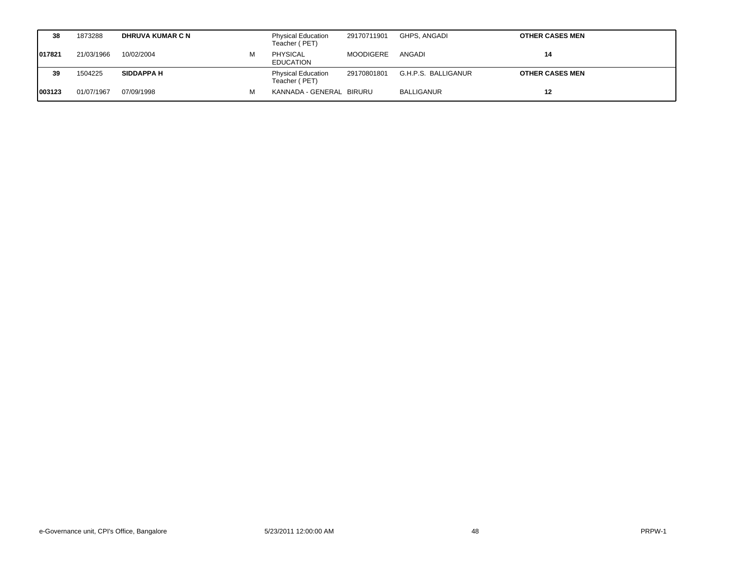|         | 38 | 1873288    | <b>DHRUVA KUMAR C N</b> |   | <b>Physical Education</b><br>Teacher (PET) | 29170711901      | GHPS. ANGADI        | <b>OTHER CASES MEN</b> |
|---------|----|------------|-------------------------|---|--------------------------------------------|------------------|---------------------|------------------------|
| 1017821 |    | 21/03/1966 | 10/02/2004              | м | <b>PHYSICAL</b><br><b>EDUCATION</b>        | <b>MOODIGERE</b> | ANGADI              | 14                     |
|         | 39 | 1504225    | <b>SIDDAPPA H</b>       |   | <b>Physical Education</b><br>Teacher (PET) | 29170801801      | G.H.P.S. BALLIGANUR | <b>OTHER CASES MEN</b> |
| 1003123 |    | 01/07/1967 | 07/09/1998              |   | KANNADA - GENERAL BIRURU                   |                  | BALLIGANUR          | 12                     |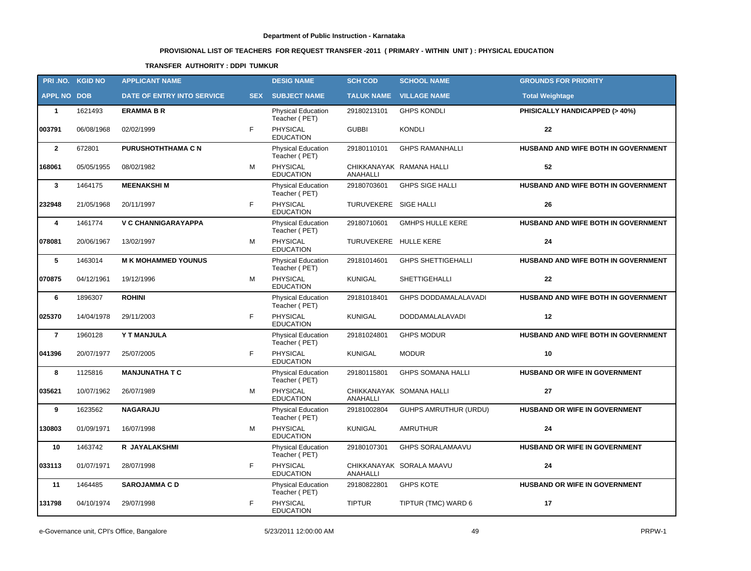# **PROVISIONAL LIST OF TEACHERS FOR REQUEST TRANSFER -2011 ( PRIMARY - WITHIN UNIT ) : PHYSICAL EDUCATION**

### **TRANSFER AUTHORITY : DDPI TUMKUR**

| PRI.NO. KGID NO    |            | <b>APPLICANT NAME</b>      |            | <b>DESIG NAME</b>                          | <b>SCH COD</b>        | <b>SCHOOL NAME</b>           | <b>GROUNDS FOR PRIORITY</b>         |
|--------------------|------------|----------------------------|------------|--------------------------------------------|-----------------------|------------------------------|-------------------------------------|
| <b>APPL NO DOB</b> |            | DATE OF ENTRY INTO SERVICE | <b>SEX</b> | <b>SUBJECT NAME</b>                        | <b>TALUK NAME</b>     | <b>VILLAGE NAME</b>          | <b>Total Weightage</b>              |
| $\mathbf{1}$       | 1621493    | <b>ERAMMA B R</b>          |            | <b>Physical Education</b><br>Teacher (PET) | 29180213101           | <b>GHPS KONDLI</b>           | PHISICALLY HANDICAPPED (> 40%)      |
| 003791             | 06/08/1968 | 02/02/1999                 | F          | PHYSICAL<br><b>EDUCATION</b>               | <b>GUBBI</b>          | <b>KONDLI</b>                | 22                                  |
| $\overline{2}$     | 672801     | <b>PURUSHOTHTHAMA C N</b>  |            | <b>Physical Education</b><br>Teacher (PET) | 29180110101           | <b>GHPS RAMANHALLI</b>       | HUSBAND AND WIFE BOTH IN GOVERNMENT |
| 168061             | 05/05/1955 | 08/02/1982                 | М          | PHYSICAL<br><b>EDUCATION</b>               | ANAHALLI              | CHIKKANAYAK RAMANA HALLI     | 52                                  |
| $\mathbf{3}$       | 1464175    | <b>MEENAKSHIM</b>          |            | Physical Education<br>Teacher (PET)        | 29180703601           | <b>GHPS SIGE HALLI</b>       | HUSBAND AND WIFE BOTH IN GOVERNMENT |
| 232948             | 21/05/1968 | 20/11/1997                 | F          | <b>PHYSICAL</b><br><b>EDUCATION</b>        | TURUVEKERE SIGE HALLI |                              | 26                                  |
| 4                  | 1461774    | <b>V C CHANNIGARAYAPPA</b> |            | Physical Education<br>Teacher (PET)        | 29180710601           | <b>GMHPS HULLE KERE</b>      | HUSBAND AND WIFE BOTH IN GOVERNMENT |
| 078081             | 20/06/1967 | 13/02/1997                 | М          | <b>PHYSICAL</b><br><b>EDUCATION</b>        | TURUVEKERE HULLE KERE |                              | 24                                  |
| 5                  | 1463014    | <b>M K MOHAMMED YOUNUS</b> |            | <b>Physical Education</b><br>Teacher (PET) | 29181014601           | <b>GHPS SHETTIGEHALLI</b>    | HUSBAND AND WIFE BOTH IN GOVERNMENT |
| 070875             | 04/12/1961 | 19/12/1996                 | м          | <b>PHYSICAL</b><br><b>EDUCATION</b>        | <b>KUNIGAL</b>        | SHETTIGEHALLI                | 22                                  |
| 6                  | 1896307    | <b>ROHINI</b>              |            | <b>Physical Education</b><br>Teacher (PET) | 29181018401           | GHPS DODDAMALALAVADI         | HUSBAND AND WIFE BOTH IN GOVERNMENT |
| 025370             | 14/04/1978 | 29/11/2003                 | F          | PHYSICAL<br><b>EDUCATION</b>               | <b>KUNIGAL</b>        | DODDAMALALAVADI              | 12                                  |
| $\overline{7}$     | 1960128    | <b>Y T MANJULA</b>         |            | <b>Physical Education</b><br>Teacher (PET) | 29181024801           | <b>GHPS MODUR</b>            | HUSBAND AND WIFE BOTH IN GOVERNMENT |
| 041396             | 20/07/1977 | 25/07/2005                 | F          | <b>PHYSICAL</b><br><b>EDUCATION</b>        | <b>KUNIGAL</b>        | <b>MODUR</b>                 | 10                                  |
| 8                  | 1125816    | <b>MANJUNATHA T C</b>      |            | <b>Physical Education</b><br>Teacher (PET) | 29180115801           | <b>GHPS SOMANA HALLI</b>     | HUSBAND OR WIFE IN GOVERNMENT       |
| 035621             | 10/07/1962 | 26/07/1989                 | м          | PHYSICAL<br><b>EDUCATION</b>               | <b>ANAHALLI</b>       | CHIKKANAYAK SOMANA HALLI     | 27                                  |
| 9                  | 1623562    | <b>NAGARAJU</b>            |            | Physical Education<br>Teacher (PET)        | 29181002804           | <b>GUHPS AMRUTHUR (URDU)</b> | HUSBAND OR WIFE IN GOVERNMENT       |
| 130803             | 01/09/1971 | 16/07/1998                 | м          | PHYSICAL<br><b>EDUCATION</b>               | <b>KUNIGAL</b>        | AMRUTHUR                     | 24                                  |
| 10                 | 1463742    | R JAYALAKSHMI              |            | Physical Education<br>Teacher (PET)        | 29180107301           | GHPS SORALAMAAVU             | HUSBAND OR WIFE IN GOVERNMENT       |
| 033113             | 01/07/1971 | 28/07/1998                 | F          | PHYSICAL<br><b>EDUCATION</b>               | <b>ANAHALLI</b>       | CHIKKANAYAK SORALA MAAVU     | 24                                  |
| 11                 | 1464485    | <b>SAROJAMMA CD</b>        |            | <b>Physical Education</b><br>Teacher (PET) | 29180822801           | <b>GHPS KOTE</b>             | HUSBAND OR WIFE IN GOVERNMENT       |
| 131798             | 04/10/1974 | 29/07/1998                 | F          | PHYSICAL<br><b>EDUCATION</b>               | <b>TIPTUR</b>         | TIPTUR (TMC) WARD 6          | 17                                  |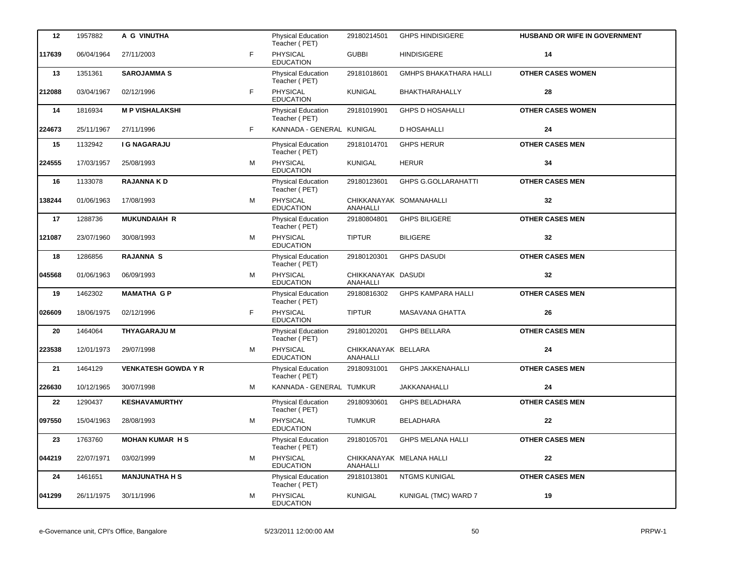| 12     | 1957882    | A G VINUTHA                |   | <b>Physical Education</b><br>Teacher (PET) | 29180214501                     | <b>GHPS HINDISIGERE</b>       | HUSBAND OR WIFE IN GOVERNMENT |
|--------|------------|----------------------------|---|--------------------------------------------|---------------------------------|-------------------------------|-------------------------------|
| 117639 | 06/04/1964 | 27/11/2003                 | F | <b>PHYSICAL</b><br><b>EDUCATION</b>        | <b>GUBBI</b>                    | <b>HINDISIGERE</b>            | 14                            |
| 13     | 1351361    | <b>SAROJAMMAS</b>          |   | <b>Physical Education</b><br>Teacher (PET) | 29181018601                     | <b>GMHPS BHAKATHARA HALLI</b> | <b>OTHER CASES WOMEN</b>      |
| 212088 | 03/04/1967 | 02/12/1996                 | F | PHYSICAL<br><b>EDUCATION</b>               | <b>KUNIGAL</b>                  | BHAKTHARAHALLY                | 28                            |
| 14     | 1816934    | <b>M P VISHALAKSHI</b>     |   | Physical Education<br>Teacher (PET)        | 29181019901                     | <b>GHPS D HOSAHALLI</b>       | <b>OTHER CASES WOMEN</b>      |
| 224673 | 25/11/1967 | 27/11/1996                 | F | KANNADA - GENERAL KUNIGAL                  |                                 | <b>D HOSAHALLI</b>            | 24                            |
| 15     | 1132942    | <b>I G NAGARAJU</b>        |   | Physical Education<br>Teacher (PET)        | 29181014701                     | <b>GHPS HERUR</b>             | <b>OTHER CASES MEN</b>        |
| 224555 | 17/03/1957 | 25/08/1993                 | M | PHYSICAL<br><b>EDUCATION</b>               | <b>KUNIGAL</b>                  | <b>HERUR</b>                  | 34                            |
| 16     | 1133078    | <b>RAJANNA KD</b>          |   | Physical Education<br>Teacher (PET)        | 29180123601                     | <b>GHPS G.GOLLARAHATTI</b>    | <b>OTHER CASES MEN</b>        |
| 138244 | 01/06/1963 | 17/08/1993                 | м | PHYSICAL<br><b>EDUCATION</b>               | ANAHALLI                        | CHIKKANAYAK SOMANAHALLI       | 32                            |
| 17     | 1288736    | <b>MUKUNDAIAH R</b>        |   | Physical Education<br>Teacher (PET)        | 29180804801                     | <b>GHPS BILIGERE</b>          | <b>OTHER CASES MEN</b>        |
| 121087 | 23/07/1960 | 30/08/1993                 | М | PHYSICAL<br><b>EDUCATION</b>               | <b>TIPTUR</b>                   | <b>BILIGERE</b>               | 32                            |
| 18     | 1286856    | <b>RAJANNA S</b>           |   | Physical Education<br>Teacher (PET)        | 29180120301                     | <b>GHPS DASUDI</b>            | <b>OTHER CASES MEN</b>        |
| 045568 | 01/06/1963 | 06/09/1993                 | M | PHYSICAL<br><b>EDUCATION</b>               | CHIKKANAYAK DASUDI<br>ANAHALLI  |                               | 32                            |
| 19     | 1462302    | <b>MAMATHA GP</b>          |   | <b>Physical Education</b><br>Teacher (PET) | 29180816302                     | <b>GHPS KAMPARA HALLI</b>     | <b>OTHER CASES MEN</b>        |
| 026609 | 18/06/1975 | 02/12/1996                 | F | PHYSICAL<br><b>EDUCATION</b>               | <b>TIPTUR</b>                   | MASAVANA GHATTA               | 26                            |
| 20     | 1464064    | <b>THYAGARAJU M</b>        |   | Physical Education<br>Teacher (PET)        | 29180120201                     | <b>GHPS BELLARA</b>           | <b>OTHER CASES MEN</b>        |
| 223538 | 12/01/1973 | 29/07/1998                 | M | <b>PHYSICAL</b><br><b>EDUCATION</b>        | CHIKKANAYAK BELLARA<br>ANAHALLI |                               | 24                            |
| 21     | 1464129    | <b>VENKATESH GOWDA Y R</b> |   | Physical Education<br>Teacher (PET)        | 29180931001                     | <b>GHPS JAKKENAHALLI</b>      | <b>OTHER CASES MEN</b>        |
| 226630 | 10/12/1965 | 30/07/1998                 | M | KANNADA - GENERAL TUMKUR                   |                                 | JAKKANAHALLI                  | 24                            |
| 22     | 1290437    | <b>KESHAVAMURTHY</b>       |   | <b>Physical Education</b><br>Teacher (PET) | 29180930601                     | GHPS BELADHARA                | <b>OTHER CASES MEN</b>        |
| 097550 | 15/04/1963 | 28/08/1993                 | м | PHYSICAL<br><b>EDUCATION</b>               | <b>TUMKUR</b>                   | BELADHARA                     | 22                            |
| 23     | 1763760    | <b>MOHAN KUMAR HS</b>      |   | <b>Physical Education</b><br>Teacher (PET) | 29180105701                     | GHPS MELANA HALLI             | <b>OTHER CASES MEN</b>        |
| 044219 | 22/07/1971 | 03/02/1999                 | М | PHYSICAL<br><b>EDUCATION</b>               | ANAHALLI                        | CHIKKANAYAK MELANA HALLI      | ${\bf 22}$                    |
| 24     | 1461651    | <b>MANJUNATHA H S</b>      |   | Physical Education<br>Teacher (PET)        | 29181013801                     | NTGMS KUNIGAL                 | <b>OTHER CASES MEN</b>        |
| 041299 | 26/11/1975 | 30/11/1996                 | М | PHYSICAL<br><b>EDUCATION</b>               | KUNIGAL                         | KUNIGAL (TMC) WARD 7          | 19                            |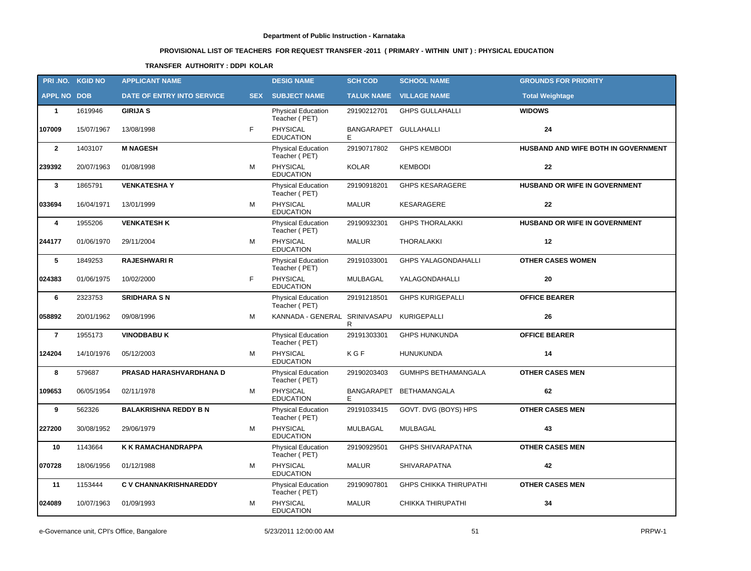# **PROVISIONAL LIST OF TEACHERS FOR REQUEST TRANSFER -2011 ( PRIMARY - WITHIN UNIT ) : PHYSICAL EDUCATION**

### **TRANSFER AUTHORITY : DDPI KOLAR**

| PRI.NO. KGID NO    |            | <b>APPLICANT NAME</b>         |            | <b>DESIG NAME</b>                          | <b>SCH COD</b>  | <b>SCHOOL NAME</b>             | <b>GROUNDS FOR PRIORITY</b>         |
|--------------------|------------|-------------------------------|------------|--------------------------------------------|-----------------|--------------------------------|-------------------------------------|
| <b>APPL NO DOB</b> |            | DATE OF ENTRY INTO SERVICE    | <b>SEX</b> | <b>SUBJECT NAME</b>                        |                 | <b>TALUK NAME VILLAGE NAME</b> | <b>Total Weightage</b>              |
| $\mathbf{1}$       | 1619946    | <b>GIRIJA S</b>               |            | <b>Physical Education</b><br>Teacher (PET) | 29190212701     | <b>GHPS GULLAHALLI</b>         | <b>WIDOWS</b>                       |
| 107009             | 15/07/1967 | 13/08/1998                    | F          | PHYSICAL<br><b>EDUCATION</b>               | BANGARAPET<br>F | <b>GULLAHALLI</b>              | 24                                  |
| $\overline{2}$     | 1403107    | <b>M NAGESH</b>               |            | Physical Education<br>Teacher (PET)        | 29190717802     | <b>GHPS KEMBODI</b>            | HUSBAND AND WIFE BOTH IN GOVERNMENT |
| 239392             | 20/07/1963 | 01/08/1998                    | М          | PHYSICAL<br><b>EDUCATION</b>               | <b>KOLAR</b>    | <b>KEMBODI</b>                 | 22                                  |
| $\mathbf{3}$       | 1865791    | <b>VENKATESHAY</b>            |            | Physical Education<br>Teacher (PET)        | 29190918201     | <b>GHPS KESARAGERE</b>         | HUSBAND OR WIFE IN GOVERNMENT       |
| 033694             | 16/04/1971 | 13/01/1999                    | м          | <b>PHYSICAL</b><br><b>EDUCATION</b>        | <b>MALUR</b>    | KESARAGERE                     | 22                                  |
| 4                  | 1955206    | <b>VENKATESH K</b>            |            | Physical Education<br>Teacher (PET)        | 29190932301     | <b>GHPS THORALAKKI</b>         | HUSBAND OR WIFE IN GOVERNMENT       |
| 244177             | 01/06/1970 | 29/11/2004                    | М          | <b>PHYSICAL</b><br><b>EDUCATION</b>        | <b>MALUR</b>    | THORALAKKI                     | 12                                  |
| 5                  | 1849253    | <b>RAJESHWARI R</b>           |            | <b>Physical Education</b><br>Teacher (PET) | 29191033001     | <b>GHPS YALAGONDAHALLI</b>     | <b>OTHER CASES WOMEN</b>            |
| 024383             | 01/06/1975 | 10/02/2000                    | F          | <b>PHYSICAL</b><br><b>EDUCATION</b>        | <b>MULBAGAL</b> | YALAGONDAHALLI                 | 20                                  |
| 6                  | 2323753    | <b>SRIDHARA SN</b>            |            | Physical Education<br>Teacher (PET)        | 29191218501     | <b>GHPS KURIGEPALLI</b>        | <b>OFFICE BEARER</b>                |
| 058892             | 20/01/1962 | 09/08/1996                    | М          | KANNADA - GENERAL SRINIVASAPU              | R               | KURIGEPALLI                    | 26                                  |
| $\overline{7}$     | 1955173    | <b>VINODBABU K</b>            |            | Physical Education<br>Teacher (PET)        | 29191303301     | <b>GHPS HUNKUNDA</b>           | <b>OFFICE BEARER</b>                |
| 124204             | 14/10/1976 | 05/12/2003                    | м          | PHYSICAL<br><b>EDUCATION</b>               | KGF             | <b>HUNUKUNDA</b>               | 14                                  |
| 8                  | 579687     | PRASAD HARASHVARDHANA D       |            | <b>Physical Education</b><br>Teacher (PET) | 29190203403     | <b>GUMHPS BETHAMANGALA</b>     | <b>OTHER CASES MEN</b>              |
| 109653             | 06/05/1954 | 02/11/1978                    | М          | PHYSICAL<br><b>EDUCATION</b>               | BANGARAPET      | <b>BETHAMANGALA</b>            | 62                                  |
| 9                  | 562326     | <b>BALAKRISHNA REDDY B N</b>  |            | <b>Physical Education</b><br>Teacher (PET) | 29191033415     | GOVT. DVG (BOYS) HPS           | <b>OTHER CASES MEN</b>              |
| 227200             | 30/08/1952 | 29/06/1979                    | м          | PHYSICAL<br><b>EDUCATION</b>               | MULBAGAL        | MULBAGAL                       | 43                                  |
| 10                 | 1143664    | K K RAMACHANDRAPPA            |            | Physical Education<br>Teacher (PET)        | 29190929501     | GHPS SHIVARAPATNA              | <b>OTHER CASES MEN</b>              |
| 070728             | 18/06/1956 | 01/12/1988                    | М          | PHYSICAL<br><b>EDUCATION</b>               | <b>MALUR</b>    | SHIVARAPATNA                   | 42                                  |
| 11                 | 1153444    | <b>C V CHANNAKRISHNAREDDY</b> |            | <b>Physical Education</b><br>Teacher (PET) | 29190907801     | <b>GHPS CHIKKA THIRUPATHI</b>  | <b>OTHER CASES MEN</b>              |
| 024089             | 10/07/1963 | 01/09/1993                    | М          | PHYSICAL<br><b>EDUCATION</b>               | <b>MALUR</b>    | CHIKKA THIRUPATHI              | 34                                  |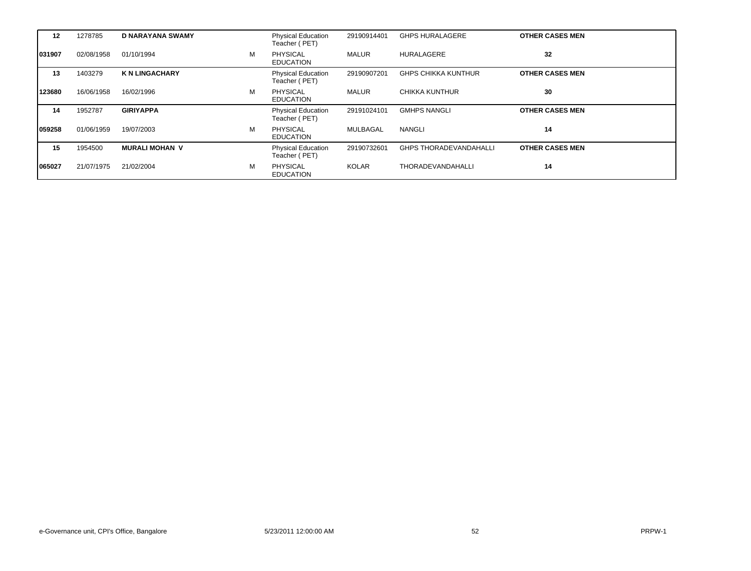| 12      | 1278785    | <b>D NARAYANA SWAMY</b> |   | <b>Physical Education</b><br>Teacher (PET) | 29190914401  | <b>GHPS HURALAGERE</b>        | <b>OTHER CASES MEN</b> |
|---------|------------|-------------------------|---|--------------------------------------------|--------------|-------------------------------|------------------------|
| 031907  | 02/08/1958 | 01/10/1994              | M | <b>PHYSICAL</b><br><b>EDUCATION</b>        | <b>MALUR</b> | <b>HURALAGERE</b>             | 32                     |
| 13      | 1403279    | <b>K N LINGACHARY</b>   |   | <b>Physical Education</b><br>Teacher (PET) | 29190907201  | <b>GHPS CHIKKA KUNTHUR</b>    | <b>OTHER CASES MEN</b> |
| 123680  | 16/06/1958 | 16/02/1996              | м | <b>PHYSICAL</b><br><b>EDUCATION</b>        | MALUR        | CHIKKA KUNTHUR                | 30                     |
| 14      | 1952787    | <b>GIRIYAPPA</b>        |   | <b>Physical Education</b><br>Teacher (PET) | 29191024101  | <b>GMHPS NANGLI</b>           | <b>OTHER CASES MEN</b> |
| 1059258 | 01/06/1959 | 19/07/2003              | M | <b>PHYSICAL</b><br><b>EDUCATION</b>        | MULBAGAL     | <b>NANGLI</b>                 | 14                     |
| 15      | 1954500    | <b>MURALI MOHAN V</b>   |   | <b>Physical Education</b><br>Teacher (PET) | 29190732601  | <b>GHPS THORADEVANDAHALLI</b> | <b>OTHER CASES MEN</b> |
| 065027  | 21/07/1975 | 21/02/2004              | M | PHYSICAL<br><b>EDUCATION</b>               | KOLAR        | <b>THORADEVANDAHALLI</b>      | 14                     |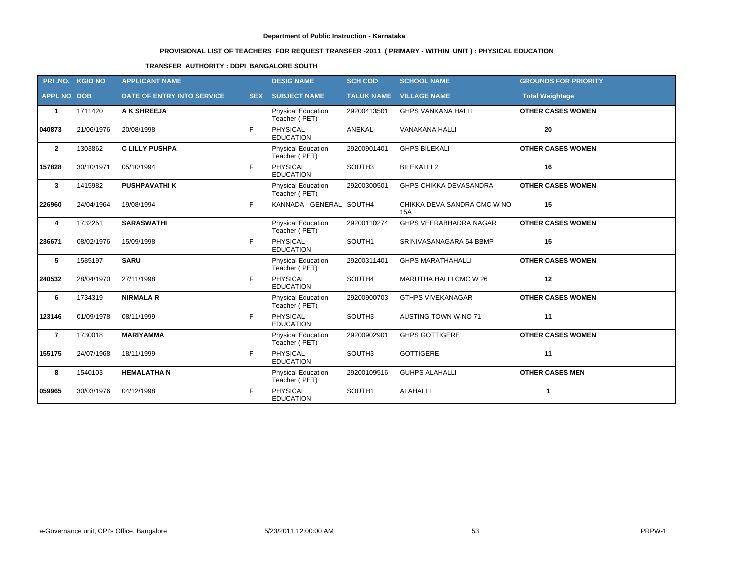# **PROVISIONAL LIST OF TEACHERS FOR REQUEST TRANSFER -2011 ( PRIMARY - WITHIN UNIT ) : PHYSICAL EDUCATION**

### **TRANSFER AUTHORITY : DDPI BANGALORE SOUTH**

|                    | PRI.NO. KGID NO | <b>APPLICANT NAME</b>             |            | <b>DESIG NAME</b>                          | <b>SCH COD</b>    | <b>SCHOOL NAME</b>                 | <b>GROUNDS FOR PRIORITY</b> |
|--------------------|-----------------|-----------------------------------|------------|--------------------------------------------|-------------------|------------------------------------|-----------------------------|
| <b>APPL NO DOB</b> |                 | <b>DATE OF ENTRY INTO SERVICE</b> | <b>SEX</b> | <b>SUBJECT NAME</b>                        | <b>TALUK NAME</b> | <b>VILLAGE NAME</b>                | <b>Total Weightage</b>      |
| $\mathbf{1}$       | 1711420         | A K SHREEJA                       |            | Physical Education<br>Teacher (PET)        | 29200413501       | <b>GHPS VANKANA HALLI</b>          | <b>OTHER CASES WOMEN</b>    |
| 040873             | 21/06/1976      | 20/08/1998                        | F          | <b>PHYSICAL</b><br><b>EDUCATION</b>        | <b>ANEKAL</b>     | <b>VANAKANA HALLI</b>              | 20                          |
| $\overline{2}$     | 1303862         | <b>C LILLY PUSHPA</b>             |            | <b>Physical Education</b><br>Teacher (PET) | 29200901401       | <b>GHPS BILEKALI</b>               | <b>OTHER CASES WOMEN</b>    |
| 157828             | 30/10/1971      | 05/10/1994                        | F          | <b>PHYSICAL</b><br><b>EDUCATION</b>        | SOUTH3            | <b>BILEKALLI 2</b>                 | 16                          |
| $\mathbf{3}$       | 1415982         | <b>PUSHPAVATHIK</b>               |            | <b>Physical Education</b><br>Teacher (PET) | 29200300501       | GHPS CHIKKA DEVASANDRA             | <b>OTHER CASES WOMEN</b>    |
| 226960             | 24/04/1964      | 19/08/1994                        | F          | KANNADA - GENERAL SOUTH4                   |                   | CHIKKA DEVA SANDRA CMC W NO<br>15A | 15                          |
| 4                  | 1732251         | <b>SARASWATHI</b>                 |            | Physical Education<br>Teacher (PET)        | 29200110274       | GHPS VEERABHADRA NAGAR             | <b>OTHER CASES WOMEN</b>    |
| 236671             | 08/02/1976      | 15/09/1998                        | F          | <b>PHYSICAL</b><br><b>EDUCATION</b>        | SOUTH1            | SRINIVASANAGARA 54 BBMP            | 15                          |
| 5                  | 1585197         | <b>SARU</b>                       |            | Physical Education<br>Teacher (PET)        | 29200311401       | <b>GHPS MARATHAHALLI</b>           | <b>OTHER CASES WOMEN</b>    |
| 240532             | 28/04/1970      | 27/11/1998                        | F          | <b>PHYSICAL</b><br><b>EDUCATION</b>        | SOUTH4            | MARUTHA HALLI CMC W 26             | 12                          |
| 6                  | 1734319         | <b>NIRMALA R</b>                  |            | <b>Physical Education</b><br>Teacher (PET) | 29200900703       | <b>GTHPS VIVEKANAGAR</b>           | <b>OTHER CASES WOMEN</b>    |
| 123146             | 01/09/1978      | 08/11/1999                        | F          | PHYSICAL<br><b>EDUCATION</b>               | SOUTH3            | AUSTING TOWN W NO 71               | 11                          |
| $\overline{7}$     | 1730018         | <b>MARIYAMMA</b>                  |            | <b>Physical Education</b><br>Teacher (PET) | 29200902901       | <b>GHPS GOTTIGERE</b>              | <b>OTHER CASES WOMEN</b>    |
| 155175             | 24/07/1968      | 18/11/1999                        | F          | <b>PHYSICAL</b><br><b>EDUCATION</b>        | SOUTH3            | <b>GOTTIGERE</b>                   | 11                          |
| 8                  | 1540103         | <b>HEMALATHAN</b>                 |            | <b>Physical Education</b><br>Teacher (PET) | 29200109516       | <b>GUHPS ALAHALLI</b>              | <b>OTHER CASES MEN</b>      |
| 059965             | 30/03/1976      | 04/12/1998                        | F          | <b>PHYSICAL</b><br><b>EDUCATION</b>        | SOUTH1            | <b>ALAHALLI</b>                    | $\mathbf{1}$                |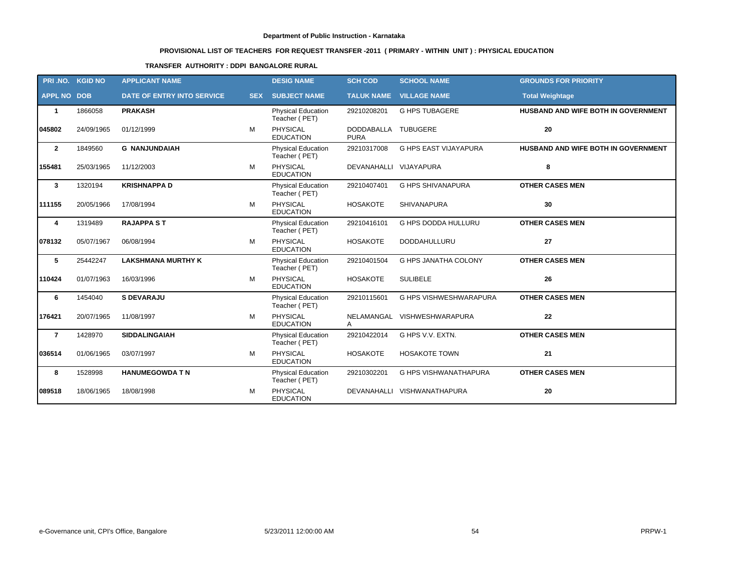# **PROVISIONAL LIST OF TEACHERS FOR REQUEST TRANSFER -2011 ( PRIMARY - WITHIN UNIT ) : PHYSICAL EDUCATION**

### **TRANSFER AUTHORITY : DDPI BANGALORE RURAL**

| PRI .NO.           | <b>KGID NO</b> | <b>APPLICANT NAME</b>             |            | <b>DESIG NAME</b>                          | <b>SCH COD</b>                   | <b>SCHOOL NAME</b>            | <b>GROUNDS FOR PRIORITY</b>         |
|--------------------|----------------|-----------------------------------|------------|--------------------------------------------|----------------------------------|-------------------------------|-------------------------------------|
| <b>APPL NO DOB</b> |                | <b>DATE OF ENTRY INTO SERVICE</b> | <b>SEX</b> | <b>SUBJECT NAME</b>                        | <b>TALUK NAME</b>                | <b>VILLAGE NAME</b>           | <b>Total Weightage</b>              |
| $\mathbf 1$        | 1866058        | <b>PRAKASH</b>                    |            | <b>Physical Education</b><br>Teacher (PET) | 29210208201                      | <b>G HPS TUBAGERE</b>         | HUSBAND AND WIFE BOTH IN GOVERNMENT |
| 045802             | 24/09/1965     | 01/12/1999                        | M          | <b>PHYSICAL</b><br><b>EDUCATION</b>        | <b>DODDABALLA</b><br><b>PURA</b> | <b>TUBUGERE</b>               | 20                                  |
| $\overline{2}$     | 1849560        | <b>G NANJUNDAIAH</b>              |            | <b>Physical Education</b><br>Teacher (PET) | 29210317008                      | <b>G HPS EAST VIJAYAPURA</b>  | HUSBAND AND WIFE BOTH IN GOVERNMENT |
| 155481             | 25/03/1965     | 11/12/2003                        | м          | PHYSICAL<br><b>EDUCATION</b>               | DEVANAHALLI VIJAYAPURA           |                               | 8                                   |
| $\mathbf{3}$       | 1320194        | <b>KRISHNAPPA D</b>               |            | <b>Physical Education</b><br>Teacher (PET) | 29210407401                      | <b>G HPS SHIVANAPURA</b>      | <b>OTHER CASES MEN</b>              |
| 1111155            | 20/05/1966     | 17/08/1994                        | M          | <b>PHYSICAL</b><br><b>EDUCATION</b>        | <b>HOSAKOTE</b>                  | <b>SHIVANAPURA</b>            | 30                                  |
| 4                  | 1319489        | <b>RAJAPPA ST</b>                 |            | Physical Education<br>Teacher (PET)        | 29210416101                      | <b>G HPS DODDA HULLURU</b>    | <b>OTHER CASES MEN</b>              |
| 078132             | 05/07/1967     | 06/08/1994                        | M          | <b>PHYSICAL</b><br><b>EDUCATION</b>        | <b>HOSAKOTE</b>                  | DODDAHULLURU                  | 27                                  |
| 5                  | 25442247       | <b>LAKSHMANA MURTHY K</b>         |            | <b>Physical Education</b><br>Teacher (PET) | 29210401504                      | G HPS JANATHA COLONY          | <b>OTHER CASES MEN</b>              |
| 110424             | 01/07/1963     | 16/03/1996                        | м          | <b>PHYSICAL</b><br><b>EDUCATION</b>        | <b>HOSAKOTE</b>                  | <b>SULIBELE</b>               | 26                                  |
| 6                  | 1454040        | <b>S DEVARAJU</b>                 |            | <b>Physical Education</b><br>Teacher (PET) | 29210115601                      | <b>G HPS VISHWESHWARAPURA</b> | <b>OTHER CASES MEN</b>              |
| 176421             | 20/07/1965     | 11/08/1997                        | M          | <b>PHYSICAL</b><br><b>EDUCATION</b>        | A                                | NELAMANGAL VISHWESHWARAPURA   | 22                                  |
| $\overline{7}$     | 1428970        | <b>SIDDALINGAIAH</b>              |            | <b>Physical Education</b><br>Teacher (PET) | 29210422014                      | G HPS V.V. EXTN.              | <b>OTHER CASES MEN</b>              |
| 036514             | 01/06/1965     | 03/07/1997                        | M          | <b>PHYSICAL</b><br><b>EDUCATION</b>        | <b>HOSAKOTE</b>                  | <b>HOSAKOTE TOWN</b>          | 21                                  |
| 8                  | 1528998        | <b>HANUMEGOWDA T N</b>            |            | <b>Physical Education</b><br>Teacher (PET) | 29210302201                      | G HPS VISHWANATHAPURA         | <b>OTHER CASES MEN</b>              |
| 089518             | 18/06/1965     | 18/08/1998                        | м          | <b>PHYSICAL</b><br><b>EDUCATION</b>        | DEVANAHALLI                      | VISHWANATHAPURA               | 20                                  |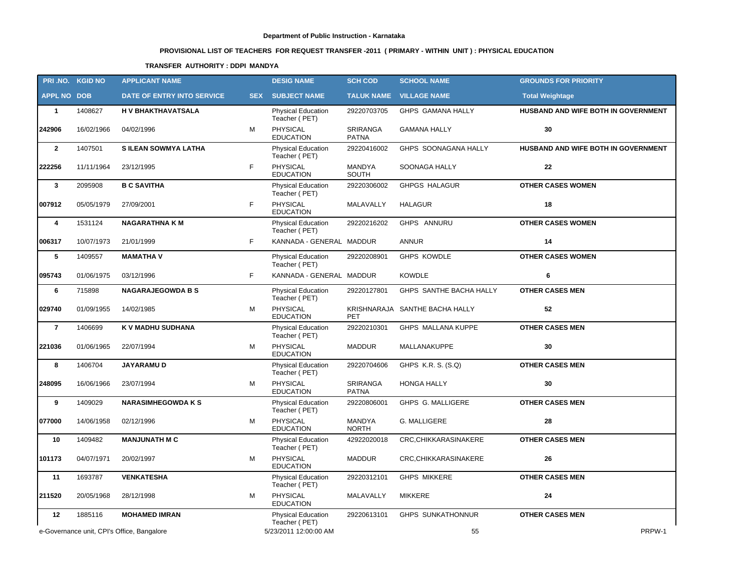# **PROVISIONAL LIST OF TEACHERS FOR REQUEST TRANSFER -2011 ( PRIMARY - WITHIN UNIT ) : PHYSICAL EDUCATION**

### **TRANSFER AUTHORITY : DDPI MANDYA**

|                    | PRI.NO. KGID NO | <b>APPLICANT NAME</b>                      |            | <b>DESIG NAME</b>                          | <b>SCH COD</b>                  | <b>SCHOOL NAME</b>             | <b>GROUNDS FOR PRIORITY</b>         |
|--------------------|-----------------|--------------------------------------------|------------|--------------------------------------------|---------------------------------|--------------------------------|-------------------------------------|
| <b>APPL NO DOB</b> |                 | DATE OF ENTRY INTO SERVICE                 | <b>SEX</b> | <b>SUBJECT NAME</b>                        | <b>TALUK NAME</b>               | <b>VILLAGE NAME</b>            | <b>Total Weightage</b>              |
| $\mathbf{1}$       | 1408627         | H V BHAKTHAVATSALA                         |            | <b>Physical Education</b><br>Teacher (PET) | 29220703705                     | GHPS GAMANA HALLY              | HUSBAND AND WIFE BOTH IN GOVERNMENT |
| 242906             | 16/02/1966      | 04/02/1996                                 | м          | PHYSICAL<br><b>EDUCATION</b>               | <b>SRIRANGA</b><br><b>PATNA</b> | <b>GAMANA HALLY</b>            | 30                                  |
| $\mathbf{2}$       | 1407501         | <b>SILEAN SOWMYA LATHA</b>                 |            | Physical Education<br>Teacher (PET)        | 29220416002                     | GHPS SOONAGANA HALLY           | HUSBAND AND WIFE BOTH IN GOVERNMENT |
| 222256             | 11/11/1964      | 23/12/1995                                 | F.         | <b>PHYSICAL</b><br><b>EDUCATION</b>        | MANDYA<br>SOUTH                 | <b>SOONAGA HALLY</b>           | 22                                  |
| $\mathbf{3}$       | 2095908         | <b>B C SAVITHA</b>                         |            | <b>Physical Education</b><br>Teacher (PET) | 29220306002                     | <b>GHPGS HALAGUR</b>           | <b>OTHER CASES WOMEN</b>            |
| 007912             | 05/05/1979      | 27/09/2001                                 | F          | PHYSICAL<br><b>EDUCATION</b>               | MALAVALLY                       | <b>HALAGUR</b>                 | 18                                  |
| 4                  | 1531124         | <b>NAGARATHNA KM</b>                       |            | <b>Physical Education</b><br>Teacher (PET) | 29220216202                     | GHPS ANNURU                    | <b>OTHER CASES WOMEN</b>            |
| 006317             | 10/07/1973      | 21/01/1999                                 | F.         | KANNADA - GENERAL MADDUR                   |                                 | <b>ANNUR</b>                   | 14                                  |
| 5                  | 1409557         | <b>MAMATHAV</b>                            |            | <b>Physical Education</b><br>Teacher (PET) | 29220208901                     | <b>GHPS KOWDLE</b>             | <b>OTHER CASES WOMEN</b>            |
| 095743             | 01/06/1975      | 03/12/1996                                 | F          | KANNADA - GENERAL MADDUR                   |                                 | <b>KOWDLE</b>                  | 6                                   |
| 6                  | 715898          | <b>NAGARAJEGOWDA B S</b>                   |            | <b>Physical Education</b><br>Teacher (PET) | 29220127801                     | GHPS SANTHE BACHA HALLY        | <b>OTHER CASES MEN</b>              |
| 029740             | 01/09/1955      | 14/02/1985                                 | м          | PHYSICAL<br><b>EDUCATION</b>               | <b>PET</b>                      | KRISHNARAJA SANTHE BACHA HALLY | 52                                  |
| $\overline{7}$     | 1406699         | K V MADHU SUDHANA                          |            | Physical Education<br>Teacher (PET)        | 29220210301                     | GHPS MALLANA KUPPE             | <b>OTHER CASES MEN</b>              |
| 221036             | 01/06/1965      | 22/07/1994                                 | м          | PHYSICAL<br><b>EDUCATION</b>               | <b>MADDUR</b>                   | MALLANAKUPPE                   | 30                                  |
| 8                  | 1406704         | <b>JAYARAMUD</b>                           |            | Physical Education<br>Teacher (PET)        | 29220704606                     | GHPS K.R. S. (S.Q)             | <b>OTHER CASES MEN</b>              |
| 248095             | 16/06/1966      | 23/07/1994                                 | м          | PHYSICAL<br><b>EDUCATION</b>               | SRIRANGA<br><b>PATNA</b>        | <b>HONGA HALLY</b>             | 30                                  |
| 9                  | 1409029         | <b>NARASIMHEGOWDA K S</b>                  |            | Physical Education<br>Teacher (PET)        | 29220806001                     | GHPS G. MALLIGERE              | <b>OTHER CASES MEN</b>              |
| 077000             | 14/06/1958      | 02/12/1996                                 | м          | PHYSICAL<br><b>EDUCATION</b>               | MANDYA<br><b>NORTH</b>          | G. MALLIGERE                   | 28                                  |
| 10                 | 1409482         | <b>MANJUNATH M C</b>                       |            | <b>Physical Education</b><br>Teacher (PET) | 42922020018                     | CRC, CHIKKARASINAKERE          | <b>OTHER CASES MEN</b>              |
| 101173             | 04/07/1971      | 20/02/1997                                 | м          | <b>PHYSICAL</b><br><b>EDUCATION</b>        | <b>MADDUR</b>                   | CRC, CHIKKARASINAKERE          | 26                                  |
| 11                 | 1693787         | <b>VENKATESHA</b>                          |            | <b>Physical Education</b><br>Teacher (PET) | 29220312101                     | <b>GHPS MIKKERE</b>            | <b>OTHER CASES MEN</b>              |
| 211520             | 20/05/1968      | 28/12/1998                                 | м          | PHYSICAL<br><b>EDUCATION</b>               | MALAVALLY                       | <b>MIKKERE</b>                 | 24                                  |
| 12                 | 1885116         | <b>MOHAMED IMRAN</b>                       |            | <b>Physical Education</b><br>Teacher (PET) | 29220613101                     | <b>GHPS SUNKATHONNUR</b>       | <b>OTHER CASES MEN</b>              |
|                    |                 | e-Governance unit, CPI's Office, Bangalore |            | 5/23/2011 12:00:00 AM                      |                                 | 55                             | PRPW-1                              |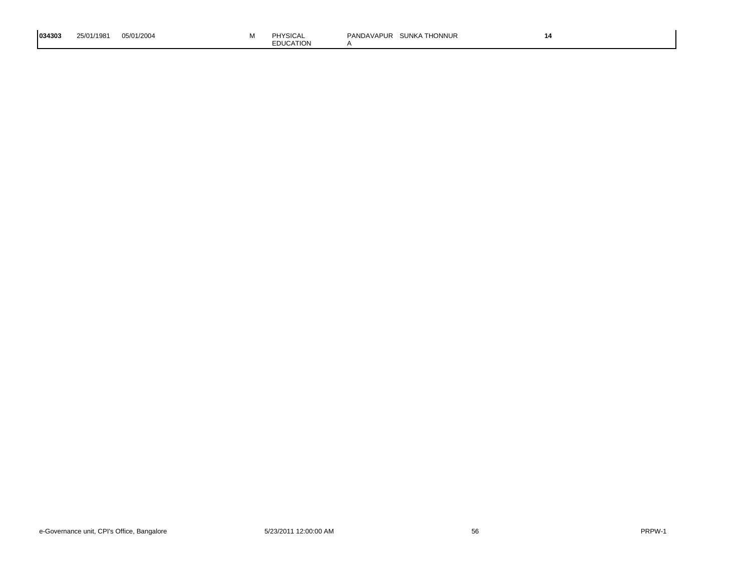| 1034303 | 25/01/1981 | 05/01/2004 |  | <b>TYSICAL</b><br><b>EDUCATION</b> | `Honnur<br><b>SUNKA</b><br>'ANDAVAPUR | 14 |
|---------|------------|------------|--|------------------------------------|---------------------------------------|----|
|---------|------------|------------|--|------------------------------------|---------------------------------------|----|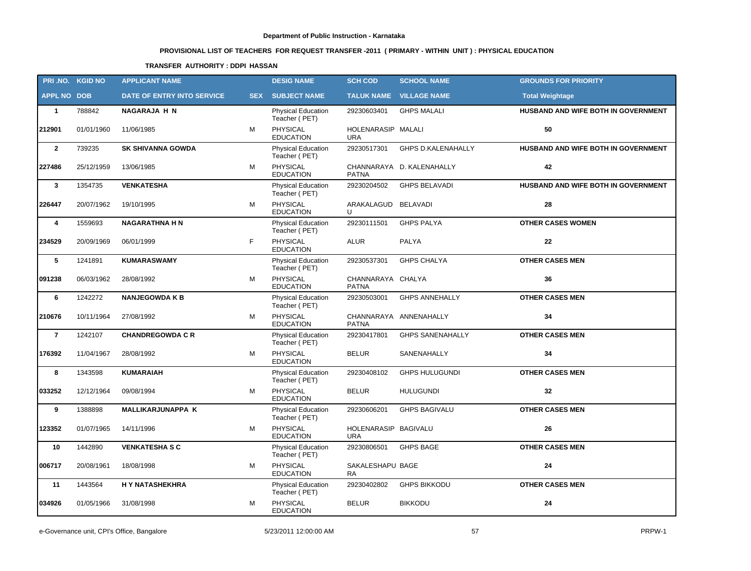# **PROVISIONAL LIST OF TEACHERS FOR REQUEST TRANSFER -2011 ( PRIMARY - WITHIN UNIT ) : PHYSICAL EDUCATION**

### **TRANSFER AUTHORITY : DDPI HASSAN**

|                    | PRI.NO. KGID NO | <b>APPLICANT NAME</b>      |            | <b>DESIG NAME</b>                          | <b>SCH COD</b>                     | <b>SCHOOL NAME</b>             | <b>GROUNDS FOR PRIORITY</b>         |
|--------------------|-----------------|----------------------------|------------|--------------------------------------------|------------------------------------|--------------------------------|-------------------------------------|
| <b>APPL NO DOB</b> |                 | DATE OF ENTRY INTO SERVICE | <b>SEX</b> | <b>SUBJECT NAME</b>                        |                                    | <b>TALUK NAME VILLAGE NAME</b> | <b>Total Weightage</b>              |
| $\mathbf{1}$       | 788842          | <b>NAGARAJA H N</b>        |            | <b>Physical Education</b><br>Teacher (PET) | 29230603401                        | <b>GHPS MALALI</b>             | HUSBAND AND WIFE BOTH IN GOVERNMENT |
| 212901             | 01/01/1960      | 11/06/1985                 | M          | PHYSICAL<br><b>EDUCATION</b>               | HOLENARASIP MALALI<br><b>URA</b>   |                                | 50                                  |
| $\overline{2}$     | 739235          | <b>SK SHIVANNA GOWDA</b>   |            | Physical Education<br>Teacher (PET)        | 29230517301                        | <b>GHPS D.KALENAHALLY</b>      | HUSBAND AND WIFE BOTH IN GOVERNMENT |
| 227486             | 25/12/1959      | 13/06/1985                 | м          | PHYSICAL<br><b>EDUCATION</b>               | <b>PATNA</b>                       | CHANNARAYA D. KALENAHALLY      | 42                                  |
| $\mathbf{3}$       | 1354735         | <b>VENKATESHA</b>          |            | Physical Education<br>Teacher (PET)        | 29230204502                        | <b>GHPS BELAVADI</b>           | HUSBAND AND WIFE BOTH IN GOVERNMENT |
| 226447             | 20/07/1962      | 19/10/1995                 | M          | <b>PHYSICAL</b><br><b>EDUCATION</b>        | ARAKALAGUD BELAVADI<br>U           |                                | 28                                  |
| 4                  | 1559693         | <b>NAGARATHNA H N</b>      |            | Physical Education<br>Teacher (PET)        | 29230111501                        | <b>GHPS PALYA</b>              | <b>OTHER CASES WOMEN</b>            |
| 234529             | 20/09/1969      | 06/01/1999                 | F          | PHYSICAL<br><b>EDUCATION</b>               | <b>ALUR</b>                        | PALYA                          | 22                                  |
| 5                  | 1241891         | <b>KUMARASWAMY</b>         |            | Physical Education<br>Teacher (PET)        | 29230537301                        | <b>GHPS CHALYA</b>             | <b>OTHER CASES MEN</b>              |
| 091238             | 06/03/1962      | 28/08/1992                 | M          | PHYSICAL<br><b>EDUCATION</b>               | CHANNARAYA CHALYA<br><b>PATNA</b>  |                                | 36                                  |
| 6                  | 1242272         | <b>NANJEGOWDA K B</b>      |            | Physical Education<br>Teacher (PET)        | 29230503001                        | <b>GHPS ANNEHALLY</b>          | <b>OTHER CASES MEN</b>              |
| 210676             | 10/11/1964      | 27/08/1992                 | м          | PHYSICAL<br><b>EDUCATION</b>               | <b>PATNA</b>                       | CHANNARAYA ANNENAHALLY         | 34                                  |
| $\overline{7}$     | 1242107         | <b>CHANDREGOWDA C R</b>    |            | Physical Education<br>Teacher (PET)        | 29230417801                        | <b>GHPS SANENAHALLY</b>        | <b>OTHER CASES MEN</b>              |
| 176392             | 11/04/1967      | 28/08/1992                 | M          | <b>PHYSICAL</b><br><b>EDUCATION</b>        | <b>BELUR</b>                       | SANENAHALLY                    | 34                                  |
| 8                  | 1343598         | <b>KUMARAIAH</b>           |            | Physical Education<br>Teacher (PET)        | 29230408102                        | <b>GHPS HULUGUNDI</b>          | <b>OTHER CASES MEN</b>              |
| 033252             | 12/12/1964      | 09/08/1994                 | м          | <b>PHYSICAL</b><br><b>EDUCATION</b>        | <b>BELUR</b>                       | <b>HULUGUNDI</b>               | 32                                  |
| 9                  | 1388898         | <b>MALLIKARJUNAPPA K</b>   |            | Physical Education<br>Teacher (PET)        | 29230606201                        | <b>GHPS BAGIVALU</b>           | <b>OTHER CASES MEN</b>              |
| 123352             | 01/07/1965      | 14/11/1996                 | M          | PHYSICAL<br><b>EDUCATION</b>               | HOLENARASIP BAGIVALU<br><b>URA</b> |                                | 26                                  |
| 10                 | 1442890         | <b>VENKATESHA S C</b>      |            | Physical Education<br>Teacher (PET)        | 29230806501                        | <b>GHPS BAGE</b>               | <b>OTHER CASES MEN</b>              |
| 006717             | 20/08/1961      | 18/08/1998                 | м          | PHYSICAL<br><b>EDUCATION</b>               | SAKALESHAPU BAGE<br>RA             |                                | 24                                  |
| 11                 | 1443564         | H Y NATASHEKHRA            |            | Physical Education<br>Teacher (PET)        | 29230402802                        | <b>GHPS BIKKODU</b>            | <b>OTHER CASES MEN</b>              |
| 034926             | 01/05/1966      | 31/08/1998                 | M          | PHYSICAL<br><b>EDUCATION</b>               | <b>BELUR</b>                       | <b>BIKKODU</b>                 | 24                                  |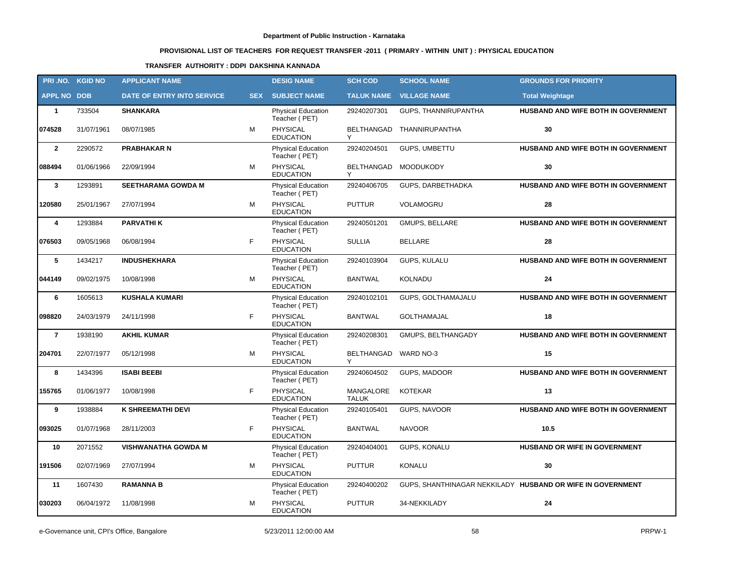# **PROVISIONAL LIST OF TEACHERS FOR REQUEST TRANSFER -2011 ( PRIMARY - WITHIN UNIT ) : PHYSICAL EDUCATION**

### **TRANSFER AUTHORITY : DDPI DAKSHINA KANNADA**

|                    | PRI .NO. KGID NO | <b>APPLICANT NAME</b>      |            | <b>DESIG NAME</b>                          | <b>SCH COD</b>            | <b>SCHOOL NAME</b>       | <b>GROUNDS FOR PRIORITY</b>                                |
|--------------------|------------------|----------------------------|------------|--------------------------------------------|---------------------------|--------------------------|------------------------------------------------------------|
| <b>APPL NO DOB</b> |                  | DATE OF ENTRY INTO SERVICE | <b>SEX</b> | <b>SUBJECT NAME</b>                        | <b>TALUK NAME</b>         | <b>VILLAGE NAME</b>      | <b>Total Weightage</b>                                     |
| $\mathbf{1}$       | 733504           | <b>SHANKARA</b>            |            | <b>Physical Education</b><br>Teacher (PET) | 29240207301               | GUPS, THANNIRUPANTHA     | HUSBAND AND WIFE BOTH IN GOVERNMENT                        |
| 074528             | 31/07/1961       | 08/07/1985                 | м          | PHYSICAL<br><b>EDUCATION</b>               | BELTHANGAD                | THANNIRUPANTHA           | 30                                                         |
| $\overline{2}$     | 2290572          | <b>PRABHAKAR N</b>         |            | <b>Physical Education</b><br>Teacher (PET) | 29240204501               | GUPS, UMBETTU            | HUSBAND AND WIFE BOTH IN GOVERNMENT                        |
| 088494             | 01/06/1966       | 22/09/1994                 | M          | PHYSICAL<br><b>EDUCATION</b>               | BELTHANGAD<br>Υ           | <b>MOODUKODY</b>         | 30                                                         |
| $\mathbf{3}$       | 1293891          | <b>SEETHARAMA GOWDA M</b>  |            | <b>Physical Education</b><br>Teacher (PET) | 29240406705               | GUPS, DARBETHADKA        | HUSBAND AND WIFE BOTH IN GOVERNMENT                        |
| 120580             | 25/01/1967       | 27/07/1994                 | м          | PHYSICAL<br><b>EDUCATION</b>               | <b>PUTTUR</b>             | VOLAMOGRU                | 28                                                         |
| 4                  | 1293884          | <b>PARVATHIK</b>           |            | <b>Physical Education</b><br>Teacher (PET) | 29240501201               | <b>GMUPS, BELLARE</b>    | HUSBAND AND WIFE BOTH IN GOVERNMENT                        |
| 076503             | 09/05/1968       | 06/08/1994                 | F          | <b>PHYSICAL</b><br><b>EDUCATION</b>        | <b>SULLIA</b>             | <b>BELLARE</b>           | 28                                                         |
| 5                  | 1434217          | <b>INDUSHEKHARA</b>        |            | <b>Physical Education</b><br>Teacher (PET) | 29240103904               | <b>GUPS, KULALU</b>      | HUSBAND AND WIFE BOTH IN GOVERNMENT                        |
| 044149             | 09/02/1975       | 10/08/1998                 | M          | PHYSICAL<br><b>EDUCATION</b>               | <b>BANTWAL</b>            | KOLNADU                  | 24                                                         |
| 6                  | 1605613          | <b>KUSHALA KUMARI</b>      |            | <b>Physical Education</b><br>Teacher (PET) | 29240102101               | GUPS, GOLTHAMAJALU       | HUSBAND AND WIFE BOTH IN GOVERNMENT                        |
| 098820             | 24/03/1979       | 24/11/1998                 | F          | PHYSICAL<br><b>EDUCATION</b>               | <b>BANTWAL</b>            | <b>GOLTHAMAJAL</b>       | 18                                                         |
| $\overline{7}$     | 1938190          | <b>AKHIL KUMAR</b>         |            | <b>Physical Education</b><br>Teacher (PET) | 29240208301               | GMUPS, BELTHANGADY       | HUSBAND AND WIFE BOTH IN GOVERNMENT                        |
| 204701             | 22/07/1977       | 05/12/1998                 | M          | <b>PHYSICAL</b><br><b>EDUCATION</b>        | BELTHANGAD                | WARD NO-3                | 15                                                         |
| 8                  | 1434396          | <b>ISABI BEEBI</b>         |            | <b>Physical Education</b><br>Teacher (PET) | 29240604502               | GUPS, MADOOR             | HUSBAND AND WIFE BOTH IN GOVERNMENT                        |
| 155765             | 01/06/1977       | 10/08/1998                 | F          | PHYSICAL<br><b>EDUCATION</b>               | MANGALORE<br><b>TALUK</b> | <b>KOTEKAR</b>           | 13                                                         |
| 9                  | 1938884          | K SHREEMATHI DEVI          |            | <b>Physical Education</b><br>Teacher (PET) | 29240105401               | GUPS, NAVOOR             | HUSBAND AND WIFE BOTH IN GOVERNMENT                        |
| 093025             | 01/07/1968       | 28/11/2003                 | F.         | PHYSICAL<br><b>EDUCATION</b>               | BANTWAL                   | <b>NAVOOR</b>            | 10.5                                                       |
| 10                 | 2071552          | <b>VISHWANATHA GOWDA M</b> |            | <b>Physical Education</b><br>Teacher (PET) |                           | 29240404001 GUPS, KONALU | HUSBAND OR WIFE IN GOVERNMENT                              |
| 191506             | 02/07/1969       | 27/07/1994                 | м          | PHYSICAL<br><b>EDUCATION</b>               | <b>PUTTUR</b>             | <b>KONALU</b>            | 30                                                         |
| 11                 | 1607430          | <b>RAMANNA B</b>           |            | <b>Physical Education</b><br>Teacher (PET) | 29240400202               |                          | GUPS, SHANTHINAGAR NEKKILADY HUSBAND OR WIFE IN GOVERNMENT |
| 030203             | 06/04/1972       | 11/08/1998                 | м          | <b>PHYSICAL</b><br><b>EDUCATION</b>        | <b>PUTTUR</b>             | 34-NEKKILADY             | 24                                                         |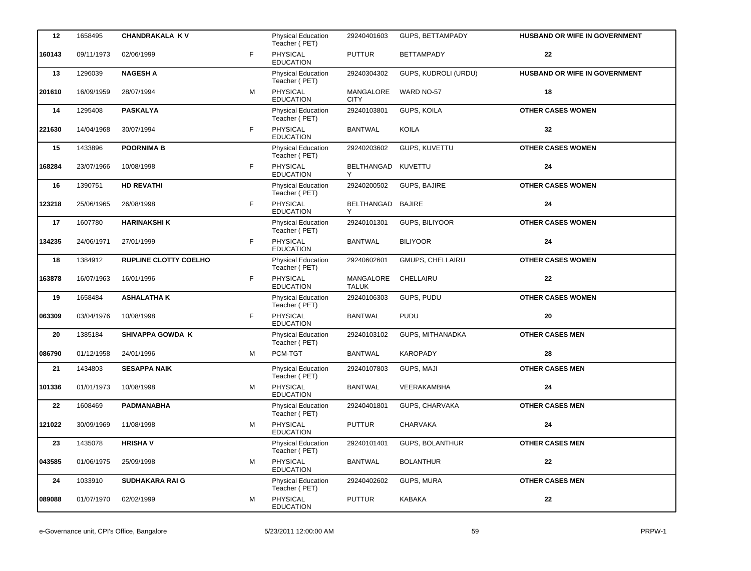| 12     | 1658495    | <b>CHANDRAKALA KV</b>        |    | <b>Physical Education</b><br>Teacher (PET) | 29240401603               | GUPS, BETTAMPADY        | <b>HUSBAND OR WIFE IN GOVERNMENT</b> |
|--------|------------|------------------------------|----|--------------------------------------------|---------------------------|-------------------------|--------------------------------------|
| 160143 | 09/11/1973 | 02/06/1999                   | F. | PHYSICAL<br><b>EDUCATION</b>               | <b>PUTTUR</b>             | <b>BETTAMPADY</b>       | 22                                   |
| 13     | 1296039    | <b>NAGESH A</b>              |    | Physical Education<br>Teacher (PET)        | 29240304302               | GUPS, KUDROLI (URDU)    | HUSBAND OR WIFE IN GOVERNMENT        |
| 201610 | 16/09/1959 | 28/07/1994                   | M  | PHYSICAL<br><b>EDUCATION</b>               | MANGALORE<br>CITY         | WARD NO-57              | 18                                   |
| 14     | 1295408    | <b>PASKALYA</b>              |    | Physical Education<br>Teacher (PET)        | 29240103801               | GUPS, KOILA             | <b>OTHER CASES WOMEN</b>             |
| 221630 | 14/04/1968 | 30/07/1994                   | F  | PHYSICAL<br><b>EDUCATION</b>               | <b>BANTWAL</b>            | <b>KOILA</b>            | 32                                   |
| 15     | 1433896    | <b>POORNIMA B</b>            |    | Physical Education<br>Teacher (PET)        | 29240203602               | GUPS, KUVETTU           | <b>OTHER CASES WOMEN</b>             |
| 168284 | 23/07/1966 | 10/08/1998                   | F. | PHYSICAL<br><b>EDUCATION</b>               | BELTHANGAD KUVETTU<br>Y   |                         | 24                                   |
| 16     | 1390751    | <b>HD REVATHI</b>            |    | Physical Education<br>Teacher (PET)        | 29240200502               | GUPS, BAJIRE            | <b>OTHER CASES WOMEN</b>             |
| 123218 | 25/06/1965 | 26/08/1998                   | F. | PHYSICAL<br><b>EDUCATION</b>               | BELTHANGAD BAJIRE<br>Y    |                         | 24                                   |
| 17     | 1607780    | <b>HARINAKSHI K</b>          |    | Physical Education<br>Teacher (PET)        | 29240101301               | GUPS, BILIYOOR          | <b>OTHER CASES WOMEN</b>             |
| 134235 | 24/06/1971 | 27/01/1999                   | F. | PHYSICAL<br><b>EDUCATION</b>               | <b>BANTWAL</b>            | <b>BILIYOOR</b>         | 24                                   |
| 18     | 1384912    | <b>RUPLINE CLOTTY COELHO</b> |    | Physical Education<br>Teacher (PET)        | 29240602601               | <b>GMUPS, CHELLAIRU</b> | <b>OTHER CASES WOMEN</b>             |
| 163878 | 16/07/1963 | 16/01/1996                   | F. | <b>PHYSICAL</b><br><b>EDUCATION</b>        | MANGALORE<br><b>TALUK</b> | CHELLAIRU               | 22                                   |
| 19     | 1658484    | <b>ASHALATHAK</b>            |    | Physical Education<br>Teacher (PET)        | 29240106303               | GUPS, PUDU              | <b>OTHER CASES WOMEN</b>             |
| 063309 | 03/04/1976 | 10/08/1998                   | F. | PHYSICAL<br><b>EDUCATION</b>               | <b>BANTWAL</b>            | <b>PUDU</b>             | 20                                   |
| 20     | 1385184    | <b>SHIVAPPA GOWDA K</b>      |    | Physical Education<br>Teacher (PET)        | 29240103102               | GUPS, MITHANADKA        | <b>OTHER CASES MEN</b>               |
| 086790 | 01/12/1958 | 24/01/1996                   | м  | PCM-TGT                                    | <b>BANTWAL</b>            | <b>KAROPADY</b>         | 28                                   |
| 21     | 1434803    | <b>SESAPPA NAIK</b>          |    | Physical Education<br>Teacher (PET)        | 29240107803               | GUPS, MAJI              | <b>OTHER CASES MEN</b>               |
| 101336 | 01/01/1973 | 10/08/1998                   | м  | PHYSICAL<br><b>EDUCATION</b>               | <b>BANTWAL</b>            | VEERAKAMBHA             | 24                                   |
| 22     | 1608469    | <b>PADMANABHA</b>            |    | Physical Education<br>Teacher (PET)        | 29240401801               | GUPS, CHARVAKA          | <b>OTHER CASES MEN</b>               |
| 121022 | 30/09/1969 | 11/08/1998                   | м  | PHYSICAL<br><b>EDUCATION</b>               | <b>PUTTUR</b>             | CHARVAKA                | 24                                   |
| 23     | 1435078    | <b>HRISHAV</b>               |    | Physical Education<br>Teacher (PET)        | 29240101401               | GUPS, BOLANTHUR         | <b>OTHER CASES MEN</b>               |
| 043585 | 01/06/1975 | 25/09/1998                   | м  | PHYSICAL<br><b>EDUCATION</b>               | <b>BANTWAL</b>            | <b>BOLANTHUR</b>        | 22                                   |
| 24     | 1033910    | <b>SUDHAKARA RAIG</b>        |    | Physical Education<br>Teacher (PET)        | 29240402602               | GUPS, MURA              | <b>OTHER CASES MEN</b>               |
| 089088 | 01/07/1970 | 02/02/1999                   | м  | PHYSICAL<br><b>EDUCATION</b>               | <b>PUTTUR</b>             | KABAKA                  | ${\bf 22}$                           |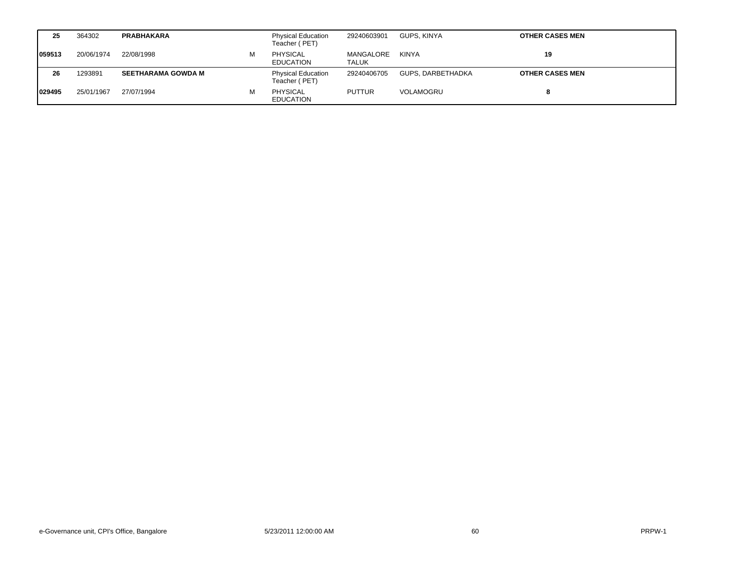| 25      | 364302     | <b>PRABHAKARA</b>         |   | <b>Physical Education</b><br>Teacher (PET) | 29240603901        | GUPS. KINYA       | <b>OTHER CASES MEN</b> |
|---------|------------|---------------------------|---|--------------------------------------------|--------------------|-------------------|------------------------|
| 1059513 | 20/06/1974 | 22/08/1998                | м | <b>PHYSICAL</b><br><b>EDUCATION</b>        | MANGALORE<br>TALUK | KINYA             | 19                     |
| 26      | 1293891    | <b>SEETHARAMA GOWDA M</b> |   | <b>Physical Education</b><br>Teacher (PET) | 29240406705        | GUPS, DARBETHADKA | <b>OTHER CASES MEN</b> |
| 1029495 | 25/01/1967 | 27/07/1994                | м | <b>PHYSICAL</b><br><b>EDUCATION</b>        | <b>PUTTUR</b>      | VOLAMOGRU         |                        |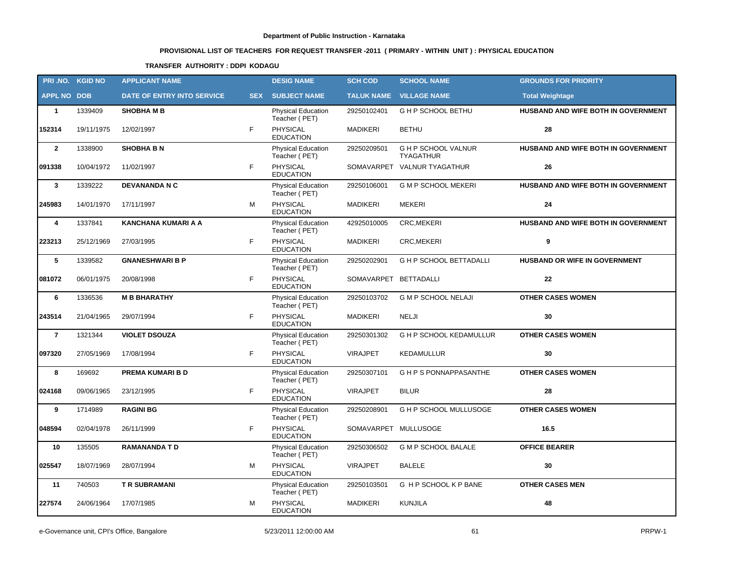# **PROVISIONAL LIST OF TEACHERS FOR REQUEST TRANSFER -2011 ( PRIMARY - WITHIN UNIT ) : PHYSICAL EDUCATION**

### **TRANSFER AUTHORITY : DDPI KODAGU**

|                    | PRI.NO. KGID NO | <b>APPLICANT NAME</b>      |            | <b>DESIG NAME</b>                          | <b>SCH COD</b>        | <b>SCHOOL NAME</b>                           | <b>GROUNDS FOR PRIORITY</b>                |
|--------------------|-----------------|----------------------------|------------|--------------------------------------------|-----------------------|----------------------------------------------|--------------------------------------------|
| <b>APPL NO DOB</b> |                 | DATE OF ENTRY INTO SERVICE | <b>SEX</b> | <b>SUBJECT NAME</b>                        | <b>TALUK NAME</b>     | <b>VILLAGE NAME</b>                          | <b>Total Weightage</b>                     |
| $\mathbf{1}$       | 1339409         | <b>SHOBHA M B</b>          |            | <b>Physical Education</b><br>Teacher (PET) | 29250102401           | G H P SCHOOL BETHU                           | HUSBAND AND WIFE BOTH IN GOVERNMENT        |
| 152314             | 19/11/1975      | 12/02/1997                 | F          | PHYSICAL<br><b>EDUCATION</b>               | <b>MADIKERI</b>       | <b>BETHU</b>                                 | 28                                         |
| $\mathbf{2}$       | 1338900         | <b>SHOBHA B N</b>          |            | Physical Education<br>Teacher (PET)        | 29250209501           | <b>GHP SCHOOL VALNUR</b><br><b>TYAGATHUR</b> | HUSBAND AND WIFE BOTH IN GOVERNMENT        |
| 091338             | 10/04/1972      | 11/02/1997                 | F          | PHYSICAL<br><b>EDUCATION</b>               | SOMAVARPET            | <b>VALNUR TYAGATHUR</b>                      | 26                                         |
| $\mathbf{3}$       | 1339222         | <b>DEVANANDA N C</b>       |            | Physical Education<br>Teacher (PET)        | 29250106001           | <b>G M P SCHOOL MEKERI</b>                   | HUSBAND AND WIFE BOTH IN GOVERNMENT        |
| 245983             | 14/01/1970      | 17/11/1997                 | M          | <b>PHYSICAL</b><br><b>EDUCATION</b>        | <b>MADIKERI</b>       | <b>MEKERI</b>                                | 24                                         |
| 4                  | 1337841         | <b>KANCHANA KUMARI A A</b> |            | Physical Education<br>Teacher (PET)        | 42925010005           | <b>CRC, MEKERI</b>                           | <b>HUSBAND AND WIFE BOTH IN GOVERNMENT</b> |
| 223213             | 25/12/1969      | 27/03/1995                 | F          | <b>PHYSICAL</b><br><b>EDUCATION</b>        | <b>MADIKERI</b>       | <b>CRC, MEKERI</b>                           | 9                                          |
| 5                  | 1339582         | <b>GNANESHWARI B P</b>     |            | Physical Education<br>Teacher (PET)        | 29250202901           | <b>GHP SCHOOL BETTADALLI</b>                 | HUSBAND OR WIFE IN GOVERNMENT              |
| 081072             | 06/01/1975      | 20/08/1998                 | F          | <b>PHYSICAL</b><br><b>EDUCATION</b>        | SOMAVARPET BETTADALLI |                                              | 22                                         |
| 6                  | 1336536         | <b>M B BHARATHY</b>        |            | Physical Education<br>Teacher (PET)        | 29250103702           | <b>G M P SCHOOL NELAJI</b>                   | <b>OTHER CASES WOMEN</b>                   |
| 243514             | 21/04/1965      | 29/07/1994                 | F          | PHYSICAL<br><b>EDUCATION</b>               | <b>MADIKERI</b>       | <b>NELJI</b>                                 | 30                                         |
| $\overline{7}$     | 1321344         | <b>VIOLET DSOUZA</b>       |            | Physical Education<br>Teacher (PET)        | 29250301302           | <b>G H P SCHOOL KEDAMULLUR</b>               | <b>OTHER CASES WOMEN</b>                   |
| 097320             | 27/05/1969      | 17/08/1994                 | F          | <b>PHYSICAL</b><br><b>EDUCATION</b>        | <b>VIRAJPET</b>       | KEDAMULLUR                                   | 30                                         |
| 8                  | 169692          | PREMA KUMARI B D           |            | <b>Physical Education</b><br>Teacher (PET) | 29250307101           | <b>GHPSPONNAPPASANTHE</b>                    | <b>OTHER CASES WOMEN</b>                   |
| 024168             | 09/06/1965      | 23/12/1995                 | F          | <b>PHYSICAL</b><br><b>EDUCATION</b>        | <b>VIRAJPET</b>       | <b>BILUR</b>                                 | 28                                         |
| 9                  | 1714989         | <b>RAGINI BG</b>           |            | Physical Education<br>Teacher (PET)        | 29250208901           | G H P SCHOOL MULLUSOGE                       | <b>OTHER CASES WOMEN</b>                   |
| 048594             | 02/04/1978      | 26/11/1999                 | F          | <b>PHYSICAL</b><br><b>EDUCATION</b>        | SOMAVARPET MULLUSOGE  |                                              | 16.5                                       |
| $10$               | 135505          | <b>RAMANANDA T D</b>       |            | Physical Education<br>Teacher (PET)        | 29250306502           | <b>G M P SCHOOL BALALE</b>                   | <b>OFFICE BEARER</b>                       |
| 025547             | 18/07/1969      | 28/07/1994                 | м          | PHYSICAL<br><b>EDUCATION</b>               | <b>VIRAJPET</b>       | <b>BALELE</b>                                | 30                                         |
| 11                 | 740503          | <b>TR SUBRAMANI</b>        |            | Physical Education<br>Teacher (PET)        | 29250103501           | G H P SCHOOL K P BANE                        | <b>OTHER CASES MEN</b>                     |
| 227574             | 24/06/1964      | 17/07/1985                 | M          | PHYSICAL<br><b>EDUCATION</b>               | <b>MADIKERI</b>       | <b>KUNJILA</b>                               | 48                                         |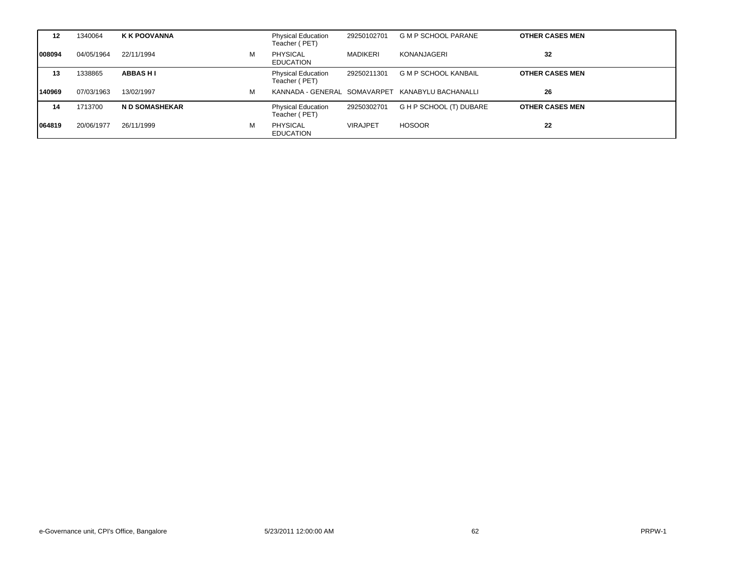| $12 \,$ | 1340064    | <b>K K POOVANNA</b>  |   | <b>Physical Education</b><br>Teacher (PET) | 29250102701     | <b>G M P SCHOOL PARANE</b>  | <b>OTHER CASES MEN</b> |
|---------|------------|----------------------|---|--------------------------------------------|-----------------|-----------------------------|------------------------|
| 008094  | 04/05/1964 | 22/11/1994           | м | PHYSICAL<br><b>EDUCATION</b>               | <b>MADIKERI</b> | KONANJAGERI                 | 32                     |
| 13      | 1338865    | <b>ABBASHI</b>       |   | <b>Physical Education</b><br>Teacher (PET) | 29250211301     | <b>G M P SCHOOL KANBAIL</b> | <b>OTHER CASES MEN</b> |
| 140969  | 07/03/1963 | 13/02/1997           | м | KANNADA - GENERAL SOMAVARPET               |                 | KANABYLU BACHANALLI         | 26                     |
| 14      | 1713700    | <b>ND SOMASHEKAR</b> |   | <b>Physical Education</b><br>Teacher (PET) | 29250302701     | G H P SCHOOL (T) DUBARE     | <b>OTHER CASES MEN</b> |
| 064819  | 20/06/1977 | 26/11/1999           | M | <b>PHYSICAL</b><br><b>EDUCATION</b>        | <b>VIRAJPET</b> | <b>HOSOOR</b>               | 22                     |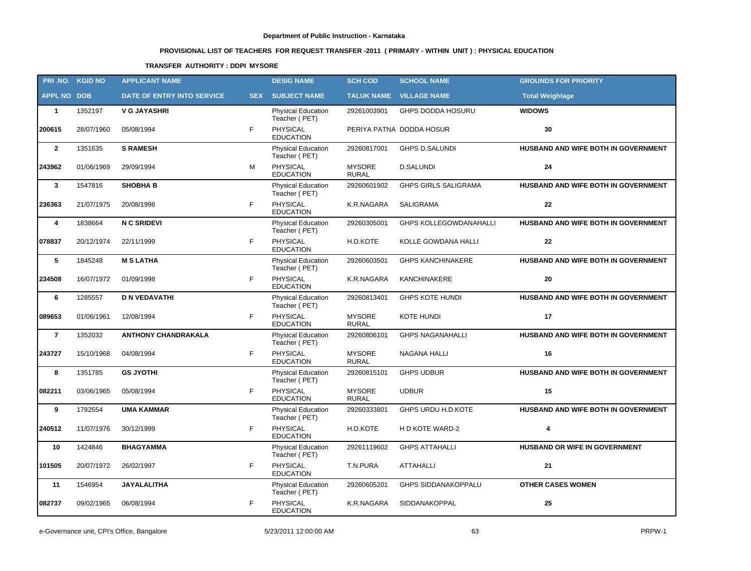# **PROVISIONAL LIST OF TEACHERS FOR REQUEST TRANSFER -2011 ( PRIMARY - WITHIN UNIT ) : PHYSICAL EDUCATION**

### **TRANSFER AUTHORITY : DDPI MYSORE**

| PRI.NO. KGID NO    |            | <b>APPLICANT NAME</b>             |            | <b>DESIG NAME</b>                          | <b>SCH COD</b>                | <b>SCHOOL NAME</b>             | <b>GROUNDS FOR PRIORITY</b>         |
|--------------------|------------|-----------------------------------|------------|--------------------------------------------|-------------------------------|--------------------------------|-------------------------------------|
| <b>APPL NO DOB</b> |            | <b>DATE OF ENTRY INTO SERVICE</b> | <b>SEX</b> | <b>SUBJECT NAME</b>                        |                               | <b>TALUK NAME VILLAGE NAME</b> | <b>Total Weightage</b>              |
| $\mathbf{1}$       | 1352197    | <b>V G JAYASHRI</b>               |            | <b>Physical Education</b><br>Teacher (PET) | 29261003901                   | <b>GHPS DODDA HOSURU</b>       | <b>WIDOWS</b>                       |
| 200615             | 28/07/1960 | 05/08/1994                        | F          | PHYSICAL<br><b>EDUCATION</b>               |                               | PERIYA PATNA DODDA HOSUR       | 30                                  |
| $\overline{2}$     | 1351635    | <b>S RAMESH</b>                   |            | <b>Physical Education</b><br>Teacher (PET) | 29260817001                   | <b>GHPS D.SALUNDI</b>          | HUSBAND AND WIFE BOTH IN GOVERNMENT |
| 243962             | 01/06/1969 | 29/09/1994                        | М          | PHYSICAL<br><b>EDUCATION</b>               | <b>MYSORE</b><br><b>RURAL</b> | <b>D.SALUNDI</b>               | 24                                  |
| $\mathbf{3}$       | 1547816    | <b>SHOBHA B</b>                   |            | Physical Education<br>Teacher (PET)        | 29260601902                   | <b>GHPS GIRLS SALIGRAMA</b>    | HUSBAND AND WIFE BOTH IN GOVERNMENT |
| 236363             | 21/07/1975 | 20/08/1998                        | F          | <b>PHYSICAL</b><br><b>EDUCATION</b>        | K.R.NAGARA                    | <b>SALIGRAMA</b>               | 22                                  |
| 4                  | 1838664    | <b>N C SRIDEVI</b>                |            | Physical Education<br>Teacher (PET)        | 29260305001                   | <b>GHPS KOLLEGOWDANAHALLI</b>  | HUSBAND AND WIFE BOTH IN GOVERNMENT |
| 078837             | 20/12/1974 | 22/11/1999                        | F.         | <b>PHYSICAL</b><br><b>EDUCATION</b>        | H.D.KOTE                      | KOLLE GOWDANA HALLI            | $22 \,$                             |
| 5                  | 1845248    | <b>M S LATHA</b>                  |            | Physical Education<br>Teacher (PET)        | 29260603501                   | <b>GHPS KANCHINAKERE</b>       | HUSBAND AND WIFE BOTH IN GOVERNMENT |
| 234508             | 16/07/1972 | 01/09/1998                        | F          | PHYSICAL<br><b>EDUCATION</b>               | K.R.NAGARA                    | KANCHINAKERE                   | 20                                  |
| 6                  | 1285557    | <b>D N VEDAVATHI</b>              |            | Physical Education<br>Teacher (PET)        | 29260813401                   | <b>GHPS KOTE HUNDI</b>         | HUSBAND AND WIFE BOTH IN GOVERNMENT |
| 089653             | 01/06/1961 | 12/08/1994                        | F          | <b>PHYSICAL</b><br><b>EDUCATION</b>        | <b>MYSORE</b><br><b>RURAL</b> | <b>KOTE HUNDI</b>              | 17                                  |
| $\overline{7}$     | 1352032    | <b>ANTHONY CHANDRAKALA</b>        |            | <b>Physical Education</b><br>Teacher (PET) | 29260806101                   | <b>GHPS NAGANAHALLI</b>        | HUSBAND AND WIFE BOTH IN GOVERNMENT |
| 243727             | 15/10/1968 | 04/08/1994                        | F          | <b>PHYSICAL</b><br><b>EDUCATION</b>        | <b>MYSORE</b><br><b>RURAL</b> | NAGANA HALLI                   | 16                                  |
| 8                  | 1351785    | <b>GS JYOTHI</b>                  |            | <b>Physical Education</b><br>Teacher (PET) | 29260815101                   | <b>GHPS UDBUR</b>              | HUSBAND AND WIFE BOTH IN GOVERNMENT |
| 082211             | 03/06/1965 | 05/08/1994                        | F          | PHYSICAL<br><b>EDUCATION</b>               | <b>MYSORE</b><br><b>RURAL</b> | <b>UDBUR</b>                   | 15                                  |
| 9                  | 1782554    | <b>UMA KAMMAR</b>                 |            | Physical Education<br>Teacher (PET)        | 29260333801                   | GHPS URDU H.D.KOTE             | HUSBAND AND WIFE BOTH IN GOVERNMENT |
| 240512             | 11/07/1976 | 30/12/1999                        | F          | PHYSICAL<br><b>EDUCATION</b>               | H.D.KOTE                      | H D KOTE WARD-2                | $\boldsymbol{4}$                    |
| 10                 | 1424846    | <b>BHAGYAMMA</b>                  |            | Physical Education<br>Teacher (PET)        | 29261119602                   | <b>GHPS ATTAHALLI</b>          | HUSBAND OR WIFE IN GOVERNMENT       |
| 101505             | 20/07/1972 | 26/02/1997                        | F          | PHYSICAL<br><b>EDUCATION</b>               | T.N.PURA                      | ATTAHALLI                      | 21                                  |
| 11                 | 1546954    | <b>JAYALALITHA</b>                |            | Physical Education<br>Teacher (PET)        | 29260605201                   | GHPS SIDDANAKOPPALU            | <b>OTHER CASES WOMEN</b>            |
| 082737             | 09/02/1965 | 06/08/1994                        | F          | PHYSICAL<br><b>EDUCATION</b>               | K.R.NAGARA                    | SIDDANAKOPPAL                  | 25                                  |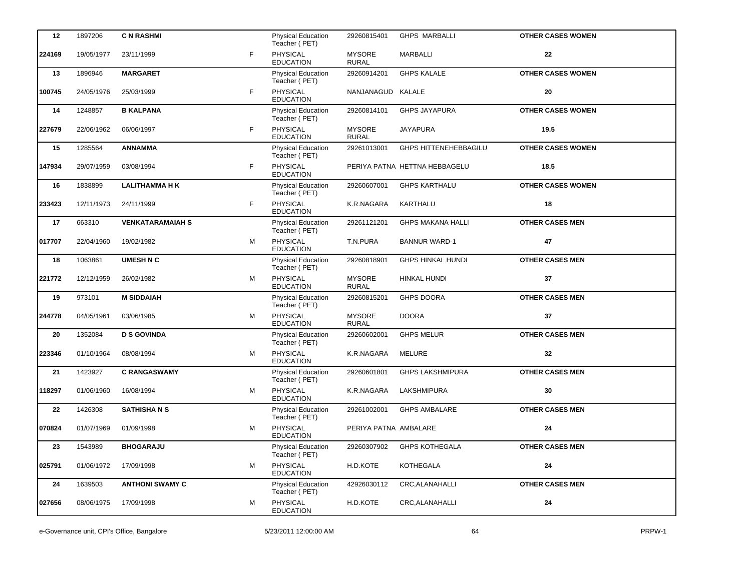| 12     | 1897206    | <b>C N RASHMI</b>       |    | <b>Physical Education</b><br>Teacher (PET) | 29260815401                   | <b>GHPS MARBALLI</b>          | <b>OTHER CASES WOMEN</b> |
|--------|------------|-------------------------|----|--------------------------------------------|-------------------------------|-------------------------------|--------------------------|
| 224169 | 19/05/1977 | 23/11/1999              | F. | PHYSICAL<br><b>EDUCATION</b>               | <b>MYSORE</b><br><b>RURAL</b> | <b>MARBALLI</b>               | 22                       |
| 13     | 1896946    | <b>MARGARET</b>         |    | <b>Physical Education</b><br>Teacher (PET) | 29260914201                   | <b>GHPS KALALE</b>            | <b>OTHER CASES WOMEN</b> |
| 100745 | 24/05/1976 | 25/03/1999              | F  | PHYSICAL<br><b>EDUCATION</b>               | NANJANAGUD KALALE             |                               | 20                       |
| 14     | 1248857    | <b>B KALPANA</b>        |    | Physical Education<br>Teacher (PET)        | 29260814101                   | <b>GHPS JAYAPURA</b>          | <b>OTHER CASES WOMEN</b> |
| 227679 | 22/06/1962 | 06/06/1997              | F  | PHYSICAL<br><b>EDUCATION</b>               | <b>MYSORE</b><br><b>RURAL</b> | <b>JAYAPURA</b>               | 19.5                     |
| 15     | 1285564    | <b>ANNAMMA</b>          |    | Physical Education<br>Teacher (PET)        | 29261013001                   | GHPS HITTENEHEBBAGILU         | <b>OTHER CASES WOMEN</b> |
| 147934 | 29/07/1959 | 03/08/1994              | F. | PHYSICAL<br><b>EDUCATION</b>               |                               | PERIYA PATNA HETTNA HEBBAGELU | 18.5                     |
| 16     | 1838899    | <b>LALITHAMMA H K</b>   |    | Physical Education<br>Teacher (PET)        | 29260607001                   | <b>GHPS KARTHALU</b>          | <b>OTHER CASES WOMEN</b> |
| 233423 | 12/11/1973 | 24/11/1999              | F. | <b>PHYSICAL</b><br><b>EDUCATION</b>        | K.R.NAGARA                    | KARTHALU                      | 18                       |
| 17     | 663310     | <b>VENKATARAMAIAH S</b> |    | Physical Education<br>Teacher (PET)        | 29261121201                   | <b>GHPS MAKANA HALLI</b>      | <b>OTHER CASES MEN</b>   |
| 017707 | 22/04/1960 | 19/02/1982              | м  | PHYSICAL<br><b>EDUCATION</b>               | T.N.PURA                      | <b>BANNUR WARD-1</b>          | 47                       |
| 18     | 1063861    | <b>UMESH N C</b>        |    | Physical Education<br>Teacher (PET)        | 29260818901                   | <b>GHPS HINKAL HUNDI</b>      | <b>OTHER CASES MEN</b>   |
| 221772 | 12/12/1959 | 26/02/1982              | м  | <b>PHYSICAL</b><br><b>EDUCATION</b>        | <b>MYSORE</b><br><b>RURAL</b> | HINKAL HUNDI                  | 37                       |
| 19     | 973101     | <b>M SIDDAIAH</b>       |    | Physical Education<br>Teacher (PET)        | 29260815201                   | <b>GHPS DOORA</b>             | <b>OTHER CASES MEN</b>   |
| 244778 | 04/05/1961 | 03/06/1985              | м  | PHYSICAL<br><b>EDUCATION</b>               | <b>MYSORE</b><br><b>RURAL</b> | <b>DOORA</b>                  | 37                       |
| 20     | 1352084    | <b>D S GOVINDA</b>      |    | Physical Education<br>Teacher (PET)        | 29260602001                   | <b>GHPS MELUR</b>             | <b>OTHER CASES MEN</b>   |
| 223346 | 01/10/1964 | 08/08/1994              | м  | <b>PHYSICAL</b><br><b>EDUCATION</b>        | K.R.NAGARA                    | <b>MELURE</b>                 | 32                       |
| 21     | 1423927    | <b>C RANGASWAMY</b>     |    | Physical Education<br>Teacher (PET)        | 29260601801                   | <b>GHPS LAKSHMIPURA</b>       | <b>OTHER CASES MEN</b>   |
| 118297 | 01/06/1960 | 16/08/1994              | м  | PHYSICAL<br><b>EDUCATION</b>               | K.R.NAGARA                    | LAKSHMIPURA                   | 30                       |
| 22     | 1426308    | <b>SATHISHANS</b>       |    | <b>Physical Education</b><br>Teacher (PET) | 29261002001                   | <b>GHPS AMBALARE</b>          | <b>OTHER CASES MEN</b>   |
| 070824 | 01/07/1969 | 01/09/1998              | м  | <b>PHYSICAL</b><br><b>EDUCATION</b>        | PERIYA PATNA AMBALARE         |                               | 24                       |
| 23     | 1543989    | <b>BHOGARAJU</b>        |    | Physical Education<br>Teacher (PET)        | 29260307902                   | <b>GHPS KOTHEGALA</b>         | <b>OTHER CASES MEN</b>   |
| 025791 | 01/06/1972 | 17/09/1998              | м  | PHYSICAL<br><b>EDUCATION</b>               | H.D.KOTE                      | KOTHEGALA                     | 24                       |
| 24     | 1639503    | <b>ANTHONI SWAMY C</b>  |    | Physical Education<br>Teacher (PET)        | 42926030112                   | CRC, ALANAHALLI               | <b>OTHER CASES MEN</b>   |
| 027656 | 08/06/1975 | 17/09/1998              | м  | PHYSICAL<br><b>EDUCATION</b>               | H.D.KOTE                      | CRC, ALANAHALLI               | 24                       |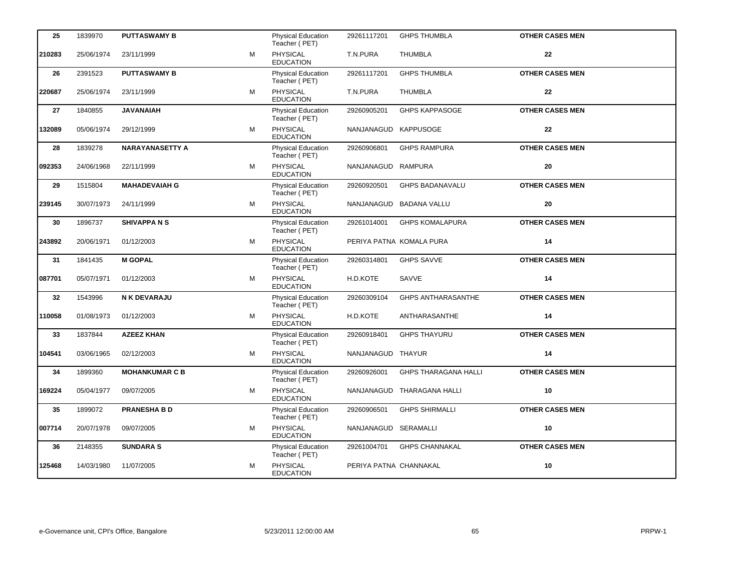| 25     | 1839970    | <b>PUTTASWAMY B</b>    |   | <b>Physical Education</b><br>Teacher (PET) | 29261117201          | <b>GHPS THUMBLA</b>         | <b>OTHER CASES MEN</b> |  |
|--------|------------|------------------------|---|--------------------------------------------|----------------------|-----------------------------|------------------------|--|
| 210283 | 25/06/1974 | 23/11/1999             | M | PHYSICAL<br><b>EDUCATION</b>               | T.N.PURA             | <b>THUMBLA</b>              | 22                     |  |
| 26     | 2391523    | <b>PUTTASWAMY B</b>    |   | Physical Education<br>Teacher (PET)        | 29261117201          | <b>GHPS THUMBLA</b>         | <b>OTHER CASES MEN</b> |  |
| 220687 | 25/06/1974 | 23/11/1999             | M | PHYSICAL<br><b>EDUCATION</b>               | T.N.PURA             | <b>THUMBLA</b>              | 22                     |  |
| 27     | 1840855    | <b>JAVANAIAH</b>       |   | Physical Education<br>Teacher (PET)        | 29260905201          | <b>GHPS KAPPASOGE</b>       | <b>OTHER CASES MEN</b> |  |
| 132089 | 05/06/1974 | 29/12/1999             | M | PHYSICAL<br><b>EDUCATION</b>               | NANJANAGUD KAPPUSOGE |                             | 22                     |  |
| 28     | 1839278    | <b>NARAYANASETTY A</b> |   | Physical Education<br>Teacher (PET)        | 29260906801          | <b>GHPS RAMPURA</b>         | <b>OTHER CASES MEN</b> |  |
| 092353 | 24/06/1968 | 22/11/1999             | M | PHYSICAL<br><b>EDUCATION</b>               | NANJANAGUD RAMPURA   |                             | 20                     |  |
| 29     | 1515804    | <b>MAHADEVAIAH G</b>   |   | Physical Education<br>Teacher (PET)        | 29260920501          | <b>GHPS BADANAVALU</b>      | <b>OTHER CASES MEN</b> |  |
| 239145 | 30/07/1973 | 24/11/1999             | M | PHYSICAL<br><b>EDUCATION</b>               |                      | NANJANAGUD BADANA VALLU     | 20                     |  |
| 30     | 1896737    | <b>SHIVAPPANS</b>      |   | Physical Education<br>Teacher (PET)        | 29261014001          | <b>GHPS KOMALAPURA</b>      | <b>OTHER CASES MEN</b> |  |
| 243892 | 20/06/1971 | 01/12/2003             | м | PHYSICAL<br><b>EDUCATION</b>               |                      | PERIYA PATNA KOMALA PURA    | 14                     |  |
| 31     | 1841435    | <b>M GOPAL</b>         |   | Physical Education<br>Teacher (PET)        | 29260314801          | <b>GHPS SAVVE</b>           | <b>OTHER CASES MEN</b> |  |
| 087701 | 05/07/1971 | 01/12/2003             | м | <b>PHYSICAL</b><br><b>EDUCATION</b>        | H.D.KOTE             | SAVVE                       | 14                     |  |
| 32     | 1543996    | N K DEVARAJU           |   | Physical Education<br>Teacher (PET)        | 29260309104          | <b>GHPS ANTHARASANTHE</b>   | <b>OTHER CASES MEN</b> |  |
| 110058 | 01/08/1973 | 01/12/2003             | м | PHYSICAL<br><b>EDUCATION</b>               | H.D.KOTE             | ANTHARASANTHE               | 14                     |  |
| 33     | 1837844    | <b>AZEEZ KHAN</b>      |   | Physical Education<br>Teacher (PET)        | 29260918401          | <b>GHPS THAYURU</b>         | <b>OTHER CASES MEN</b> |  |
| 104541 | 03/06/1965 | 02/12/2003             | м | <b>PHYSICAL</b><br><b>EDUCATION</b>        | NANJANAGUD THAYUR    |                             | 14                     |  |
| 34     | 1899360    | <b>MOHANKUMAR C B</b>  |   | Physical Education<br>Teacher (PET)        | 29260926001          | <b>GHPS THARAGANA HALLI</b> | <b>OTHER CASES MEN</b> |  |
| 169224 | 05/04/1977 | 09/07/2005             |   |                                            |                      |                             | 10                     |  |
| 35     |            |                        | м | PHYSICAL<br><b>EDUCATION</b>               |                      | NANJANAGUD THARAGANA HALLI  |                        |  |
|        | 1899072    | <b>PRANESHA B D</b>    |   | <b>Physical Education</b><br>Teacher (PET) | 29260906501          | <b>GHPS SHIRMALLI</b>       | <b>OTHER CASES MEN</b> |  |
| 007714 | 20/07/1978 | 09/07/2005             | м | <b>PHYSICAL</b><br><b>EDUCATION</b>        | NANJANAGUD SERAMALLI |                             | 10                     |  |
| 36     | 2148355    | <b>SUNDARA S</b>       |   | Physical Education<br>Teacher (PET)        | 29261004701          | <b>GHPS CHANNAKAL</b>       | <b>OTHER CASES MEN</b> |  |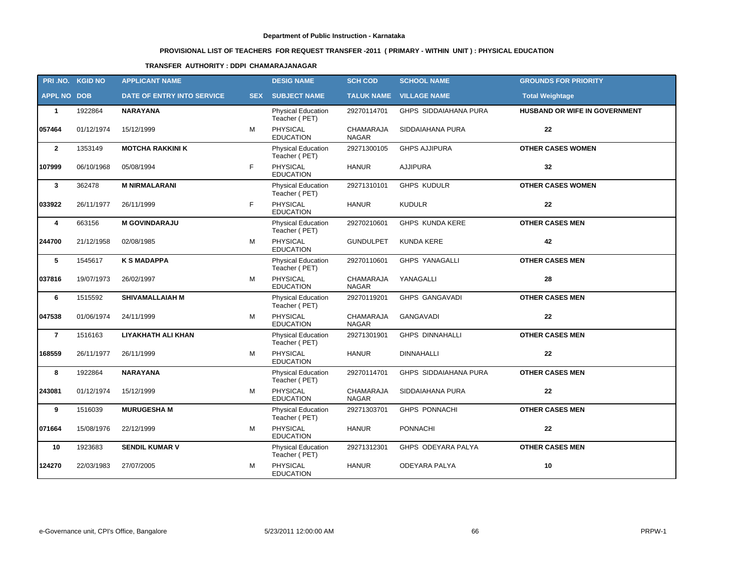# **PROVISIONAL LIST OF TEACHERS FOR REQUEST TRANSFER -2011 ( PRIMARY - WITHIN UNIT ) : PHYSICAL EDUCATION**

### **TRANSFER AUTHORITY : DDPI CHAMARAJANAGAR**

|                    | PRI.NO. KGID NO | <b>APPLICANT NAME</b>             |            | <b>DESIG NAME</b>                          | <b>SCH COD</b>            | <b>SCHOOL NAME</b>             | <b>GROUNDS FOR PRIORITY</b>          |
|--------------------|-----------------|-----------------------------------|------------|--------------------------------------------|---------------------------|--------------------------------|--------------------------------------|
| <b>APPL NO DOB</b> |                 | <b>DATE OF ENTRY INTO SERVICE</b> | <b>SEX</b> | <b>SUBJECT NAME</b>                        |                           | <b>TALUK NAME VILLAGE NAME</b> | <b>Total Weightage</b>               |
| $\mathbf{1}$       | 1922864         | <b>NARAYANA</b>                   |            | <b>Physical Education</b><br>Teacher (PET) | 29270114701               | GHPS SIDDAIAHANA PURA          | <b>HUSBAND OR WIFE IN GOVERNMENT</b> |
| 057464             | 01/12/1974      | 15/12/1999                        | м          | <b>PHYSICAL</b><br><b>EDUCATION</b>        | CHAMARAJA<br><b>NAGAR</b> | SIDDAIAHANA PURA               | 22                                   |
| $\mathbf{2}$       | 1353149         | <b>MOTCHA RAKKINI K</b>           |            | Physical Education<br>Teacher (PET)        | 29271300105               | <b>GHPS AJJIPURA</b>           | <b>OTHER CASES WOMEN</b>             |
| 107999             | 06/10/1968      | 05/08/1994                        | F          | PHYSICAL<br><b>EDUCATION</b>               | <b>HANUR</b>              | <b>AJJIPURA</b>                | 32                                   |
| $\mathbf{3}$       | 362478          | <b>M NIRMALARANI</b>              |            | <b>Physical Education</b><br>Teacher (PET) | 29271310101               | <b>GHPS KUDULR</b>             | <b>OTHER CASES WOMEN</b>             |
| 033922             | 26/11/1977      | 26/11/1999                        | F          | <b>PHYSICAL</b><br><b>EDUCATION</b>        | <b>HANUR</b>              | <b>KUDULR</b>                  | 22                                   |
| 4                  | 663156          | <b>M GOVINDARAJU</b>              |            | <b>Physical Education</b><br>Teacher (PET) | 29270210601               | GHPS KUNDA KERE                | <b>OTHER CASES MEN</b>               |
| 244700             | 21/12/1958      | 02/08/1985                        | M          | PHYSICAL<br><b>EDUCATION</b>               | <b>GUNDULPET</b>          | <b>KUNDA KERE</b>              | 42                                   |
| $\sqrt{5}$         | 1545617         | <b>K S MADAPPA</b>                |            | <b>Physical Education</b><br>Teacher (PET) | 29270110601               | <b>GHPS YANAGALLI</b>          | <b>OTHER CASES MEN</b>               |
| 037816             | 19/07/1973      | 26/02/1997                        | М          | <b>PHYSICAL</b><br><b>EDUCATION</b>        | CHAMARAJA<br><b>NAGAR</b> | YANAGALLI                      | 28                                   |
| 6                  | 1515592         | <b>SHIVAMALLAIAH M</b>            |            | Physical Education<br>Teacher (PET)        | 29270119201               | <b>GHPS GANGAVADI</b>          | <b>OTHER CASES MEN</b>               |
| 047538             | 01/06/1974      | 24/11/1999                        | M          | <b>PHYSICAL</b><br><b>EDUCATION</b>        | CHAMARAJA<br><b>NAGAR</b> | <b>GANGAVADI</b>               | 22                                   |
| $\overline{7}$     | 1516163         | LIYAKHATH ALI KHAN                |            | <b>Physical Education</b><br>Teacher (PET) | 29271301901               | <b>GHPS DINNAHALLI</b>         | <b>OTHER CASES MEN</b>               |
| 168559             | 26/11/1977      | 26/11/1999                        | M          | PHYSICAL<br><b>EDUCATION</b>               | <b>HANUR</b>              | <b>DINNAHALLI</b>              | 22                                   |
| 8                  | 1922864         | <b>NARAYANA</b>                   |            | <b>Physical Education</b><br>Teacher (PET) | 29270114701               | GHPS SIDDAIAHANA PURA          | <b>OTHER CASES MEN</b>               |
| 243081             | 01/12/1974      | 15/12/1999                        | M          | <b>PHYSICAL</b><br><b>EDUCATION</b>        | CHAMARAJA<br><b>NAGAR</b> | SIDDAIAHANA PURA               | 22                                   |
| 9                  | 1516039         | <b>MURUGESHA M</b>                |            | <b>Physical Education</b><br>Teacher (PET) | 29271303701               | <b>GHPS PONNACHI</b>           | <b>OTHER CASES MEN</b>               |
| 071664             | 15/08/1976      | 22/12/1999                        | М          | PHYSICAL<br><b>EDUCATION</b>               | <b>HANUR</b>              | <b>PONNACHI</b>                | 22                                   |
| 10                 | 1923683         | <b>SENDIL KUMAR V</b>             |            | <b>Physical Education</b><br>Teacher (PET) | 29271312301               | GHPS ODEYARA PALYA             | <b>OTHER CASES MEN</b>               |
| 124270             | 22/03/1983      | 27/07/2005                        | М          | PHYSICAL<br><b>EDUCATION</b>               | <b>HANUR</b>              | <b>ODEYARA PALYA</b>           | 10                                   |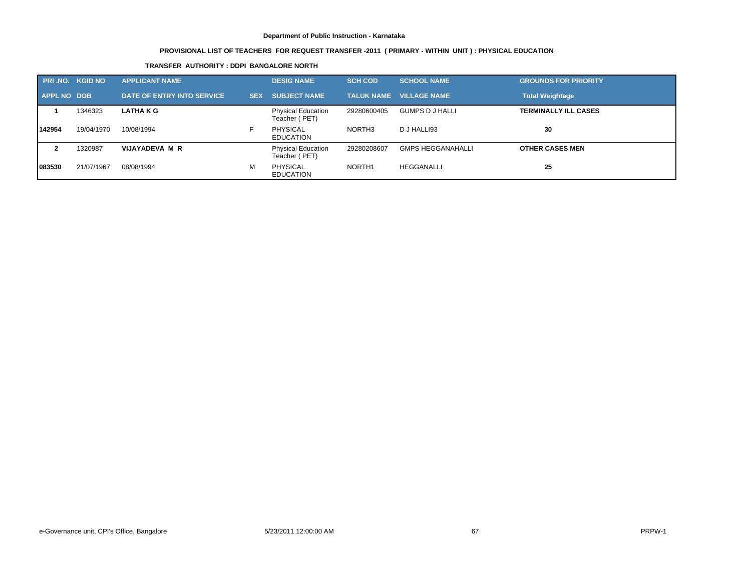# **PROVISIONAL LIST OF TEACHERS FOR REQUEST TRANSFER -2011 ( PRIMARY - WITHIN UNIT ) : PHYSICAL EDUCATION**

### **TRANSFER AUTHORITY : DDPI BANGALORE NORTH**

| <b>PRI.NO. KGID NO</b> |            | <b>APPLICANT NAME</b>      |            | <b>DESIG NAME</b>                          | <b>SCH COD</b>    | <b>SCHOOL NAME</b>       | <b>GROUNDS FOR PRIORITY</b> |
|------------------------|------------|----------------------------|------------|--------------------------------------------|-------------------|--------------------------|-----------------------------|
| APPL NO DOB            |            | DATE OF ENTRY INTO SERVICE | <b>SEX</b> | <b>SUBJECT NAME</b>                        | <b>TALUK NAME</b> | <b>VILLAGE NAME</b>      | <b>Total Weightage</b>      |
|                        | 1346323    | <b>LATHAKG</b>             |            | <b>Physical Education</b><br>Teacher (PET) | 29280600405       | <b>GUMPS D J HALLI</b>   | <b>TERMINALLY ILL CASES</b> |
| 142954                 | 19/04/1970 | 10/08/1994                 |            | <b>PHYSICAL</b><br><b>EDUCATION</b>        | NORTH3            | D J HALLI93              | 30                          |
|                        | 1320987    | VIJAYADEVA M R             |            | <b>Physical Education</b><br>Teacher (PET) | 29280208607       | <b>GMPS HEGGANAHALLI</b> | <b>OTHER CASES MEN</b>      |
| 1083530                | 21/07/1967 | 08/08/1994                 | м          | <b>PHYSICAL</b><br><b>EDUCATION</b>        | NORTH1            | <b>HEGGANALLI</b>        | 25                          |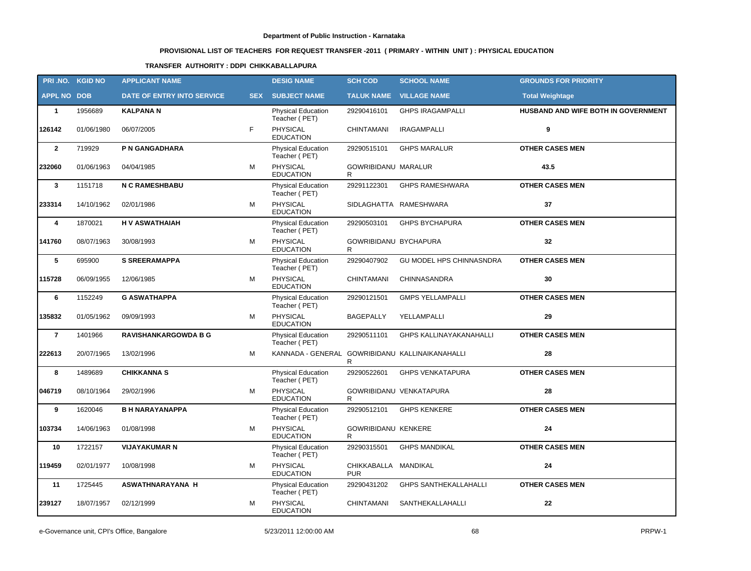# **PROVISIONAL LIST OF TEACHERS FOR REQUEST TRANSFER -2011 ( PRIMARY - WITHIN UNIT ) : PHYSICAL EDUCATION**

### **TRANSFER AUTHORITY : DDPI CHIKKABALLAPURA**

| PRI.NO. KGID NO    |            | <b>APPLICANT NAME</b>       |    | <b>DESIG NAME</b>                               | <b>SCH COD</b>                     | <b>SCHOOL NAME</b>              | <b>GROUNDS FOR PRIORITY</b>         |
|--------------------|------------|-----------------------------|----|-------------------------------------------------|------------------------------------|---------------------------------|-------------------------------------|
| <b>APPL NO DOB</b> |            | DATE OF ENTRY INTO SERVICE  |    | <b>SEX SUBJECT NAME</b>                         |                                    | <b>TALUK NAME VILLAGE NAME</b>  | <b>Total Weightage</b>              |
| $\mathbf{1}$       | 1956689    | <b>KALPANAN</b>             |    | <b>Physical Education</b><br>Teacher (PET)      | 29290416101                        | <b>GHPS IRAGAMPALLI</b>         | HUSBAND AND WIFE BOTH IN GOVERNMENT |
| 126142             | 01/06/1980 | 06/07/2005                  | F. | PHYSICAL<br><b>EDUCATION</b>                    | <b>CHINTAMANI</b>                  | <b>IRAGAMPALLI</b>              | 9                                   |
| $\overline{2}$     | 719929     | P N GANGADHARA              |    | Physical Education<br>Teacher (PET)             | 29290515101                        | <b>GHPS MARALUR</b>             | <b>OTHER CASES MEN</b>              |
| 232060             | 01/06/1963 | 04/04/1985                  | М  | PHYSICAL<br><b>EDUCATION</b>                    | <b>GOWRIBIDANU MARALUR</b><br>R    |                                 | 43.5                                |
| $\mathbf{3}$       | 1151718    | <b>N C RAMESHBABU</b>       |    | Physical Education<br>Teacher (PET)             | 29291122301                        | <b>GHPS RAMESHWARA</b>          | <b>OTHER CASES MEN</b>              |
| 233314             | 14/10/1962 | 02/01/1986                  | M  | <b>PHYSICAL</b><br><b>EDUCATION</b>             |                                    | SIDLAGHATTA RAMESHWARA          | 37                                  |
| 4                  | 1870021    | <b>HV ASWATHAIAH</b>        |    | Physical Education<br>Teacher (PET)             | 29290503101                        | <b>GHPS BYCHAPURA</b>           | <b>OTHER CASES MEN</b>              |
| 141760             | 08/07/1963 | 30/08/1993                  | М  | <b>PHYSICAL</b><br><b>EDUCATION</b>             | GOWRIBIDANU BYCHAPURA<br>R.        |                                 | 32                                  |
| 5                  | 695900     | <b>S SREERAMAPPA</b>        |    | Physical Education<br>Teacher (PET)             | 29290407902                        | <b>GU MODEL HPS CHINNASNDRA</b> | <b>OTHER CASES MEN</b>              |
| 115728             | 06/09/1955 | 12/06/1985                  | м  | <b>PHYSICAL</b><br><b>EDUCATION</b>             | <b>CHINTAMANI</b>                  | CHINNASANDRA                    | 30                                  |
| 6                  | 1152249    | <b>G ASWATHAPPA</b>         |    | <b>Physical Education</b><br>Teacher (PET)      | 29290121501                        | <b>GMPS YELLAMPALLI</b>         | <b>OTHER CASES MEN</b>              |
| 135832             | 01/05/1962 | 09/09/1993                  | М  | <b>PHYSICAL</b><br><b>EDUCATION</b>             | <b>BAGEPALLY</b>                   | YELLAMPALLI                     | 29                                  |
| $\overline{7}$     | 1401966    | <b>RAVISHANKARGOWDA B G</b> |    | Physical Education<br>Teacher (PET)             | 29290511101                        | <b>GHPS KALLINAYAKANAHALLI</b>  | <b>OTHER CASES MEN</b>              |
| 222613             | 20/07/1965 | 13/02/1996                  | м  | KANNADA - GENERAL GOWRIBIDANU KALLINAIKANAHALLI | R.                                 |                                 | 28                                  |
| 8                  | 1489689    | <b>CHIKKANNA S</b>          |    | Physical Education<br>Teacher (PET)             | 29290522601                        | <b>GHPS VENKATAPURA</b>         | <b>OTHER CASES MEN</b>              |
| 046719             | 08/10/1964 | 29/02/1996                  | М  | PHYSICAL<br><b>EDUCATION</b>                    | R.                                 | GOWRIBIDANU VENKATAPURA         | 28                                  |
| 9                  | 1620046    | <b>B H NARAYANAPPA</b>      |    | <b>Physical Education</b><br>Teacher (PET)      | 29290512101                        | <b>GHPS KENKERE</b>             | <b>OTHER CASES MEN</b>              |
| 103734             | 14/06/1963 | 01/08/1998                  | M  | <b>PHYSICAL</b><br><b>EDUCATION</b>             | <b>GOWRIBIDANU KENKERE</b><br>R    |                                 | 24                                  |
| 10                 | 1722157    | <b>VIJAYAKUMAR N</b>        |    | Physical Education<br>Teacher (PET)             |                                    | 29290315501 GHPS MANDIKAL       | <b>OTHER CASES MEN</b>              |
| 119459             | 02/01/1977 | 10/08/1998                  | М  | PHYSICAL<br><b>EDUCATION</b>                    | CHIKKABALLA MANDIKAL<br><b>PUR</b> |                                 | 24                                  |
| 11                 | 1725445    | ASWATHNARAYANA H            |    | <b>Physical Education</b><br>Teacher (PET)      | 29290431202                        | <b>GHPS SANTHEKALLAHALLI</b>    | <b>OTHER CASES MEN</b>              |
| 239127             | 18/07/1957 | 02/12/1999                  | М  | <b>PHYSICAL</b><br><b>EDUCATION</b>             | CHINTAMANI                         | SANTHEKALLAHALLI                | 22                                  |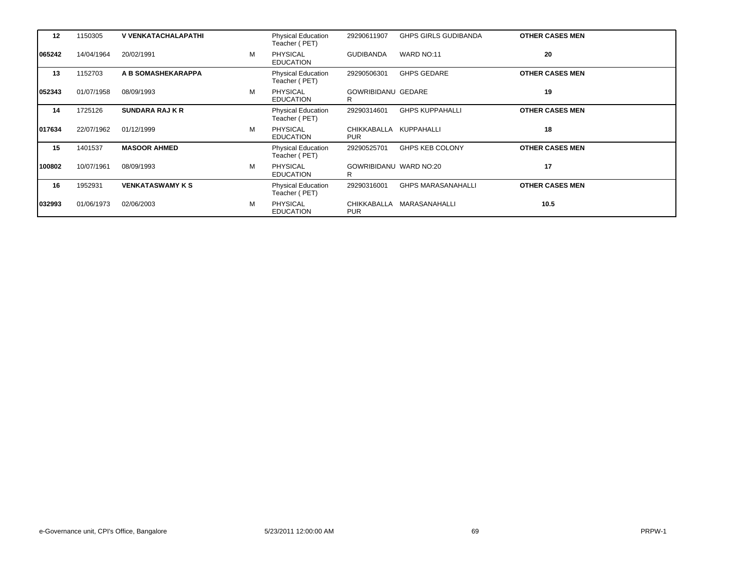| $12 \,$ | 1150305    | <b>V VENKATACHALAPATHI</b> |   | <b>Physical Education</b><br>Teacher (PET) | 29290611907                    | <b>GHPS GIRLS GUDIBANDA</b> | <b>OTHER CASES MEN</b> |
|---------|------------|----------------------------|---|--------------------------------------------|--------------------------------|-----------------------------|------------------------|
| 065242  | 14/04/1964 | 20/02/1991                 | M | <b>PHYSICAL</b><br><b>EDUCATION</b>        | <b>GUDIBANDA</b>               | WARD NO:11                  | 20                     |
| 13      | 1152703    | A B SOMASHEKARAPPA         |   | <b>Physical Education</b><br>Teacher (PET) | 29290506301                    | <b>GHPS GEDARE</b>          | <b>OTHER CASES MEN</b> |
| 052343  | 01/07/1958 | 08/09/1993                 | М | <b>PHYSICAL</b><br><b>EDUCATION</b>        | <b>GOWRIBIDANU GEDARE</b><br>R |                             | 19                     |
| 14      | 1725126    | <b>SUNDARA RAJ K R</b>     |   | <b>Physical Education</b><br>Teacher (PET) | 29290314601                    | <b>GHPS KUPPAHALLI</b>      | <b>OTHER CASES MEN</b> |
| 017634  | 22/07/1962 | 01/12/1999                 | M | PHYSICAL<br><b>EDUCATION</b>               | CHIKKABALLA<br><b>PUR</b>      | KUPPAHALLI                  | 18                     |
| 15      | 1401537    | <b>MASOOR AHMED</b>        |   | <b>Physical Education</b><br>Teacher (PET) | 29290525701                    | <b>GHPS KEB COLONY</b>      | <b>OTHER CASES MEN</b> |
| 100802  | 10/07/1961 | 08/09/1993                 | М | <b>PHYSICAL</b><br><b>EDUCATION</b>        | GOWRIBIDANU WARD NO:20<br>R    |                             | 17                     |
| 16      | 1952931    | <b>VENKATASWAMY K S</b>    |   | <b>Physical Education</b><br>Teacher (PET) | 29290316001                    | <b>GHPS MARASANAHALLI</b>   | <b>OTHER CASES MEN</b> |
| 032993  | 01/06/1973 | 02/06/2003                 | М | <b>PHYSICAL</b><br><b>EDUCATION</b>        | CHIKKABALLA<br><b>PUR</b>      | MARASANAHALLI               | 10.5                   |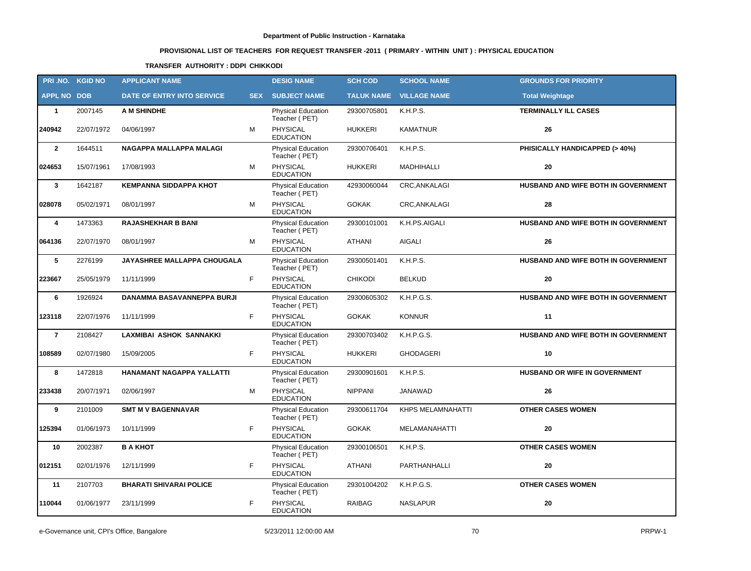# **PROVISIONAL LIST OF TEACHERS FOR REQUEST TRANSFER -2011 ( PRIMARY - WITHIN UNIT ) : PHYSICAL EDUCATION**

### **TRANSFER AUTHORITY : DDPI CHIKKODI**

|                    | PRI.NO. KGID NO | <b>APPLICANT NAME</b>              |            | <b>DESIG NAME</b>                          | <b>SCH COD</b> | <b>SCHOOL NAME</b>             | <b>GROUNDS FOR PRIORITY</b>          |
|--------------------|-----------------|------------------------------------|------------|--------------------------------------------|----------------|--------------------------------|--------------------------------------|
| <b>APPL NO DOB</b> |                 | DATE OF ENTRY INTO SERVICE         | <b>SEX</b> | <b>SUBJECT NAME</b>                        |                | <b>TALUK NAME VILLAGE NAME</b> | <b>Total Weightage</b>               |
| $\mathbf{1}$       | 2007145         | <b>A M SHINDHE</b>                 |            | <b>Physical Education</b><br>Teacher (PET) | 29300705801    | K.H.P.S.                       | <b>TERMINALLY ILL CASES</b>          |
| 240942             | 22/07/1972      | 04/06/1997                         | M          | PHYSICAL<br><b>EDUCATION</b>               | <b>HUKKERI</b> | <b>KAMATNUR</b>                | 26                                   |
| $\overline{2}$     | 1644511         | NAGAPPA MALLAPPA MALAGI            |            | <b>Physical Education</b><br>Teacher (PET) | 29300706401    | K.H.P.S.                       | PHISICALLY HANDICAPPED (> 40%)       |
| 024653             | 15/07/1961      | 17/08/1993                         | M          | PHYSICAL<br><b>EDUCATION</b>               | <b>HUKKERI</b> | MADHIHALLI                     | 20                                   |
| $\mathbf{3}$       | 1642187         | <b>KEMPANNA SIDDAPPA KHOT</b>      |            | Physical Education<br>Teacher (PET)        | 42930060044    | <b>CRC.ANKALAGI</b>            | HUSBAND AND WIFE BOTH IN GOVERNMENT  |
| 028078             | 05/02/1971      | 08/01/1997                         | M          | <b>PHYSICAL</b><br><b>EDUCATION</b>        | <b>GOKAK</b>   | CRC, ANKALAGI                  | 28                                   |
| 4                  | 1473363         | <b>RAJASHEKHAR B BANI</b>          |            | Physical Education<br>Teacher (PET)        | 29300101001    | K.H.PS.AIGALI                  | HUSBAND AND WIFE BOTH IN GOVERNMENT  |
| 064136             | 22/07/1970      | 08/01/1997                         | М          | <b>PHYSICAL</b><br><b>EDUCATION</b>        | <b>ATHANI</b>  | <b>AIGALI</b>                  | 26                                   |
| 5                  | 2276199         | <b>JAYASHREE MALLAPPA CHOUGALA</b> |            | Physical Education<br>Teacher (PET)        | 29300501401    | K.H.P.S.                       | HUSBAND AND WIFE BOTH IN GOVERNMENT  |
| 223667             | 25/05/1979      | 11/11/1999                         | F          | <b>PHYSICAL</b><br><b>EDUCATION</b>        | <b>CHIKODI</b> | <b>BELKUD</b>                  | 20                                   |
| 6                  | 1926924         | DANAMMA BASAVANNEPPA BURJI         |            | <b>Physical Education</b><br>Teacher (PET) | 29300605302    | K.H.P.G.S.                     | HUSBAND AND WIFE BOTH IN GOVERNMENT  |
| 123118             | 22/07/1976      | 11/11/1999                         | F          | <b>PHYSICAL</b><br><b>EDUCATION</b>        | <b>GOKAK</b>   | <b>KONNUR</b>                  | 11                                   |
| $\overline{7}$     | 2108427         | LAXMIBAI ASHOK SANNAKKI            |            | <b>Physical Education</b><br>Teacher (PET) | 29300703402    | K.H.P.G.S.                     | HUSBAND AND WIFE BOTH IN GOVERNMENT  |
| 108589             | 02/07/1980      | 15/09/2005                         | F          | <b>PHYSICAL</b><br><b>EDUCATION</b>        | <b>HUKKERI</b> | <b>GHODAGERI</b>               | 10                                   |
| 8                  | 1472818         | HANAMANT NAGAPPA YALLATTI          |            | <b>Physical Education</b><br>Teacher (PET) | 29300901601    | K.H.P.S.                       | <b>HUSBAND OR WIFE IN GOVERNMENT</b> |
| 233438             | 20/07/1971      | 02/06/1997                         | М          | <b>PHYSICAL</b><br><b>EDUCATION</b>        | <b>NIPPANI</b> | JANAWAD                        | 26                                   |
| 9                  | 2101009         | <b>SMT M V BAGENNAVAR</b>          |            | <b>Physical Education</b><br>Teacher (PET) | 29300611704    | <b>KHPS MELAMNAHATTI</b>       | <b>OTHER CASES WOMEN</b>             |
| 125394             | 01/06/1973      | 10/11/1999                         | F          | <b>PHYSICAL</b><br><b>EDUCATION</b>        | <b>GOKAK</b>   | MELAMANAHATTI                  | 20                                   |
| 10                 | 2002387         | <b>B A KHOT</b>                    |            | Physical Education<br>Teacher (PET)        | 29300106501    | K.H.P.S.                       | <b>OTHER CASES WOMEN</b>             |
| 012151             | 02/01/1976      | 12/11/1999                         | F          | PHYSICAL<br><b>EDUCATION</b>               | <b>ATHANI</b>  | PARTHANHALLI                   | 20                                   |
| 11                 | 2107703         | <b>BHARATI SHIVARAI POLICE</b>     |            | <b>Physical Education</b><br>Teacher (PET) | 29301004202    | K.H.P.G.S.                     | <b>OTHER CASES WOMEN</b>             |
| 110044             | 01/06/1977      | 23/11/1999                         | F          | PHYSICAL<br><b>EDUCATION</b>               | RAIBAG         | <b>NASLAPUR</b>                | 20                                   |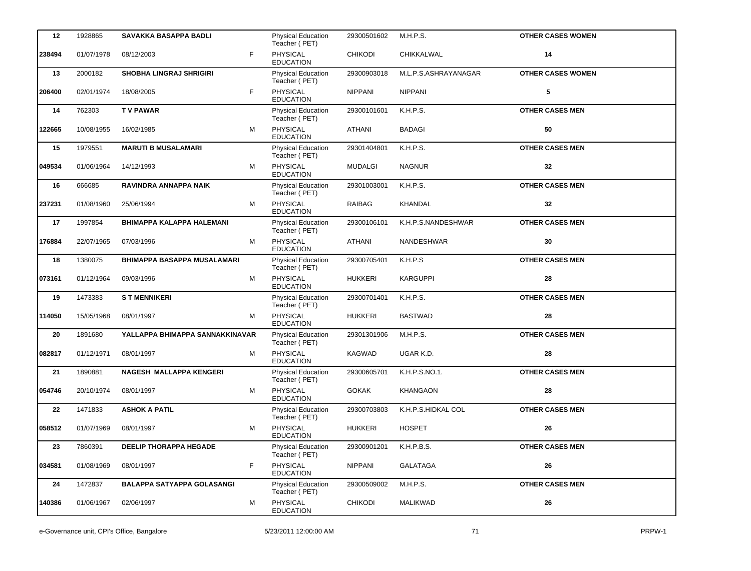| 12     | 1928865    | SAVAKKA BASAPPA BADLI             |   | <b>Physical Education</b><br>Teacher (PET) | 29300501602    | M.H.P.S.             | <b>OTHER CASES WOMEN</b> |
|--------|------------|-----------------------------------|---|--------------------------------------------|----------------|----------------------|--------------------------|
| 238494 | 01/07/1978 | 08/12/2003                        | F | PHYSICAL<br><b>EDUCATION</b>               | <b>CHIKODI</b> | CHIKKALWAL           | 14                       |
| 13     | 2000182    | <b>SHOBHA LINGRAJ SHRIGIRI</b>    |   | <b>Physical Education</b><br>Teacher (PET) | 29300903018    | M.L.P.S.ASHRAYANAGAR | <b>OTHER CASES WOMEN</b> |
| 206400 | 02/01/1974 | 18/08/2005                        | F | PHYSICAL<br><b>EDUCATION</b>               | <b>NIPPANI</b> | <b>NIPPANI</b>       | 5                        |
| 14     | 762303     | <b>TV PAWAR</b>                   |   | Physical Education<br>Teacher (PET)        | 29300101601    | K.H.P.S.             | <b>OTHER CASES MEN</b>   |
| 122665 | 10/08/1955 | 16/02/1985                        | M | <b>PHYSICAL</b><br><b>EDUCATION</b>        | <b>ATHANI</b>  | <b>BADAGI</b>        | 50                       |
| 15     | 1979551    | <b>MARUTI B MUSALAMARI</b>        |   | <b>Physical Education</b><br>Teacher (PET) | 29301404801    | K.H.P.S.             | <b>OTHER CASES MEN</b>   |
| 049534 | 01/06/1964 | 14/12/1993                        | м | PHYSICAL<br><b>EDUCATION</b>               | <b>MUDALGI</b> | <b>NAGNUR</b>        | 32                       |
| 16     | 666685     | RAVINDRA ANNAPPA NAIK             |   | Physical Education<br>Teacher (PET)        | 29301003001    | K.H.P.S.             | <b>OTHER CASES MEN</b>   |
| 237231 | 01/08/1960 | 25/06/1994                        | М | PHYSICAL<br><b>EDUCATION</b>               | <b>RAIBAG</b>  | KHANDAL              | 32                       |
| 17     | 1997854    | <b>BHIMAPPA KALAPPA HALEMANI</b>  |   | <b>Physical Education</b><br>Teacher (PET) | 29300106101    | K.H.P.S.NANDESHWAR   | <b>OTHER CASES MEN</b>   |
| 176884 | 22/07/1965 | 07/03/1996                        | м | <b>PHYSICAL</b><br><b>EDUCATION</b>        | <b>ATHANI</b>  | <b>NANDESHWAR</b>    | 30                       |
| 18     | 1380075    | BHIMAPPA BASAPPA MUSALAMARI       |   | <b>Physical Education</b><br>Teacher (PET) | 29300705401    | K.H.P.S              | <b>OTHER CASES MEN</b>   |
| 073161 | 01/12/1964 | 09/03/1996                        | м | <b>PHYSICAL</b><br><b>EDUCATION</b>        | <b>HUKKERI</b> | <b>KARGUPPI</b>      | 28                       |
| 19     | 1473383    | <b>ST MENNIKERI</b>               |   | <b>Physical Education</b><br>Teacher (PET) | 29300701401    | K.H.P.S.             | <b>OTHER CASES MEN</b>   |
| 114050 | 15/05/1968 | 08/01/1997                        | м | PHYSICAL<br><b>EDUCATION</b>               | <b>HUKKERI</b> | <b>BASTWAD</b>       | 28                       |
| 20     | 1891680    | YALLAPPA BHIMAPPA SANNAKKINAVAR   |   | <b>Physical Education</b><br>Teacher (PET) | 29301301906    | M.H.P.S.             | <b>OTHER CASES MEN</b>   |
| 082817 | 01/12/1971 | 08/01/1997                        | M | PHYSICAL<br><b>EDUCATION</b>               | KAGWAD         | UGAR K.D.            | 28                       |
| 21     | 1890881    | <b>NAGESH MALLAPPA KENGERI</b>    |   | Physical Education<br>Teacher (PET)        | 29300605701    | K.H.P.S.NO.1.        | <b>OTHER CASES MEN</b>   |
| 054746 | 20/10/1974 | 08/01/1997                        | М | PHYSICAL<br><b>EDUCATION</b>               | <b>GOKAK</b>   | <b>KHANGAON</b>      | 28                       |
| 22     | 1471833    | <b>ASHOK A PATIL</b>              |   | <b>Physical Education</b><br>Teacher (PET) | 29300703803    | K.H.P.S.HIDKAL COL   | <b>OTHER CASES MEN</b>   |
| 058512 | 01/07/1969 | 08/01/1997                        | М | PHYSICAL<br><b>EDUCATION</b>               | <b>HUKKERI</b> | <b>HOSPET</b>        | ${\bf 26}$               |
| 23     | 7860391    | <b>DEELIP THORAPPA HEGADE</b>     |   | Physical Education<br>Teacher (PET)        | 29300901201    | K.H.P.B.S.           | <b>OTHER CASES MEN</b>   |
| 034581 | 01/08/1969 | 08/01/1997                        | F | PHYSICAL<br><b>EDUCATION</b>               | NIPPANI        | <b>GALATAGA</b>      | ${\bf 26}$               |
| 24     | 1472837    | <b>BALAPPA SATYAPPA GOLASANGI</b> |   | <b>Physical Education</b><br>Teacher (PET) | 29300509002    | M.H.P.S.             | <b>OTHER CASES MEN</b>   |
| 140386 | 01/06/1967 | 02/06/1997                        | м | PHYSICAL<br><b>EDUCATION</b>               | <b>CHIKODI</b> | MALIKWAD             | 26                       |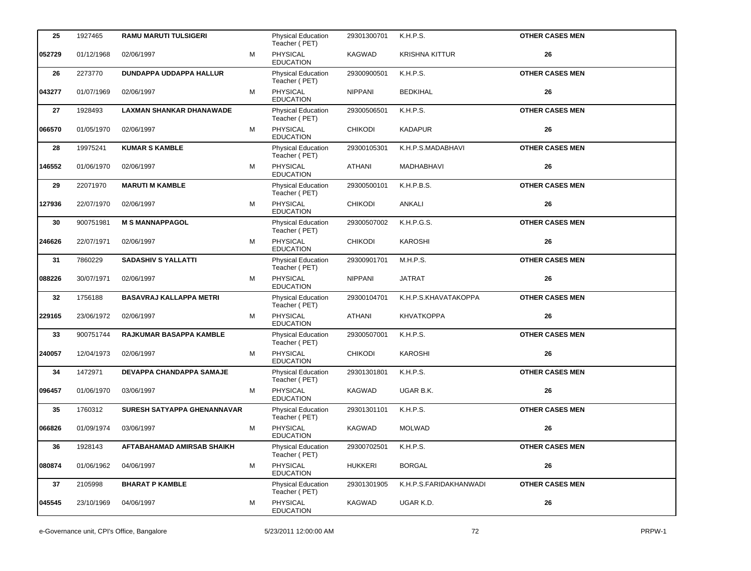| 25     | 1927465    | <b>RAMU MARUTI TULSIGERI</b>      |   | <b>Physical Education</b><br>Teacher (PET) | 29301300701    | <b>K.H.P.S.</b>        | <b>OTHER CASES MEN</b> |
|--------|------------|-----------------------------------|---|--------------------------------------------|----------------|------------------------|------------------------|
| 052729 | 01/12/1968 | 02/06/1997                        | M | PHYSICAL<br><b>EDUCATION</b>               | KAGWAD         | <b>KRISHNA KITTUR</b>  | 26                     |
| 26     | 2273770    | <b>DUNDAPPA UDDAPPA HALLUR</b>    |   | Physical Education<br>Teacher (PET)        | 29300900501    | K.H.P.S.               | <b>OTHER CASES MEN</b> |
| 043277 | 01/07/1969 | 02/06/1997                        | M | PHYSICAL<br><b>EDUCATION</b>               | <b>NIPPANI</b> | <b>BEDKIHAL</b>        | 26                     |
| 27     | 1928493    | <b>LAXMAN SHANKAR DHANAWADE</b>   |   | Physical Education<br>Teacher (PET)        | 29300506501    | K.H.P.S.               | <b>OTHER CASES MEN</b> |
| 066570 | 01/05/1970 | 02/06/1997                        | M | PHYSICAL<br><b>EDUCATION</b>               | <b>CHIKODI</b> | <b>KADAPUR</b>         | 26                     |
| 28     | 19975241   | <b>KUMAR S KAMBLE</b>             |   | Physical Education<br>Teacher (PET)        | 29300105301    | K.H.P.S.MADABHAVI      | <b>OTHER CASES MEN</b> |
| 146552 | 01/06/1970 | 02/06/1997                        | M | PHYSICAL<br><b>EDUCATION</b>               | <b>ATHANI</b>  | MADHABHAVI             | 26                     |
| 29     | 22071970   | <b>MARUTI M KAMBLE</b>            |   | Physical Education<br>Teacher (PET)        | 29300500101    | K.H.P.B.S.             | <b>OTHER CASES MEN</b> |
| 127936 | 22/07/1970 | 02/06/1997                        | м | <b>PHYSICAL</b><br><b>EDUCATION</b>        | <b>CHIKODI</b> | <b>ANKALI</b>          | 26                     |
| 30     | 900751981  | <b>M S MANNAPPAGOL</b>            |   | Physical Education<br>Teacher (PET)        | 29300507002    | K.H.P.G.S.             | <b>OTHER CASES MEN</b> |
| 246626 | 22/07/1971 | 02/06/1997                        | м | PHYSICAL<br><b>EDUCATION</b>               | <b>CHIKODI</b> | <b>KAROSHI</b>         | 26                     |
| 31     | 7860229    | <b>SADASHIV S YALLATTI</b>        |   | Physical Education<br>Teacher (PET)        | 29300901701    | M.H.P.S.               | <b>OTHER CASES MEN</b> |
| 088226 | 30/07/1971 | 02/06/1997                        | м | <b>PHYSICAL</b><br><b>EDUCATION</b>        | <b>NIPPANI</b> | <b>JATRAT</b>          | 26                     |
| 32     | 1756188    | <b>BASAVRAJ KALLAPPA METRI</b>    |   | Physical Education<br>Teacher (PET)        | 29300104701    | K.H.P.S.KHAVATAKOPPA   | <b>OTHER CASES MEN</b> |
| 229165 | 23/06/1972 | 02/06/1997                        | м | PHYSICAL<br><b>EDUCATION</b>               | ATHANI         | <b>KHVATKOPPA</b>      | 26                     |
| 33     | 900751744  | <b>RAJKUMAR BASAPPA KAMBLE</b>    |   | Physical Education<br>Teacher (PET)        | 29300507001    | K.H.P.S.               | <b>OTHER CASES MEN</b> |
| 240057 | 12/04/1973 | 02/06/1997                        | м | <b>PHYSICAL</b><br><b>EDUCATION</b>        | <b>CHIKODI</b> | <b>KAROSHI</b>         | 26                     |
| 34     | 1472971    | <b>DEVAPPA CHANDAPPA SAMAJE</b>   |   | Physical Education<br>Teacher (PET)        | 29301301801    | K.H.P.S.               | <b>OTHER CASES MEN</b> |
| 096457 | 01/06/1970 | 03/06/1997                        | м | PHYSICAL<br><b>EDUCATION</b>               | KAGWAD         | UGAR B.K.              | 26                     |
| 35     | 1760312    | SURESH SATYAPPA GHENANNAVAR       |   | <b>Physical Education</b><br>Teacher (PET) | 29301301101    | K.H.P.S.               | <b>OTHER CASES MEN</b> |
| 066826 | 01/09/1974 | 03/06/1997                        | м | <b>PHYSICAL</b><br><b>EDUCATION</b>        | KAGWAD         | <b>MOLWAD</b>          | 26                     |
| 36     | 1928143    | <b>AFTABAHAMAD AMIRSAB SHAIKH</b> |   | Physical Education<br>Teacher (PET)        | 29300702501    | K.H.P.S.               | <b>OTHER CASES MEN</b> |
| 080874 | 01/06/1962 | 04/06/1997                        | м | PHYSICAL<br><b>EDUCATION</b>               | <b>HUKKERI</b> | <b>BORGAL</b>          | 26                     |
| 37     | 2105998    | <b>BHARAT P KAMBLE</b>            |   | Physical Education<br>Teacher (PET)        | 29301301905    | K.H.P.S.FARIDAKHANWADI | <b>OTHER CASES MEN</b> |
| 045545 | 23/10/1969 | 04/06/1997                        | м | PHYSICAL<br><b>EDUCATION</b>               | KAGWAD         | UGAR K.D.              | 26                     |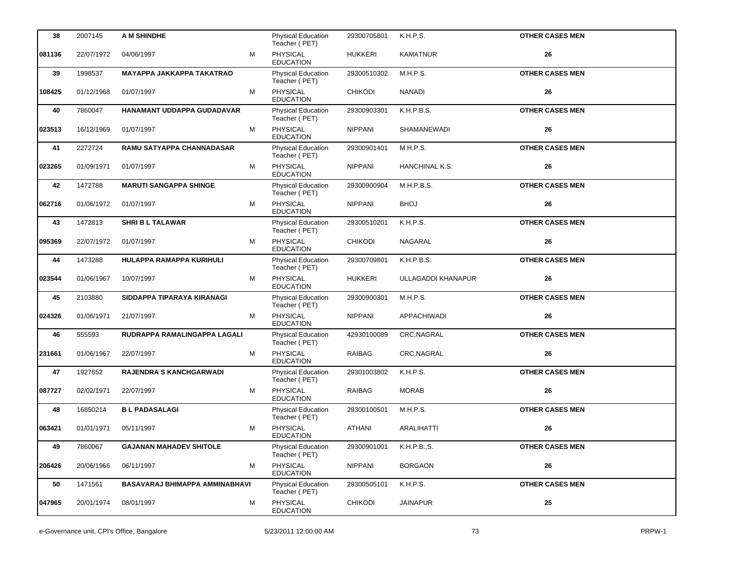| 38     | 2007145    | A M SHINDHE                      |   | <b>Physical Education</b><br>Teacher (PET) | 29300705801    | K.H.P.S.           | <b>OTHER CASES MEN</b> |
|--------|------------|----------------------------------|---|--------------------------------------------|----------------|--------------------|------------------------|
| 081136 | 22/07/1972 | 04/06/1997                       | M | PHYSICAL<br><b>EDUCATION</b>               | <b>HUKKERI</b> | <b>KAMATNUR</b>    | 26                     |
| 39     | 1998537    | <b>MAYAPPA JAKKAPPA TAKATRAO</b> |   | Physical Education<br>Teacher (PET)        | 29300510302    | M.H.P.S.           | <b>OTHER CASES MEN</b> |
| 108425 | 01/12/1968 | 01/07/1997                       | M | PHYSICAL<br><b>EDUCATION</b>               | <b>CHIKODI</b> | <b>NANADI</b>      | 26                     |
| 40     | 7860047    | HANAMANT UDDAPPA GUDADAVAR       |   | Physical Education<br>Teacher (PET)        | 29300903301    | K.H.P.B.S.         | <b>OTHER CASES MEN</b> |
| 023513 | 16/12/1969 | 01/07/1997                       | м | <b>PHYSICAL</b><br><b>EDUCATION</b>        | <b>NIPPANI</b> | <b>SHAMANEWADI</b> | 26                     |
| 41     | 2272724    | RAMU SATYAPPA CHANNADASAR        |   | Physical Education<br>Teacher (PET)        | 29300901401    | M.H.P.S.           | <b>OTHER CASES MEN</b> |
| 023265 | 01/09/1971 | 01/07/1997                       | M | PHYSICAL<br><b>EDUCATION</b>               | <b>NIPPANI</b> | HANCHINAL K.S.     | 26                     |
| 42     | 1472788    | <b>MARUTI SANGAPPA SHINGE</b>    |   | Physical Education<br>Teacher (PET)        | 29300900904    | M.H.P.B.S.         | <b>OTHER CASES MEN</b> |
| 062716 | 01/06/1972 | 01/07/1997                       | м | <b>PHYSICAL</b><br><b>EDUCATION</b>        | <b>NIPPANI</b> | <b>BHOJ</b>        | 26                     |
| 43     | 1472813    | <b>SHRI B L TALAWAR</b>          |   | Physical Education<br>Teacher (PET)        | 29300510201    | K.H.P.S.           | <b>OTHER CASES MEN</b> |
| 095369 | 22/07/1972 | 01/07/1997                       | м | PHYSICAL<br><b>EDUCATION</b>               | <b>CHIKODI</b> | NAGARAL            | 26                     |
| 44     | 1473288    | HULAPPA RAMAPPA KURIHULI         |   | Physical Education<br>Teacher (PET)        | 29300709801    | K.H.P.B.S.         | <b>OTHER CASES MEN</b> |
| 023544 | 01/06/1967 | 10/07/1997                       | м | <b>PHYSICAL</b><br><b>EDUCATION</b>        | <b>HUKKERI</b> | ULLAGADDI KHANAPUR | 26                     |
| 45     | 2103880    | SIDDAPPA TIPARAYA KIRANAGI       |   | Physical Education<br>Teacher (PET)        | 29300900301    | M.H.P.S.           | <b>OTHER CASES MEN</b> |
| 024326 | 01/06/1971 | 21/07/1997                       | м | PHYSICAL<br><b>EDUCATION</b>               | <b>NIPPANI</b> | APPACHIWADI        | 26                     |
| 46     | 555593     | RUDRAPPA RAMALINGAPPA LAGALI     |   | Physical Education<br>Teacher (PET)        | 42930100089    | CRC, NAGRAL        | <b>OTHER CASES MEN</b> |
| 231661 | 01/06/1967 | 22/07/1997                       | м | <b>PHYSICAL</b><br><b>EDUCATION</b>        | RAIBAG         | CRC, NAGRAL        | 26                     |
| 47     | 1927652    | <b>RAJENDRA S KANCHGARWADI</b>   |   | Physical Education<br>Teacher (PET)        | 29301003802    | K.H.P.S.           | <b>OTHER CASES MEN</b> |
| 087727 | 02/02/1971 | 22/07/1997                       | м | PHYSICAL<br><b>EDUCATION</b>               | RAIBAG         | <b>MORAB</b>       | 26                     |
| 48     | 16850214   | <b>BL PADASALAGI</b>             |   | Physical Education<br>Teacher (PET)        | 29300100501    | M.H.P.S.           | <b>OTHER CASES MEN</b> |
| 063421 | 01/01/1971 | 05/11/1997                       | м | <b>PHYSICAL</b><br><b>EDUCATION</b>        | <b>ATHANI</b>  | <b>ARALIHATTI</b>  | 26                     |
| 49     | 7860067    | <b>GAJANAN MAHADEV SHITOLE</b>   |   | Physical Education<br>Teacher (PET)        | 29300901001    | K.H.P.B.,S.        | <b>OTHER CASES MEN</b> |
| 206426 | 20/06/1966 | 06/11/1997                       | м | PHYSICAL<br><b>EDUCATION</b>               | <b>NIPPANI</b> | <b>BORGAON</b>     | 26                     |
| 50     | 1471561    | BASAVARAJ BHIMAPPA AMMINABHAVI   |   | Physical Education<br>Teacher (PET)        | 29300505101    | K.H.P.S.           | <b>OTHER CASES MEN</b> |
| 047965 | 20/01/1974 | 08/01/1997                       | м | PHYSICAL<br><b>EDUCATION</b>               | <b>CHIKODI</b> | <b>JAINAPUR</b>    | 25                     |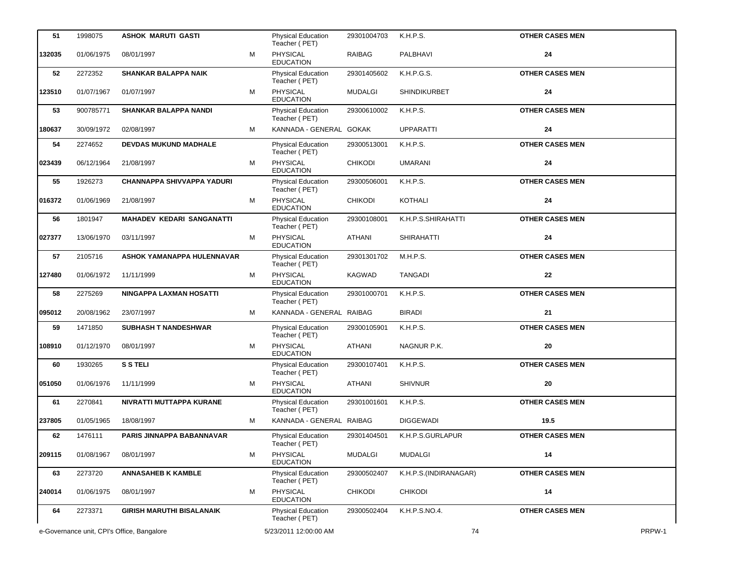| 51                                         | 1998075    | ASHOK MARUTI GASTI                |   | <b>Physical Education</b><br>Teacher (PET) | 29301004703    | K.H.P.S.              | <b>OTHER CASES MEN</b> |        |
|--------------------------------------------|------------|-----------------------------------|---|--------------------------------------------|----------------|-----------------------|------------------------|--------|
| 132035                                     | 01/06/1975 | 08/01/1997                        | м | <b>PHYSICAL</b><br><b>EDUCATION</b>        | RAIBAG         | PALBHAVI              | 24                     |        |
| 52                                         | 2272352    | <b>SHANKAR BALAPPA NAIK</b>       |   | <b>Physical Education</b><br>Teacher (PET) | 29301405602    | K.H.P.G.S.            | <b>OTHER CASES MEN</b> |        |
| 123510                                     | 01/07/1967 | 01/07/1997                        | м | PHYSICAL<br><b>EDUCATION</b>               | <b>MUDALGI</b> | SHINDIKURBET          | 24                     |        |
| 53                                         | 900785771  | <b>SHANKAR BALAPPA NANDI</b>      |   | Physical Education<br>Teacher (PET)        | 29300610002    | K.H.P.S.              | <b>OTHER CASES MEN</b> |        |
| 180637                                     | 30/09/1972 | 02/08/1997                        | м | KANNADA - GENERAL GOKAK                    |                | <b>UPPARATTI</b>      | 24                     |        |
| 54                                         | 2274652    | <b>DEVDAS MUKUND MADHALE</b>      |   | Physical Education<br>Teacher (PET)        | 29300513001    | K.H.P.S.              | <b>OTHER CASES MEN</b> |        |
| 023439                                     | 06/12/1964 | 21/08/1997                        | м | PHYSICAL<br><b>EDUCATION</b>               | <b>CHIKODI</b> | <b>UMARANI</b>        | 24                     |        |
| 55                                         | 1926273    | <b>CHANNAPPA SHIVVAPPA YADURI</b> |   | Physical Education<br>Teacher (PET)        | 29300506001    | K.H.P.S.              | <b>OTHER CASES MEN</b> |        |
| 016372                                     | 01/06/1969 | 21/08/1997                        | м | PHYSICAL<br><b>EDUCATION</b>               | <b>CHIKODI</b> | KOTHALI               | 24                     |        |
| 56                                         | 1801947    | <b>MAHADEV KEDARI SANGANATTI</b>  |   | Physical Education<br>Teacher (PET)        | 29300108001    | K.H.P.S.SHIRAHATTI    | <b>OTHER CASES MEN</b> |        |
| 027377                                     | 13/06/1970 | 03/11/1997                        | М | PHYSICAL<br><b>EDUCATION</b>               | <b>ATHANI</b>  | <b>SHIRAHATTI</b>     | 24                     |        |
| 57                                         | 2105716    | ASHOK YAMANAPPA HULENNAVAR        |   | Physical Education<br>Teacher (PET)        | 29301301702    | M.H.P.S.              | <b>OTHER CASES MEN</b> |        |
| 127480                                     | 01/06/1972 | 11/11/1999                        | м | PHYSICAL<br><b>EDUCATION</b>               | KAGWAD         | <b>TANGADI</b>        | 22                     |        |
| 58                                         | 2275269    | NINGAPPA LAXMAN HOSATTI           |   | <b>Physical Education</b><br>Teacher (PET) | 29301000701    | K.H.P.S.              | <b>OTHER CASES MEN</b> |        |
| 095012                                     | 20/08/1962 | 23/07/1997                        | м | KANNADA - GENERAL RAIBAG                   |                | <b>BIRADI</b>         | 21                     |        |
| 59                                         | 1471850    | <b>SUBHASH T NANDESHWAR</b>       |   | Physical Education<br>Teacher (PET)        | 29300105901    | K.H.P.S.              | <b>OTHER CASES MEN</b> |        |
| 108910                                     | 01/12/1970 | 08/01/1997                        | м | PHYSICAL<br><b>EDUCATION</b>               | <b>ATHANI</b>  | NAGNUR P.K.           | 20                     |        |
| 60                                         | 1930265    | <b>S S TELI</b>                   |   | Physical Education<br>Teacher (PET)        | 29300107401    | K.H.P.S.              | <b>OTHER CASES MEN</b> |        |
| 051050                                     | 01/06/1976 | 11/11/1999                        | М | PHYSICAL<br><b>EDUCATION</b>               | ATHANI         | <b>SHIVNUR</b>        | 20                     |        |
| 61                                         | 2270841    | NIVRATTI MUTTAPPA KURANE          |   | Physical Education<br>Teacher (PET)        | 29301001601    | K.H.P.S.              | <b>OTHER CASES MEN</b> |        |
| 237805                                     | 01/05/1965 | 18/08/1997                        | м | KANNADA - GENERAL RAIBAG                   |                | <b>DIGGEWADI</b>      | 19.5                   |        |
| 62                                         | 1476111    | PARIS JINNAPPA BABANNAVAR         |   | <b>Physical Education</b><br>Teacher (PET) | 29301404501    | K.H.P.S.GURLAPUR      | <b>OTHER CASES MEN</b> |        |
| 209115                                     | 01/08/1967 | 08/01/1997                        | М | <b>PHYSICAL</b><br><b>EDUCATION</b>        | <b>MUDALGI</b> | <b>MUDALGI</b>        | 14                     |        |
| 63                                         | 2273720    | <b>ANNASAHEB K KAMBLE</b>         |   | Physical Education<br>Teacher (PET)        | 29300502407    | K.H.P.S.(INDIRANAGAR) | <b>OTHER CASES MEN</b> |        |
| 240014                                     | 01/06/1975 | 08/01/1997                        | М | <b>PHYSICAL</b><br><b>EDUCATION</b>        | <b>CHIKODI</b> | <b>CHIKODI</b>        | 14                     |        |
| 64                                         | 2273371    | <b>GIRISH MARUTHI BISALANAIK</b>  |   | <b>Physical Education</b><br>Teacher (PET) | 29300502404    | K.H.P.S.NO.4.         | <b>OTHER CASES MEN</b> |        |
| e-Governance unit, CPI's Office, Bangalore |            |                                   |   | 5/23/2011 12:00:00 AM                      |                | 74                    |                        | PRPW-1 |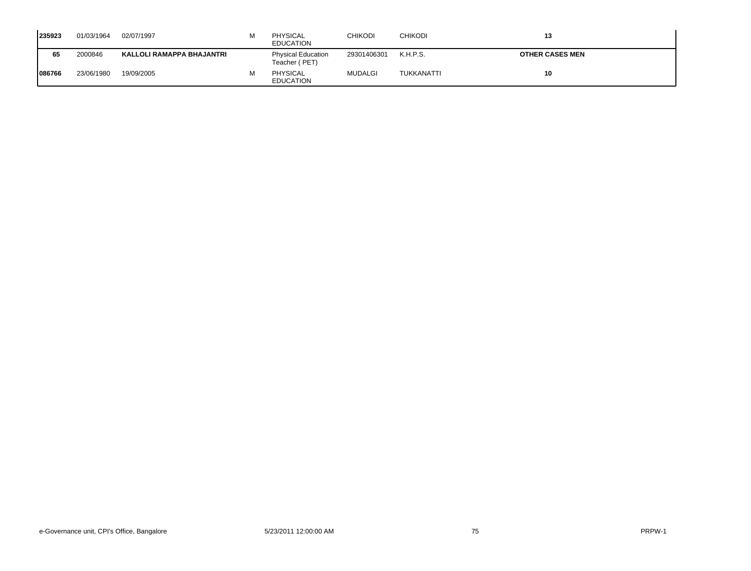| 235923  | 01/03/1964 | 02/07/1997                | м | <b>PHYSICAL</b><br><b>EDUCATION</b>        | CHIKODI        | <b>CHIKODI</b> | 13                     |
|---------|------------|---------------------------|---|--------------------------------------------|----------------|----------------|------------------------|
| 65      | 2000846    | KALLOLI RAMAPPA BHAJANTRI |   | <b>Physical Education</b><br>Teacher (PET) | 29301406301    | K.H.P.S.       | <b>OTHER CASES MEN</b> |
| 1086766 | 23/06/1980 | 19/09/2005                | м | <b>PHYSICAL</b><br><b>EDUCATION</b>        | <b>MUDALGI</b> | TUKKANATTI     | 10                     |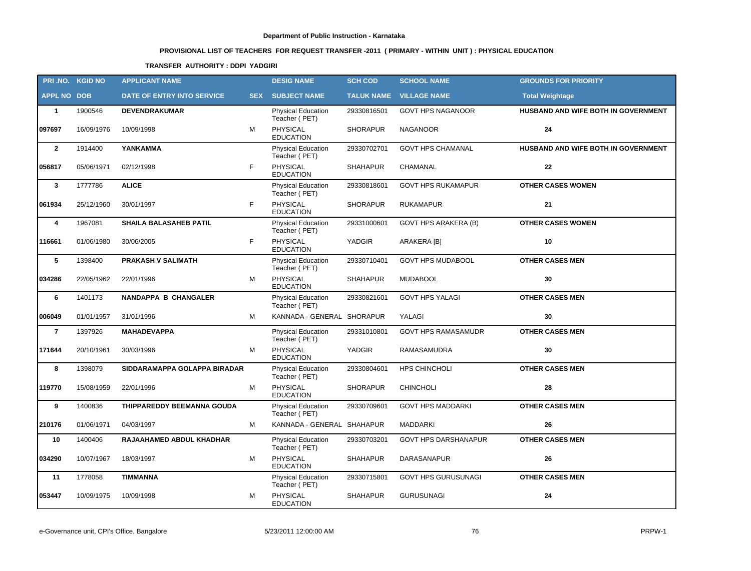# **PROVISIONAL LIST OF TEACHERS FOR REQUEST TRANSFER -2011 ( PRIMARY - WITHIN UNIT ) : PHYSICAL EDUCATION**

## **TRANSFER AUTHORITY : DDPI YADGIRI**

|                    | PRI.NO. KGID NO | <b>APPLICANT NAME</b>         |            | <b>DESIG NAME</b>                          | <b>SCH COD</b>  | <b>SCHOOL NAME</b>             | <b>GROUNDS FOR PRIORITY</b>         |
|--------------------|-----------------|-------------------------------|------------|--------------------------------------------|-----------------|--------------------------------|-------------------------------------|
| <b>APPL NO DOB</b> |                 | DATE OF ENTRY INTO SERVICE    | <b>SEX</b> | <b>SUBJECT NAME</b>                        |                 | <b>TALUK NAME VILLAGE NAME</b> | <b>Total Weightage</b>              |
| $\mathbf{1}$       | 1900546         | <b>DEVENDRAKUMAR</b>          |            | <b>Physical Education</b><br>Teacher (PET) | 29330816501     | <b>GOVT HPS NAGANOOR</b>       | HUSBAND AND WIFE BOTH IN GOVERNMENT |
| 097697             | 16/09/1976      | 10/09/1998                    | M          | <b>PHYSICAL</b><br><b>EDUCATION</b>        | <b>SHORAPUR</b> | <b>NAGANOOR</b>                | 24                                  |
| $\overline{2}$     | 1914400         | YANKAMMA                      |            | Physical Education<br>Teacher (PET)        | 29330702701     | <b>GOVT HPS CHAMANAL</b>       | HUSBAND AND WIFE BOTH IN GOVERNMENT |
| 056817             | 05/06/1971      | 02/12/1998                    | F          | PHYSICAL<br><b>EDUCATION</b>               | <b>SHAHAPUR</b> | CHAMANAL                       | $22 \,$                             |
| $\mathbf{3}$       | 1777786         | <b>ALICE</b>                  |            | <b>Physical Education</b><br>Teacher (PET) | 29330818601     | <b>GOVT HPS RUKAMAPUR</b>      | <b>OTHER CASES WOMEN</b>            |
| 061934             | 25/12/1960      | 30/01/1997                    | F          | PHYSICAL<br><b>EDUCATION</b>               | <b>SHORAPUR</b> | <b>RUKAMAPUR</b>               | 21                                  |
| 4                  | 1967081         | <b>SHAILA BALASAHEB PATIL</b> |            | <b>Physical Education</b><br>Teacher (PET) | 29331000601     | <b>GOVT HPS ARAKERA (B)</b>    | <b>OTHER CASES WOMEN</b>            |
| 116661             | 01/06/1980      | 30/06/2005                    | F          | <b>PHYSICAL</b><br><b>EDUCATION</b>        | YADGIR          | ARAKERA [B]                    | 10                                  |
| $\sqrt{5}$         | 1398400         | <b>PRAKASH V SALIMATH</b>     |            | Physical Education<br>Teacher (PET)        | 29330710401     | <b>GOVT HPS MUDABOOL</b>       | <b>OTHER CASES MEN</b>              |
| 034286             | 22/05/1962      | 22/01/1996                    | M          | PHYSICAL<br><b>EDUCATION</b>               | <b>SHAHAPUR</b> | <b>MUDABOOL</b>                | 30                                  |
| 6                  | 1401173         | <b>NANDAPPA B CHANGALER</b>   |            | Physical Education<br>Teacher (PET)        | 29330821601     | <b>GOVT HPS YALAGI</b>         | <b>OTHER CASES MEN</b>              |
| 006049             | 01/01/1957      | 31/01/1996                    | M          | KANNADA - GENERAL SHORAPUR                 |                 | YALAGI                         | 30                                  |
| $\overline{7}$     | 1397926         | <b>MAHADEVAPPA</b>            |            | <b>Physical Education</b><br>Teacher (PET) | 29331010801     | <b>GOVT HPS RAMASAMUDR</b>     | <b>OTHER CASES MEN</b>              |
| 171644             | 20/10/1961      | 30/03/1996                    | M          | <b>PHYSICAL</b><br><b>EDUCATION</b>        | YADGIR          | RAMASAMUDRA                    | 30                                  |
| 8                  | 1398079         | SIDDARAMAPPA GOLAPPA BIRADAR  |            | Physical Education<br>Teacher (PET)        | 29330804601     | HPS CHINCHOLI                  | <b>OTHER CASES MEN</b>              |
| 119770             | 15/08/1959      | 22/01/1996                    | M          | PHYSICAL<br><b>EDUCATION</b>               | <b>SHORAPUR</b> | <b>CHINCHOLI</b>               | 28                                  |
| 9                  | 1400836         | THIPPAREDDY BEEMANNA GOUDA    |            | Physical Education<br>Teacher (PET)        | 29330709601     | <b>GOVT HPS MADDARKI</b>       | <b>OTHER CASES MEN</b>              |
| 210176             | 01/06/1971      | 04/03/1997                    | M          | KANNADA - GENERAL SHAHAPUR                 |                 | <b>MADDARKI</b>                | 26                                  |
| 10                 | 1400406         | RAJAAHAMED ABDUL KHADHAR      |            | Physical Education<br>Teacher (PET)        | 29330703201     | <b>GOVT HPS DARSHANAPUR</b>    | <b>OTHER CASES MEN</b>              |
| 034290             | 10/07/1967      | 18/03/1997                    | M          | <b>PHYSICAL</b><br><b>EDUCATION</b>        | SHAHAPUR        | DARASANAPUR                    | 26                                  |
| 11                 | 1778058         | <b>TIMMANNA</b>               |            | Physical Education<br>Teacher (PET)        | 29330715801     | <b>GOVT HPS GURUSUNAGI</b>     | <b>OTHER CASES MEN</b>              |
| 053447             | 10/09/1975      | 10/09/1998                    | M          | PHYSICAL<br><b>EDUCATION</b>               | <b>SHAHAPUR</b> | <b>GURUSUNAGI</b>              | 24                                  |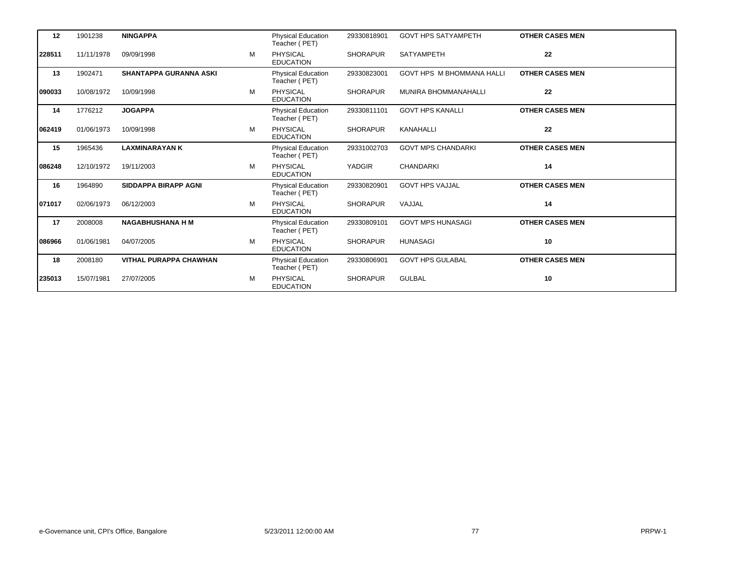| 12     | 1901238    | <b>NINGAPPA</b>               |   | <b>Physical Education</b><br>Teacher (PET) | 29330818901     | <b>GOVT HPS SATYAMPETH</b>       | <b>OTHER CASES MEN</b> |
|--------|------------|-------------------------------|---|--------------------------------------------|-----------------|----------------------------------|------------------------|
| 228511 | 11/11/1978 | 09/09/1998                    | M | <b>PHYSICAL</b><br><b>EDUCATION</b>        | <b>SHORAPUR</b> | SATYAMPETH                       | 22                     |
| 13     | 1902471    | <b>SHANTAPPA GURANNA ASKI</b> |   | <b>Physical Education</b><br>Teacher (PET) | 29330823001     | <b>GOVT HPS M BHOMMANA HALLI</b> | <b>OTHER CASES MEN</b> |
| 090033 | 10/08/1972 | 10/09/1998                    | М | <b>PHYSICAL</b><br><b>EDUCATION</b>        | <b>SHORAPUR</b> | <b>MUNIRA BHOMMANAHALLI</b>      | 22                     |
| 14     | 1776212    | <b>JOGAPPA</b>                |   | <b>Physical Education</b><br>Teacher (PET) | 29330811101     | <b>GOVT HPS KANALLI</b>          | <b>OTHER CASES MEN</b> |
| 062419 | 01/06/1973 | 10/09/1998                    | M | PHYSICAL<br><b>EDUCATION</b>               | <b>SHORAPUR</b> | <b>KANAHALLI</b>                 | 22                     |
| 15     | 1965436    | <b>LAXMINARAYAN K</b>         |   | <b>Physical Education</b><br>Teacher (PET) | 29331002703     | <b>GOVT MPS CHANDARKI</b>        | <b>OTHER CASES MEN</b> |
| 086248 | 12/10/1972 | 19/11/2003                    | M | <b>PHYSICAL</b><br><b>EDUCATION</b>        | <b>YADGIR</b>   | <b>CHANDARKI</b>                 | 14                     |
| 16     | 1964890    | <b>SIDDAPPA BIRAPP AGNI</b>   |   | <b>Physical Education</b><br>Teacher (PET) | 29330820901     | <b>GOVT HPS VAJJAL</b>           | <b>OTHER CASES MEN</b> |
| 071017 | 02/06/1973 | 06/12/2003                    | М | <b>PHYSICAL</b><br><b>EDUCATION</b>        | <b>SHORAPUR</b> | VAJJAL                           | 14                     |
| 17     | 2008008    | <b>NAGABHUSHANA H M</b>       |   | Physical Education<br>Teacher (PET)        | 29330809101     | <b>GOVT MPS HUNASAGI</b>         | <b>OTHER CASES MEN</b> |
| 086966 | 01/06/1981 | 04/07/2005                    | M | <b>PHYSICAL</b><br><b>EDUCATION</b>        | <b>SHORAPUR</b> | <b>HUNASAGI</b>                  | 10                     |
| 18     | 2008180    | <b>VITHAL PURAPPA CHAWHAN</b> |   | Physical Education<br>Teacher (PET)        | 29330806901     | <b>GOVT HPS GULABAL</b>          | <b>OTHER CASES MEN</b> |
| 235013 | 15/07/1981 | 27/07/2005                    | М | <b>PHYSICAL</b><br><b>EDUCATION</b>        | <b>SHORAPUR</b> | <b>GULBAL</b>                    | 10                     |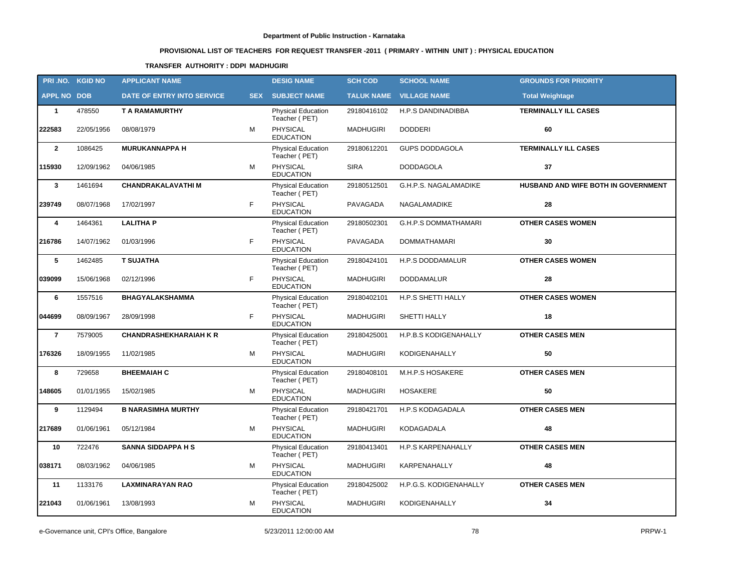# **PROVISIONAL LIST OF TEACHERS FOR REQUEST TRANSFER -2011 ( PRIMARY - WITHIN UNIT ) : PHYSICAL EDUCATION**

## **TRANSFER AUTHORITY : DDPI MADHUGIRI**

|                    | PRI.NO. KGID NO | <b>APPLICANT NAME</b>         |            | <b>DESIG NAME</b>                          | <b>SCH COD</b>   | <b>SCHOOL NAME</b>             | <b>GROUNDS FOR PRIORITY</b>         |
|--------------------|-----------------|-------------------------------|------------|--------------------------------------------|------------------|--------------------------------|-------------------------------------|
| <b>APPL NO DOB</b> |                 | DATE OF ENTRY INTO SERVICE    | <b>SEX</b> | <b>SUBJECT NAME</b>                        |                  | <b>TALUK NAME VILLAGE NAME</b> | <b>Total Weightage</b>              |
| $\mathbf{1}$       | 478550          | T A RAMAMURTHY                |            | <b>Physical Education</b><br>Teacher (PET) | 29180416102      | H.P.S DANDINADIBBA             | <b>TERMINALLY ILL CASES</b>         |
| 222583             | 22/05/1956      | 08/08/1979                    | M          | PHYSICAL<br><b>EDUCATION</b>               | <b>MADHUGIRI</b> | <b>DODDERI</b>                 | 60                                  |
| $\overline{2}$     | 1086425         | <b>MURUKANNAPPA H</b>         |            | Physical Education<br>Teacher (PET)        | 29180612201      | <b>GUPS DODDAGOLA</b>          | <b>TERMINALLY ILL CASES</b>         |
| 115930             | 12/09/1962      | 04/06/1985                    | М          | <b>PHYSICAL</b><br><b>EDUCATION</b>        | <b>SIRA</b>      | <b>DODDAGOLA</b>               | 37                                  |
| $\mathbf{3}$       | 1461694         | <b>CHANDRAKALAVATHIM</b>      |            | Physical Education<br>Teacher (PET)        | 29180512501      | G.H.P.S. NAGALAMADIKE          | HUSBAND AND WIFE BOTH IN GOVERNMENT |
| 239749             | 08/07/1968      | 17/02/1997                    | F.         | <b>PHYSICAL</b><br><b>EDUCATION</b>        | PAVAGADA         | NAGALAMADIKE                   | 28                                  |
| 4                  | 1464361         | <b>LALITHA P</b>              |            | Physical Education<br>Teacher (PET)        | 29180502301      | <b>G.H.P.S DOMMATHAMARI</b>    | <b>OTHER CASES WOMEN</b>            |
| 216786             | 14/07/1962      | 01/03/1996                    | F.         | <b>PHYSICAL</b><br><b>EDUCATION</b>        | PAVAGADA         | <b>DOMMATHAMARI</b>            | 30                                  |
| 5                  | 1462485         | <b>T SUJATHA</b>              |            | Physical Education<br>Teacher (PET)        | 29180424101      | H.P.S DODDAMALUR               | <b>OTHER CASES WOMEN</b>            |
| 039099             | 15/06/1968      | 02/12/1996                    | F.         | <b>PHYSICAL</b><br><b>EDUCATION</b>        | <b>MADHUGIRI</b> | DODDAMALUR                     | 28                                  |
| 6                  | 1557516         | <b>BHAGYALAKSHAMMA</b>        |            | Physical Education<br>Teacher (PET)        | 29180402101      | H.P.S SHETTI HALLY             | <b>OTHER CASES WOMEN</b>            |
| 044699             | 08/09/1967      | 28/09/1998                    | F.         | <b>PHYSICAL</b><br><b>EDUCATION</b>        | <b>MADHUGIRI</b> | SHETTI HALLY                   | 18                                  |
| $\overline{7}$     | 7579005         | <b>CHANDRASHEKHARAIAH K R</b> |            | <b>Physical Education</b><br>Teacher (PET) | 29180425001      | H.P.B.S KODIGENAHALLY          | <b>OTHER CASES MEN</b>              |
| 176326             | 18/09/1955      | 11/02/1985                    | м          | <b>PHYSICAL</b><br><b>EDUCATION</b>        | <b>MADHUGIRI</b> | <b>KODIGENAHALLY</b>           | 50                                  |
| 8                  | 729658          | <b>BHEEMAIAH C</b>            |            | <b>Physical Education</b><br>Teacher (PET) | 29180408101      | M.H.P.S HOSAKERE               | <b>OTHER CASES MEN</b>              |
| 148605             | 01/01/1955      | 15/02/1985                    | М          | PHYSICAL<br><b>EDUCATION</b>               | <b>MADHUGIRI</b> | <b>HOSAKERE</b>                | 50                                  |
| 9                  | 1129494         | <b>B NARASIMHA MURTHY</b>     |            | Physical Education<br>Teacher (PET)        | 29180421701      | H.P.S KODAGADALA               | <b>OTHER CASES MEN</b>              |
| 217689             | 01/06/1961      | 05/12/1984                    | м          | <b>PHYSICAL</b><br><b>EDUCATION</b>        | <b>MADHUGIRI</b> | KODAGADALA                     | 48                                  |
| 10                 | 722476          | <b>SANNA SIDDAPPA H S</b>     |            | Physical Education<br>Teacher (PET)        | 29180413401      | H.P.S KARPENAHALLY             | <b>OTHER CASES MEN</b>              |
| 038171             | 08/03/1962      | 04/06/1985                    | М          | PHYSICAL<br><b>EDUCATION</b>               | <b>MADHUGIRI</b> | KARPENAHALLY                   | 48                                  |
| 11                 | 1133176         | <b>LAXMINARAYAN RAO</b>       |            | Physical Education<br>Teacher (PET)        | 29180425002      | H.P.G.S. KODIGENAHALLY         | <b>OTHER CASES MEN</b>              |
| 221043             | 01/06/1961      | 13/08/1993                    | М          | PHYSICAL<br><b>EDUCATION</b>               | <b>MADHUGIRI</b> | KODIGENAHALLY                  | 34                                  |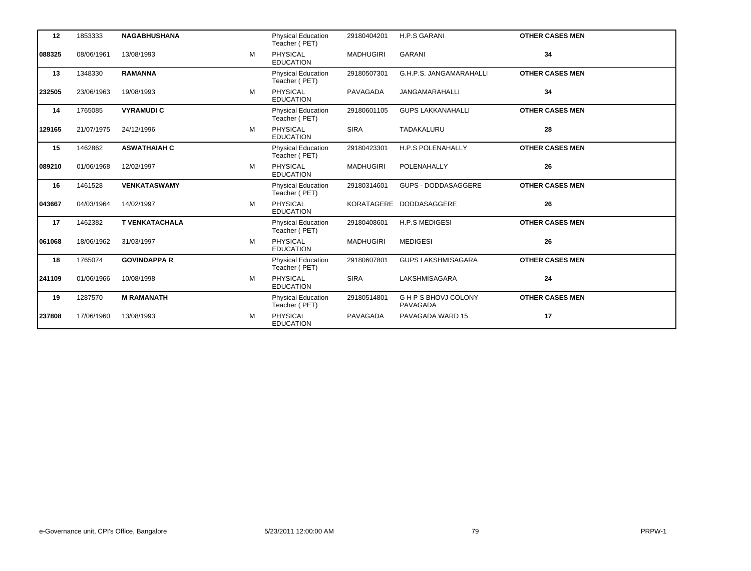| 12     | 1853333    | <b>NAGABHUSHANA</b>   |   | <b>Physical Education</b><br>Teacher (PET) | 29180404201      | <b>H.P.S GARANI</b>              | <b>OTHER CASES MEN</b> |  |
|--------|------------|-----------------------|---|--------------------------------------------|------------------|----------------------------------|------------------------|--|
| 088325 | 08/06/1961 | 13/08/1993            | м | PHYSICAL<br><b>EDUCATION</b>               | <b>MADHUGIRI</b> | <b>GARANI</b>                    | 34                     |  |
| 13     | 1348330    | <b>RAMANNA</b>        |   | <b>Physical Education</b><br>Teacher (PET) | 29180507301      | G.H.P.S. JANGAMARAHALLI          | <b>OTHER CASES MEN</b> |  |
| 232505 | 23/06/1963 | 19/08/1993            | M | <b>PHYSICAL</b><br><b>EDUCATION</b>        | <b>PAVAGADA</b>  | <b>JANGAMARAHALLI</b>            | 34                     |  |
| 14     | 1765085    | <b>VYRAMUDIC</b>      |   | <b>Physical Education</b><br>Teacher (PET) | 29180601105      | <b>GUPS LAKKANAHALLI</b>         | <b>OTHER CASES MEN</b> |  |
| 129165 | 21/07/1975 | 24/12/1996            | M | <b>PHYSICAL</b><br><b>EDUCATION</b>        | <b>SIRA</b>      | TADAKALURU                       | 28                     |  |
| 15     | 1462862    | <b>ASWATHAIAH C</b>   |   | <b>Physical Education</b><br>Teacher (PET) | 29180423301      | <b>H.P.S POLENAHALLY</b>         | <b>OTHER CASES MEN</b> |  |
| 089210 | 01/06/1968 | 12/02/1997            | M | PHYSICAL<br><b>EDUCATION</b>               | <b>MADHUGIRI</b> | POLENAHALLY                      | 26                     |  |
| 16     | 1461528    | <b>VENKATASWAMY</b>   |   | <b>Physical Education</b><br>Teacher (PET) | 29180314601      | GUPS - DODDASAGGERE              | <b>OTHER CASES MEN</b> |  |
| 043667 | 04/03/1964 | 14/02/1997            | M | <b>PHYSICAL</b><br><b>EDUCATION</b>        |                  | KORATAGERE DODDASAGGERE          | 26                     |  |
| 17     | 1462382    | <b>T VENKATACHALA</b> |   | <b>Physical Education</b><br>Teacher (PET) | 29180408601      | H.P.S MEDIGESI                   | <b>OTHER CASES MEN</b> |  |
| 061068 | 18/06/1962 | 31/03/1997            | M | PHYSICAL<br><b>EDUCATION</b>               | <b>MADHUGIRI</b> | <b>MEDIGESI</b>                  | 26                     |  |
| 18     | 1765074    | <b>GOVINDAPPA R</b>   |   | <b>Physical Education</b><br>Teacher (PET) | 29180607801      | <b>GUPS LAKSHMISAGARA</b>        | <b>OTHER CASES MEN</b> |  |
| 241109 | 01/06/1966 | 10/08/1998            | М | <b>PHYSICAL</b><br><b>EDUCATION</b>        | <b>SIRA</b>      | LAKSHMISAGARA                    | 24                     |  |
| 19     | 1287570    | <b>M RAMANATH</b>     |   | <b>Physical Education</b><br>Teacher (PET) | 29180514801      | G H P S BHOVJ COLONY<br>PAVAGADA | <b>OTHER CASES MEN</b> |  |
| 237808 | 17/06/1960 | 13/08/1993            | M | <b>PHYSICAL</b><br><b>EDUCATION</b>        | <b>PAVAGADA</b>  | PAVAGADA WARD 15                 | 17                     |  |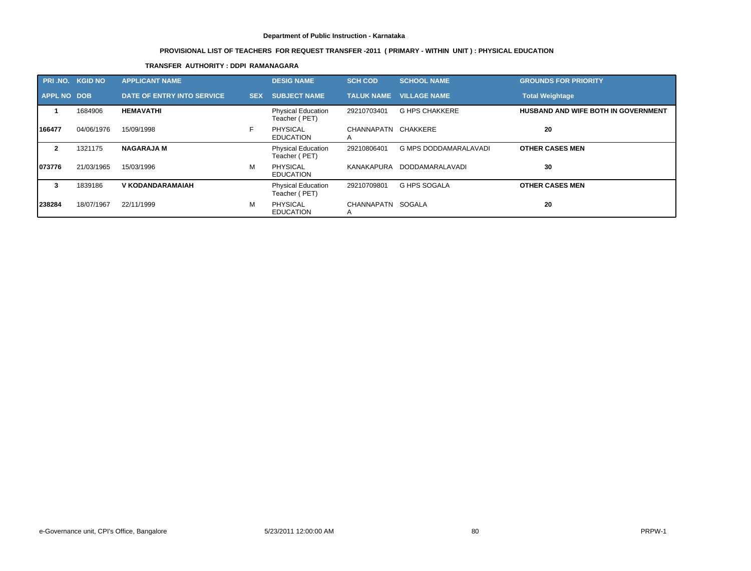# **PROVISIONAL LIST OF TEACHERS FOR REQUEST TRANSFER -2011 ( PRIMARY - WITHIN UNIT ) : PHYSICAL EDUCATION**

## **TRANSFER AUTHORITY : DDPI RAMANAGARA**

| <b>PRI.NO. KGID NO</b> |            | <b>APPLICANT NAME</b>      |            | <b>DESIG NAME</b>                          | <b>SCH COD</b>           | <b>SCHOOL NAME</b>             | <b>GROUNDS FOR PRIORITY</b>                |
|------------------------|------------|----------------------------|------------|--------------------------------------------|--------------------------|--------------------------------|--------------------------------------------|
| <b>APPL NO DOB</b>     |            | DATE OF ENTRY INTO SERVICE | <b>SEX</b> | <b>SUBJECT NAME</b>                        |                          | <b>TALUK NAME VILLAGE NAME</b> | <b>Total Weightage</b>                     |
|                        | 1684906    | <b>HEMAVATHI</b>           |            | <b>Physical Education</b><br>Teacher (PET) | 29210703401              | <b>G HPS CHAKKERE</b>          | <b>HUSBAND AND WIFE BOTH IN GOVERNMENT</b> |
| 166477                 | 04/06/1976 | 15/09/1998                 |            | PHYSICAL<br><b>EDUCATION</b>               | CHANNAPATN CHAKKERE<br>A |                                | 20                                         |
| $\mathbf{2}$           | 1321175    | <b>NAGARAJA M</b>          |            | <b>Physical Education</b><br>Teacher (PET) | 29210806401              | <b>G MPS DODDAMARALAVADI</b>   | <b>OTHER CASES MEN</b>                     |
| 1073776                | 21/03/1965 | 15/03/1996                 | M          | <b>PHYSICAL</b><br><b>EDUCATION</b>        | KANAKAPURA               | DODDAMARALAVADI                | 30                                         |
|                        | 1839186    | <b>V KODANDARAMAIAH</b>    |            | <b>Physical Education</b><br>Teacher (PET) | 29210709801              | <b>G HPS SOGALA</b>            | <b>OTHER CASES MEN</b>                     |
| 238284                 | 18/07/1967 | 22/11/1999                 | м          | <b>PHYSICAL</b><br><b>EDUCATION</b>        | CHANNAPATN SOGALA<br>A   |                                | 20                                         |